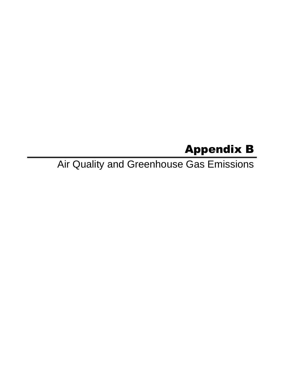# Appendix B

Air Quality and Greenhouse Gas Emissions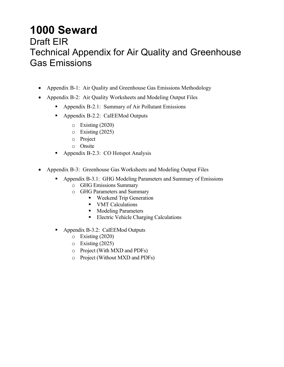## **1000 Seward**  Draft EIR Technical Appendix for Air Quality and Greenhouse Gas Emissions

- Appendix B-1: Air Quality and Greenhouse Gas Emissions Methodology
- Appendix B-2: Air Quality Worksheets and Modeling Output Files
	- Appendix B-2.1: Summary of Air Pollutant Emissions
	- Appendix B-2.2: CalEEMod Outputs
		- o Existing (2020)
		- o Existing (2025)
		- o Project
		- o Onsite
	- Appendix B-2.3: CO Hotspot Analysis
- Appendix B-3: Greenhouse Gas Worksheets and Modeling Output Files
	- Appendix B-3.1: GHG Modeling Parameters and Summary of Emissions
		- o GHG Emissions Summary
		- o GHG Parameters and Summary
			- Weekend Trip Generation
			- VMT Calculations
			- **Modeling Parameters**
			- **Electric Vehicle Charging Calculations**
	- Appendix B-3.2: CalEEMod Outputs
		- o Existing (2020)
		- o Existing (2025)
		- o Project (With MXD and PDFs)
		- o Project (Without MXD and PDFs)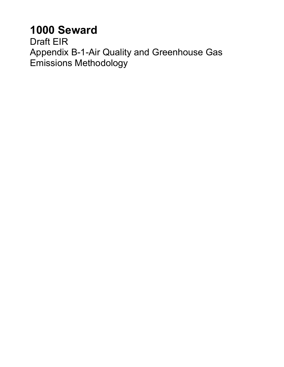# **1000 Seward**

Draft EIR Appendix B-1-Air Quality and Greenhouse Gas Emissions Methodology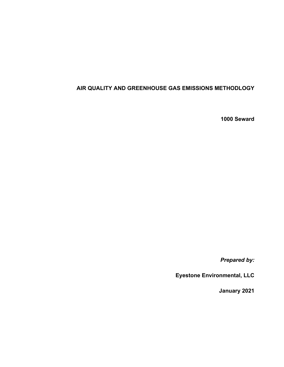### **AIR QUALITY AND GREENHOUSE GAS EMISSIONS METHODLOGY**

**1000 Seward** 

*Prepared by:* 

**Eyestone Environmental, LLC** 

**January 2021**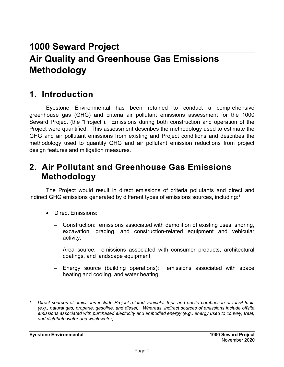## **1000 Seward Project Air Quality and Greenhouse Gas Emissions Methodology**

## **1. Introduction**

Eyestone Environmental has been retained to conduct a comprehensive greenhouse gas (GHG) and criteria air pollutant emissions assessment for the 1000 Seward Project (the "Project"). Emissions during both construction and operation of the Project were quantified. This assessment describes the methodology used to estimate the GHG and air pollutant emissions from existing and Project conditions and describes the methodology used to quantify GHG and air pollutant emission reductions from project design features and mitigation measures.

## **2. Air Pollutant and Greenhouse Gas Emissions Methodology**

The Project would result in direct emissions of criteria pollutants and direct and indirect GHG emissions generated by different types of emissions sources, including:<sup>1</sup>

- Direct Emissions:
	- Construction: emissions associated with demolition of existing uses, shoring, excavation, grading, and construction-related equipment and vehicular activity;
	- Area source: emissions associated with consumer products, architectural coatings, and landscape equipment;
	- Energy source (building operations): emissions associated with space heating and cooling, and water heating;

*<sup>1</sup> Direct sources of emissions include Project-related vehicular trips and onsite combustion of fossil fuels (e.g., natural gas, propane, gasoline, and diesel). Whereas, indirect sources of emissions include offsite emissions associated with purchased electricity and embodied energy (e.g., energy used to convey, treat, and distribute water and wastewater)*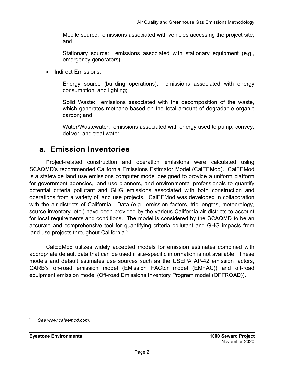- Mobile source: emissions associated with vehicles accessing the project site; and
- Stationary source: emissions associated with stationary equipment (e.g., emergency generators).
- Indirect Emissions:
	- Energy source (building operations): emissions associated with energy consumption, and lighting;
	- Solid Waste: emissions associated with the decomposition of the waste, which generates methane based on the total amount of degradable organic carbon; and
	- Water/Wastewater: emissions associated with energy used to pump, convey, deliver, and treat water.

## **a. Emission Inventories**

Project-related construction and operation emissions were calculated using SCAQMD's recommended California Emissions Estimator Model (CalEEMod). CalEEMod is a statewide land use emissions computer model designed to provide a uniform platform for government agencies, land use planners, and environmental professionals to quantify potential criteria pollutant and GHG emissions associated with both construction and operations from a variety of land use projects. CalEEMod was developed in collaboration with the air districts of California. Data (e.g., emission factors, trip lengths, meteorology, source inventory, etc.) have been provided by the various California air districts to account for local requirements and conditions. The model is considered by the SCAQMD to be an accurate and comprehensive tool for quantifying criteria pollutant and GHG impacts from land use projects throughout California.<sup>2</sup>

CalEEMod utilizes widely accepted models for emission estimates combined with appropriate default data that can be used if site-specific information is not available. These models and default estimates use sources such as the USEPA AP-42 emission factors, CARB's on-road emission model (EMission FACtor model (EMFAC)) and off-road equipment emission model (Off-road Emissions Inventory Program model (OFFROAD)).

<sup>2</sup> *See www.caleemod.com.*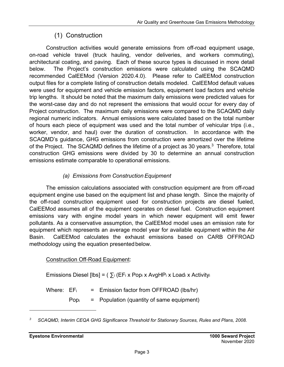## (1) Construction

Construction activities would generate emissions from off-road equipment usage, on-road vehicle travel (truck hauling, vendor deliveries, and workers commuting), architectural coating, and paving. Each of these source types is discussed in more detail below. The Project's construction emissions were calculated using the SCAQMD recommended CalEEMod (Version 2020.4.0). Please refer to CalEEMod construction output files for a complete listing of construction details modeled. CalEEMod default values were used for equipment and vehicle emission factors, equipment load factors and vehicle trip lengths. It should be noted that the maximum daily emissions were predicted values for the worst-case day and do not represent the emissions that would occur for every day of Project construction. The maximum daily emissions were compared to the SCAQMD daily regional numeric indicators. Annual emissions were calculated based on the total number of hours each piece of equipment was used and the total number of vehicular trips (i.e., worker, vendor, and haul) over the duration of construction. In accordance with the SCAQMD's guidance, GHG emissions from construction were amortized over the lifetime of the Project. The SCAQMD defines the lifetime of a project as 30 years.<sup>3</sup> Therefore, total construction GHG emissions were divided by 30 to determine an annual construction emissions estimate comparable to operational emissions.

## *(a) Emissions from Construction Equipment*

The emission calculations associated with construction equipment are from off-road equipment engine use based on the equipment list and phase length. Since the majority of the off-road construction equipment used for construction projects are diesel fueled, CalEEMod assumes all of the equipment operates on diesel fuel. Construction equipment emissions vary with engine model years in which newer equipment will emit fewer pollutants. As a conservative assumption, the CalEEMod model uses an emission rate for equipment which represents an average model year for available equipment within the Air Basin. CalEEMod calculates the exhaust emissions based on CARB OFFROAD methodology using the equation presented below.

### Construction Off-Road Equipment:

Emissions Diesel [lbs] =  $(\sum_i (EF_i \times Pop_i \times AvgHP_i \times Load_i \times Activity_i)$ 

Where:  $EF_i$  = Emission factor from OFFROAD (lbs/hr)

 $Pop<sub>i</sub>$  = Population (quantity of same equipment)

*<sup>3</sup> SCAQMD, Interim CEQA GHG Significance Threshold for Stationary Sources, Rules and Plans, 2008.*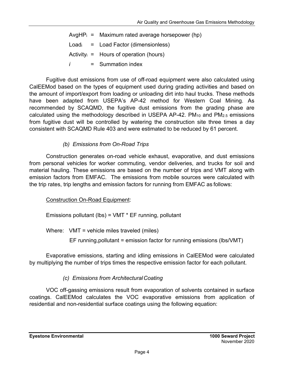AvgHP $_{i}$  = Maximum rated average horsepower (hp)  $Load<sub>i</sub> = Load Factor (dimensionless)$ Activity $i =$  Hours of operation (hours) *i* = Summation index

Fugitive dust emissions from use of off-road equipment were also calculated using CalEEMod based on the types of equipment used during grading activities and based on the amount of import/export from loading or unloading dirt into haul trucks. These methods have been adapted from USEPA's AP-42 method for Western Coal Mining. As recommended by SCAQMD, the fugitive dust emissions from the grading phase are calculated using the methodology described in USEPA AP-42. PM10 and PM2.5 emissions from fugitive dust will be controlled by watering the construction site three times a day consistent with SCAQMD Rule 403 and were estimated to be reduced by 61 percent.

## *(b) Emissions from On-Road Trips*

Construction generates on-road vehicle exhaust, evaporative, and dust emissions from personal vehicles for worker commuting, vendor deliveries, and trucks for soil and material hauling. These emissions are based on the number of trips and VMT along with emission factors from EMFAC. The emissions from mobile sources were calculated with the trip rates, trip lengths and emission factors for running from EMFAC as follows:

## Construction On-Road Equipment:

Emissions pollutant (lbs) = VMT \* EF running, pollutant

Where: VMT = vehicle miles traveled (miles)

EF running,pollutant = emission factor for running emissions (lbs/VMT)

Evaporative emissions, starting and idling emissions in CalEEMod were calculated by multiplying the number of trips times the respective emission factor for each pollutant.

## *(c) Emissions from Architectural Coating*

VOC off-gassing emissions result from evaporation of solvents contained in surface coatings. CalEEMod calculates the VOC evaporative emissions from application of residential and non-residential surface coatings using the following equation: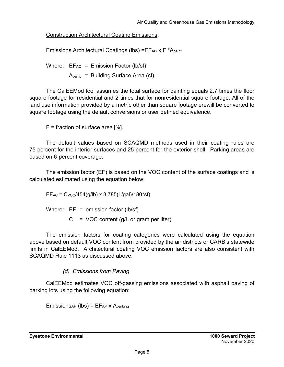Construction Architectural Coating Emissions:

Emissions Architectural Coatings (lbs) = $EFAC X F^*A_{paint}$ 

Where:  $EF_{AC} = Emission Factor (lb/sf)$  $A_{paint}$  = Building Surface Area (sf)

The CalEEMod tool assumes the total surface for painting equals 2.7 times the floor square footage for residential and 2 times that for nonresidential square footage. All of the land use information provided by a metric other than square footage erewill be converted to square footage using the default conversions or user defined equivalence.

 $F =$  fraction of surface area [%].

The default values based on SCAQMD methods used in their coating rules are 75 percent for the interior surfaces and 25 percent for the exterior shell. Parking areas are based on 6-percent coverage.

The emission factor (EF) is based on the VOC content of the surface coatings and is calculated estimated using the equation below:

 $EF_{AC} = C_{VOC}/454(g/lb) \times 3.785(L/gal)/180*sf)$ 

Where:  $EF =$  emission factor (lb/sf)

 $C = VOC$  content (g/L or gram per liter)

The emission factors for coating categories were calculated using the equation above based on default VOC content from provided by the air districts or CARB's statewide limits in CalEEMod. Architectural coating VOC emission factors are also consistent with SCAQMD Rule 1113 as discussed above.

## *(d) Emissions from Paving*

CalEEMod estimates VOC off-gassing emissions associated with asphalt paving of parking lots using the following equation:

 $Emissions_{AP}$  (lbs) =  $EF_{AP}$  x  $A_{parking}$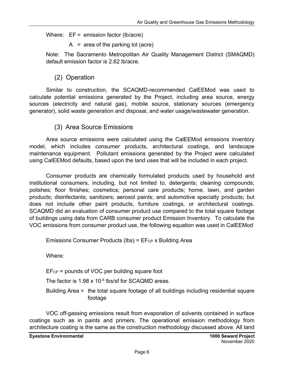Where:  $EF =$  emission factor (lb/acre)

 $A = area of the parking lot (acre)$ 

Note: The Sacramento Metropolitan Air Quality Management District (SMAQMD) default emission factor is 2.62 lb/acre.

## (2) Operation

Similar to construction, the SCAQMD-recommended CalEEMod was used to calculate potential emissions generated by the Project, including area source, energy sources (electricity and natural gas), mobile source, stationary sources (emergency generator), solid waste generation and disposal, and water usage/wastewater generation.

## (3) Area Source Emissions

Area source emissions were calculated using the CalEEMod emissions inventory model, which includes consumer products, architectural coatings, and landscape maintenance equipment. Pollutant emissions generated by the Project were calculated using CalEEMod defaults, based upon the land uses that will be included in each project.

Consumer products are chemically formulated products used by household and institutional consumers, including, but not limited to, detergents; cleaning compounds; polishes; floor finishes; cosmetics; personal care products; home, lawn, and garden products; disinfectants; sanitizers; aerosol paints; and automotive specialty products; but does not include other paint products, furniture coatings, or architectural coatings. SCAQMD did an evaluation of consumer product use compared to the total square footage of buildings using data from CARB consumer product Emission Inventory. To calculate the VOC emissions from consumer product use, the following equation was used in CalEEMod:

Emissions Consumer Products (lbs) =  $E$ F<sub>CP</sub> x Building Area

Where:

EFCP = pounds of VOC per building square foot

The factor is 1.98 x 10<sup>-5</sup> lbs/sf for SCAQMD areas.

Building Area = the total square footage of all buildings including residential square footage

VOC off-gassing emissions result from evaporation of solvents contained in surface coatings such as in paints and primers. The operational emission methodology from architecture coating is the same as the construction methodology discussed above. All land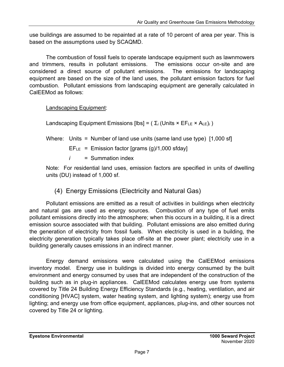use buildings are assumed to be repainted at a rate of 10 percent of area per year. This is based on the assumptions used by SCAQMD.

The combustion of fossil fuels to operate landscape equipment such as lawnmowers and trimmers, results in pollutant emissions. The emissions occur on-site and are considered a direct source of pollutant emissions. The emissions for landscaping equipment are based on the size of the land uses, the pollutant emission factors for fuel combustion. Pollutant emissions from landscaping equipment are generally calculated in CalEEMod as follows:

Landscaping Equipment:

Landscaping Equipment Emissions [lbs] =  $(\Sigma_i$  (Units  $\times$  EF<sub>LE</sub>  $\times$  A<sub>LE</sub>)<sub>*i*</sub>)

Where: Units = Number of land use units (same land use type) [1,000 sf]

 $EFE = Emission factor [grams (g)/1,000 sfday]$ 

*i* = Summation index

Note: For residential land uses, emission factors are specified in units of dwelling units (DU) instead of 1,000 sf.

(4) Energy Emissions (Electricity and Natural Gas)

Pollutant emissions are emitted as a result of activities in buildings when electricity and natural gas are used as energy sources. Combustion of any type of fuel emits pollutant emissions directly into the atmosphere; when this occurs in a building, it is a direct emission source associated with that building. Pollutant emissions are also emitted during the generation of electricity from fossil fuels. When electricity is used in a building, the electricity generation typically takes place off-site at the power plant; electricity use in a building generally causes emissions in an indirect manner.

Energy demand emissions were calculated using the CalEEMod emissions inventory model. Energy use in buildings is divided into energy consumed by the built environment and energy consumed by uses that are independent of the construction of the building such as in plug-in appliances. CalEEMod calculates energy use from systems covered by Title 24 Building Energy Efficiency Standards (e.g., heating, ventilation, and air conditioning [HVAC] system, water heating system, and lighting system); energy use from lighting; and energy use from office equipment, appliances, plug-ins, and other sources not covered by Title 24 or lighting.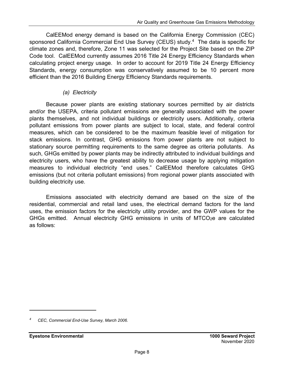CalEEMod energy demand is based on the California Energy Commission (CEC) sponsored California Commercial End Use Survey (CEUS) study.4 The data is specific for climate zones and, therefore, Zone 11 was selected for the Project Site based on the ZIP Code tool. CalEEMod currently assumes 2016 Title 24 Energy Efficiency Standards when calculating project energy usage. In order to account for 2019 Title 24 Energy Efficiency Standards, energy consumption was conservatively assumed to be 10 percent more efficient than the 2016 Building Energy Efficiency Standards requirements.

### *(a) Electricity*

Because power plants are existing stationary sources permitted by air districts and/or the USEPA, criteria pollutant emissions are generally associated with the power plants themselves, and not individual buildings or electricity users. Additionally, criteria pollutant emissions from power plants are subject to local, state, and federal control measures, which can be considered to be the maximum feasible level of mitigation for stack emissions. In contrast, GHG emissions from power plants are not subject to stationary source permitting requirements to the same degree as criteria pollutants. As such, GHGs emitted by power plants may be indirectly attributed to individual buildings and electricity users, who have the greatest ability to decrease usage by applying mitigation measures to individual electricity "end uses." CalEEMod therefore calculates GHG emissions (but not criteria pollutant emissions) from regional power plants associated with building electricity use.

Emissions associated with electricity demand are based on the size of the residential, commercial and retail land uses, the electrical demand factors for the land uses, the emission factors for the electricity utility provider, and the GWP values for the GHGs emitted. Annual electricity GHG emissions in units of MTCO<sub>2</sub>e are calculated as follows:

*<sup>4</sup> CEC, Commercial End-Use Survey, March 2006.*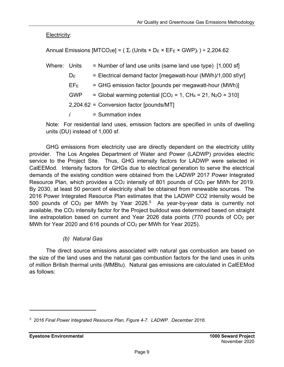Electricity:

Annual Emissions [MTCO<sub>2</sub>e] = ( $\Sigma$ <sub>*i*</sub> (Units × D<sub>E</sub> × EF<sub>E</sub> × GWP)<sub>*i*</sub>) ÷ 2,204.62

| Where: Units |              | = Number of land use units (same land use type) [1,000 sf]   |
|--------------|--------------|--------------------------------------------------------------|
|              | $D_{E}$      | = Electrical demand factor [megawatt-hour (MWh)/1,000 sf/yr] |
|              | $EF_E$       | = GHG emission factor [pounds per megawatt-hour (MWh)]       |
|              | <b>GWP</b>   | = Global warming potential $[CO2 = 1, CH4 = 21, N2O = 310]$  |
|              |              | 2,204.62 = Conversion factor [pounds/MT]                     |
|              | $\mathbf{I}$ | $=$ Summation index                                          |

Note: For residential land uses, emission factors are specified in units of dwelling units (DU) instead of 1,000 sf.

GHG emissions from electricity use are directly dependent on the electricity utility provider. The Los Angeles Department of Water and Power (LADWP) provides electric service to the Project Site. Thus, GHG intensity factors for LADWP were selected in CalEEMod. Intensity factors for GHGs due to electrical generation to serve the electrical demands of the existing condition were obtained from the LADWP 2017 Power Integrated Resource Plan, which provides a  $CO<sub>2</sub>$  intensity of 801 pounds of  $CO<sub>2</sub>$  per MWh for 2019. By 2030, at least 50 percent of electricity shall be obtained from renewable sources. The 2016 Power Integrated Resource Plan estimates that the LADWP CO2 intensity would be 500 pounds of  $CO<sub>2</sub>$  per MWh by Year 2026.<sup>5</sup> As year-by-year data is currently not available, the CO<sub>2</sub> intensity factor for the Project buildout was determined based on straight line extrapolation based on current and Year 2026 data points (770 pounds of  $CO<sub>2</sub>$  per MWh for Year 2020 and 616 pounds of CO2 per MWh for Year 2025).

## *(b) Natural Gas*

The direct source emissions associated with natural gas combustion are based on the size of the land uses and the natural gas combustion factors for the land uses in units of million British thermal units (MMBtu). Natural gas emissions are calculated in CalEEMod as follows:

*<sup>5 2016</sup> Final Power Integrated Resource Plan, Figure 4-7. LADWP. December 2016.*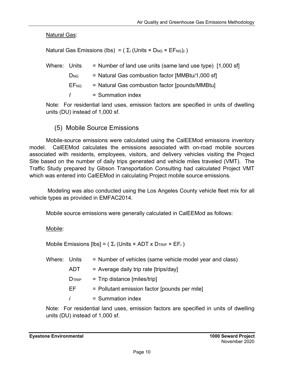**Natural Gas:** 

Natural Gas Emissions (lbs) =  $(\Sigma_i$  (Units × D<sub>NG</sub> × EF<sub>NG</sub>)<sub>*i*</sub>)

| Where: Units |                        | = Number of land use units (same land use type) [1,000 sf] |
|--------------|------------------------|------------------------------------------------------------|
|              | $D_{NG}$               | = Natural Gas combustion factor [MMBtu/1,000 sf]           |
|              | <b>EF<sub>NG</sub></b> | $=$ Natural Gas combustion factor [pounds/MMBtu]           |
|              | $\mathbf{I}$           | $=$ Summation index                                        |

Note: For residential land uses, emission factors are specified in units of dwelling units (DU) instead of 1,000 sf.

(5) Mobile Source Emissions

Mobile-source emissions were calculated using the CalEEMod emissions inventory model. CalEEMod calculates the emissions associated with on-road mobile sources associated with residents, employees, visitors, and delivery vehicles visiting the Project Site based on the number of daily trips generated and vehicle miles traveled (VMT). The Traffic Study prepared by Gibson Transportation Consulting had calculated Project VMT which was entered into CalEEMod in calculating Project mobile source emissions.

 Modeling was also conducted using the Los Angeles County vehicle fleet mix for all vehicle types as provided in EMFAC2014.

Mobile source emissions were generally calculated in CalEEMod as follows:

Mobile:

Mobile Emissions [lbs] =  $(\Sigma_i$  (Units × ADT x D<sub>TRIP</sub> × EF<sub>i</sub>)

| Where: Units |               | = Number of vehicles (same vehicle model year and class) |
|--------------|---------------|----------------------------------------------------------|
|              | <b>ADT</b>    | $=$ Average daily trip rate [trips/day]                  |
|              | <b>D</b> TRIP | $=$ Trip distance [miles/trip]                           |
|              | EF.           | = Pollutant emission factor [pounds per mile]            |
|              | Ī.            | $=$ Summation index                                      |
|              |               |                                                          |

Note: For residential land uses, emission factors are specified in units of dwelling units (DU) instead of 1,000 sf.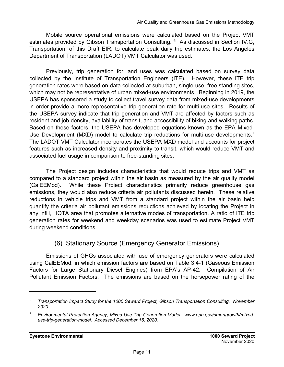Mobile source operational emissions were calculated based on the Project VMT estimates provided by Gibson Transportation Consulting. <sup>6</sup> As discussed in Section IV.G, Transportation, of this Draft EIR, to calculate peak daily trip estimates, the Los Angeles Department of Transportation (LADOT) VMT Calculator was used.

Previously, trip generation for land uses was calculated based on survey data collected by the Institute of Transportation Engineers (ITE). However, these ITE trip generation rates were based on data collected at suburban, single-use, free standing sites, which may not be representative of urban mixed-use environments. Beginning in 2019, the USEPA has sponsored a study to collect travel survey data from mixed-use developments in order provide a more representative trip generation rate for multi-use sites. Results of the USEPA survey indicate that trip generation and VMT are affected by factors such as resident and job density, availability of transit, and accessibility of biking and walking paths. Based on these factors, the USEPA has developed equations known as the EPA Mixed-Use Development (MXD) model to calculate trip reductions for multi-use developments.<sup>7</sup> The LADOT VMT Calculator incorporates the USEPA MXD model and accounts for project features such as increased density and proximity to transit, which would reduce VMT and associated fuel usage in comparison to free-standing sites.

The Project design includes characteristics that would reduce trips and VMT as compared to a standard project within the air basin as measured by the air quality model (CalEEMod). While these Project characteristics primarily reduce greenhouse gas emissions, they would also reduce criteria air pollutants discussed herein. These relative reductions in vehicle trips and VMT from a standard project within the air basin help quantify the criteria air pollutant emissions reductions achieved by locating the Project in any infill, HQTA area that promotes alternative modes of transportation. A ratio of ITE trip generation rates for weekend and weekday scenarios was used to estimate Project VMT during weekend conditions.

## (6) Stationary Source (Emergency Generator Emissions)

Emissions of GHGs associated with use of emergency generators were calculated using CalEEMod, in which emission factors are based on Table 3.4-1 (Gaseous Emission Factors for Large Stationary Diesel Engines) from EPA's AP-42: Compilation of Air Pollutant Emission Factors. The emissions are based on the horsepower rating of the

*<sup>6</sup> Transportation Impact Study for the 1000 Seward Project, Gibson Transportation Consulting. November 2020.* 

*<sup>7</sup> Environmental Protection Agency, Mixed-Use Trip Generation Model. www.epa.gov/smartgrowth/mixeduse-trip-generation-model. Accessed December 16, 2020.*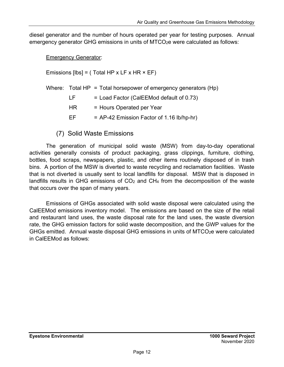diesel generator and the number of hours operated per year for testing purposes. Annual emergency generator GHG emissions in units of MTCO<sub>2</sub>e were calculated as follows:

Emergency Generator:

Emissions  $[Ibs] = (Total HP x LF x HR x EF)$ 

|     | Where: Total HP = Total horsepower of emergency generators (Hp) |
|-----|-----------------------------------------------------------------|
| IF. | $=$ Load Factor (CalEEMod default of 0.73)                      |
| HR. | = Hours Operated per Year                                       |
| FF. | $=$ AP-42 Emission Factor of 1.16 lb/hp-hr)                     |

(7) Solid Waste Emissions

The generation of municipal solid waste (MSW) from day-to-day operational activities generally consists of product packaging, grass clippings, furniture, clothing, bottles, food scraps, newspapers, plastic, and other items routinely disposed of in trash bins. A portion of the MSW is diverted to waste recycling and reclamation facilities. Waste that is not diverted is usually sent to local landfills for disposal. MSW that is disposed in landfills results in GHG emissions of  $CO<sub>2</sub>$  and  $CH<sub>4</sub>$  from the decomposition of the waste that occurs over the span of many years.

Emissions of GHGs associated with solid waste disposal were calculated using the CalEEMod emissions inventory model. The emissions are based on the size of the retail and restaurant land uses, the waste disposal rate for the land uses, the waste diversion rate, the GHG emission factors for solid waste decomposition, and the GWP values for the GHGs emitted. Annual waste disposal GHG emissions in units of MTCO<sub>2</sub>e were calculated in CalEEMod as follows: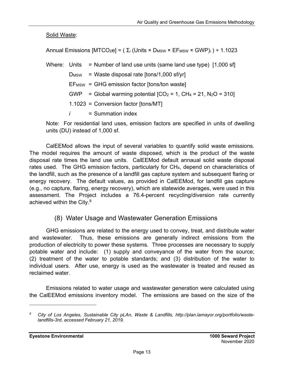Solid Waste:

Annual Emissions  $[MTCO_2e] = (\Sigma_i (Units \times D_{MSW} \times EF_{MSW} \times GWP)_i) \div 1.1023$ 

Where: Units = Number of land use units (same land use type) [1,000 sf]  $D_{MSW}$  = Waste disposal rate  $[tons/1,000 sf/yr]$  $EF_{MSW} = GHG$  emission factor [tons/ton waste] GWP = Global warming potential  $[CO_2 = 1, CH_4 = 21, N_2O = 310]$  1.1023 = Conversion factor [tons/MT] *i* = Summation index

Note: For residential land uses, emission factors are specified in units of dwelling units (DU) instead of 1,000 sf.

CalEEMod allows the input of several variables to quantify solid waste emissions. The model requires the amount of waste disposed, which is the product of the waste disposal rate times the land use units. CalEEMod default annaual solid waste disposal rates used. The GHG emission factors, particularly for CH4, depend on characteristics of the landfill, such as the presence of a landfill gas capture system and subsequent flaring or energy recovery. The default values, as provided in CalEEMod, for landfill gas capture (e.g., no capture, flaring, energy recovery), which are statewide averages, were used in this assessment. The Project includes a 76.4-percent recycling/diversion rate currently achieved within the City.<sup>8</sup>

## (8) Water Usage and Wastewater Generation Emissions

GHG emissions are related to the energy used to convey, treat, and distribute water and wastewater. Thus, these emissions are generally indirect emissions from the production of electricity to power these systems. Three processes are necessary to supply potable water and include: (1) supply and conveyance of the water from the source; (2) treatment of the water to potable standards; and (3) distribution of the water to individual users. After use, energy is used as the wastewater is treated and reused as reclaimed water.

Emissions related to water usage and wastewater generation were calculated using the CalEEMod emissions inventory model. The emissions are based on the size of the

*<sup>8</sup> City of Los Angeles, Sustainable City pLAn, Waste & Landfills, http://plan.lamayor.org/portfolio/wastelandfills-3rd, accessed February 21, 2019.*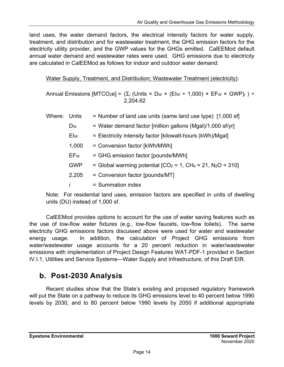land uses, the water demand factors, the electrical intensity factors for water supply, treatment, and distribution and for wastewater treatment, the GHG emission factors for the electricity utility provider, and the GWP values for the GHGs emitted. CalEEMod default annual water demand and wastewater rates were used. GHG emissions due to electricity are calculated in CalEEMod as follows for indoor and outdoor water demand:

Water Supply, Treatment, and Distribution; Wastewater Treatment (electricity):

Annual Emissions [MTCO<sub>2</sub>e] =  $(\Sigma_i$  (Units × D<sub>W</sub> × (Elw ÷ 1,000) × EF<sub>W</sub> × GWP)<sub>i</sub>) ÷ 2,204.62

| Where: | Units          | = Number of land use units (same land use type) [1,000 sf]     |
|--------|----------------|----------------------------------------------------------------|
|        | D <sub>W</sub> | = Water demand factor [million gallons (Mgal)/1,000 sf/yr]     |
|        | Elw            | = Electricity intensity factor [kilowatt-hours (kWh)/Mgal]     |
|        | 1,000          | = Conversion factor [kWh/MWh]                                  |
|        | EFw            | = GHG emission factor [pounds/MWh]                             |
|        | <b>GWP</b>     | = Global warming potential $[CO_2 = 1, CH_4 = 21, N_2O = 310]$ |
|        | 2,205          | = Conversion factor [pounds/MT]                                |
|        |                | $=$ Summation index                                            |

Note: For residential land uses, emission factors are specified in units of dwelling units (DU) instead of 1,000 sf.

CalEEMod provides options to account for the use of water saving features such as the use of low-flow water fixtures (e.g., low-flow faucets, low-flow toilets). The same electricity GHG emissions factors discussed above were used for water and wastewater energy usage. In addition, the calculation of Project GHG emissions from water/wastewater usage accounts for a 20 percent reduction in water/wastewater emissions with implementation of Project Design Features WAT-PDF-1 provided in Section IV.I.1, Utilities and Service Systems—Water Supply and Infrastructure, of this Draft EIR.

## **b. Post-2030 Analysis**

Recent studies show that the State's existing and proposed regulatory framework will put the State on a pathway to reduce its GHG emissions level to 40 percent below 1990 levels by 2030, and to 80 percent below 1990 levels by 2050 if additional appropriate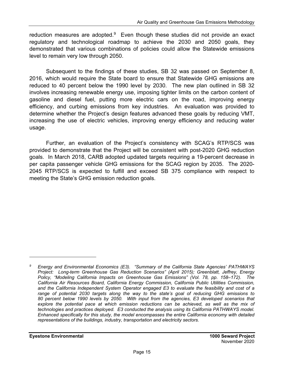reduction measures are adopted. $9$  Even though these studies did not provide an exact regulatory and technological roadmap to achieve the 2030 and 2050 goals, they demonstrated that various combinations of policies could allow the Statewide emissions level to remain very low through 2050.

Subsequent to the findings of these studies, SB 32 was passed on September 8, 2016, which would require the State board to ensure that Statewide GHG emissions are reduced to 40 percent below the 1990 level by 2030. The new plan outlined in SB 32 involves increasing renewable energy use, imposing tighter limits on the carbon content of gasoline and diesel fuel, putting more electric cars on the road, improving energy efficiency, and curbing emissions from key industries. An evaluation was provided to determine whether the Project's design features advanced these goals by reducing VMT, increasing the use of electric vehicles, improving energy efficiency and reducing water usage.

Further, an evaluation of the Project's consistency with SCAG's RTP/SCS was provided to demonstrate that the Project will be consistent with post-2020 GHG reduction goals. In March 2018, CARB adopted updated targets requiring a 19-percent decrease in per capita passenger vehicle GHG emissions for the SCAG region by 2035. The 2020- 2045 RTP/SCS is expected to fulfill and exceed SB 375 compliance with respect to meeting the State's GHG emission reduction goals.

*<sup>9</sup> Energy and Environmental Economics (E3). "Summary of the California State Agencies' PATHWAYS Project: Long-term Greenhouse Gas Reduction Scenarios" (April 2015); Greenblatt, Jeffrey, Energy Policy, "Modeling California Impacts on Greenhouse Gas Emissions" (Vol. 78, pp. 158–172). The California Air Resources Board, California Energy Commission, California Public Utilities Commission, and the California Independent System Operator engaged E3 to evaluate the feasibility and cost of a range of potential 2030 targets along the way to the state's goal of reducing GHG emissions to 80 percent below 1990 levels by 2050. With input from the agencies, E3 developed scenarios that*  explore the potential pace at which emission reductions can be achieved, as well as the mix of *technologies and practices deployed. E3 conducted the analysis using its California PATHWAYS model. Enhanced specifically for this study, the model encompasses the entire California economy with detailed representations of the buildings, industry, transportation and electricity sectors.*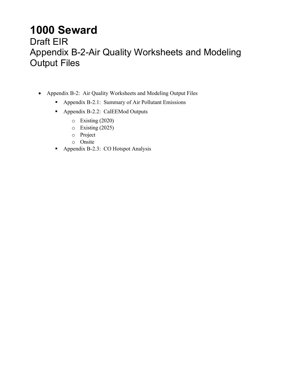## **1000 Seward**

## Draft EIR Appendix B-2-Air Quality Worksheets and Modeling Output Files

- Appendix B-2: Air Quality Worksheets and Modeling Output Files
	- Appendix B-2.1: Summary of Air Pollutant Emissions
	- Appendix B-2.2: CalEEMod Outputs
		- o Existing (2020)
		- o Existing (2025)
		- o Project
		- o Onsite
	- **Appendix B-2.3: CO Hotspot Analysis**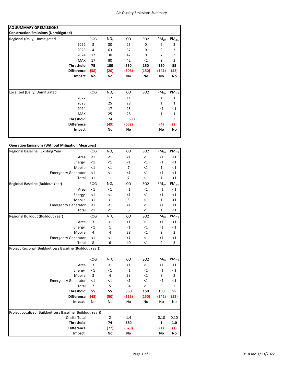| AQ SUMMARY OF EMISSIONS                     |                   |            |                 |       |                 |           |                   |
|---------------------------------------------|-------------------|------------|-----------------|-------|-----------------|-----------|-------------------|
| <b>Construction Emissions (Unmitigated)</b> |                   |            |                 |       |                 |           |                   |
| Regional (Daily) Unmitigated                |                   | <b>ROG</b> | $NO_{x}$        | CO    | SO <sub>2</sub> | $PM_{10}$ | PM <sub>2.5</sub> |
|                                             | 2022              | 3          | 80              | 25    | 0               | 9         | 3                 |
|                                             | 2023              | 4          | 63              | 37    | 0               | 9         | 3                 |
|                                             | 2024              | 17         | 30              | 42    | 0               | 7         | 3                 |
|                                             | <b>MAX</b>        | 17         | 80              | 42    | <1              | 9         | 3                 |
|                                             | <b>Threshold</b>  | 75         | 100             | 550   | 150             | 150       | 55                |
|                                             | <b>Difference</b> | (58)       | (20)            | (508) | (150)           | (141)     | (52)              |
|                                             | Impact            | No         | No              | No    | No              | No        | No                |
| Localized (Daily) Unmitigated               |                   | <b>ROG</b> | NO <sub>x</sub> | CO    | SO <sub>2</sub> | $PM_{10}$ | PM <sub>2.5</sub> |
|                                             | 2022              |            | 17              | 11    |                 | 1         | 1                 |
|                                             | 2023              |            | 25              | 28    |                 | 1         | 1                 |
|                                             | 2024              |            | 17              | 25    |                 | <1        | $<$ 1             |
|                                             | <b>MAX</b>        |            | 25              | 28    |                 | 1         | $\mathbf{1}$      |
|                                             | <b>Threshold</b>  |            | 74              | 680   |                 | 5         | 3                 |
|                                             | <b>Difference</b> |            | (49)            | (652) |                 | (4)       | (2)               |
|                                             | Impact            |            | No              | No    |                 | No        | No                |
|                                             |                   |            |                 |       |                 |           |                   |

#### **Operation Emissions (Without Mitigation Measures)**

| Regional Baseline (Existing Year)                          | <b>ROG</b>     | NO <sub>x</sub> | CO             | <b>SO2</b> | $PM_{10}$    | PM <sub>2.5</sub> |
|------------------------------------------------------------|----------------|-----------------|----------------|------------|--------------|-------------------|
| Area                                                       | ${<}1$         | $<$ 1           | $\leq$ 1       | $<$ 1      | $<$ 1        | $<1\,$            |
| Energy                                                     | ${<}1$         | $<$ 1           | $<$ 1          | $\leq$ 1   | $<$ 1        | ${<}1$            |
| Mobile                                                     | ${<}1$         | $<$ 1           | 7              | $<$ 1      | 1            | $<1\,$            |
| <b>Emergency Generator</b>                                 | ${<}1$         | $<$ 1           | $<$ 1          | $\leq$ 1   | $\leq 1$     | <1                |
| Total                                                      | ${<}1$         | $\mathbf 1$     | $\overline{7}$ | $\leq 1$   | $\mathbf 1$  | ${<}1$            |
| Regional Baseline (Buidout Year)                           | <b>ROG</b>     | NO <sub>x</sub> | CO             | <b>SO2</b> | $PM_{10}$    | PM <sub>2.5</sub> |
| Area                                                       | $<1\,$         | <1              | <1             | $<$ 1      | $<$ 1        | $<1\,$            |
| Energy                                                     | $<1\,$         | $<$ 1           | $<$ 1          | $<$ 1      | $<$ 1        | $<1\,$            |
| Mobile                                                     | $<1\,$         | $<$ 1           | 5              | $\leq$ 1   | $\mathbf 1$  | $<1\,$            |
| <b>Emergency Generator</b>                                 | $<1\,$         | $<$ 1           | $<$ 1          | $<$ 1      | $<$ 1        | <1                |
| Total                                                      | ${<}1$         | $<$ 1           | 6              | <1         | 1            | ${<}1$            |
| Regional Buildout (Buildout Year)                          | <b>ROG</b>     | NO <sub>x</sub> | CO             | <b>SO2</b> | $PM_{10}$    | PM <sub>2.5</sub> |
| Area                                                       | 3              | $<$ 1           | $<$ 1          | $<$ 1      | $<$ 1        | ${<}1$            |
| Energy                                                     | <1             | $\mathbf 1$     | $<$ 1          | $\leq$ 1   | $<$ 1        | $\leq$ 1          |
| Mobile                                                     | $\overline{4}$ | 4               | 38             | $\leq$ 1   | 9            | $\overline{2}$    |
| <b>Emergency Generator</b>                                 | <1             | $<$ 1           | $<$ 1          | $\leq$ 1   | $<$ 1        | <1                |
| Total                                                      | 8              | 6               | 40             | $\leq$ 1   | 9            | 3                 |
| Project Regional (Buildout Less Baseline (Buildout Year))  |                |                 |                |            |              |                   |
|                                                            |                |                 |                |            |              |                   |
|                                                            | <b>ROG</b>     | NO <sub>x</sub> | CO             | <b>SO2</b> | $PM_{10}$    | PM <sub>2.5</sub> |
| Area                                                       | 3              | $<$ 1           | $<$ 1          | $\leq$ 1   | $\leq$ 1     | <1                |
| Energy                                                     | <1             | $<$ 1           | $<$ 1          | $<$ 1      | $<$ 1        | <1                |
| Mobile                                                     | $\overline{3}$ | 4               | 33             | $<$ 1      | 8            | $\overline{2}$    |
| <b>Emergency Generator</b>                                 | $<$ 1          | $<$ 1           | $<$ 1          | $<$ 1      | $<$ 1        | $<$ 1             |
| Total                                                      | $\overline{7}$ | 5               | 34             | $<$ 1      | 8            | $\overline{2}$    |
| <b>Threshold</b>                                           | 55             | 55              | 550            | 150        | 150          | 55                |
| <b>Difference</b>                                          | (48)           | (50)            | (516)          | (150)      | (142)        | (53)              |
| Impact                                                     | No             | No              | No             | No         | No           | No                |
|                                                            |                |                 |                |            |              |                   |
| Project Localized (Buildout Less Baseline (Buildout Year)) |                |                 |                |            |              |                   |
| Onsite Total                                               |                | $\overline{2}$  | 1.4            |            | 0.10         | 0.10              |
| <b>Threshold</b>                                           |                | 74              | 680            |            | $\mathbf{1}$ | 1.0               |
| <b>Difference</b>                                          |                | (72)            | (679)          |            | (1)          | (1)               |
| Impact                                                     |                | No              | <b>No</b>      |            | No           | No                |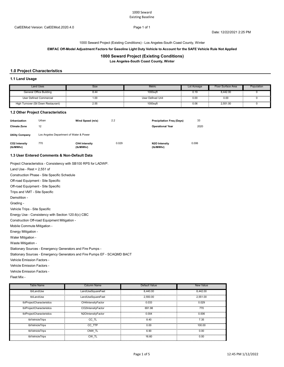Date: 12/22/2021 2:25 PM

1000 Seward Project (Existing Conditions) - Los Angeles-South Coast County, Winter

#### **EMFAC Off-Model Adjustment Factors for Gasoline Light Duty Vehicle to Account for the SAFE Vehicle Rule Not Applied**

#### **1000 Seward Project (Existing Conditions)**

**Los Angeles-South Coast County, Winter**

#### **1.0 Project Characteristics**

#### **1.1 Land Usage**

| <b>Land Uses</b>                    | Size      | Metric            | Lot Acreage | Floor Surface Area | Population |
|-------------------------------------|-----------|-------------------|-------------|--------------------|------------|
| General Office Building             | 8.44      | 1000saf           | 0.19        | 3.442.00           |            |
| User Defined Commercial             | 1.00<br>. | User Defined Unit | 0.00<br>.   | 0.00               |            |
| High Turnover (Sit Down Restaurant) | 2.55      | $1000$ saf        | 0.06        | 2.551.00           | .          |

#### **1.2 Other Project Characteristics**

| <b>Urbanization</b><br><b>Climate Zone</b> | Urban<br>12                             | Wind Speed (m/s)                  | 2.2   | <b>Precipitation Freg (Days)</b><br><b>Operational Year</b> | 33<br>2020 |  |  |  |  |  |
|--------------------------------------------|-----------------------------------------|-----------------------------------|-------|-------------------------------------------------------------|------------|--|--|--|--|--|
| <b>Utility Company</b>                     | Los Angeles Department of Water & Power |                                   |       |                                                             |            |  |  |  |  |  |
| CO2 Intensity<br>(lb/MWhr)                 | 770                                     | <b>CH4 Intensity</b><br>(lb/MWhr) | 0.029 | N2O Intensity<br>(lb/MWhr)                                  | 0.006      |  |  |  |  |  |

#### **1.3 User Entered Comments & Non-Default Data**

Project Characteristics - Consistency with SB100 RPS for LADWP.

Land Use - Rest = 2,551 sf

Construction Phase - Site Specific Schedule

Off-road Equipment - Site Specific

Off-road Equipment - Site Specific

Trips and VMT - Site Specific

Demolition -

Grading -

Vehicle Trips - Site Specific

Energy Use - Consistency with Section 120.6(c) CBC

Construction Off-road Equipment Mitigation -

Mobile Commute Mitigation -

Energy Mitigation -

Water Mitigation -

Waste Mitigation -

Stationary Sources - Emergency Generators and Fire Pumps -

Stationary Sources - Emergency Generators and Fire Pumps EF - SCAQMD BACT

Vehicle Emission Factors -

Vehicle Emission Factors -

Vehicle Emission Factors -

Fleet Mix -

| <b>Table Name</b>         | <b>Column Name</b> | Default Value | New Value |
|---------------------------|--------------------|---------------|-----------|
| tblLandUse                | LandUseSquareFeet  | 8,440.00      | 8.442.00  |
| tblLandUse                | LandUseSquareFeet  | 2.550.00      | 2.551.00  |
| tblProjectCharacteristics | CH4IntensityFactor | 0.033         | 0.029     |
| tblProjectCharacteristics | CO2IntensityFactor | 691.98        | 770       |
| tblProjectCharacteristics | N2OIntensityFactor | 0.004         | 0.006     |
| tblVehicleTrips           | CC TL              | 8.40          | 7.35      |
| tblVehicleTrips           | CC TTP             | 0.00          | 100.00    |
| tblVehicleTrips           | CNW TL             | 6.90          | 0.00      |
| tblVehicleTrips           | CW TL              | 16.60         | 0.00      |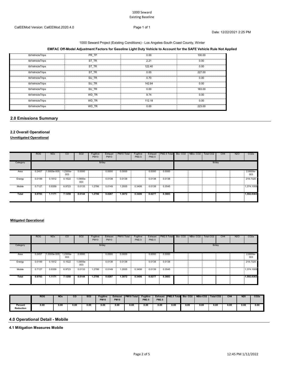### 1000 Seward Project (Existing Conditions) - Los Angeles-South Coast County, Winter

#### **EMFAC Off-Model Adjustment Factors for Gasoline Light Duty Vehicle to Account for the SAFE Vehicle Rule Not Applied**

| tblVehicleTrips      | PR TP | 0.00   | 100.00 |
|----------------------|-------|--------|--------|
| tblVehicleTrips      | ST TR | 2.21   | 0.00   |
| tblVehicleTrips      | ST TR | 122.40 | 0.00   |
| tblVehicleTrips      | ST TR | 0.00   | 227.00 |
| .<br>tblVehicleTrips | SU TR | 0.70   | 0.00   |
| tblVehicleTrips      | SU TR | 142.64 | 0.00   |
| tblVehicleTrips      | SU TR | 0.00   | 183.00 |
| tblVehicleTrips      | WD TR | 9.74   | 0.00   |
| tblVehicleTrips      | WD TR | 112.18 | 0.00   |
| tblVehicleTrips      | WD TR | 0.00   | 223.00 |

#### **2.0 Emissions Summary**

#### **2.2 Overall Operational**

#### **Unmitigated Operational**

|            | <b>ROG</b> | <b>NO<sub>x</sub></b> | CO         | SO <sub>2</sub> | Fugitive<br><b>PM10</b> | Exhaust<br><b>PM10</b> | PM <sub>10</sub> Total | Fugitive<br>PM2.5 | Exhaust<br>PM2.5 | PM2.5 Total Bio- CO2 NBio- CO2 |  | Total CO <sub>2</sub> | CH <sub>4</sub> | <b>N2O</b> | CO <sub>2</sub> e  |
|------------|------------|-----------------------|------------|-----------------|-------------------------|------------------------|------------------------|-------------------|------------------|--------------------------------|--|-----------------------|-----------------|------------|--------------------|
| Category   | lb/day     |                       |            |                 |                         |                        |                        |                   |                  | lb/day                         |  |                       |                 |            |                    |
| Area       | 0.2457     | 1.0000e-005 1.2300e-  | 003        | 0.0000          |                         | 0.0000<br>-21          | 0.0000                 |                   |                  | $0.0000 - 0.0000$              |  |                       |                 |            | $-2.8000e-$<br>003 |
| <br>Energy | 0.0199     | 0.1812                | <br>0.1522 | .0900e-<br>003  |                         | 0.0138                 | 0.0138                 |                   | 0.0138           | 0.0138                         |  |                       |                 |            | <br>218.7325       |
| <br>Mobile | 0.7127     | 0.9359                | 6.9723     | 0.0133          | 1.2786                  | 0.0149                 | 1.2935                 | 0.3406            | 0.0139           | 0.3545                         |  |                       |                 |            | 1.374.1009         |
| Total      | 0.9783     | 1.1171                | 7.1258     | 0.0144          | 1.2786                  | 0.0287                 | 1.3072                 | 0.3406            | 0.0277           | 0.3683                         |  |                       |                 |            | 1.592.8363         |

#### **Mitigated Operational**

|            | <b>ROG</b> | <b>NO<sub>x</sub></b> | CO.                         | SO <sub>2</sub> | Fugitive<br><b>PM10</b> | Exhaust<br><b>PM10</b> | PM <sub>10</sub> Total                                                                                               | Fugitive<br>PM2.5 | Exhaust<br>PM2.5 | <b>I PM2.5 Total Bio-CO2 NBio-CO2</b> |  | Total CO <sub>2</sub> | CH <sub>4</sub> | N <sub>2</sub> O | CO <sub>2e</sub>  |
|------------|------------|-----------------------|-----------------------------|-----------------|-------------------------|------------------------|----------------------------------------------------------------------------------------------------------------------|-------------------|------------------|---------------------------------------|--|-----------------------|-----------------|------------------|-------------------|
| Category   |            |                       |                             |                 | lb/day                  |                        |                                                                                                                      |                   |                  |                                       |  | lb/day                |                 |                  |                   |
| Area       | 0.2457     |                       | 1.0000e-005 1.2300e-<br>003 | 0.0000          |                         | 0.0000                 | 0.0000                                                                                                               |                   | 0.0000           | 0.0000                                |  |                       |                 |                  | $2.8000e-$<br>003 |
| Energy<br> | 0.0199     | 0.1812                | 0.1522<br><b>COLLECT</b>    | 1.0900e-<br>003 |                         | 0.0138                 | 0.0138<br>innumingumumingumumingumumingumumingumumingumumingumumingumumingumumingumumingumumingumumingumumingumuming |                   | 0.0138           | 0.0138                                |  |                       |                 |                  | 218.7325          |
| Mobile     | 0.7127     | 0.9359                | 6.9723                      | 0.0133          | 1.2786                  | 0.0149                 | .2935                                                                                                                | 0.3406            | 0.0139           | 0.3545                                |  |                       |                 |                  | 1,374.1009        |
| Total      | 0.9783     | 1.1171                | 7.1258                      | 0.0144          | 1.2786                  | 0.0287                 | 1.3072                                                                                                               | 0.3406            | 0.0277           | 0.3683                                |  |                       |                 |                  | 1.592.8363        |

|                             | <b>ROG</b> | <b>NO</b> <sub>x</sub> | $\overline{c}$ | <b>SO2</b> | <b>Fugitive</b><br><b>PM10</b> | <b>Exhaust</b><br><b>PM10</b> | <b>PM10 Total</b> | Fugitive<br><b>PM2.5</b> | <b>Exhaust</b><br><b>PM2.5</b> | <b>PM2.5 Total Bio-CO2</b> |      |      | NBio-CO2   Total CO2 | CH <sub>4</sub> | N <sub>20</sub> | CO <sub>2</sub> e |
|-----------------------------|------------|------------------------|----------------|------------|--------------------------------|-------------------------------|-------------------|--------------------------|--------------------------------|----------------------------|------|------|----------------------|-----------------|-----------------|-------------------|
| Percent<br><b>Reduction</b> | 0.OL       | 0.00                   | 0.00           | 0.00       | 0.00                           | 0.OL                          | v.vu              | 0.00                     | 0.00                           | 0.00                       | 0.00 | 0.00 | 0.00                 | 0.00            | 0.00            | 0.00              |

#### **4.0 Operational Detail - Mobile**

**4.1 Mitigation Measures Mobile**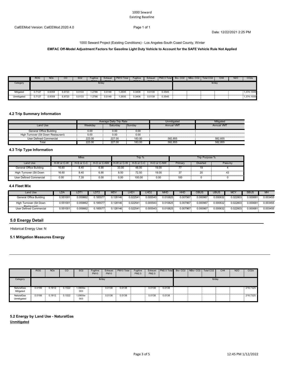#### 1000 Seward Existing Baseline

Date: 12/22/2021 2:25 PM

1000 Seward Project (Existing Conditions) - Los Angeles-South Coast County, Winter

#### **EMFAC Off-Model Adjustment Factors for Gasoline Light Duty Vehicle to Account for the SAFE Vehicle Rule Not Applied**

|             | <b>ROG</b>             | <b>NOx</b> | CO     | SO <sub>2</sub> | -uaitive<br>$B1 \wedge$ | Exhaust<br>B <sub>1</sub> | PM <sub>10</sub> Total | -uaitive<br>$P^{\text{H}}$ | Exhaust<br>$P^{\text{max}}$ | <b>I PM2.5 Total Bio- CO2 I NBio- CO2 I</b> |  | Total CO2 | CH <sub>4</sub> | N <sub>2</sub> O | CO <sub>2</sub> e |
|-------------|------------------------|------------|--------|-----------------|-------------------------|---------------------------|------------------------|----------------------------|-----------------------------|---------------------------------------------|--|-----------|-----------------|------------------|-------------------|
| Category    |                        |            |        |                 |                         | lb/day                    |                        |                            |                             |                                             |  | lb/dav    |                 |                  |                   |
|             |                        |            |        |                 |                         |                           |                        |                            |                             |                                             |  |           |                 |                  |                   |
| Mitigated   | 0.7127<br><b>COLUM</b> | 0.9359     | 6.9723 | 0.0133          | .2786                   | 0.0149                    | .2935                  | 0.3406                     | 0.0139                      | 0.3545                                      |  |           |                 |                  | 1,374.1009        |
| Unmitigated | $\sim$<br>111          | 0.9359     | 6.9723 | 0.0133          | .2786                   | 0.0149                    | .2935                  | 0.3406                     | 0.0139                      | 0.3545                                      |  |           |                 |                  | 1,374.1009        |

#### **4.2 Trip Summary Information**

|                                     |         | Average Daily Trip Rate |        | Unmitigated       | Mitigated         |
|-------------------------------------|---------|-------------------------|--------|-------------------|-------------------|
| <b>Land Use</b>                     | Weekday | Saturday                | Sunday | <b>Annual VMT</b> | <b>Annual VMT</b> |
| General Office Building             | 0.00    | 0.OC                    | 0.00   |                   |                   |
| High Turnover (Sit Down Restaurant) | 0.00    | 0.00                    | 0.00   |                   |                   |
| User Defined Commercial             | 223.00  | 227.00                  | 183.00 | 582.855           | 582.855           |
| Total                               | 223.00  | 227.00                  | 183.00 | 582.855           | 582,855           |

#### **4.3 Trip Type Information**

|                         |            | <b>Miles</b> |             |            | Trip %     |             |         | Trip Purpose %  |        |
|-------------------------|------------|--------------|-------------|------------|------------|-------------|---------|-----------------|--------|
| Land Use                | H-W or C-W | H-S or C-C   | H-O or C-NW | H-W or C-W | H-S or C-C | H-O or C-NW | Primary | <b>Diverted</b> | Pass-b |
| General Office Building | 16.60      | 8.40         | 6.90        | 33.00      | 48.00      | 19.00       |         | 10<br>כ.ו       |        |
| High Turnover (Sit Down | 16.60      | 8.40<br>.    | 6.90        | 8.50<br>.  | 72.50<br>. | 19.00       | ~-      | nn              |        |
| User Defined Commercial | 0.00       | 7.35         | 0.00        | 0.00       | 100.00     | 0.00        | 100     |                 |        |

#### **4.4 Fleet Mix**

| Land Use                               | LDA.    | LDT1     | LDT2     | <b>MDV</b> | <b>LHD</b> | LHD <sub>2</sub> | <b>MHD</b> | <b>HHD</b>    | OBUS     | UBUS          | <b>MCY</b>    | <b>SBUS</b>   | MH       |
|----------------------------------------|---------|----------|----------|------------|------------|------------------|------------|---------------|----------|---------------|---------------|---------------|----------|
| General Office Building                | .551001 | 0.059862 | 0.185577 | 0.128146   | 0.022541   | 0.005543         | 0.010825   | 0.007967      | 0.000967 | 0.000632      | 0.022803      | 0.000681      | 0.003455 |
| High Turnover (Sit Down<br>Restaurant) | .551001 | 0.059862 | 0.185577 | 0.128146   | 0.022541   | 0.005543         | 0.010825   | 0.007967<br>. | 0.000967 | 0.000632<br>. | 0.022803<br>. | 0.000681<br>. | 0.003455 |
| User Defined Commercial                | .551001 | J.059862 | 0.185577 | 0.128146   | 0.022541   | 0.005543         | 0.10825    | 0.007967      | 0.000967 | 0.000632      | 0.022803      | 0.000681      | 0.003455 |

#### **5.0 Energy Detail**

Historical Energy Use: N

#### **5.1 Mitigation Measures Energy**

|                           | <b>ROG</b> | <b>NOx</b>                                  | CO     | S <sub>O</sub> 2  | Fugitive<br><b>PM10</b> | Exhaust<br><b>PM10</b> | PM10 Total | Fugitive<br>PM2.5 | Exhaust<br>PM2.5 | PM2.5 Total                        | Bio-CO <sub>2</sub> | NBio-CO <sub>2</sub> | Total CO <sub>2</sub> | CH <sub>4</sub> | <b>N2O</b> | CO <sub>2</sub> e |
|---------------------------|------------|---------------------------------------------|--------|-------------------|-------------------------|------------------------|------------|-------------------|------------------|------------------------------------|---------------------|----------------------|-----------------------|-----------------|------------|-------------------|
| Category                  |            |                                             |        |                   | lb/day                  |                        |            |                   |                  |                                    |                     |                      | lb/day                |                 |            |                   |
| NaturalGas<br>Mitigated   | 0.0199     | 0.1812<br><b>Contract Contract Contract</b> | 0.1522 | $0.900e -$<br>003 |                         | 0.0138                 | 0.0138     |                   | 0.0138           | 0.0138<br>-200                     |                     |                      |                       |                 |            | 218,7325          |
| NaturalGas<br>Unmitigated | 0.0199     | 0.1812<br><b>COLL</b>                       | 0.1522 | 1.0900e-<br>003   |                         | 0.0138                 | 0.0138     |                   | 0.0138           | 0.0138<br><b>Contract Contract</b> |                     |                      |                       |                 |            | 218,7325          |

#### **5.2 Energy by Land Use - NaturalGas Unmitigated**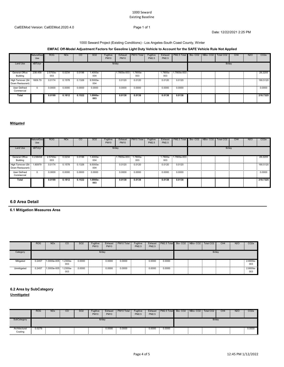#### 1000 Seward Existing Baseline

Date: 12/22/2021 2:25 PM

### 1000 Seward Project (Existing Conditions) - Los Angeles-South Coast County, Winter

#### **EMFAC Off-Model Adjustment Factors for Gasoline Light Duty Vehicle to Account for the SAFE Vehicle Rule Not Applied**

|                                                | <b>NaturalGas</b><br>Use | <b>ROG</b>                   | <b>NO<sub>x</sub></b> | CO               | SO <sub>2</sub>   | Fugitive<br><b>PM10</b> | Exhaust<br><b>PM10</b> | PM10 Total      | Fugitive<br>PM2.5 | Exhaust<br>PM2.5 | PM2.5 Total Bio-CO2 NBio-CO2 |  | Total CO <sub>2</sub> | CH <sub>4</sub> | N <sub>2</sub> O | CO <sub>2</sub> e |
|------------------------------------------------|--------------------------|------------------------------|-----------------------|------------------|-------------------|-------------------------|------------------------|-----------------|-------------------|------------------|------------------------------|--|-----------------------|-----------------|------------------|-------------------|
| Land Use                                       | kBTU/yr                  |                              |                       |                  |                   |                         | lb/day                 |                 |                   |                  |                              |  | lb/day                |                 |                  |                   |
| General Office<br>Building                     |                          | 238.458 2.5700e<br>÷.<br>003 | 0.0234                | 0.0196           | 1.4000e-<br>004   |                         | 1.7800e-003            | 1.7800e-<br>003 |                   | 003              | 1.7800e- 1.7800e-003         |  |                       |                 |                  | 28,2205           |
| High Turnover (Sit 1609.79<br>Down Restaurant) |                          | 0.0174<br>$\sim$ 100 $\pm$   | 0.1578                | 0.1326<br>$\sim$ | 9.5000e-<br>004   |                         | 0.0120                 | 0.0120          |                   | 0.0120           | 0.0120                       |  |                       |                 |                  | .<br>190.5120     |
| User Defined<br>Commercial                     | . .                      | 0.0000<br>22.                | 0.0000                | 0.0000           | 0.0000            |                         | 0.0000                 | 0.0000          |                   | 0.0000           | 0.0000<br>- 21               |  |                       |                 |                  | .<br>0.0000       |
| Total                                          |                          | 0.0199                       | 0.1812                | 0.1522           | $1.0900e-$<br>003 |                         | 0.0138                 | 0.0138          |                   | 0.0138           | 0.0138                       |  |                       |                 |                  | 218.7325          |

#### **Mitigated**

|                                                | <b>NaturalGas</b><br>Use | <b>ROG</b>      | <b>NO<sub>x</sub></b> | CO     | SO <sub>2</sub> | Fugitive<br><b>PM10</b> | Exhaust<br><b>PM10</b> | PM10 Total      | Fugitive<br>PM2.5 | Exhaust<br>PM2.5 | PM2.5 Total Bio-CO2 NBio-CO2 |  | Total CO <sub>2</sub> | CH <sub>4</sub> | <b>N2O</b> | CO <sub>2</sub> e |
|------------------------------------------------|--------------------------|-----------------|-----------------------|--------|-----------------|-------------------------|------------------------|-----------------|-------------------|------------------|------------------------------|--|-----------------------|-----------------|------------|-------------------|
| Land Use                                       | kBTU/yr                  |                 |                       |        |                 |                         | lb/day                 |                 |                   |                  |                              |  | lb/day                |                 |            |                   |
| General Office<br>Building                     | 0.238458                 | 2.5700e-<br>003 | 0.0234                | 0.0196 | .4000e-<br>004  |                         | $1.7800e-003$          | 1.7800e-<br>003 |                   | 003              | $1.7800e - 1.7800e - 003$    |  |                       |                 |            | 28,2205           |
| High Turnover (Sit 1.60979<br>Down Restaurant) |                          | 0.0174          | 0.1578                | 0.1326 | 9.5000e-<br>004 |                         | 0.0120                 | 0.0120          |                   | 0.0120           | 0.0120                       |  |                       |                 |            | 190.5120          |
| User Defined<br>Commercial                     | 22                       | 0.0000          | 0.0000                | 0.0000 | 0.0000          |                         | 0.0000                 | 0.0000          |                   | 0.0000           | 0.0000                       |  |                       |                 |            | 0.0000            |
| Total                                          |                          | 0.0199          | 0.1812                | 0.1522 | .0900e-<br>003  |                         | 0.0138                 | 0.0138          |                   | 0.0138           | 0.0138                       |  |                       |                 |            | 218.7325          |

#### **6.0 Area Detail**

**6.1 Mitigation Measures Area**

|             | <b>ROG</b> | NO <sub>x</sub>      | <sub>CO</sub> | SO <sub>2</sub> | Fuaitive<br><b>PM10</b> | Exhaust<br><b>PM10</b> | PM10 Total | Fugitive<br>PM2.5 | PM2.5  | Exhaust PM2.5 Total Bio-CO2 NBio-CO2 Total CO2 |  | CH <sub>4</sub> | N <sub>2</sub> O | CO <sub>2</sub> e |
|-------------|------------|----------------------|---------------|-----------------|-------------------------|------------------------|------------|-------------------|--------|------------------------------------------------|--|-----------------|------------------|-------------------|
| Category    |            |                      |               |                 |                         | lb/day                 |            |                   |        |                                                |  | lb/day          |                  |                   |
| Mitigated   | 0.2457     | 1.0000e-005 1.2300e- | 003           | 0.0000          |                         | 0.0000                 | 0.0000     |                   | 0.0000 | 0.0000                                         |  |                 |                  | 2.8000e-<br>003   |
| Unmitigated | 0.2457     | 1.0000e-005 1.2300e- | 003           | 0.0000          |                         | 0.0000                 | 0.0000     |                   | 0.0000 | 0.0000<br>$\sim$                               |  |                 |                  | $2.8000e-$<br>003 |

#### **6.2 Area by SubCategory**

**Unmitigated**

|                                                                                                                                             | <b>ROG</b> | <b>NO<sub>x</sub></b> | $_{\rm CO}$ | SO <sub>2</sub> | Fugitive<br><b>PM10</b> | Exhaust<br><b>PM10</b> | PM10 Total | Fugitive<br>PM2.5 | Exhaust<br>PM2.5 | PM2.5 Total Bio-CO2 NBio-CO2 Total CO2 |  |                                                                                                                 | CH <sub>4</sub> | <b>N2O</b>                                                                                                      | CO <sub>2</sub> e |
|---------------------------------------------------------------------------------------------------------------------------------------------|------------|-----------------------|-------------|-----------------|-------------------------|------------------------|------------|-------------------|------------------|----------------------------------------|--|-----------------------------------------------------------------------------------------------------------------|-----------------|-----------------------------------------------------------------------------------------------------------------|-------------------|
| SubCategory                                                                                                                                 |            |                       |             |                 |                         | lb/day                 |            |                   |                  |                                        |  | lb/day                                                                                                          |                 |                                                                                                                 |                   |
| Architectural<br>Coating<br>the contract of the contract of the contract of the contract of the contract of the contract of the contract of | 0.0279     |                       |             |                 |                         | 0.0000                 | 0.0000     |                   | 0.0000           | 0.0000                                 |  | the contract of the contract of the contract of the contract of the contract of the contract of the contract of |                 | the contract of the contract of the contract of the contract of the contract of the contract of the contract of | 0.0000            |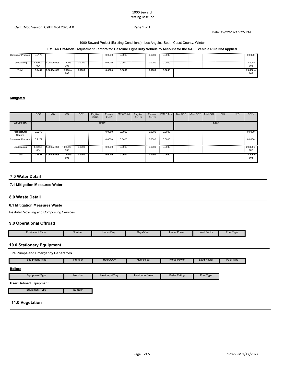#### 1000 Seward Existing Baseline

#### CalEEMod Version: CalEEMod.2020.4.0 Page 1 of 1

Date: 12/22/2021 2:25 PM

#### 1000 Seward Project (Existing Conditions) - Los Angeles-South Coast County, Winter

#### **EMFAC Off-Model Adjustment Factors for Gasoline Light Duty Vehicle to Account for the SAFE Vehicle Rule Not Applied**

| Consumer Products | 0.2177 |                               |                    |        | 0.0000 | 0.0000 | 0.0000     | .<br>0.0000 |  |   |  | 0.0000             |
|-------------------|--------|-------------------------------|--------------------|--------|--------|--------|------------|-------------|--|---|--|--------------------|
| <br>Landscaping   | 004    | 1.2000e- 1.0000e-005 1.2300e- | 003                | 0.0000 | 0.0000 | 0.0000 | <br>0.0000 | 0.0000      |  | . |  | $2.8000e -$<br>003 |
| Total             | 0.2457 | $.0000e - 005$                | $1.2300e -$<br>003 | 0.0000 | 0.0000 | 0.0000 | 0.0000     | 0.0000      |  |   |  | 2.8000e-<br>003    |

#### **Mitigated**

|                          | <b>ROG</b> | <b>NO<sub>x</sub></b> | <sub>CO</sub>     | SO <sub>2</sub> | Fugitive<br><b>PM10</b> | Exhaust<br><b>PM10</b> | PM <sub>10</sub> Total | Fugitive<br>PM2.5 | Exhaust<br>PM2.5 | PM2.5 Total | Bio-CO <sub>2</sub> | NBio-CO <sub>2</sub> | Total CO <sub>2</sub> | CH <sub>4</sub> | <b>N2O</b> | CO <sub>2</sub> e      |
|--------------------------|------------|-----------------------|-------------------|-----------------|-------------------------|------------------------|------------------------|-------------------|------------------|-------------|---------------------|----------------------|-----------------------|-----------------|------------|------------------------|
| SubCategory              |            |                       |                   |                 |                         | lb/day                 |                        |                   |                  |             |                     |                      | lb/day                |                 |            |                        |
| Architectural<br>Coating | 0.0279     |                       |                   |                 |                         | 0.0000                 | 0.0000                 |                   | 0.0000           | 0.0000      |                     |                      |                       |                 |            | 0.0000                 |
| Consumer Products        | 0.2177     |                       |                   |                 |                         | 0.0000                 | 0.0000                 |                   | 0.0000           | 0.0000      |                     |                      |                       |                 |            | .<br>0.0000            |
|                          | 004        |                       | 003               |                 |                         |                        |                        |                   |                  |             |                     |                      |                       |                 |            | .<br>$2.8000e-$<br>003 |
| Total                    | 0.2457     | 1.0000e-005           | $1.2300e-$<br>003 | 0.0000          |                         | 0.0000                 | 0.0000                 |                   | 0.0000           | 0.0000      |                     |                      |                       |                 |            | 2.8000e-<br>003        |

#### **7.0 Water Detail**

#### **7.1 Mitigation Measures Water**

#### **8.0 Waste Detail**

L

#### **8.1 Mitigation Measures Waste**

Institute Recycling and Composting Services

#### **9.0 Operational Offroad**

| Equipment Type | Number | Hours/Dav | Davs/Year | <b>Horse Power</b> | Load Factor | Fuel<br>Type |
|----------------|--------|-----------|-----------|--------------------|-------------|--------------|

#### **10.0 Stationary Equipment**

| <b>Fire Pumps and Emergency Generators</b> |        |                |                 |                      |                    |           |  |  |  |  |  |  |  |
|--------------------------------------------|--------|----------------|-----------------|----------------------|--------------------|-----------|--|--|--|--|--|--|--|
| Equipment Type                             | Number | Hours/Day      | Hours/Year      | <b>Horse Power</b>   | <b>Load Factor</b> | Fuel Type |  |  |  |  |  |  |  |
| <b>Boilers</b>                             |        |                |                 |                      |                    |           |  |  |  |  |  |  |  |
| <b>Equipment Type</b>                      | Number | Heat Input/Day | Heat Input/Year | <b>Boiler Rating</b> | Fuel Type          |           |  |  |  |  |  |  |  |

#### **User Defined Equipment**

Equipment Type **Number** Number

#### **11.0 Vegetation**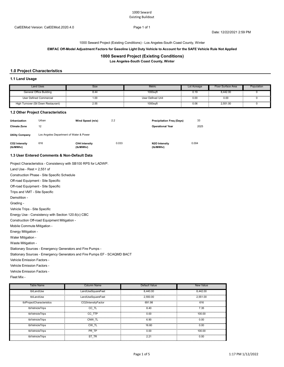Date: 12/22/2021 2:59 PM

1000 Seward Project (Existing Conditions) - Los Angeles-South Coast County, Winter

#### **EMFAC Off-Model Adjustment Factors for Gasoline Light Duty Vehicle to Account for the SAFE Vehicle Rule Not Applied**

#### **1000 Seward Project (Existing Conditions)**

**Los Angeles-South Coast County, Winter**

#### **1.0 Project Characteristics**

#### **1.1 Land Usage**

| <b>Land Uses</b>                    | Size      | Metric            | Lot Acreage | Floor Surface Area | Population |
|-------------------------------------|-----------|-------------------|-------------|--------------------|------------|
| General Office Building             | 8.44      | 1000saf           | 0.19        | 3.442.00           |            |
| User Defined Commercial             | 1.00<br>. | User Defined Unit | 0.00<br>.   | 0.00               |            |
| High Turnover (Sit Down Restaurant) | 2.55      | $1000$ saf        | 0.06        | 2.551.00           | .          |

#### **1.2 Other Project Characteristics**

| Urbanization<br><b>Climate Zone</b> | Urban<br>12                             | Wind Speed (m/s)                  | 2.2   | <b>Precipitation Freg (Days)</b><br><b>Operational Year</b> | 33<br>2025 |
|-------------------------------------|-----------------------------------------|-----------------------------------|-------|-------------------------------------------------------------|------------|
| <b>Utility Company</b>              | Los Angeles Department of Water & Power |                                   |       |                                                             |            |
| CO2 Intensity<br>(lb/MWhr)          | 616                                     | <b>CH4 Intensity</b><br>(lb/MWhr) | 0.033 | N2O Intensity<br>(lb/MWhr)                                  | 0.004      |

#### **1.3 User Entered Comments & Non-Default Data**

Project Characteristics - Consistency with SB100 RPS for LADWP.

Land Use - Rest = 2,551 sf

Construction Phase - Site Specific Schedule

Off-road Equipment - Site Specific

Off-road Equipment - Site Specific

Trips and VMT - Site Specific

Demolition -

Grading -

Vehicle Trips - Site Specific

Energy Use - Consistency with Section 120.6(c) CBC

Construction Off-road Equipment Mitigation -

Mobile Commute Mitigation -

Energy Mitigation -

Water Mitigation -

Waste Mitigation -

Stationary Sources - Emergency Generators and Fire Pumps -

Stationary Sources - Emergency Generators and Fire Pumps EF - SCAQMD BACT

Vehicle Emission Factors -

Vehicle Emission Factors -

Vehicle Emission Factors -

Fleet Mix -

| Table Name                | <b>Column Name</b> | Default Value | <b>New Value</b> |
|---------------------------|--------------------|---------------|------------------|
| tblLandUse                | LandUseSquareFeet  | 8,440.00      | 8.442.00         |
| tblLandUse                | LandUseSquareFeet  | 2.550.00      | 2.551.00         |
| tblProjectCharacteristics | CO2IntensityFactor | 691.98        | 616              |
| tblVehicleTrips           | CC IL              | 8.40          | 7.35             |
| tblVehicleTrips           | CC TTP             | 0.00          | 100.00           |
| tblVehicleTrips           | CNW TL             | 6.90          | 0.00             |
| tblVehicleTrips           | CW TL              | 16.60         | 0.00             |
| tblVehicleTrips           | PR TP              | 0.00          | 100.00           |
| tblVehicleTrips           | ST TR              | 2.21          | 0.00             |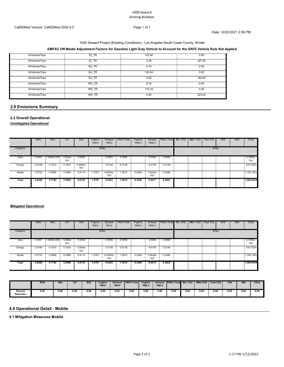### 1000 Seward Project (Existing Conditions) - Los Angeles-South Coast County, Winter

#### **EMFAC Off-Model Adjustment Factors for Gasoline Light Duty Vehicle to Account for the SAFE Vehicle Rule Not Applied**

| tblVehicleTrips      | S٦<br>TR   | 122.40 | 0.00   |
|----------------------|------------|--------|--------|
| tblVehicleTrips      | ST<br>- TR | 0.00   | 227.00 |
| <br>tblVehicleTrips  | SU<br>TR   | 0.70   | 0.00   |
| .<br>tblVehicleTrips | SU TR      | 142.64 | 0.00   |
| .<br>tblVehicleTrips | SU TR      | 0.00   | 183.00 |
| tblVehicleTrips      | WD TR      | 9.74   | 0.00   |
| tblVehicleTrips<br>. | WD TR      | 112.18 | 0.00   |
| tblVehicleTrips      | WD TR      | 0.00   | 223.00 |

#### **2.0 Emissions Summary**

#### **2.2 Overall Operational**

**Unmitigated Operational**

|            | <b>ROG</b> | <b>NO<sub>x</sub></b>     | CO     | SO <sub>2</sub> | Fugitive<br><b>PM10</b> | Exhaust<br><b>PM10</b> | PM10 Total | Fugitive<br>PM2.5 | Exhaust<br>PM2.5 | PM2.5 Total Bio- CO2 NBio- CO2 |  | Total CO <sub>2</sub> | CH <sub>4</sub> | <b>N2O</b> | CO <sub>2</sub> e |
|------------|------------|---------------------------|--------|-----------------|-------------------------|------------------------|------------|-------------------|------------------|--------------------------------|--|-----------------------|-----------------|------------|-------------------|
| Category   |            |                           |        |                 |                         | lb/day                 |            |                   |                  |                                |  | lb/day                |                 |            |                   |
| Area       | 0.2457     | 1.0000e-005 1.2200e-      | 003    | 0.0000          |                         | 0.0000                 | 0.0000     |                   | 0.0000           | 0.0000                         |  |                       |                 |            | 2.7900e-<br>003   |
| <br>Energy | 0.0199     | 0.1812<br><b>Contract</b> | 0.1522 | -.0900e<br>003  |                         | 0.0138                 | 0.0138     |                   | 0.0138           | 0.0138<br><b>Contractor</b>    |  | .                     |                 |            | 218,7325          |
| Mobile     | 0.5732     | 0.5890                    | 5.3966 | 0.0114          | 1.2787                  | 8.5500e-<br>003        | 1.2873     | 0.3406            | 7.9400e-<br>003  | 0.3486<br><b>COLLEGE</b>       |  |                       |                 |            | 1.182.1081        |
| Total      | 0.8388     | 0.7702                    | 5.5500 | 0.0125          | 1.2787                  | 0.0223                 | 1.3010     | 0.3406            | 0.0217           | 0.3623                         |  |                       |                 |            | 1.400.8434        |

#### **Mitigated Operational**

|            | <b>ROG</b> | NO <sub>x</sub>      | <sub>CO</sub> | SO <sub>2</sub> | Fugitive<br><b>PM10</b> | Exhaust<br><b>PM10</b> | PM10 Total | Fugitive<br>PM2.5 | Exhaust<br>PM2.5 | <b>PM2.5 Total Bio-CO2 NBio-CO2 Total CO2</b> |  |        | CH <sub>4</sub> | <b>N2O</b> | CO <sub>2</sub> e |
|------------|------------|----------------------|---------------|-----------------|-------------------------|------------------------|------------|-------------------|------------------|-----------------------------------------------|--|--------|-----------------|------------|-------------------|
| Category   |            |                      |               |                 |                         | lb/day                 |            |                   |                  |                                               |  | lb/day |                 |            |                   |
| Area       | 0.2457     | 1.0000e-005 1.2200e- | 003           | 0.0000          |                         | 0.0000                 | 0.0000     |                   | 0.0000           | 0.0000                                        |  |        |                 |            | $2.7900e-$<br>003 |
| Energy     | 0.0199     | 0.1812 0.1522        |               | -.0900e<br>003  |                         | 0.0138                 | 0.0138     |                   | 0.0138           | 0.0138<br>$\sim$                              |  |        |                 |            | 218,7325          |
| <br>Mobile | 0.5732     | 0.5890               | 5.3966        | 0.0114          | 1.2787                  | 8.5500e-<br>003        | .2873      | 0.3406            | 7.9400e-<br>003  | 0.3486                                        |  |        |                 |            | 1.182.1081        |
| Total      | 0.8388     | 0.7702               | 5.5500        | 0.0125          | 1.2787                  | 0.0223                 | 1.3010     | 0.3406            | 0.0217           | 0.3623                                        |  |        |                 |            | 1.400.8434        |

|                      | <b>ROG</b> | <b>NOx</b> | $_{\rm co}$ | <b>SO2</b> | Fugitive<br><b>PM10</b> | <b>Exhaust</b><br><b>PM10</b> | <b>PM10 Total</b> | <b>Fugitive</b><br><b>PM2.5</b> | Exhaust<br><b>PM2.5</b> | <b>PM2.5 Total Bio-CO2</b> |      |      | NBio-CO2   Total CO2 | CH <sub>4</sub> | N <sub>20</sub> | CO <sub>2e</sub> |
|----------------------|------------|------------|-------------|------------|-------------------------|-------------------------------|-------------------|---------------------------------|-------------------------|----------------------------|------|------|----------------------|-----------------|-----------------|------------------|
| Percent<br>Reduction | 0.00       | 0.00       | 0.00        | 0.00       | 0.00                    | 0.00                          | 0.00              | 0.00                            | 0.00                    | 0.00                       | 0.00 | 0.00 | 0.00                 | 0.00            | 0.00            | 0.00             |

#### **4.0 Operational Detail - Mobile**

**4.1 Mitigation Measures Mobile**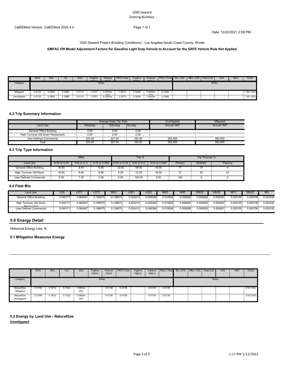#### 1000 Seward Existing Buildout

Date: 12/22/2021 2:59 PM

1000 Seward Project (Existing Conditions) - Los Angeles-South Coast County, Winter

#### **EMFAC Off-Model Adjustment Factors for Gasoline Light Duty Vehicle to Account for the SAFE Vehicle Rule Not Applied**

003

|             | <b>ROG</b>                                    | <b>NOx</b> | CO     | SO <sub>2</sub> | -uaitive<br>$B1 \wedge$ | Exhaust<br>B <sub>1</sub> | PM <sub>10</sub> Total | -uaitive<br>$P^{\text{H}}$ | Exhaust<br>$P^{\text{max}}$ | <b>PM2.5 Total Bio-CO2 NBio-CO2 I</b> |  | Total CO <sub>2</sub> | CH <sub>4</sub> | N <sub>2</sub> O | CO <sub>2</sub> e |
|-------------|-----------------------------------------------|------------|--------|-----------------|-------------------------|---------------------------|------------------------|----------------------------|-----------------------------|---------------------------------------|--|-----------------------|-----------------|------------------|-------------------|
| Category    |                                               |            |        |                 |                         | $lb$ /dav                 |                        |                            |                             |                                       |  | lb/dav                |                 |                  |                   |
|             |                                               |            |        |                 |                         |                           |                        |                            |                             |                                       |  |                       |                 |                  |                   |
| Mitigated   | በ 5732<br>$\sim$<br>U.JI JZ                   | 0.5890     | 3966   | 0.0114          | .2787                   | 8.5500e-                  | .2873                  | 0.3406                     | .9400e-                     | 0.3486                                |  |                       |                 |                  | 1,182.1081        |
| Unmitigated | 15722<br>$\sim$<br>U. J / JZ<br>$\sim$ $\sim$ | 0.5890     | 5.3966 | 0.0114          | 1.2787                  | 8.5500e-                  | .2873                  | 0.3406                     | 7.9400e-                    | 0.3486                                |  |                       |                 |                  | $-1.182.1081$     |

#### **4.2 Trip Summary Information**

|                                     |         | Average Daily Trip Rate |        | Unmitigated       | Mitigated         |
|-------------------------------------|---------|-------------------------|--------|-------------------|-------------------|
| Land Use                            | Weekdav | Saturday                | Sunday | <b>Annual VMT</b> | <b>Annual VMT</b> |
| General Office Building             | 0.0     | 0.00                    | 0.00   |                   |                   |
| High Turnover (Sit Down Restaurant) | 0.00    | 0.00                    | 0.00   |                   |                   |
| User Defined Commercial             | 223.00  | 227.00                  | 183.00 | 582.855           | 582.855           |
| Tota                                | 223.00  | 227.00                  | 183.00 | 582.855           | 582.855           |

003

#### **4.3 Trip Type Information**

|                         |            | <b>Miles</b> |             |            | Trip %     |             |         | Trip Purpose %  |        |
|-------------------------|------------|--------------|-------------|------------|------------|-------------|---------|-----------------|--------|
| Land Use                | H-W or C-W | H-S or C-C   | H-O or C-NW | H-W or C-W | H-S or C-C | H-O or C-NW | Primary | <b>Diverted</b> | Pass-b |
| General Office Building | 16.60      | 8.40         | 6.90        | 33.00      | 48.00      | 19.00       |         | 10<br>כ.ו       |        |
| High Turnover (Sit Down | 16.60      | 8.40<br>.    | 6.90        | 8.50<br>.  | 72.50<br>. | 19.00       | ~-      | nn              |        |
| User Defined Commercial | 0.00       | 7.35         | 0.00        | 0.00       | 100.00     | 0.00        | 100     |                 |        |

#### **4.4 Fleet Mix**

| Land Use                               | LDA.    | LDT1     | LDT2    | <b>MDV</b> | <b>LHD</b> | LHD <sub>2</sub> | <b>MHD</b> | HHD           | OBUS          | UBUS          | <b>MCY</b>    | <b>SBUS</b>   | MH       |
|----------------------------------------|---------|----------|---------|------------|------------|------------------|------------|---------------|---------------|---------------|---------------|---------------|----------|
| General Office Building                | .540171 | 0.064547 | .189075 | 0.126673   | 0.023412   | 0.006384         | 0.010926   | 0.008089      | 0.000929      | 0.000597      | 0.025155      | 0.000706      | 0.003335 |
| High Turnover (Sit Down<br>Restaurant) | .540171 | 0.064547 | 189075  | 0.126673   | 0.023412   | 0.006384         | 0.010926   | 0.008089<br>. | 0.000929<br>. | 0.000597<br>. | 0.025155<br>. | 0.000706<br>. | 0.003335 |
| User Defined Commercial                | .540171 | 1.064547 | 189075  | 0.126673   | 0.023412   | 0.006384         | 0.010926   | 0.008089      | 0.000929      | 0.000597      | 0.025155      | 0.000706      | 0.003335 |

#### **5.0 Energy Detail**

Historical Energy Use: N

#### **5.1 Mitigation Measures Energy**

|                           | <b>ROG</b> | <b>NOx</b>                                  | CO     | S <sub>O</sub> 2  | Fugitive<br><b>PM10</b> | Exhaust<br><b>PM10</b> | PM10 Total | Fugitive<br>PM2.5 | Exhaust<br>PM2.5 | PM2.5 Total                        | Bio-CO <sub>2</sub> | NBio-CO <sub>2</sub> | Total CO <sub>2</sub> | CH <sub>4</sub> | <b>N2O</b> | CO <sub>2</sub> e |
|---------------------------|------------|---------------------------------------------|--------|-------------------|-------------------------|------------------------|------------|-------------------|------------------|------------------------------------|---------------------|----------------------|-----------------------|-----------------|------------|-------------------|
| Category                  |            |                                             |        |                   | lb/day                  |                        |            |                   |                  |                                    |                     |                      | lb/day                |                 |            |                   |
| NaturalGas<br>Mitigated   | 0.0199     | 0.1812<br><b>Contract Contract Contract</b> | 0.1522 | $0.900e -$<br>003 |                         | 0.0138                 | 0.0138     |                   | 0.0138           | 0.0138<br>-200                     |                     |                      |                       |                 |            | 218,7325          |
| NaturalGas<br>Unmitigated | 0.0199     | 0.1812<br><b>COLL</b>                       | 0.1522 | 1.0900e-<br>003   |                         | 0.0138                 | 0.0138     |                   | 0.0138           | 0.0138<br><b>Contract Contract</b> |                     |                      |                       |                 |            | 218,7325          |

#### **5.2 Energy by Land Use - NaturalGas Unmitigated**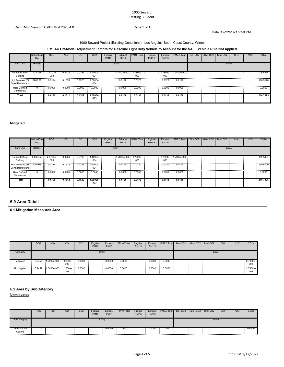#### 1000 Seward Existing Buildout

Date: 12/22/2021 2:59 PM

#### 1000 Seward Project (Existing Conditions) - Los Angeles-South Coast County, Winter

#### **EMFAC Off-Model Adjustment Factors for Gasoline Light Duty Vehicle to Account for the SAFE Vehicle Rule Not Applied**

|                                                | <b>NaturalGas</b><br>Use | <b>ROG</b>                    | <b>NO<sub>x</sub></b>              | CO               | SO <sub>2</sub>   | Fugitive<br><b>PM10</b> | Exhaust<br><b>PM10</b> | PM10 Total | Fugitive<br>PM2.5 | Exhaust<br>PM2.5 | PM2.5 Total Bio- CO2   NBio- CO2 |  | Total CO <sub>2</sub> | CH <sub>4</sub> | <b>N2O</b> | CO <sub>2</sub> e |
|------------------------------------------------|--------------------------|-------------------------------|------------------------------------|------------------|-------------------|-------------------------|------------------------|------------|-------------------|------------------|----------------------------------|--|-----------------------|-----------------|------------|-------------------|
| Land Use                                       | kBTU/yr                  |                               |                                    |                  |                   |                         | lb/day                 |            |                   |                  |                                  |  | lb/day                |                 |            |                   |
| General Office<br>Building                     |                          | 238.458 2.5700e-<br>22<br>003 | 0.0234                             | 0.0196           | 1.4000e-<br>004   |                         | 1.7800e-003 1.7800e-   | 003        |                   | 003              | 1.7800e- 1.7800e-003             |  |                       |                 |            | 28.2205           |
| High Turnover (Sit 1609.79<br>Down Restaurant) |                          | 0.0174                        | 0.1578<br><b>Contract Contract</b> | 0.1326<br>$\sim$ | 9.5000e-<br>004   |                         | 0.0120                 | 0.0120     |                   | 0.0120           | 0.0120                           |  |                       |                 |            | 190.5120          |
| User Defined<br>Commercial                     |                          | 0.0000<br>22                  | 0.0000                             | 0.0000           | 0.0000            |                         | 0.0000                 | 0.0000     |                   | 0.0000<br>- 11   | <br>0.0000                       |  |                       |                 |            | .<br>0.0000       |
| Total                                          |                          | 0.0199                        | 0.1812                             | 0.1522           | $1.0900e-$<br>003 |                         | 0.0138                 | 0.0138     |                   | 0.0138           | 0.0138                           |  |                       |                 |            | 218.7325          |

#### **Mitigated**

|                                                | <b>NaturalGas</b><br>Use | <b>ROG</b>                 | <b>NO<sub>x</sub></b> | CO         | SO <sub>2</sub> | Fugitive<br><b>PM10</b> | Exhaust<br><b>PM10</b> | PM10 Total | Fugitive<br>PM2.5 | Exhaust<br>PM2.5 | PM2.5 Total Bio-CO2 NBio-CO2 |  | Total CO <sub>2</sub> | CH4 | N2O | CO <sub>2</sub> e |
|------------------------------------------------|--------------------------|----------------------------|-----------------------|------------|-----------------|-------------------------|------------------------|------------|-------------------|------------------|------------------------------|--|-----------------------|-----|-----|-------------------|
| Land Use                                       | kBTU/yr                  |                            |                       |            |                 |                         | lb/day                 |            |                   |                  |                              |  | lb/day                |     |     |                   |
| General Office<br>Building                     |                          | $0.238458$ 2.5700e-<br>003 | 0.0234                | 0.0196     | .4000e-<br>004  |                         | $1.7800e 003$ 1.7800e  | 003        |                   | 003              | $1.7800e - 1.7800e - 003$    |  |                       |     |     | 28,2205           |
| High Turnover (Sit 1.60979<br>Down Restaurant) |                          | 0.0174                     | 0.1578                | <br>0.1326 | 9.5000e-<br>004 |                         | 0.0120                 | 0.0120     |                   | 0.0120           | 0.0120                       |  |                       |     |     | .<br>190.5120     |
| <b>User Defined</b><br>Commercial              | - 1                      | 0.0000                     | 0.0000                | 0.0000     | 0.0000          |                         | 0.0000                 | 0.0000     |                   | 0.0000           | 0.0000                       |  |                       |     |     | 0.0000            |
| Total                                          |                          | 0.0199                     | 0.1812                | 0.1522     | .0900e-<br>003  |                         | 0.0138                 | 0.0138     |                   | 0.0138           | 0.0138                       |  |                       |     |     | 218.7325          |

#### **6.0 Area Detail**

**6.1 Mitigation Measures Area**

|             | <b>ROG</b> | NO <sub>x</sub>      | <sub>CO</sub> | SO <sub>2</sub> | Fuaitive<br><b>PM10</b> | Exhaust<br><b>PM10</b> | PM10 Total | Fugitive<br>PM2.5 | PM2.5  | Exhaust PM2.5 Total Bio-CO2 NBio-CO2 Total CO2 |  | CH <sub>4</sub> | N <sub>2</sub> O | CO <sub>2</sub> e |
|-------------|------------|----------------------|---------------|-----------------|-------------------------|------------------------|------------|-------------------|--------|------------------------------------------------|--|-----------------|------------------|-------------------|
| Category    |            |                      |               |                 |                         | lb/day                 |            |                   |        |                                                |  | lb/day          |                  |                   |
| Mitigated   | 0.2457     | 1.0000e-005 1.2200e- | 003           | 0.0000          |                         | 0.0000                 | 0.0000     |                   | 0.0000 | 0.0000                                         |  |                 |                  | 2.7900e-<br>003   |
| Unmitigated | 0.2457     | 1.0000e-005 1.2200e- | 003           | 0.0000          |                         | 0.0000                 | 0.0000     |                   | 0.0000 | 0.0000<br>$\sim$                               |  |                 |                  | 2.7900e-<br>003   |

#### **6.2 Area by SubCategory**

**Unmitigated**

|                          | <b>ROG</b> | <b>NO<sub>x</sub></b> | $\rm CO$ | <b>SO2</b> | Fugitive<br><b>PM10</b> | Exhaust<br><b>PM10</b> | PM10 Total | Fugitive<br>PM2.5 | Exhaust<br>PM2.5 | PM2.5 Total Bio-CO2 NBio-CO2 Total CO2 |  |        | CH <sub>4</sub> | <b>N2O</b>                                                                       | CO <sub>2</sub> e |
|--------------------------|------------|-----------------------|----------|------------|-------------------------|------------------------|------------|-------------------|------------------|----------------------------------------|--|--------|-----------------|----------------------------------------------------------------------------------|-------------------|
| SubCategory              |            |                       |          |            | lb/day                  |                        |            |                   |                  |                                        |  | lb/day |                 |                                                                                  |                   |
| Architectural<br>Coating | 0.0279     |                       |          |            |                         | 0.0000                 | 0.0000     |                   | 0.0000           | 0.0000                                 |  |        |                 | ,我们也不会有什么?""我们的话,我们也不会有什么?""我们的话,我们也不会有什么?""我们的话,我们也不会有什么?""我们的话,我们也不会有什么?""我们的话 | 0.0000            |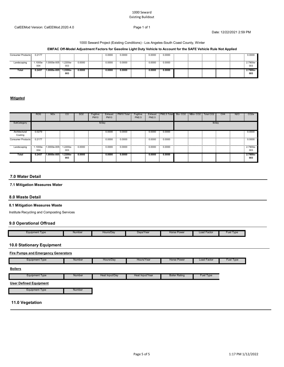#### 1000 Seward Existing Buildout

#### CalEEMod Version: CalEEMod.2020.4.0 Page 1 of 1

Date: 12/22/2021 2:59 PM

#### 1000 Seward Project (Existing Conditions) - Los Angeles-South Coast County, Winter

#### **EMFAC Off-Model Adjustment Factors for Gasoline Light Duty Vehicle to Account for the SAFE Vehicle Rule Not Applied**

| <br>Consumer Products | 0.2177 |                               |                 |        | 0.0000 | 0.0000 | 0.0000      | 0.0000 |  |       |   | 0.0000                 |
|-----------------------|--------|-------------------------------|-----------------|--------|--------|--------|-------------|--------|--|-------|---|------------------------|
| <br>Landscaping       | 004    | 1.1000e- 1.0000e-005 1.2200e- | 003             | 0.0000 | 0.0000 | 0.0000 | .<br>0.0000 | 0.0000 |  | <br>. | . | .<br>$2.7900e-$<br>003 |
| Total                 | 0.2457 | 1.0000e-005                   | 1.2200e-<br>003 | 0.0000 | 0.0000 | 0.0000 | 0.0000      | 0.0000 |  |       |   | 2.7900e-<br>003        |

#### **Mitigated**

|                                                | <b>ROG</b> | <b>NO<sub>x</sub></b> | CO                | SO <sub>2</sub> | Fugitive<br><b>PM10</b> | Exhaust<br><b>PM10</b> | PM <sub>10</sub> Total | Fugitive<br>PM2.5 | Exhaust<br>PM2.5 | PM2.5 Total | Bio-CO <sub>2</sub> | NBio-CO <sub>2</sub> | Total CO <sub>2</sub> | CH <sub>4</sub> | <b>N2O</b> | CO <sub>2</sub> e |
|------------------------------------------------|------------|-----------------------|-------------------|-----------------|-------------------------|------------------------|------------------------|-------------------|------------------|-------------|---------------------|----------------------|-----------------------|-----------------|------------|-------------------|
| SubCategory                                    |            |                       |                   |                 | lb/day                  |                        |                        |                   |                  |             |                     |                      | lb/day                |                 |            |                   |
| Architectural<br>Coating                       | 0.0279     |                       |                   |                 |                         | 0.0000                 | 0.0000                 |                   | 0.0000           | 0.0000      |                     |                      |                       |                 |            | 0.0000            |
| Consumer Products                              | 0.2177     |                       |                   |                 |                         | 0.0000                 | 0.0000                 |                   | 0.0000           | 0.0000      |                     |                      |                       |                 |            | 0.0000            |
| Landscaping 1.1000e 1.0000e-005 1.2200e 0.0000 | 004        |                       | 003               |                 |                         | 0.0000                 | 0.0000                 |                   | 0.0000           | 0.0000      |                     |                      |                       |                 |            | 2.7900e-<br>003   |
| Total                                          | 0.2457     | 1.0000e-005           | $1.2200e-$<br>003 | 0.0000          |                         | 0.0000                 | 0.0000                 |                   | 0.0000           | 0.0000      |                     |                      |                       |                 |            | 2.7900e-<br>003   |

#### **7.0 Water Detail**

#### **7.1 Mitigation Measures Water**

#### **8.0 Waste Detail**

L

#### **8.1 Mitigation Measures Waste**

Institute Recycling and Composting Services

#### **9.0 Operational Offroad**

| Load Factor<br>Hours/Dav<br>Davs/Year<br>Horse Power<br>Equipment Type<br>Number |              |
|----------------------------------------------------------------------------------|--------------|
|                                                                                  | Fuel<br>Type |

#### **10.0 Stationary Equipment**

| <b>Fire Pumps and Emergency Generators</b> |        |                |                 |                      |             |           |
|--------------------------------------------|--------|----------------|-----------------|----------------------|-------------|-----------|
| Equipment Type                             | Number | Hours/Day      | Hours/Year      | <b>Horse Power</b>   | Load Factor | Fuel Type |
| <b>Boilers</b>                             |        |                |                 |                      |             |           |
| <b>Equipment Type</b>                      | Number | Heat Input/Day | Heat Input/Year | <b>Boiler Rating</b> | Fuel Type   |           |

### **User Defined Equipment**

Equipment Type **Number** Number

#### **11.0 Vegetation**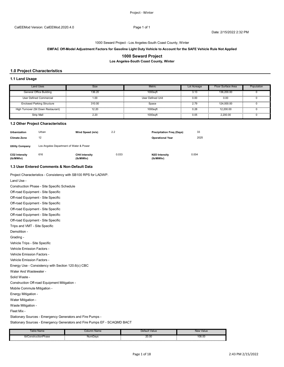Date: 2/15/2022 2:32 PM

#### 1000 Seward Project - Los Angeles-South Coast County, Winter

#### **EMFAC Off-Model Adjustment Factors for Gasoline Light Duty Vehicle to Account for the SAFE Vehicle Rule Not Applied**

#### **1000 Seward Project**

**Los Angeles-South Coast County, Winter**

#### **1.0 Project Characteristics**

#### **1.1 Land Usage**

| Land Uses                           | Size   | <b>Metric</b>     | Lot Acreage | Floor Surface Area | Population |
|-------------------------------------|--------|-------------------|-------------|--------------------|------------|
| General Office Building             | 136.20 | 1000saft          |             | 136,200,00         |            |
| User Defined Commercial             | 1.00   | User Defined Unit | 0.00        | 0.00               |            |
| <b>Enclosed Parking Structure</b>   | 310.00 | Space             |             | 124.000.00         |            |
| High Turnover (Sit Down Restaurant) |        | 1000safi          | 0.28        | 12.200.00          |            |
| Strip Mall                          |        | 1000saft          | 0.05        | 2.200.00           |            |

#### **1.2 Other Project Characteristics**

| <b>Urbanization</b><br><b>Climate Zone</b> | Urban<br>12                             | Wind Speed (m/s)                  | 2.2   | <b>Precipitation Freg (Days)</b><br><b>Operational Year</b> | 33<br>2025 |
|--------------------------------------------|-----------------------------------------|-----------------------------------|-------|-------------------------------------------------------------|------------|
| <b>Utility Company</b>                     | Los Angeles Department of Water & Power |                                   |       |                                                             |            |
| CO2 Intensity<br>(lb/MWhr)                 | 616                                     | <b>CH4 Intensity</b><br>(lb/MWhr) | 0.033 | N2O Intensity<br>(lb/MWhr)                                  | 0.004      |

#### **1.3 User Entered Comments & Non-Default Data**

| Project Characteristics - Consistency with SB100 RPS for LADWP. |
|-----------------------------------------------------------------|
| Land Use -                                                      |
| Construction Phase - Site Specific Schedule                     |

| Off-road Equipment - Site Specific                 |
|----------------------------------------------------|
| Off-road Equipment - Site Specific                 |
| Off-road Equipment - Site Specific                 |
| Off-road Equipment - Site Specific                 |
| Off-road Equipment - Site Specific                 |
| Off-road Equipment - Site Specific                 |
| Trips and VMT - Site Specific                      |
| Demolition -                                       |
| Grading -                                          |
| Vehicle Trips - Site Specific                      |
| Vehicle Emission Factors -                         |
| Vehicle Emission Factors -                         |
| Vehicle Emission Factors -                         |
| Energy Use - Consistency with Section 120.6(c) CBC |
| Water And Wastewater -                             |
| Solid Waste -                                      |
| Construction Off-road Equipment Mitigation -       |
| Mobile Commute Mitigation -                        |
| Energy Mitigation -                                |
| Water Mitigation -                                 |
| Waste Mitigation -                                 |
| Fleet Mix -                                        |
|                                                    |

Stationary Sources - Emergency Generators and Fire Pumps -

Stationary Sources - Emergency Generators and Fire Pumps EF - SCAQMD BACT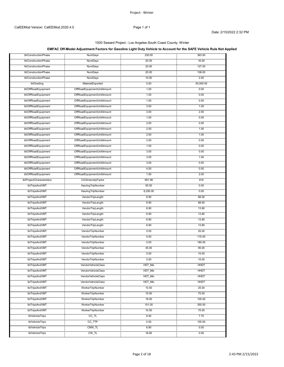#### 1000 Seward Project - Los Angeles-South Coast County, Winter

### **EMFAC Off-Model Adjustment Factors for Gasoline Light Duty Vehicle to Account for the SAFE Vehicle Rule Not Applied**

| tblConstructionPhase                             | <b>NumDays</b>                                           | 230.00       | 363.00           |
|--------------------------------------------------|----------------------------------------------------------|--------------|------------------|
| tblConstructionPhase                             | .<br>NumDays                                             | 20.00        | 16.00            |
| tblConstructionPhase                             | NumDays                                                  | 20.00        | 127.00           |
| tblConstructionPhase                             | .<br>NumDays                                             | 20.00        | 108.00           |
| tblConstructionPhase                             | <b><i><u>ALCOHOL: 000</u></i></b><br>NumDays             | 10.00        | 2.00             |
| tblGrading                                       | MaterialExported                                         | 0.00         | 55,000.00        |
| tblOffRoadEquipment                              | OffRoadEquipmentUnitAmount                               | 1.00         | 0.00             |
| tblOffRoadEquipment                              | OffRoadEquipmentUnitAmount                               | 1.00         | 0.00             |
| tblOffRoadEquipment                              | OffRoadEquipmentUnitAmount                               | 1.00         | 0.00             |
| <br>tblOffRoadEquipment                          | OffRoadEquipmentUnitAmount                               | 3.00         | 1.00             |
|                                                  |                                                          |              |                  |
| tblOffRoadEquipment                              | OffRoadEquipmentUnitAmount                               | 3.00<br>1.00 | 2.00<br>0.00     |
| tblOffRoadEquipment                              | OffRoadEquipmentUnitAmount                               |              | 0.00             |
| tblOffRoadEquipment<br>                          | OffRoadEquipmentUnitAmount<br>OffRoadEquipmentUnitAmount | 2.00<br>.    |                  |
| tblOffRoadEquipment<br>tblOffRoadEquipment       | OffRoadEquipmentUnitAmount                               | 2.00<br>2.00 | 1.00<br>1.00     |
|                                                  |                                                          |              |                  |
| tblOffRoadEquipment<br>tblOffRoadEquipment       | OffRoadEquipmentUnitAmount                               | 2.00<br>1.00 | 0.00<br>0.00     |
|                                                  |                                                          |              |                  |
| tblOffRoadEquipment                              | OffRoadEquipmentUnitAmount                               | 3.00         | 0.00             |
| tblOffRoadEquipment<br>tblOffRoadEquipment       | OffRoadEquipmentUnitAmount                               | 3.00         | 1.00             |
|                                                  |                                                          | 3.00         | 0.00             |
| tblOffRoadEquipment<br><u>amman</u> nan          | OffRoadEquipmentUnitAmount                               | 4.00         | 0.00             |
| tblOffRoadEquipment<br>tblProjectCharacteristics |                                                          | 1.00         | 2.00<br>.        |
| .                                                | <br>CO2IntensityFactor                                   | 691.98       | 616<br>.         |
| tblTripsAndVMT<br>.                              | HaulingTripNumber<br>                                    | 50.00        | 0.00             |
| tblTripsAndVMT                                   | HaulingTripNumber                                        | 6,250.00     | 0.00             |
| tblTripsAndVMT                                   | VendorTripLength                                         | 6.90         | 68.00            |
| tblTripsAndVMT                                   | VendorTripLength                                         | 6.90         | 68.00            |
| tblTripsAndVMT                                   | VendorTripLength                                         | 6.90         | 13.80            |
| tblTripsAndVMT<br>.                              | VendorTripLength                                         | 6.90         | 13.80            |
| tblTripsAndVMT                                   | VendorTripLength                                         | 6.90         | 13.80            |
| tblTripsAndVMT                                   | VendorTripLength                                         | 6.90         | 13.80            |
| tblTripsAndVMT                                   | VendorTripNumber                                         | 0.00         | 25.00            |
| tblTripsAndVMT                                   | VendorTripNumber                                         | 0.00         | 115.00           |
| tblTripsAndVMT                                   | VendorTripNumber                                         | 0.00         | 180.00           |
| tblTripsAndVMT<br>.                              | VendorTripNumber<br>                                     | 45.00        | 95.00            |
| tblTripsAndVMT                                   | VendorTripNumber                                         | 0.00         | 15.00            |
| .<br>tbl TripsAndVMT                             | .<br>vendor i ripinumbel                                 |              | 10.UU            |
| tblTripsAndVMT                                   | VendorVehicleClass                                       | HDT Mix      | HHDT             |
| tblTripsAndVMT                                   | VendorVehicleClass                                       | HDT_Mix      | HHD1             |
| tblTripsAndVMT                                   | <br>VendorVehicleClass                                   | HDT_Mix      | HHD1             |
| tblTripsAndVMT                                   | .<br>VendorVehicleClass                                  | HDT Mix      | HHD <sub>1</sub> |
| tblTripsAndVMT                                   | .<br>WorkerTripNumber                                    | 10.00        | 25.00            |
| tblTripsAndVMT                                   | WorkerTripNumber                                         | 15.00        | 75.00            |
| .<br>tblTripsAndVMT                              | <br>WorkerTripNumber                                     | 18.00        | 100.00           |
| tblTripsAndVMT                                   | WorkerTripNumber                                         | 101.00       | 350.00           |
| tblTripsAndVMT                                   | .<br>WorkerTripNumber                                    | 10.00        | 75.00            |
| tblVehicleTrips                                  | CC_TL                                                    | 8.40         | 7.70             |
| tblVehicleTrips                                  | CC_TTP                                                   | 0.00         | 100.00           |
| tblVehicleTrips                                  | CNW_TL                                                   | 6.90         | 0.00             |
| .<br>tblVehicleTrips                             | .<br>CW_TL                                               | 16.60        | 0.00             |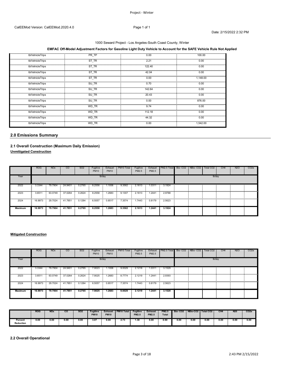### 1000 Seward Project - Los Angeles-South Coast County, Winter

#### **EMFAC Off-Model Adjustment Factors for Gasoline Light Duty Vehicle to Account for the SAFE Vehicle Rule Not Applied**

| tblVehicleTrips | PR TP     | 0.00      | 100.00   |
|-----------------|-----------|-----------|----------|
| tblVehicleTrips | ST TR     | 2.21      | 0.00     |
| tblVehicleTrips | ST_TR<br> | 122.40    | 0.00     |
| tblVehicleTrips | ST TR     | 42.04     | 0.00     |
| tblVehicleTrips | ST TR     | 0.00      | 1.148.00 |
| tblVehicleTrips | SU TR     | 0.70      | 0.00     |
| tblVehicleTrips | SU TR     | 142.64    | 0.00     |
| tblVehicleTrips | SU_TR     | 20.43<br> | 0.00<br> |
| tblVehicleTrips | SU TR     | 0.00      | 876.00   |
| tblVehicleTrips | WD TR     | 9.74      | 0.00     |
| tblVehicleTrips | WD TR     | 112.18    | 0.00     |
| tblVehicleTrips | WD TR     | 44.32     | 0.00     |
| tblVehicleTrips | WD TR     | 0.00      | 1,542.00 |

#### **2.0 Emissions Summary**

#### **2.1 Overall Construction (Maximum Daily Emission) Unmitigated Construction**

|                | <b>ROG</b>  | <b>NO<sub>x</sub></b> | CO              | SO <sub>2</sub> | Fugitive<br><b>PM10</b> | Exhaust<br><b>PM10</b> | PM <sub>10</sub> Total | Fugitive<br>PM2.5 | Exhaust<br>PM2.5          | PM2.5 Total Bio-CO2 NBio-CO2                |  | Total CO <sub>2</sub> | CH <sub>4</sub> | <b>N2O</b> | CO <sub>2e</sub> |
|----------------|-------------|-----------------------|-----------------|-----------------|-------------------------|------------------------|------------------------|-------------------|---------------------------|---------------------------------------------|--|-----------------------|-----------------|------------|------------------|
| Year           |             |                       |                 |                 | Ib/day                  |                        |                        | lb/day            |                           |                                             |  |                       |                 |            |                  |
| 2022           | 3.3344      |                       | 79.7904 24.9401 | 0.2765          | 8.2556                  | .1006                  | 9.3562                 | 2.1613            | 1.0311<br><b>Contract</b> | 3.1924<br><b>Contract Contract Contract</b> |  |                       |                 |            |                  |
| .<br>2023      | 3.6511<br>÷ | 63.0749               | 37.0264         | 0.2624          | 8.2558                  | .2683                  | 9.1307                 | 2.1613            | .2441                     | 2.9788<br><b>COLLEGE</b>                    |  |                       |                 |            |                  |
| 2024           | 16.9973     | 29.7024 41.7851       |                 | 0.1284          | 6.5057                  | 0.8517                 | 7.3574                 | 1.7443            | 0.8179                    | 2.5623                                      |  |                       |                 |            |                  |
| <b>Maximum</b> | 16.9973     | 79.7904               | 41.7851         | 0.2765          | 8.2558                  | 1.2683                 | 9.3562                 | 2.1613            | 1.2441                    | 3.1924                                      |  |                       |                 |            |                  |

#### **Mitigated Construction**

|         | <b>ROG</b>                | <b>NO<sub>x</sub></b> | <sub>CO</sub>   | SO <sub>2</sub> | Fugitive<br><b>PM10</b> | Exhaust<br><b>PM10</b> | PM10 Total | Fugitive<br>PM2.5 | Exhaust<br>PM2.5     | PM2.5 Total Bio-CO2 NBio-CO2 |  | Total CO <sub>2</sub> | CH <sub>4</sub> | <b>N2O</b> | CO <sub>2</sub> e |
|---------|---------------------------|-----------------------|-----------------|-----------------|-------------------------|------------------------|------------|-------------------|----------------------|------------------------------|--|-----------------------|-----------------|------------|-------------------|
| Year    |                           |                       |                 |                 | lb/day                  |                        |            | lb/day            |                      |                              |  |                       |                 |            |                   |
| 2022    | 3.3344                    | 79.7904 24.9401       |                 | 0.2765          | 7.9023                  | 1.1006                 | 9.0029     |                   | 2.1218 1.0311 3.1529 |                              |  |                       |                 |            |                   |
| 2023    | 3.6511                    | 63.0749               | 37.0264         | 0.2624          | 7.9025                  | .2683                  | 8.7774     | <br>2.1219        | .2441                | 2.9393                       |  |                       |                 |            |                   |
| 2024    | 16.9973<br>$\blacksquare$ |                       | 29.7024 41.7851 | 0.1284          | 6.5057                  | 0.8517                 | 7.3574     | 1.7443            | 0.8179               | 2.5623                       |  |                       |                 |            |                   |
| Maximum | 16.9973                   | 79.7904               | 41.7851         | 0.2765          | 7.9025                  | 1.2683                 | 9.0029     | 2.1219            | 1.2441               | 3.1529                       |  |                       |                 |            |                   |

|                             | <b>ROG</b> | <b>NO</b> <sub>x</sub> | CO   | <b>SO2</b> | <b>Fugitive</b><br><b>PM10</b> | <b>Exhaust</b><br><b>PM10</b> | <b>PM10 Total</b> | Fugitive<br><b>PM2.5</b> | <b>Exhaust</b><br><b>PM2.5</b> | <b>PM2.5</b><br><b>Total</b> | <b>Bio-CO2</b> | NBio-CO <sub>2</sub> | Total CO <sub>2</sub> | CH <sub>4</sub> | <b>N20</b> | CO <sub>2</sub> e |
|-----------------------------|------------|------------------------|------|------------|--------------------------------|-------------------------------|-------------------|--------------------------|--------------------------------|------------------------------|----------------|----------------------|-----------------------|-----------------|------------|-------------------|
| Percent<br><b>Reduction</b> | 0.00       | 0.00                   | 0.00 | 0.00       | 3.07                           | 0.00                          | 2.73              | 31. ا                    | 0.00                           | 0.90                         | 0.00           | 0.00                 | 0.00                  | 0.00            | 0.00       | 0.00              |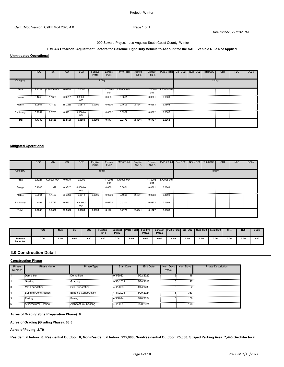Date: 2/15/2022 2:32 PM

#### 1000 Seward Project - Los Angeles-South Coast County, Winter

#### **EMFAC Off-Model Adjustment Factors for Gasoline Light Duty Vehicle to Account for the SAFE Vehicle Rule Not Applied**

**Unmitigated Operational**

|                | <b>ROG</b> | <b>NO<sub>x</sub></b> | <sub>CO</sub> | SO <sub>2</sub> | Fugitive<br><b>PM10</b> | Exhaust<br><b>PM10</b> | PM10 Total          | Fugitive<br>PM2.5 | Exhaust<br>PM2.5 | PM2.5 Total Bio-CO2 NBio-CO2 |   | Total CO <sub>2</sub> | CH <sub>4</sub> | <b>N2O</b> | CO <sub>2</sub> e |
|----------------|------------|-----------------------|---------------|-----------------|-------------------------|------------------------|---------------------|-------------------|------------------|------------------------------|---|-----------------------|-----------------|------------|-------------------|
| Category       |            |                       |               |                 | lb/day                  |                        | lb/day              |                   |                  |                              |   |                       |                 |            |                   |
| Area<br>       | 3.4221     | $-4.3000e-004$        | 0.0470        | 0.0000          |                         | 004                    | .7000e- 1.7000e-004 |                   | 004              | $1.7000e - 1.7000e - 004$    | . | <br>.                 |                 |            |                   |
| Energy         | 0.1246     | 1.1329                | 0.9517        | 6.8000e-<br>003 | .                       | 0.0861                 | 0.0861              |                   | 0.0861           | 0.0861                       |   |                       |                 |            |                   |
| .<br>Mobile    | 3.9861     | 4.1463                | 38,0289       | 0.0811          | 9.0999                  | .<br>0.0606            | 9.1605              | 2.4241            | 0.0563           | 2.4803                       |   |                       |                 |            |                   |
| <br>Stationary | 0.2051     | 0.5733                | 0.5231        | 9.9000e-<br>004 |                         | 0.0302                 | 0.0302              |                   | 0.0302           | 0.0302                       |   |                       |                 |            |                   |
| <b>Total</b>   | 7.7380     | 5.8530                | 39.5506       | 0.0889          | 9.0999                  | 0.1771                 | 9.2770              | 2.4241            | 0.1727           | 2.5968                       |   |                       |                 |            |                   |

#### **Mitigated Operational**

|            | <b>ROG</b> | <b>NO<sub>x</sub></b> | CO             | SO <sub>2</sub>   | Fugitive<br><b>PM10</b> | Exhaust<br><b>PM10</b> | PM <sub>10</sub> Total | Fugitive<br>PM2.5 | Exhaust<br>PM2.5 | PM2.5 Total Bio-CO2 NBio-CO2 |  |  | Total CO <sub>2</sub> | CH <sub>4</sub> | <b>N2O</b> | CO <sub>2</sub> e |
|------------|------------|-----------------------|----------------|-------------------|-------------------------|------------------------|------------------------|-------------------|------------------|------------------------------|--|--|-----------------------|-----------------|------------|-------------------|
| Category   |            |                       |                |                   | lb/day                  | lb/day                 |                        |                   |                  |                              |  |  |                       |                 |            |                   |
| Area       | 3.4221     | 4.3000e-004           | 0.0470         | 0.0000            |                         | 004                    | 1.7000e- 1.7000e-004   |                   | 004              | 1.7000e- 1.7000e-004         |  |  |                       |                 |            |                   |
| Energy     | 0.1246     | 1.1329                | 0.9517         | 6.8000e-<br>003   |                         | 0.0861                 | 0.0861                 |                   | 0.0861           | 0.0861                       |  |  |                       |                 |            |                   |
| <br>Mobile | 3.9861     |                       | 4.1463 38.0289 | 0.0811            | 9.0999                  | 0.0606                 | 9.1605                 | 2.4241            | 0.0563           | 2.4803                       |  |  |                       |                 |            |                   |
| Stationary | 0.2051     | 0.5733                | 0.5231         | $9.9000e-$<br>004 |                         | 0.0302                 | 0.0302                 |                   | 0.0302           | 0.0302                       |  |  |                       |                 |            |                   |
| Total      | 7.7380     | 5.8530                | 39.5506        | 0.0889            | 9.0999                  | 0.1771                 | 9.2770                 | 2.4241            | 0.1727           | 2.5968                       |  |  |                       |                 |            |                   |

|                      | <b>ROG</b> | <b>NOx</b> | <b>CO</b>             | <b>SO2</b> | Fugitive<br><b>PM10</b> | <b>Exhaust</b><br><b>PM10</b> | <b>PM10 Total</b> | <b>Fugitive</b><br><b>PM2.5</b> | <b>PM2.5</b> | Exhaust PM2.5 Total Bio-CO2 |      |           | NBio-CO2   Total CO2 | CH <sub>4</sub> | N <sub>2</sub> | CO <sub>2</sub> |
|----------------------|------------|------------|-----------------------|------------|-------------------------|-------------------------------|-------------------|---------------------------------|--------------|-----------------------------|------|-----------|----------------------|-----------------|----------------|-----------------|
| Percent<br>Reduction | 0.00       | 0.00       | 0.00<br>$\sim$ $\sim$ | 0.00       | 0.00                    | 0.00                          | 0.00              | 0.00<br>.                       | 0.00<br>.    | 0.00                        | 0.00 | 0.00<br>. | 0.00                 | 0.01            | 0.00           | 0.00            |

#### **3.0 Construction Detail**

#### **Construction Phase**

| Phase<br>Number | Phase Name                   | <b>Phase Type</b>            | <b>Start Date</b> | <b>End Date</b> | <b>Num Davs</b><br>Week | Num Davs | <b>Phase Description</b> |
|-----------------|------------------------------|------------------------------|-------------------|-----------------|-------------------------|----------|--------------------------|
|                 | <b>Demolition</b>            | Demolition                   | 9/1/2022          | 9/22/2022       |                         | 16:      |                          |
|                 | -Grading                     | - Gradino                    | $-9/23/2022$      | $-3/20/2023$    |                         | 127-     |                          |
|                 | Mat Foundation               | Site Preparation             | 4/1/2023          | 4/4/2023        |                         |          |                          |
|                 | <b>Building Construction</b> | <b>Building Construction</b> | 4/11/2023         | 8/29/2024       |                         | 363      |                          |
|                 | Paving                       | Paving                       | 4/1/2024          | 8/28/2024       |                         | 108      |                          |
|                 | Architectural Coating        | <b>Architectural Coating</b> | 4/1/2024          | 8/28/2024       |                         | 108      |                          |

**Acres of Grading (Site Preparation Phase): 0**

**Acres of Grading (Grading Phase): 63.5**

**Acres of Paving: 2.79**

**Residential Indoor: 0; Residential Outdoor: 0; Non-Residential Indoor: 225,900; Non-Residential Outdoor: 75,300; Striped Parking Area: 7,440 (Architectural**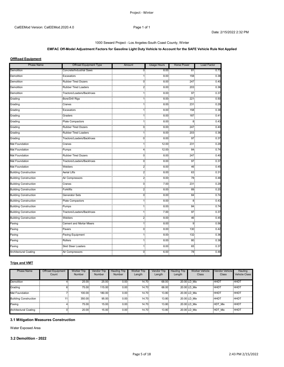#### 1000 Seward Project - Los Angeles-South Coast County, Winter

#### **EMFAC Off-Model Adjustment Factors for Gasoline Light Duty Vehicle to Account for the SAFE Vehicle Rule Not Applied**

#### **OffRoad Equipment**

| <b>Phase Name</b>                 | Offroad Equipment Type         | Amount     | <b>Usage Hours</b> | <b>Horse Power</b>         | Load Factor    |
|-----------------------------------|--------------------------------|------------|--------------------|----------------------------|----------------|
| Demolition                        | Concrete/Industrial Saws       | 0.         | 8.00               | 81                         | 0.73           |
| .<br>Demolition                   | .<br>Excavators                | 1:         | 8.00               | 158                        | 0.38           |
| .<br>Demolition                   | <br><b>Rubber Tired Dozers</b> | 0.         | 8.00               | .<br>247                   | 0.40           |
| Demolition                        | Rubber Tired Loaders           | 2.         | 8.00               | 203                        | 0.36           |
| .<br>Demolition                   | Tractors/Loaders/Backhoes      |            | 8.00 <sub>1</sub>  | 1111<br>97                 | 0.37           |
| <br>Grading                       | Bore/Drill Rigs                |            | 8.00               | 221                        | 0.50           |
| Grading                           | Cranes                         | 1:         | 8.00 <sup>°</sup>  | 231                        | 0.29           |
| <br>Grading                       | .<br>Excavators                | 1:         | 8.00               | .<br>158                   | 0.38           |
| Grading                           | Graders                        |            | 8.00               | 187                        | 0.41           |
| Grading                           | .<br>Plate Compactors          | 13         | 8.00               | 8                          | 0.43           |
| .<br>Grading                      | <b>Rubber Tired Dozers</b>     | 0.         | 8.00               | 247                        | 0.40           |
| Grading                           | <b>Rubber Tired Loaders</b>    | 1.         | 8.00.              | 203                        | 0.36           |
| .<br>Grading                      | Tractors/Loaders/Backhoes      | 0.         | 8.00 <sub>1</sub>  | $\ddot{\phantom{a}}$<br>97 | 0.37           |
| <br>Mat Foundation                | Cranes                         | r di<br>1. | 12.00              | 11111<br>231               | 0.29           |
| .<br><b>Mat Foundation</b>        | .<br>Pumps                     |            | 12.00              | .<br>84                    | 0.74           |
| .<br>Mat Foundation               | <b>Rubber Tired Dozers</b>     | 0.         | 8.00.              | 247                        | 0.40           |
| <br>Mat Foundation                | Tractors/Loaders/Backhoes      | 0.         | 8.00               | 97                         | 0.37           |
| .<br>Mat Foundation               | .<br>Welders                   |            | 8.00               | 46                         | 0.45           |
| .<br><b>Building Construction</b> | <b>Aerial Lifts</b>            | 2.         | 8.00               | 1.1.1<br>63                | .<br>0.31      |
| <br><b>Building Construction</b>  | Air Compressors                | 2.         | $8.00 -$           | 78                         | .<br>0.48      |
| <b>Building Construction</b>      | Cranes                         | 0.         | 7.00               | 231                        | 0.29           |
| <br><b>Building Construction</b>  | .<br>Forklifts                 | 2.         | 8.00               | $\cdots$<br>89             | .<br>0.20      |
| Building Construction             | .<br>Generator Sets            | 0.         | 8.00               | 84                         | 0.74           |
| Building Construction             | <br>Plate Compactors           | шđ<br>1:   | 8.00 <sub>1</sub>  | 8                          | .<br>0.43      |
| <br>Building Construction         | <br>Pumps                      |            | .<br>8.00          | <br>84                     | .<br>0.74      |
| <b>Building Construction</b>      | Tractors/Loaders/Backhoes      |            | 7.00               | 97                         | 0.37           |
| <b>Building Construction</b>      | .<br>Welders                   | 2.         | 8.00               | $\cdots$<br>46             | 0.45           |
| .<br>Paving                       | Cement and Mortar Mixers       |            | 8.00               | $\ddot{\phantom{a}}$<br>9  | 1.1111<br>0.56 |
| Paving                            | Pavers                         | 0.         | 8.00.              | 130                        | 0.42           |
| .<br>Paving                       | Paving Equipment               |            | 8.00               | 132                        | 0.36           |
| Paving                            | Rollers                        |            | 8.00 <sub>1</sub>  | 80                         | 0.38           |
| Paving                            | <b>Skid Steer Loaders</b>      | 1:         | 8.00               | 65                         | 0.37           |
| <br><b>Architectural Coating</b>  | .<br>Air Compressors           | 0.         | $6.00 -$           | 78.                        | 0.48           |

#### **Trips and VMT**

| <b>Phase Name</b>         | Offroad Equipment | Worker Trip | Vendor Trip | Hauling Trip      | <b>Worker Trip</b> | Vendor Trip | Hauling Trip | Worker Vehicle | Vendor Vehicle            | Hauling              |
|---------------------------|-------------------|-------------|-------------|-------------------|--------------------|-------------|--------------|----------------|---------------------------|----------------------|
|                           | Count             | Number      | Number      | Number            | Length             | Length      | Length       | Class          | Class                     | <b>Vehicle Class</b> |
|                           |                   |             |             |                   |                    |             |              |                |                           |                      |
| Demolition                |                   | 25.00       | 25.00       | 0.00              | 14.70 <sup>°</sup> | 68.00       | 20.00 LD     | Mix            | HHD                       | <b>HHD</b>           |
| Grading                   |                   | 75.00       | 115.00      | 0.00 <sub>1</sub> | 14.70              | 68.00       |              | 20.00 LD Mix   | <b>HHD</b>                | <b>HHDT</b>          |
| Mat Foundation            |                   | 100.00      | 180.00      | 0.00.             | 14.70              | 13.80       |              | 20.00 LD Mix   | HHD <sub>1</sub>          | : HHDT               |
| <br>Building Construction |                   | .<br>350.00 | 95.00       | 0.00 <sub>1</sub> | 14.70              | 13.80       |              | 20.00 LD Mix   | HHD.                      | <b>HHDT</b>          |
| Paving                    |                   | 75.00       | 15.001      | 0.00              | 14.70              | 13.80       |              | 20.00 LD Mix   | HDT <sup>.</sup><br>∵ Mix | <b>HHDT</b>          |
| Architectural Coating     |                   | 20.00       | 15.00       | 0.00.             | 14.70              | 13.80       |              | 20.00 LD Mix   | Mix                       | <b>HHDT</b>          |

#### **3.1 Mitigation Measures Construction**

Water Exposed Area

#### **3.2 Demolition - 2022**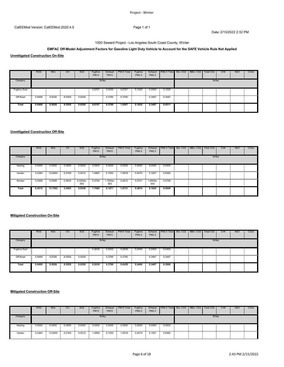# 1000 Seward Project - Los Angeles-South Coast County, Winter

# **EMFAC Off-Model Adjustment Factors for Gasoline Light Duty Vehicle to Account for the SAFE Vehicle Rule Not Applied**

**Unmitigated Construction On-Site**

|                      | <b>ROG</b> | <b>NO<sub>x</sub></b> | $\overline{c}$ | SO <sub>2</sub> | Fugitive<br><b>PM10</b> | Exhaust<br><b>PM10</b> | PM10 Total | Fugitive<br>PM2.5              | PM2.5  | Exhaust   PM2.5 Total   Bio- CO2   NBio- CO2 |  | Total CO <sub>2</sub> | CH <sub>4</sub> | <b>N2O</b> | CO <sub>2e</sub> |
|----------------------|------------|-----------------------|----------------|-----------------|-------------------------|------------------------|------------|--------------------------------|--------|----------------------------------------------|--|-----------------------|-----------------|------------|------------------|
| Category             |            |                       |                |                 | lb/day                  |                        |            |                                |        |                                              |  | lb/day                |                 |            |                  |
| <b>Fugitive Dust</b> |            |                       |                |                 | 0.6767                  | 0.0000                 |            | 0.6767  0.1025  0.0000  0.1025 |        |                                              |  |                       |                 |            |                  |
| Off-Road             | 0.9499     | 9.5026                | 8.5555         | 0.0208          |                         | 0.3790                 | 0.3790     |                                | 0.3487 | 0.3487                                       |  |                       |                 |            |                  |
| Total                | 0.9499     | 9.5026                | 8.5555         | 0.0208          | 0.6767                  | 0.3790                 | 1.0557     | 0.1025                         | 0.3487 | 0.4511                                       |  |                       |                 |            |                  |

#### **Unmitigated Construction Off-Site**

|            | <b>ROG</b> | <b>NO<sub>x</sub></b> | CO.             | SO <sub>2</sub> | Fugitive<br><b>PM10</b> | Exhaust<br><b>PM10</b> | PM10 Total | Fugitive<br>PM2.5 | Exhaust<br>PM2.5 | PM2.5 Total Bio-CO2 NBio-CO2 |  | Total CO <sub>2</sub> | CH <sub>4</sub> | <b>N2O</b> | CO <sub>2</sub> e |
|------------|------------|-----------------------|-----------------|-----------------|-------------------------|------------------------|------------|-------------------|------------------|------------------------------|--|-----------------------|-----------------|------------|-------------------|
| Category   |            |                       |                 |                 |                         | Ib/day                 |            |                   |                  |                              |  | lb/day                |                 |            |                   |
| Hauling    | 0.0000     | 0.0000                | 0.0000<br>- 200 | 0.0000          | 0.0000                  | 0.0000                 | 0.0000     | 0.0000            | 0.0000           | 0.0000                       |  |                       |                 |            |                   |
| Vendor     | 0.3284     | 13.6564               | 2.5169          | 0.0512          | 1.4865                  | 0.1053                 | 1.5918     | 0.4075            | 0.1007           | 0.5082                       |  |                       |                 |            |                   |
| <br>Worker | 0.0926     | 0.0698                | 0.9034          | 2.4200e-<br>003 | 0.2794                  | .7900e-<br>003         | 0.2812     | 0.0741            | .6500e-<br>003   | 0.0758                       |  |                       |                 |            |                   |
| Total      | 0.4210     | 13.7262               | 3.4203          | 0.0536          | 1.7660                  | 0.1071                 | 1.8731     | 0.4816            | 0.1024           | 0.5840                       |  |                       |                 |            |                   |

## **Mitigated Construction On-Site**

|               | <b>ROG</b> | <b>NO<sub>x</sub></b> | $\overline{c}$ | SO <sub>2</sub> | Fugitive<br><b>PM10</b> | Exhaust<br><b>PM10</b> | PM10 Total | Fugitive<br>PM2.5 | PM2.5  | Exhaust   PM2.5 Total   Bio- CO2   NBio- CO2 |  | Total CO <sub>2</sub> | CH <sub>4</sub> | <b>N2O</b> | CO <sub>2</sub> e |
|---------------|------------|-----------------------|----------------|-----------------|-------------------------|------------------------|------------|-------------------|--------|----------------------------------------------|--|-----------------------|-----------------|------------|-------------------|
| Category      |            |                       |                |                 | lb/day                  |                        |            |                   |        |                                              |  | lb/day                |                 |            |                   |
| uaitive Dust- |            |                       |                |                 | 0.2639                  | 0.0000                 | 0.2639     | 0.0400            | 0.0000 | 0.0400<br><b>Contract</b>                    |  |                       |                 |            |                   |
| Off-Road      | 0.9499     | 9.5026                | 8.5555         | 0.0208          |                         | 0.3790                 | 0.3790     |                   | 0.3487 | 0.3487                                       |  |                       |                 |            |                   |
| Total         | 0.9499     | 9.5026                | 8.5555         | 0.0208          | 0.2639                  | 0.3790                 | 0.6429     | 0.0400            | 0.3487 | 0.3886                                       |  |                       |                 |            |                   |

|          | <b>ROG</b>       | <b>NO<sub>x</sub></b> | <sub>CO</sub> | SO <sub>2</sub> | Fugitive<br><b>PM10</b> | Exhaust<br><b>PM10</b> | PM10 Total | Fugitive<br>PM2.5 | Exhaust<br>PM2.5 | <b>PM2.5 Total</b> Bio- CO2 NBio- CO2 |   |   | Total CO2 | CH <sub>4</sub> | N <sub>2</sub> O | CO <sub>2</sub> e |
|----------|------------------|-----------------------|---------------|-----------------|-------------------------|------------------------|------------|-------------------|------------------|---------------------------------------|---|---|-----------|-----------------|------------------|-------------------|
| Category |                  |                       |               |                 |                         | lb/dav                 |            |                   |                  |                                       |   |   | lb/dav    |                 |                  |                   |
| Hauling  | 0.0000<br>       | 0.0000                | 0.0000<br>.   | 0.0000<br>.     | 0.0000                  | 0.0000<br>             | 0.0000     | 0.0000            | 0.0000           | 0.0000<br>                            | . | . | .         |                 |                  |                   |
| Vendor   | 0.3284<br>$\sim$ | 13.6564               | 2.5169        | 0.0512<br>п.    | 1.4865                  | 0.1053                 | 1.5918     | 0.4075            | 0.1007           | 0.5082                                |   |   |           |                 |                  |                   |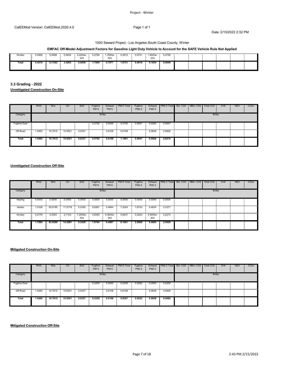#### 1000 Seward Project - Los Angeles-South Coast County, Winter

# **EMFAC Off-Model Adjustment Factors for Gasoline Light Duty Vehicle to Account for the SAFE Vehicle Rule Not Applied**

| Worker | 0.0926 | 0.0698  | J.9034 | $1000 -$<br>003 | 1.2794 | .7900e-<br>003 | 0.2812 | 0.0741 | 1.6500e-<br>003 | 0.0758 |  |  |  |
|--------|--------|---------|--------|-----------------|--------|----------------|--------|--------|-----------------|--------|--|--|--|
|        | 0.4210 | 13.7262 | 3.4203 | 0.0536          | 1.7660 | 0.1071         | 1.8731 | 0.4816 | 0.1024          | 0.5840 |  |  |  |

**3.3 Grading - 2022 Unmitigated Construction On-Site**

|                      | <b>ROG</b> | <b>NO<sub>x</sub></b> | <sub>CO</sub> | SO <sub>2</sub> | Fugitive<br><b>PM10</b> | Exhaust<br><b>PM10</b> | PM10 Total | Fugitive<br>PM2.5 | PM2.5  | Exhaust   PM2.5 Total   Bio- CO2   NBio- CO2 |  | Total CO <sub>2</sub> | CH <sub>4</sub> | <b>N2O</b> | CO <sub>2e</sub> |
|----------------------|------------|-----------------------|---------------|-----------------|-------------------------|------------------------|------------|-------------------|--------|----------------------------------------------|--|-----------------------|-----------------|------------|------------------|
| Category             |            |                       |               |                 | lb/day                  |                        |            |                   |        |                                              |  | lb/day                |                 |            |                  |
| <b>Fugitive Dust</b> |            |                       |               |                 | 0.5792                  | 0.0000                 | 0.5792     | 0.0647            | 0.0000 | 0.0647<br><b>COLLEGE</b>                     |  |                       |                 |            |                  |
| Off-Road             | .5460      | 16.7615 10.6521       |               | 0.0337          |                         | 0.6108                 | 0.6108     |                   | 0.5628 | 0.5628                                       |  |                       |                 |            |                  |
| Total                | 1.5460     | 16.7615               | 10.6521       | 0.0337          | 0.5792                  | 0.6108                 | 1.1901     | 0.0647            | 0.5628 | 0.6274                                       |  |                       |                 |            |                  |

# **Unmitigated Construction Off-Site**

|             | <b>ROG</b> | <b>NO<sub>x</sub></b> | <sub>CO</sub> | SO <sub>2</sub> | Fugitive<br><b>PM10</b> | Exhaust<br><b>PM10</b> | PM10 Total                                                                                                                   | Fugitive<br>PM2.5 | PM2.5                     | Exhaust PM2.5 Total Bio-CO2 NBio-CO2 |  | Total CO2 | CH <sub>4</sub> | <b>N2O</b> | CO <sub>2</sub> e |
|-------------|------------|-----------------------|---------------|-----------------|-------------------------|------------------------|------------------------------------------------------------------------------------------------------------------------------|-------------------|---------------------------|--------------------------------------|--|-----------|-----------------|------------|-------------------|
| Category    |            |                       |               |                 | Ib/day                  |                        |                                                                                                                              |                   |                           |                                      |  | lb/day    |                 |            |                   |
| Hauling     | 0.0000     | 0.0000                | 0.0000        | 0.0000          | 0.0000                  | 0.0000                 | 0.0000                                                                                                                       | 0.0000            | 0.0000                    | 0.0000                               |  |           |                 |            |                   |
| .<br>Vendor | 1.5106     | 62.8195               | 11.5778       | 0.2355          | 6.8381                  | 0.4844                 | 7.3224                                                                                                                       | 1.8743            | 0.4634                    | 2.3377                               |  |           |                 |            |                   |
| Worker      | 0.2778     | 0.2093                | 2.7103        | 7.2600e-<br>003 | 0.8383                  | $5.3600e-$<br>003      | diamaan daanaan maanaan maanaan maanaan dan maanaan maanaan dan maanaan maanaan dan maanaan maanaan maanaan dammaa<br>0.8437 | 0.2223            | $4.9400e - 0.2273$<br>003 |                                      |  |           |                 |            |                   |
| Total       | 1.7884     | 63.0288               | 14.2881       | 0.2428          | 7.6764                  | 0.4897                 | 8.1661                                                                                                                       | 2.0966            | 0.4684                    | 2.5650                               |  |           |                 |            |                   |

# **Mitigated Construction On-Site**

|                           | <b>ROG</b> | <b>NO<sub>x</sub></b> | $\overline{c}$ | SO <sub>2</sub> | Fugitive<br><b>PM10</b> | Exhaust<br><b>PM10</b> | PM10 Total | Fugitive<br>PM2.5 | PM2.5  | Exhaust   PM2.5 Total   Bio- CO2   NBio- CO2   Total CO2 |  |        | CH <sub>4</sub> | <b>N2O</b> | CO <sub>2</sub> e |
|---------------------------|------------|-----------------------|----------------|-----------------|-------------------------|------------------------|------------|-------------------|--------|----------------------------------------------------------|--|--------|-----------------|------------|-------------------|
| Category                  |            |                       |                |                 |                         | lb/day                 |            |                   |        |                                                          |  | lb/day |                 |            |                   |
| <b>Fugitive Dust</b><br>. |            |                       |                |                 | 0.2259                  | 0.0000                 | 0.2259     | 0.0252            | 0.0000 | 0.0252<br><b>Contract</b>                                |  |        |                 |            |                   |
| Off-Road                  | 5460ء ت    | 16.7615               | 10.6521        | 0.0337          |                         | 0.6108                 | 0.6108     |                   | 0.5628 | 0.5628<br><b>Contract Contract Contract</b>              |  |        |                 |            |                   |
| Total                     | 1.5460     | 16.7615               | 10.6521        | 0.0337          | 0.2259                  | 0.6108                 | 0.8367     | 0.0252            | 0.5628 | 0.5880                                                   |  |        |                 |            |                   |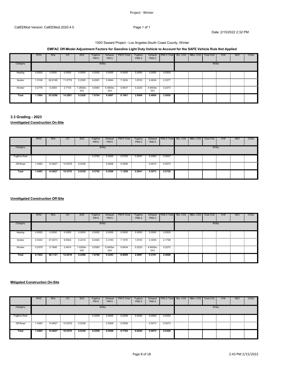# 1000 Seward Project - Los Angeles-South Coast County, Winter

# **EMFAC Off-Model Adjustment Factors for Gasoline Light Duty Vehicle to Account for the SAFE Vehicle Rule Not Applied**

|            | <b>ROG</b> | <b>NO<sub>x</sub></b>                | CO      | SO <sub>2</sub> | Fugitive<br><b>PM10</b> | Exhaust<br><b>PM10</b> | PM10 Total | Fugitive<br>PM2.5 | PM2.5                  | Exhaust PM2.5 Total Bio-CO2 NBio-CO2 |  | Total CO <sub>2</sub> | CH <sub>4</sub> | <b>N2O</b> | CO <sub>2e</sub> |
|------------|------------|--------------------------------------|---------|-----------------|-------------------------|------------------------|------------|-------------------|------------------------|--------------------------------------|--|-----------------------|-----------------|------------|------------------|
| Category   |            |                                      |         |                 |                         | lb/day                 |            |                   |                        |                                      |  | lb/day                |                 |            |                  |
| Hauling    | 0.0000     | 0.0000                               | 0.0000  | 0.0000          | 0.0000                  | 0.0000                 | 0.0000     | 0.0000            | 0.0000                 | 0.0000                               |  |                       |                 |            |                  |
| <br>Vendor | 1.5106     | 62.8195 11.5778 0.2355 6.8381 0.4844 |         |                 |                         |                        | 7.3224     |                   | 1.8743  0.4634  2.3377 |                                      |  |                       |                 |            |                  |
| Worker     | 0.2778     | 0.2093                               | 2.7103  | .2600e-<br>003  | 0.8383                  | 5.3600e-<br>003        | 0.8437     | 0.2223            | 4.9400e-<br>003        | 0.2273                               |  |                       |                 |            |                  |
| Total      | 1.7884     | 63.0288                              | 14.2881 | 0.2428          | 7.6764                  | 0.4897                 | 8.1661     | 2.0966            | 0.4684                 | 2.5650                               |  |                       |                 |            |                  |

# **3.3 Grading - 2023**

# **Unmitigated Construction On-Site**

|               | <b>ROG</b>                                           | <b>NO<sub>x</sub></b> | CO      | SO <sub>2</sub> | Fugitive<br><b>PM10</b> | Exhaust<br><b>PM10</b> | PM10 Total | Fugitive<br>PM2.5 | PM2.5  | Exhaust   PM2.5 Total   Bio- CO2   NBio- CO2 |  | Total CO <sub>2</sub> | CH <sub>4</sub> | <b>N2O</b> | CO <sub>2</sub> e |
|---------------|------------------------------------------------------|-----------------------|---------|-----------------|-------------------------|------------------------|------------|-------------------|--------|----------------------------------------------|--|-----------------------|-----------------|------------|-------------------|
| Category      |                                                      |                       |         |                 | lb/day                  |                        |            |                   |        |                                              |  | lb/day                |                 |            |                   |
| Fugitive Dust |                                                      |                       |         |                 | 0.5792                  | 0.0000                 | 0.5792     | 0.0647            | 0.0000 | 0.0647                                       |  |                       |                 |            |                   |
| Off-Road      | œumumum en mumum en en mumum en mumum en e<br>1.4493 | 14.9627               | 10.5379 | 0.0338          |                         | 0.5506                 | 0.5506     |                   | 0.5073 | 0.5073<br><b>Contract Contract</b>           |  |                       |                 |            |                   |
| Total         | 1.4493                                               | 14.9627               | 10.5379 | 0.0338          | 0.5792                  | 0.5506                 | 1.1298     | 0.0647            | 0.5073 | 0.5720                                       |  |                       |                 |            |                   |

# **Unmitigated Construction Off-Site**

|            | <b>ROG</b> | <b>NO<sub>x</sub></b> | $\overline{c}$ | SO <sub>2</sub> | Fugitive<br><b>PM10</b> | Exhaust<br><b>PM10</b> | PM10 Total                                                                                                                  | Fugitive<br>PM2.5 | Exhaust<br>PM2.5 | PM2.5 Total Bio- CO2 NBio- CO2 |  | Total CO <sub>2</sub> | CH <sub>4</sub> | <b>N2O</b> | CO <sub>2</sub> e |
|------------|------------|-----------------------|----------------|-----------------|-------------------------|------------------------|-----------------------------------------------------------------------------------------------------------------------------|-------------------|------------------|--------------------------------|--|-----------------------|-----------------|------------|-------------------|
| Category   |            |                       |                |                 | lb/day                  |                        |                                                                                                                             |                   |                  |                                |  | lb/day                |                 |            |                   |
| Hauling    | 0.0000     | 0.0000                | 0.0000         | 0.0000          | 0.0000                  | 0.0000                 | 0.0000                                                                                                                      | 0.0000            | 0.0000           | 0.0000                         |  |                       |                 |            |                   |
| <br>Vendor | 0.5343     | 47.9273               | 9.5504         | 0.2216          | 6.8383                  | 0.3193                 | . Immunicum margamaning maramaning margamaning margamaning margamaning margamaning margamaning margamaning margam<br>7.1575 | 1.8743            | 0.3055           | 2.1798                         |  |                       |                 |            |                   |
| <br>Worker | 0.2579     | 0.1848                | 2.4914         | .0300e-<br>003  | 0.8383                  | 5.0400e-<br>003        | 0.8434                                                                                                                      | 0.2223            | 4.6400e-<br>003  | 0.2270                         |  |                       |                 |            |                   |
| Total      | 0.7922     | 48.1121               | 12.0418        | 0.2286          | 7.6766                  | 0.3243                 | 8.0009                                                                                                                      | 2.0967            | 0.3101           | 2.4068                         |  |                       |                 |            |                   |

# **Mitigated Construction On-Site**

|               | <b>ROG</b> | <b>NO<sub>x</sub></b> | <sub>co</sub> | SO <sub>2</sub> | Fugitive<br><b>PM10</b> | Exhaust<br><b>PM10</b> | PM10 Total | Fugitive<br>PM2.5 | Exhaust<br>PM2.5         | PM2.5 Total                                 | Bio-CO2 NBio-CO2 | Total CO <sub>2</sub> | CH <sub>4</sub> | <b>N2O</b> | CO <sub>2e</sub> |
|---------------|------------|-----------------------|---------------|-----------------|-------------------------|------------------------|------------|-------------------|--------------------------|---------------------------------------------|------------------|-----------------------|-----------------|------------|------------------|
| Category      |            |                       |               |                 | lb/day                  |                        |            |                   |                          |                                             |                  | lb/day                |                 |            |                  |
| Fuaitive Dust |            |                       |               |                 | 0.2259                  | 0.0000                 | 0.2259     | 0.0252            | 0.0000<br><b>COLLEGE</b> | 0.0252<br><b>Contract Contract Contract</b> |                  |                       |                 |            |                  |
| Off-Road      | 1.4493     | 14.9627 10.5379       |               | 0.0338          |                         | 0.5506                 | 0.5506     |                   | 0.5073                   | 0.5073                                      |                  |                       |                 |            |                  |
| Total         | 1.4493     | 14.9627               | 10.5379       | 0.0338          | 0.2259                  | 0.5506                 | 0.7765     | 0.0252            | 0.5073                   | 0.5326                                      |                  |                       |                 |            |                  |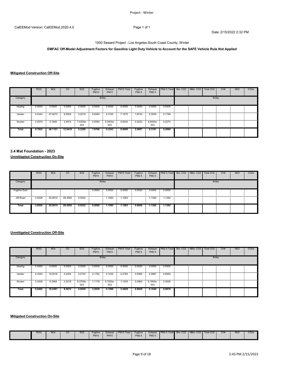# **EMFAC Off-Model Adjustment Factors for Gasoline Light Duty Vehicle to Account for the SAFE Vehicle Rule Not Applied**

# **Mitigated Construction Off-Site**

|            | <b>ROG</b> | <b>NO<sub>x</sub></b> | <sub>CO</sub> | SO <sub>2</sub> | Fugitive<br><b>PM10</b> | Exhaust<br><b>PM10</b> | PM <sub>10</sub> Total | Fugitive<br>PM2.5 | Exhaust<br>PM2.5 | PM2.5 Total                 | Bio-CO <sub>2</sub> | NBio-CO <sub>2</sub> | Total CO2 | CH <sub>4</sub> | N <sub>2</sub> O | CO2e |
|------------|------------|-----------------------|---------------|-----------------|-------------------------|------------------------|------------------------|-------------------|------------------|-----------------------------|---------------------|----------------------|-----------|-----------------|------------------|------|
| Category   |            |                       |               |                 |                         | lb/day                 |                        |                   |                  |                             |                     |                      | lb/day    |                 |                  |      |
| Hauling    | 0.0000     | 0.0000                | 0.0000        | 0.0000          | 0.0000                  | 0.0000                 | 0.0000                 | 0.0000            | 0.0000           | 0.0000<br><b>Contractor</b> |                     |                      |           |                 |                  |      |
| Vendor     | 0.5343     | 47.9273               | 9.5504        | 0.2216          | 6.8383                  | 0.3193                 | 7.1575                 | 1.8743            | 0.3055           | 2.1798                      |                     |                      |           |                 |                  |      |
| <br>Worker | 0.2579     | 0.1848                | 2.4914        | 7.0300e-<br>003 | 0.8383                  | 5.0400e-<br>003        | 0.8434                 | 0.2223            | 4.6400e-<br>003  | 0.2270                      |                     |                      |           |                 |                  |      |
| Total      | 0.7922     | 48.1121               | 12.0418       | 0.2286          | 7.6766                  | 0.3243                 | 8.0009                 | 2.0967            | 0.3101           | 2.4068                      |                     |                      |           |                 |                  |      |

# **3.4 Mat Foundation - 2023**

**Unmitigated Construction On-Site**

|                      | <b>ROG</b> | <b>NO<sub>x</sub></b> | $\overline{c}$ | SO <sub>2</sub> | Fugitive<br><b>PM10</b> | Exhaust<br><b>PM10</b> | PM10 Total | Fugitive<br>PM2.5 | Exhaust<br>PM2.5 | PM2.5 Total Bio-CO2 NBio-CO2 |  | Total CO <sub>2</sub> | CH <sub>4</sub> | <b>N2O</b> | CO <sub>2e</sub> |
|----------------------|------------|-----------------------|----------------|-----------------|-------------------------|------------------------|------------|-------------------|------------------|------------------------------|--|-----------------------|-----------------|------------|------------------|
| Category             |            |                       |                |                 |                         | lb/day                 |            |                   |                  |                              |  | lb/day                |                 |            |                  |
| <b>Fugitive Dust</b> |            |                       |                |                 | 0.0000                  | 0.0000                 | 0.0000     | 0.0000            | 0.0000           | 0.0000                       |  |                       |                 |            |                  |
|                      |            |                       |                |                 |                         |                        |            |                   |                  |                              |  |                       |                 |            |                  |
| <b>Total</b>         | 3.0028     | 25.0815               | 28.4592        | 0.0532          | 0.0000                  | 1.1583                 | 1.1583     | 0.0000            | 1.1392           | 1.1392                       |  |                       |                 |            |                  |

#### **Unmitigated Construction Off-Site**

|            | <b>ROG</b> | NO <sub>x</sub> | <sub>CO</sub> | SO <sub>2</sub>        | Fugitive<br><b>PM10</b> | Exhaust<br><b>PM10</b> | PM10 Total | Fugitive<br>PM2.5 | PM2.5                 | Exhaust PM2.5 Total Bio-CO2 NBio-CO2 Total CO2 |  |        | CH <sub>4</sub> | N <sub>2</sub> O | CO <sub>2e</sub> |
|------------|------------|-----------------|---------------|------------------------|-------------------------|------------------------|------------|-------------------|-----------------------|------------------------------------------------|--|--------|-----------------|------------------|------------------|
| Category   |            |                 |               |                        |                         | lb/day                 |            |                   |                       |                                                |  | lb/day |                 |                  |                  |
| Hauling    | 0.0000     | 0.0000          | 0.0000        | 0.0000                 | 0.0000                  | 0.0000                 | 0.0000     | 0.0000            |                       | $0.0000$ 0.0000                                |  |        |                 |                  |                  |
| <br>Vendor | 0.3044     | 18,0016         | 5.2454        | 0.0742                 | 2.1752                  | 0.1032                 | 2.2784     | 0.5965            | 0.0987                | 0.6952                                         |  |        |                 |                  |                  |
| Worker     | 0.3438     | 0.2464          | 3.3219        | 9.3700e- 1.1178<br>003 |                         | 6.7200e-<br>003        | 1.1245     | 0.2964            | 6.1900e-0.3026<br>003 |                                                |  |        |                 |                  |                  |
| Total      | 0.6482     | 18.2481         | 8.5672        | 0.0836                 | 3.2930                  | 0.1099                 | 3.4029     | 0.8929            | 0.1049                | 0.9978                                         |  |        |                 |                  |                  |

# **Mitigated Construction On-Site**

|  | <b>ROG</b> | <b>NO<sub>x</sub></b> | <sub>CO</sub> | SO <sub>2</sub> | Fugitive<br><b>PM10</b> | Exhaust<br><b>PM10</b> | PM10 Total | Fugitive<br><b>PM2.5</b> | Exhaus.<br><b>PM2.5</b> | PM2.5 Total | Bio-CO <sub>2</sub> | NBio-CO <sub>2</sub> | Total CO <sub>2</sub> | CH <sub>4</sub> | N <sub>2</sub> O | CO <sub>2</sub> e |
|--|------------|-----------------------|---------------|-----------------|-------------------------|------------------------|------------|--------------------------|-------------------------|-------------|---------------------|----------------------|-----------------------|-----------------|------------------|-------------------|
|--|------------|-----------------------|---------------|-----------------|-------------------------|------------------------|------------|--------------------------|-------------------------|-------------|---------------------|----------------------|-----------------------|-----------------|------------------|-------------------|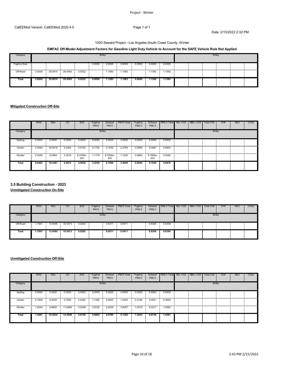# 1000 Seward Project - Los Angeles-South Coast County, Winter

# **EMFAC Off-Model Adjustment Factors for Gasoline Light Duty Vehicle to Account for the SAFE Vehicle Rule Not Applied**

| Category             |        |         |         |        |        | lb/day |        |        | lb/day |        |  |  |  |  |
|----------------------|--------|---------|---------|--------|--------|--------|--------|--------|--------|--------|--|--|--|--|
| <b>Fugitive Dust</b> |        |         |         |        | 0.0000 | 0.0000 | 0.0000 | 0.0000 | 0.0000 | 0.0000 |  |  |  |  |
|                      |        |         |         |        |        |        |        |        |        |        |  |  |  |  |
| Total                | 3.0028 | 25.0815 | 28.4592 | 0.0532 | 0.0000 | 1.1583 | 1.1583 | 0.0000 | 1.1392 | 1.1392 |  |  |  |  |

## **Mitigated Construction Off-Site**

|            | <b>ROG</b> | <b>NO<sub>x</sub></b> | <sub>CO</sub> | SO <sub>2</sub> | Fugitive<br><b>PM10</b> | Exhaust<br><b>PM10</b> | PM <sub>10</sub> Total                                                                                                       | Fugitive<br>PM2.5 | PM2.5           | Exhaust PM2.5 Total Bio-CO2 NBio-CO2 I |  | Total CO2 | CH <sub>4</sub> | N <sub>2</sub> O | CO <sub>2e</sub> |
|------------|------------|-----------------------|---------------|-----------------|-------------------------|------------------------|------------------------------------------------------------------------------------------------------------------------------|-------------------|-----------------|----------------------------------------|--|-----------|-----------------|------------------|------------------|
| Category   |            |                       |               |                 |                         | lb/day                 |                                                                                                                              |                   |                 |                                        |  | lb/day    |                 |                  |                  |
| Hauling    | 0.0000     | 0.0000                | 0.0000        | 0.0000          | 0.0000                  | 0.0000                 | 0.0000                                                                                                                       | 0.0000            | 0.0000          | 0.0000                                 |  |           |                 |                  |                  |
| <br>Vendor | 0.3044     | 18.0016               | 5.2454        | 0.0742          | 2.1752                  | 0.1032                 | 2.2784                                                                                                                       | 0.5965            | 0.0987          | 0.6952                                 |  |           |                 |                  |                  |
| <br>Worker | 0.3438     | 0.2464                | 3.3219        | 9.3700e-<br>003 | 1.1178                  | 6.7200e-<br>003        | diamaan daanaan maanaan maanaan maanaan dan maanaan maanaan dan maanaan maanaan dan maanaan maanaan maanaan dammaa<br>1.1245 | 0.2964            | 6.1900e-<br>003 | 0.3026                                 |  |           |                 |                  |                  |
| Total      | 0.6482     | 18.2481               | 8.5672        | 0.0836          | 3.2930                  | 0.1099                 | 3.4029                                                                                                                       | 0.8929            | 0.1049          | 0.9978                                 |  |           |                 |                  |                  |

# **3.5 Building Construction - 2023**

**Unmitigated Construction On-Site**

|              | <b>ROG</b> | <b>NO<sub>x</sub></b> | $\overline{c}$ | SO <sub>2</sub> | Fugitive<br><b>PM10</b> | Exhaust<br><b>PM10</b> | PM10 Total | Fugitive<br>PM2.5 | Exhaust<br>PM2.5 | PM2.5 Total Bio-CO2 NBio-CO2 Total CO2 |  |        | CH <sub>4</sub> | <b>N2O</b> | CO <sub>2</sub> e |
|--------------|------------|-----------------------|----------------|-----------------|-------------------------|------------------------|------------|-------------------|------------------|----------------------------------------|--|--------|-----------------|------------|-------------------|
| Category     |            |                       |                |                 | lb/day                  |                        |            |                   |                  |                                        |  | lb/day |                 |            |                   |
| Off-Road     | 1.7947     | 13.6495               | 18.5473        | 0.0292          |                         | 0.6471                 | 0.6471     |                   | 0.6308           | 0.6308                                 |  |        |                 |            |                   |
| <b>Total</b> | 1.7947     | 13.6495               | 18.5473        | 0.0292          |                         | 0.6471                 | 0.6471     |                   | 0.6308           | 0.6308                                 |  |        |                 |            |                   |

|              | <b>ROG</b> | <b>NO<sub>x</sub></b> | <sub>CO</sub>            | SO <sub>2</sub> | Fugitive<br><b>PM10</b> | Exhaust<br><b>PM10</b> | PM10 Total | Fugitive<br>PM2.5 | Exhaust<br>PM2.5 | PM2.5 Total                        | Bio-CO2 NBio-CO2 | Total CO <sub>2</sub> | CH <sub>4</sub> | <b>N2O</b> | CO <sub>2e</sub> |
|--------------|------------|-----------------------|--------------------------|-----------------|-------------------------|------------------------|------------|-------------------|------------------|------------------------------------|------------------|-----------------------|-----------------|------------|------------------|
| Category     |            |                       |                          |                 |                         | lb/day                 |            |                   |                  |                                    |                  | lb/day                |                 |            |                  |
| Hauling<br>. | 0.0000     | 0.0000                | 0.0000                   | 0.0000          | 0.0000                  | 0.0000                 | 0.0000     | 0.0000            |                  | $0.0000$ $0.0000$                  |                  |                       |                 |            |                  |
| Vendor       | 0.1606     | 9.5009                | 2.7684<br><b>COLLEGE</b> | 0.0392          | 1.1480                  | 0.0545<br>$\sim$       | .2025      | 0.3148            | 0.0521           | 0.3669<br><b>Contract Contract</b> |                  |                       |                 |            | .                |
| Worker       | 1.2034     | 0.8625                | 11.6265                  | 0.0328          | 3.9122                  | 0.0235                 | 3.9357     | 1.0375            | 0.0217           | 1.0592                             |                  |                       |                 |            |                  |
| Total        | 1.3641     | 10.3634               | 14.3949                  | 0.0720          | 5.0602                  | 0.0780                 | 5.1382     | 1.3523            | 0.0738           | 1.4261                             |                  |                       |                 |            |                  |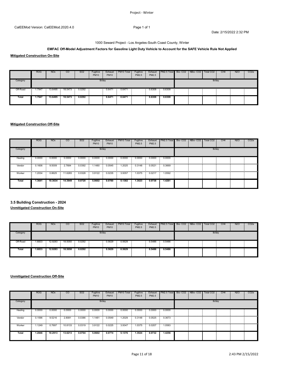#### 1000 Seward Project - Los Angeles-South Coast County, Winter

# **EMFAC Off-Model Adjustment Factors for Gasoline Light Duty Vehicle to Account for the SAFE Vehicle Rule Not Applied**

**Mitigated Construction On-Site**

|          | <b>ROG</b> | <b>NO<sub>x</sub></b> | $\overline{c}$  | SO <sub>2</sub> | Fugitive<br><b>PM10</b> | Exhaust<br><b>PM10</b> | PM10 Total | Fugitive<br>PM2.5 | PM2.5  | Exhaust   PM2.5 Total   Bio- CO2   NBio- CO2   Total CO2 |  |        | CH <sub>4</sub> | N <sub>2</sub> O | CO <sub>2</sub> e |
|----------|------------|-----------------------|-----------------|-----------------|-------------------------|------------------------|------------|-------------------|--------|----------------------------------------------------------|--|--------|-----------------|------------------|-------------------|
| Category |            |                       |                 |                 | lb/day                  |                        |            |                   |        |                                                          |  | lb/day |                 |                  |                   |
| Off-Road | 1.7947     |                       | 13.6495 18.5473 | 0.0292          |                         | 0.6471                 | 0.6471     |                   |        | $0.6308$ 0.6308                                          |  |        |                 |                  |                   |
| Total    | 1.7947     | 13.6495               | 18.5473         | 0.0292          |                         | 0.6471                 | 0.6471     |                   | 0.6308 | 0.6308                                                   |  |        |                 |                  |                   |

# **Mitigated Construction Off-Site**

|            | <b>ROG</b> | <b>NO<sub>x</sub></b> | <sub>CO</sub> | SO <sub>2</sub> | Fugitive<br><b>PM10</b> | Exhaust<br><b>PM10</b> | PM10 Total | Fugitive<br>PM2.5 | Exhaust<br>PM2.5 | <b>I PM2.5 Total Bio- CO2 I NBio- CO2 I</b> |  | Total CO2 | CH <sub>4</sub> | N <sub>2</sub> O | CO <sub>2e</sub> |
|------------|------------|-----------------------|---------------|-----------------|-------------------------|------------------------|------------|-------------------|------------------|---------------------------------------------|--|-----------|-----------------|------------------|------------------|
| Category   |            |                       |               |                 | lb/day                  |                        |            |                   |                  |                                             |  | lb/day    |                 |                  |                  |
| Hauling    | 0.0000     | 0.0000<br>- 21        | 0.0000        | 0.0000          | 0.0000                  | 0.0000                 | 0.0000     | 0.0000            | 0.0000           | 0.0000                                      |  |           |                 |                  |                  |
| <br>Vendor | 0.1606     | 9.5009                | 2.7684        | 0.0392          | 1.1480                  | 0.0545                 | .2025      | 0.3148            | 0.0521           | 0.3669<br>$\sim$                            |  |           |                 |                  |                  |
| Worker     | 1.2034     | 0.8625                | 11.6265       | 0.0328          | 3.9122                  | 0.0235                 | 3.9357     | 1.0375            | 0.0217           | 1.0592                                      |  |           |                 |                  |                  |
| Total      | 1.3641     | 10.3634               | 14.3949       | 0.0720          | 5.0602                  | 0.0780                 | 5.1382     | 1.3523            | 0.0738           | 1.4261                                      |  |           |                 |                  |                  |

**3.5 Building Construction - 2024**

**Unmitigated Construction On-Site**

|          | <b>ROG</b>  | <b>NO<sub>x</sub></b> | CO      | SO <sub>2</sub> | Fugitive<br><b>PM10</b> | Exhaust<br><b>PM10</b> | PM10 Total | Fugitive<br>PM2.5 | PM2.5  | Exhaust   PM2.5 Total   Bio- CO2   NBio- CO2   Total CO2 |  |        | CH <sub>4</sub> | <b>N2O</b> | CO <sub>2</sub> e |
|----------|-------------|-----------------------|---------|-----------------|-------------------------|------------------------|------------|-------------------|--------|----------------------------------------------------------|--|--------|-----------------|------------|-------------------|
| Category |             |                       |         |                 | lb/day                  |                        |            |                   |        |                                                          |  | lb/day |                 |            |                   |
| Off-Road | 1.6833<br>- | 12.9283               | 18.5050 | 0.0292          |                         | 0.5629                 | 0.5629     |                   | 0.5486 | 0.5486<br>in the                                         |  |        |                 |            |                   |
| Total    | 1.6833      | 12.9283               | 18.5050 | 0.0292          |                         | 0.5629                 | 0.5629     |                   | 0.5486 | 0.5486                                                   |  |        |                 |            |                   |

|          | <b>ROG</b> | <b>NO<sub>x</sub></b> | $\overline{c}$ | SO <sub>2</sub>          | Fugitive<br><b>PM10</b> | Exhaust<br><b>PM10</b> | PM10 Total | Fugitive<br>PM2.5 | PM2.5  | Exhaust PM2.5 Total Bio-CO2 NBio-CO2 |  | Total CO <sub>2</sub> | CH <sub>4</sub> | N <sub>2</sub> O | CO <sub>2e</sub> |
|----------|------------|-----------------------|----------------|--------------------------|-------------------------|------------------------|------------|-------------------|--------|--------------------------------------|--|-----------------------|-----------------|------------------|------------------|
| Category |            |                       |                |                          |                         | lb/day                 |            |                   |        |                                      |  | lb/day                |                 |                  |                  |
| Hauling  | 0.0000     | 0.0000                | 0.0000         | 0.0000<br><b>COLLECT</b> | 0.0000                  | 0.0000                 | 0.0000     | 0.0000            | 0.0000 | 0.0000                               |  |                       |                 |                  |                  |
| Vendor   | 0.1596     | 9.5216                |                | 2.8081 0.0386            | 1.1481                  | 0.0549                 | 1.2029     | 0.3148            |        | 0.0525 0.3673                        |  |                       |                 |                  |                  |
| Worker   | 1.1249     | 0.7697                | 10.8133        | 0.0319                   | 3.9122                  | 0.0225                 | 3.9347     | 1.0375            | 0.0207 | 1.0583                               |  |                       |                 |                  |                  |
| Total    | 1.2846     | 10.2913               | 13.6213        | 0.0704                   | 5.0602                  | 0.0774                 | 5.1376     | 1.3524            | 0.0732 | 1.4256                               |  |                       |                 |                  |                  |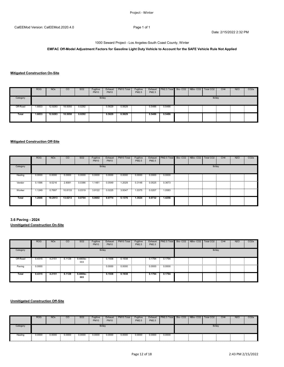1000 Seward Project - Los Angeles-South Coast County, Winter

# **EMFAC Off-Model Adjustment Factors for Gasoline Light Duty Vehicle to Account for the SAFE Vehicle Rule Not Applied**

# **Mitigated Construction On-Site**

|          | <b>ROG</b> | NO <sub>x</sub> | CO.                       | SO <sub>2</sub> | Fugitive<br><b>PM10</b> | Exhaust<br><b>PM10</b> | PM10 Total | Fugitive<br>PM2.5 | PM2.5  | Exhaust   PM2.5 Total   Bio- CO2   NBio- CO2 |  | Total CO2 | CH <sub>4</sub> | N <sub>2</sub> O | CO <sub>2</sub> e |
|----------|------------|-----------------|---------------------------|-----------------|-------------------------|------------------------|------------|-------------------|--------|----------------------------------------------|--|-----------|-----------------|------------------|-------------------|
| Category |            |                 |                           |                 | lb/day                  |                        |            |                   |        |                                              |  | lb/day    |                 |                  |                   |
| Off-Road | .6833      | 12.9283         | 18.5050<br><b>COLLEGE</b> | 0.0292          |                         | 0.5629                 | 0.5629     |                   | 0.5486 | 0.5486                                       |  |           |                 |                  |                   |
| Total    | 1.6833     | 12.9283         | 18.5050                   | 0.0292          |                         | 0.5629                 | 0.5629     |                   | 0.5486 | 0.5486                                       |  |           |                 |                  |                   |

## **Mitigated Construction Off-Site**

|             | <b>ROG</b> | <b>NO<sub>x</sub></b> | <sub>CO</sub> | SO <sub>2</sub>                              | Fugitive<br><b>PM10</b>             | Exhaust<br><b>PM10</b> | PM10 Total | Fugitive<br>PM2.5 | Exhaust<br>PM2.5 | PM2.5 Total Bio-CO2 NBio-CO2                |  | Total CO <sub>2</sub> | CH <sub>4</sub> | <b>N2O</b> | CO <sub>2</sub> e |
|-------------|------------|-----------------------|---------------|----------------------------------------------|-------------------------------------|------------------------|------------|-------------------|------------------|---------------------------------------------|--|-----------------------|-----------------|------------|-------------------|
| Category    |            |                       |               |                                              | lb/day                              |                        |            |                   |                  |                                             |  | lb/day                |                 |            |                   |
| Hauling     | 0.0000     | 0.0000                | 0.0000        | 0.0000<br>$\sim$<br><b>Contract Contract</b> | 0.0000                              | 0.0000                 | 0.0000     | 0.0000            | 0.0000           | 0.0000<br><b>Contract Contract Contract</b> |  |                       |                 |            |                   |
| Vendor      | 0.1596     | 9.5216                | 2.8081        | 0.0386                                       | 1.1481                              | 0.0549                 | 1.2029     | 0.3148            | 0.0525           | 0.3673                                      |  |                       |                 |            |                   |
| .<br>Worker | .1249      | 0.7697                | 10.8133       | 0.0319                                       | 3.9122<br><b><i><u>ALCO</u></i></b> | 0.0225                 | 3.9347     | 1.0375            | 0.0207           | .0583<br><b>COLL</b>                        |  |                       |                 |            |                   |
| Total       | 1.2846     | 10.2913               | 13.6213       | 0.0704                                       | 5.0602                              | 0.0774                 | 5.1376     | 1.3524            | 0.0732           | 1.4256                                      |  |                       |                 |            |                   |

# **3.6 Paving - 2024 Unmitigated Construction On-Site**

|          | <b>ROG</b> | <b>NO<sub>x</sub></b> | CO               | SO <sub>2</sub>   | Fugitive<br><b>PM10</b> | Exhaust<br><b>PM10</b> | PM10 Total | Fugitive<br>PM2.5 | PM2.5  | Exhaust   PM2.5 Total   Bio- CO2   NBio- CO2 |  | Total CO <sub>2</sub> | CH <sub>4</sub> | <b>N2O</b> | CO <sub>2e</sub> |
|----------|------------|-----------------------|------------------|-------------------|-------------------------|------------------------|------------|-------------------|--------|----------------------------------------------|--|-----------------------|-----------------|------------|------------------|
| Category |            |                       |                  |                   | lb/day                  |                        |            |                   |        |                                              |  | lb/day                |                 |            |                  |
| Off-Road | 0.4315     | 4.2151                | 6.1128<br>$\sim$ | $9.4800e-$<br>003 |                         | 0.1938                 | 0.1938     |                   | 0.1794 | 0.1794                                       |  |                       |                 |            |                  |
| Paving   | 0.0000     |                       |                  |                   |                         | 0.0000                 | 0.0000     |                   |        | $0.0000$ $0.0000$                            |  |                       |                 |            |                  |
| Total    | 0.4315     | 4.2151                | 6.1128           | $9.4800e-$<br>003 |                         | 0.1938                 | 0.1938     |                   | 0.1794 | 0.1794                                       |  |                       |                 |            |                  |

|                                                                                                                                                            | <b>ROG</b> | <b>NO<sub>x</sub></b> | CO     | SO <sub>2</sub> | Fugitive<br><b>PM10</b> | Exhaust<br><b>PM10</b> | PM10 Total | Fugitive<br>PM2.5 | Exhaust<br>PM2.5 | PM2.5 Total Bio-CO2 NBio-CO2 Total CO2 |  |  |        | CH <sub>4</sub> | <b>N2O</b> | CO <sub>2</sub> e |
|------------------------------------------------------------------------------------------------------------------------------------------------------------|------------|-----------------------|--------|-----------------|-------------------------|------------------------|------------|-------------------|------------------|----------------------------------------|--|--|--------|-----------------|------------|-------------------|
| Category                                                                                                                                                   |            | Ib/day                |        |                 |                         |                        |            |                   |                  |                                        |  |  | lb/day |                 |            |                   |
| Hauling<br>$\overline{\phantom{0}}$<br>and the contract of the contract of the contract of the contract of the contract of the contract of the contract of | 0.0000     | 0.0000                | 0.0000 | 0.0000          | 0.0000                  | 0.0000                 | 0.0000     | 0.0000            | 0.0000           | 0.0000                                 |  |  |        |                 |            |                   |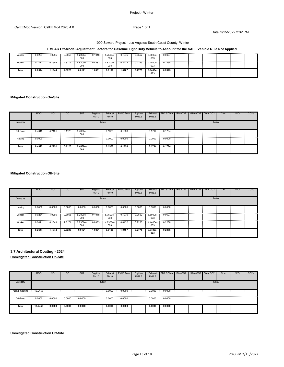# Project ‐ Winter

#### CalEEMod Version: CalEEMod.2020.4.0 Page 1 of 1

Date: 2/15/2022 2:32 PM

# 1000 Seward Project - Los Angeles-South Coast County, Winter

# **EMFAC Off-Model Adjustment Factors for Gasoline Light Duty Vehicle to Account for the SAFE Vehicle Rule Not Applied**

| <br>Vendor<br> | 0.0234 | .0295  | 0.3055 | .<br>5.2800e-<br>003 | 0.1918 | 5.7500e-<br>003 | 0.1975 | <br>0.0552 | 5.5000e-        | 0.0607 |  |  |  |
|----------------|--------|--------|--------|----------------------|--------|-----------------|--------|------------|-----------------|--------|--|--|--|
| Worker         | 0.2411 | J.1649 | 2.3171 | 003                  | 0.8383 | 4.8300e-<br>003 | 0.8432 | 0.2223     | 4.4400e-<br>ററദ | 0.2268 |  |  |  |
| Total          | 0.2644 | 1.1944 | 2.6226 | 0.0121               | 1.0301 | 0.0106          | 1.0407 | 0.2775     | 9.9400e-<br>003 | 0.2875 |  |  |  |

# **Mitigated Construction On-Site**

|          | <b>ROG</b>         | <b>NO<sub>x</sub></b> | $\overline{c}$ | SO <sub>2</sub>                 | Fugitive<br><b>PM10</b> | Exhaust<br><b>PM10</b> | PM10 Total | Fugitive<br>PM2.5 | Exhaust<br>PM2.5 | PM2.5 Total Bio-CO2 NBio-CO2 |  | Total CO <sub>2</sub> | CH <sub>4</sub> | N <sub>2</sub> O | CO <sub>2</sub> e |
|----------|--------------------|-----------------------|----------------|---------------------------------|-------------------------|------------------------|------------|-------------------|------------------|------------------------------|--|-----------------------|-----------------|------------------|-------------------|
| Category |                    |                       |                |                                 | lb/day                  |                        |            |                   |                  |                              |  | lb/day                |                 |                  |                   |
| Off-Road | 0.4315<br>٠        |                       |                | 4.2151  6.1128  9.4800e-<br>003 |                         | 0.1938                 | 0.1938     |                   |                  | 0.1794 0.1794                |  |                       |                 |                  |                   |
| Paving   | $\equiv$<br>0.0000 |                       |                |                                 |                         | 0.0000                 | 0.0000     |                   |                  | $0.0000$ $0.0000$            |  |                       |                 |                  |                   |
| Total    | 0.4315             | 4.2151                | 6.1128         | $9.4800e-$<br>003               |                         | 0.1938                 | 0.1938     |                   | 0.1794           | 0.1794                       |  |                       |                 |                  |                   |

# **Mitigated Construction Off-Site**

|          | <b>ROG</b> | NO <sub>x</sub> | <sub>CO</sub> | SO <sub>2</sub>   | Fugitive<br><b>PM10</b> | Exhaust<br><b>PM10</b> | PM10 Total | Fugitive<br>PM2.5 | PM2.5                      | Exhaust   PM2.5 Total   Bio- CO2   NBio- CO2 |  | Total CO2 | CH <sub>4</sub> | N <sub>2</sub> O | CO <sub>2e</sub> |
|----------|------------|-----------------|---------------|-------------------|-------------------------|------------------------|------------|-------------------|----------------------------|----------------------------------------------|--|-----------|-----------------|------------------|------------------|
| Category |            |                 |               |                   | lb/day                  |                        |            |                   |                            |                                              |  | lb/day    |                 |                  |                  |
| Hauling  | 0.0000     | 0.0000          | 0.0000        | 0.0000            | 0.0000                  | 0.0000                 | 0.0000     | 0.0000            | 0.0000                     | 0.0000<br>- 200                              |  |           |                 |                  |                  |
| Vendor   | 0.0234     | .0295           | 0.3055        | 5.2800e-<br>003   | 0.1918                  | 5.7500e-<br>003        | 0.1975     | 0.0552            | $-5.5000e-$<br>003         | 0.0607                                       |  |           |                 |                  |                  |
| Worker   | 0.2411     | 0.1649          | 2.3171        | $6.8300e-$<br>003 | 0.8383                  | 4.8300e-<br>003        | 0.8432     | 0.2223            | $-4.4400e - 0.2268$<br>003 |                                              |  |           |                 |                  |                  |
| Total    | 0.2644     | 1.1944          | 2.6226        | 0.0121            | 1.0301                  | 0.0106                 | 1.0407     | 0.2775            | $9.9400e-$<br>003          | 0.2875                                       |  |           |                 |                  |                  |

# **3.7 Architectural Coating - 2024**

|                 | <b>ROG</b>        | <b>NO<sub>x</sub></b> | CO     | SO <sub>2</sub>                    | Fugitive<br><b>PM10</b> | Exhaust<br><b>PM10</b> | PM10 Total | Fugitive<br>PM2.5 | Exhaust<br>PM2.5 | PM2.5 Total Bio- CO2 NBio- CO2 |  | Total CO <sub>2</sub> | CH <sub>4</sub> | <b>N2O</b> | CO <sub>2</sub> e |
|-----------------|-------------------|-----------------------|--------|------------------------------------|-------------------------|------------------------|------------|-------------------|------------------|--------------------------------|--|-----------------------|-----------------|------------|-------------------|
| Category        |                   |                       |        |                                    |                         | lb/day                 |            |                   |                  |                                |  | lb/day                |                 |            |                   |
| Archit. Coating | 13.2458<br>$\sim$ |                       |        |                                    |                         | 0.0000                 | 0.0000     |                   | 0.0000           | 0.0000<br><b>COLLEGE</b>       |  |                       |                 |            |                   |
| Off-Road        | 0.0000            | 0.0000<br>$\sim$      | 0.0000 | 0.0000<br><b>Contract Contract</b> |                         | 0.0000                 | 0.0000     |                   | 0.0000           | 0.0000<br><b>Contract</b>      |  |                       |                 |            |                   |
| Total           | 13.2458           | 0.0000                | 0.0000 | 0.0000                             |                         | 0.0000                 | 0.0000     |                   | 0.0000           | 0.0000                         |  |                       |                 |            |                   |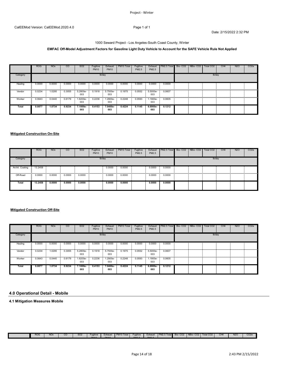# **EMFAC Off-Model Adjustment Factors for Gasoline Light Duty Vehicle to Account for the SAFE Vehicle Rule Not Applied**

|            | <b>ROG</b> | NO <sub>x</sub> | <sub>CO</sub> | SO <sub>2</sub> | Fugitive<br><b>PM10</b> | Exhaust<br><b>PM10</b> | PM10 Total | Fugitive<br>PM2.5 | Exhaust<br>PM2.5              | PM2.5 Total                        | Bio-CO2 NBio-CO2 | Total CO <sub>2</sub> | CH <sub>4</sub> | N <sub>2</sub> O | CO <sub>2e</sub> |
|------------|------------|-----------------|---------------|-----------------|-------------------------|------------------------|------------|-------------------|-------------------------------|------------------------------------|------------------|-----------------------|-----------------|------------------|------------------|
| Category   |            |                 |               |                 | lb/day                  |                        |            |                   |                               |                                    |                  | lb/day                |                 |                  |                  |
| Hauling    | 0.0000     | 0.0000          | 0.0000        | 0.0000          | 0.0000                  | 0.0000                 | 0.0000     | 0.0000            | 0.0000                        | 0.0000<br><b>Contract Contract</b> |                  |                       |                 |                  |                  |
| <br>Vendor | 0.0234     | 1.0295          | 0.3055        | 5.2800e-        | 0.1918                  | 5.7500e-<br>003        | 0.1975     | 0.0552            | 5.5000e-<br>003               | 0.0607                             |                  |                       |                 |                  |                  |
| <br>Worker | 0.0643     | 0.0440          | 0.6179        | 1.8200e-<br>003 | 0.2236                  | 1.2900e-<br>003        | 0.2248     |                   | 0.0593 1.1900e- 0.0605<br>003 |                                    |                  |                       |                 |                  |                  |
| Total      | 0.0877     | 1.0734          | 0.9234        | 7.1000e-<br>003 | 0.4153                  | 7.0400e-<br>003        | 0.4224     | 0.1145            | $6.6900e-$<br>003             | 0.1212                             |                  |                       |                 |                  |                  |

# **Mitigated Construction On-Site**

|                                                                                                                                                                                                                                                   | <b>ROG</b> | <b>NO<sub>x</sub></b> | $\overline{c}$ | SO <sub>2</sub> | Fugitive<br><b>PM10</b> | Exhaust<br><b>PM10</b> | PM10 Total | Fugitive<br>PM2.5 | Exhaust<br>PM2.5 | PM2.5 Total Bio-CO2 NBio-CO2 |  | Total CO <sub>2</sub> | CH <sub>4</sub> | <b>N2O</b> | CO <sub>2</sub> e |
|---------------------------------------------------------------------------------------------------------------------------------------------------------------------------------------------------------------------------------------------------|------------|-----------------------|----------------|-----------------|-------------------------|------------------------|------------|-------------------|------------------|------------------------------|--|-----------------------|-----------------|------------|-------------------|
| Category                                                                                                                                                                                                                                          |            |                       |                |                 | lb/day                  |                        |            |                   |                  |                              |  | lb/day                |                 |            |                   |
| Archit. Coating<br>www.communication.com/www.communication.com/www.communication.com/www.com/www.com/www.com/www.com/www.com/www.com/www.com/www.com/www.com/www.com/www.com/www.com/www.com/www.com/www.com/www.com/www.com/www.com/www.com/www. | 13.2458    |                       |                |                 |                         | 0.0000                 | 0.0000     |                   | 0.0000           | 0.0000<br>12.11              |  |                       |                 |            |                   |
| Off-Road                                                                                                                                                                                                                                          | 0.0000     | 0.0000                | 0.0000         | 0.0000          |                         | 0.0000                 | 0.0000     |                   | 0.0000           | 0.0000<br>200                |  |                       |                 |            |                   |
| Total                                                                                                                                                                                                                                             | 13.2458    | 0.0000                | 0.0000         | 0.0000          |                         | 0.0000                 | 0.0000     |                   | 0.0000           | 0.0000                       |  |                       |                 |            |                   |

# **Mitigated Construction Off-Site**

|          | <b>ROG</b> | <b>NO<sub>x</sub></b> | <sub>CO</sub> | SO <sub>2</sub> | Fugitive<br><b>PM10</b> | Exhaust<br><b>PM10</b> | PM <sub>10</sub> Total | Fugitive<br>PM2.5 | Exhaust<br>PM2.5         | PM2.5 Total Bio- CO2 NBio- CO2     |  | Total CO <sub>2</sub> | CH <sub>4</sub> | <b>N2O</b> | CO <sub>2</sub> e |
|----------|------------|-----------------------|---------------|-----------------|-------------------------|------------------------|------------------------|-------------------|--------------------------|------------------------------------|--|-----------------------|-----------------|------------|-------------------|
| Category |            |                       |               |                 |                         | Ib/day                 |                        |                   |                          |                                    |  | lb/day                |                 |            |                   |
| Hauling  | 0.0000     | 0.0000<br>. .         | 0.0000        | 0.0000          | 0.0000                  | 0.0000                 | 0.0000                 | 0.0000            | 0.0000<br><b>Section</b> | 0.0000<br>in 1999.                 |  |                       |                 |            |                   |
| Vendor   | 0.0234     | 1.0295                | 0.3055        | 5.2800e-<br>003 | 0.1918                  | 5.7500e-<br>003        | 0.1975                 | 0.0552            | 5.5000e-0.0607<br>003    |                                    |  |                       |                 |            |                   |
| Worker   | 0.0643     | 0.0440                | 0.6179        | .8200e-<br>003  | 0.2236                  | 1.2900e-<br>003        | 0.2248                 | 0.0593            | 1.1900e-<br>003          | 0.0605<br><b>Contract Contract</b> |  |                       |                 |            |                   |
| Total    | 0.0877     | 1.0734                | 0.9234        | 7.1000e-<br>003 | 0.4153                  | 7.0400e-<br>003        | 0.4224                 | 0.1145            | 6.6900e-<br>003          | 0.1212                             |  |                       |                 |            |                   |

# **4.0 Operational Detail - Mobile**

**4.1 Mitigation Measures Mobile**

| Ш | <b>ROG</b> | <b>NO<sub>x</sub></b> | $\sim$<br>UU | <b>SO2</b> | <b>Fugitive</b><br>B <sub>1</sub> | Exhaust<br>$B = 140$ | PM <sub>10</sub> Total | Fuaitive<br>$P = 10k$ | Exhaus:<br>B101 | PM2.5 Total | Bio-CO <sub>2</sub> | NBio-CO <sub>2</sub> | Total CO <sub>2</sub> | CH <sub>4</sub> | N2C | CO <sub>2</sub> e |
|---|------------|-----------------------|--------------|------------|-----------------------------------|----------------------|------------------------|-----------------------|-----------------|-------------|---------------------|----------------------|-----------------------|-----------------|-----|-------------------|
|   |            |                       |              |            |                                   |                      |                        |                       |                 |             |                     |                      |                       |                 |     |                   |
|   |            |                       |              |            |                                   |                      |                        |                       |                 |             |                     |                      |                       |                 |     |                   |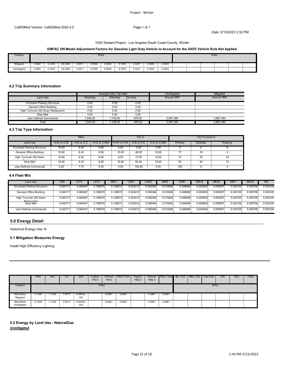#### 1000 Seward Project - Los Angeles-South Coast County, Winter

# **EMFAC Off-Model Adjustment Factors for Gasoline Light Duty Vehicle to Account for the SAFE Vehicle Rule Not Applied**

| Category    |                               |              |         |                    |        | lb/day      |        |        |        |        |   | lb/day |   |  |
|-------------|-------------------------------|--------------|---------|--------------------|--------|-------------|--------|--------|--------|--------|---|--------|---|--|
| Mitigated   | 3.9861<br>- 11                | +.1463       | 38.0289 | 0.0811             | 9.0999 | 0.0606      | 9.1605 | 2.4241 | 0.0563 | 2.4803 | . |        | . |  |
| Jnmitigated | - 1<br>0.000<br>$\sim$<br>uxr | $+146^\circ$ | 38.0289 | 0.081 <sup>1</sup> | 9.0999 | .<br>0.0606 | 9.1605 | 2.4241 | 0.0563 | 2.4803 |   |        |   |  |

# **4.2 Trip Summary Information**

|                                                                                                                                                    |         | Average Daily Trip Rate |        | Jnmitigated       | Mitigated              |
|----------------------------------------------------------------------------------------------------------------------------------------------------|---------|-------------------------|--------|-------------------|------------------------|
| Land Use                                                                                                                                           | Veekdav | Saturdav                | Sunday | <b>Annual VMT</b> | Annual VM <sub>1</sub> |
| <b>Enclosed Parking Structure</b>                                                                                                                  | 0.00    | 0.00                    | 0.00   |                   |                        |
| General Office Building<br>www.communication.com/www.com/www.com/www.com/www.com/www.com/www.com/www.com/www.com/www.com/www.com/www.com/www.com/w | 0.00    | 0.00                    | 0.00   |                   |                        |
| High Turnover (Sit Down Restaurant)                                                                                                                | 0.00    | 0.00                    | OO     |                   |                        |
| Strip Mall                                                                                                                                         | 0.00    | 0.00                    | 0.00   |                   |                        |
| User Defined Commercial                                                                                                                            | .542.00 | .148.00                 | 876.00 | 3.897.494         | 3.897.494              |
| Total                                                                                                                                              | .542.00 | 148.00                  | 876.00 | .897.494          | .897                   |

# **4.3 Trip Type Information**

|                                   |            | <b>Miles</b>    |             |            | Trip %      |             |         | Trip Purpose %  |  |
|-----------------------------------|------------|-----------------|-------------|------------|-------------|-------------|---------|-----------------|--|
| Land Use                          | H-W or C-W | H-S or C-C      | H-O or C-NW | H-W or C-W | H-S or C-C  | H-O or C-NW | Primary | <b>Diverted</b> |  |
| <b>Enclosed Parking Structure</b> | 16.60      | 3.40            | 6.90        | 0.00       | 0.00        | 0.00        |         |                 |  |
| General Office Building           | 16.60      | 8.40            | 6.90        | 33.00      | 48.00       | 19.00       |         |                 |  |
| High Turnover (Sit Down           | 16.60      | 8.40            | 6.90        | 8.50       | 72.50       | 19.00       |         | 20              |  |
| <b>Strip Mall</b>                 | 16.60      | 8.40            | 6.90        | 16.60      | 64.40       | 19.00       | 45      |                 |  |
| <b>User Defined Commercial</b>    | 0.00       | $^{\prime}$ .70 | 0.00        | .<br>0.00  | .<br>100.00 | 0.00        | 100     |                 |  |

## **4.4 Fleet Mix**

| Land Use                               | LDA.      | LDT      | LDT2          | <b>MDV</b>   | LHD          | LHD <sub>2</sub> | MHD          | <b>HHD</b> | OBUS.    | ບອບຣ     | MC)          | <b>SBUS</b>  | MH       |
|----------------------------------------|-----------|----------|---------------|--------------|--------------|------------------|--------------|------------|----------|----------|--------------|--------------|----------|
| <b>Enclosed Parking Structure</b>      | ).540171. | 0.064547 | $.189075^{-}$ | 0.126673     | 0.023412     | 0.006384         | $0.010926^-$ | 0.008089   | 0.000929 | 0.000597 | 0.025155     | 0.000706     | 0.003335 |
| .<br>General Office Building<br>       | .540171   | 0.064547 | 0.189075      | $0.126673 -$ | $0.023412 -$ | 0.006384         | 0.010926-    | 0.008089   | 0.000929 | 0.000597 | $0.025155 -$ | $0.000706 -$ | 0.003335 |
| High Turnover (Sit Down<br>Rectaurant) | 1.540171  | 0.064547 | 0.189075      | 0.126673     | 0.023412     | 0.006384         | 0.010926     | 0.008089   | 0.000929 | 0.000597 | 0.025155     | 0.000706     | 0.003335 |
| Strip Mall                             | 1.540171  | 0.064547 | 0.189075      | 0.126673     | 0.023412     | 0.006384         | 0.010926     | 0.008089   | 0.000929 | 0.000597 | 0.025155     | 0.000706     | 0.003335 |
| User Defined Commercial                | 0.540171  | 0.064547 | 0.189075      | 0.126673     | 0.023412     | 0.006384         | 0.010926     | 0.008089   | 0.000929 | 0.000597 | 0.025155     | 0.000706     | 0.003335 |

# **5.0 Energy Detail**

Historical Energy Use: N

# **5.1 Mitigation Measures Energy**

Install High Efficiency Lighting

|                              | <b>ROG</b> | <b>NOx</b>                                  | <sub>CO</sub> | SO <sub>2</sub>                   | Fugitive<br><b>PM10</b> | Exhaust<br><b>PM10</b> | PM10 Total                                                                                                                           | Fugitive<br>PM2.5 | Exhaust<br>PM2.5 | <b>PM2.5 Total Bio-CO2 NBio-CO2</b>         |  | Total CO2 | CH <sub>4</sub> | N <sub>2</sub> O | CO <sub>2</sub> e |
|------------------------------|------------|---------------------------------------------|---------------|-----------------------------------|-------------------------|------------------------|--------------------------------------------------------------------------------------------------------------------------------------|-------------------|------------------|---------------------------------------------|--|-----------|-----------------|------------------|-------------------|
| Category                     |            |                                             |               |                                   | lb/day                  |                        |                                                                                                                                      |                   |                  |                                             |  | lb/day    |                 |                  |                   |
| NaturalGas<br>Mitigated<br>. | 0.1246     | .1329                                       | 0.9517        | 6.8000e-<br>003                   |                         | 0.0861                 | 0.0861<br>ក្ខិននោះមានបង្ហាញពេលបង្ហាញពេលអាចបណ្តាញពេលបណ្តាញពេលអាចបណ្តាញពេលបណ្តាញពេលអាចបណ្តាញពេលអាចបណ្តាញពេលអាចបណ្តាញពេលអាចបណ្តាញពេលអាច |                   | 0.0861           | 0.0861<br>$\sim$                            |  |           |                 |                  |                   |
| NaturalGas<br>Unmitigated    | 0.1246     | . 1329<br><b>Contract Contract Contract</b> | 0.9517        | 6.8000e-<br><b>COLLEGE</b><br>003 |                         | 0.0861                 | 0.0861                                                                                                                               |                   | 0.0861           | 0.0861<br><b>Contract Contract Contract</b> |  |           |                 |                  |                   |

**5.2 Energy by Land Use - NaturalGas Unmitigated**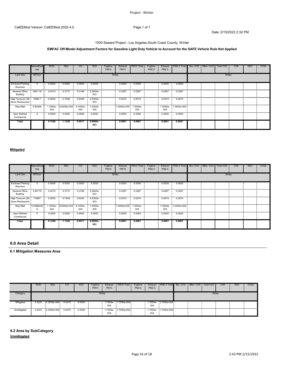# 1000 Seward Project - Los Angeles-South Coast County, Winter

# **EMFAC Off-Model Adjustment Factors for Gasoline Light Duty Vehicle to Account for the SAFE Vehicle Rule Not Applied**

|                                               | <b>NaturalGas</b><br>Use | <b>ROG</b> | <b>NO<sub>x</sub></b> | <sub>CO</sub> | <b>SO2</b>      | Fugitive<br><b>PM10</b> | Exhaust<br><b>PM10</b> | PM10 Total | Fugitive<br>PM2.5 | Exhaust<br>PM2.5 | PM2.5 Total          | Bio- CO2 NBio- CO2 | Total CO2 | CH <sub>4</sub> | N <sub>2</sub> O | CO <sub>2</sub> e |
|-----------------------------------------------|--------------------------|------------|-----------------------|---------------|-----------------|-------------------------|------------------------|------------|-------------------|------------------|----------------------|--------------------|-----------|-----------------|------------------|-------------------|
| Land Use                                      | kBTU/yr                  |            |                       |               |                 | lb/day                  |                        |            |                   |                  |                      |                    | lb/day    |                 |                  |                   |
| <b>Enclosed Parking</b><br>Structure          |                          | 0.0000     | 0.0000                | 0.0000        | 0.0000          |                         | 0.0000                 | 0.0000     |                   | 0.0000           | 0.0000               |                    |           |                 |                  |                   |
| General Office<br>Building                    | 3847.18                  | 0.0415     | 0.3772                | 0.3168        | 2.2600e-<br>003 |                         | 0.0287                 | 0.0287     |                   | 0.0287           | 0.0287               |                    |           |                 |                  |                   |
| High Turnover (Sit 7698.7<br>Down Restaurant) |                          | 0.0830     | 0.7548                | 0.6340        | 4.5300e-<br>003 |                         | 0.0574                 | 0.0574     |                   | 0.0574           | 0.0574<br>$\sim$     |                    |           |                 |                  |                   |
| <br>Strip Mall                                | 9.82466                  | 004        |                       | 004           | -.0000e<br>005  |                         | 7.0000e-005 7.0000e-   | 005        |                   | 005              | 7.0000e- 7.0000e-005 |                    |           |                 |                  |                   |
| User Defined<br>Commercial                    | . .                      | 0.0000     | 0.0000                | 0.0000        | 0.0000          |                         | 0.0000                 | 0.0000     |                   | 0.0000           | 0.0000               |                    |           |                 |                  |                   |
| Total                                         |                          | 0.1246     | 1.1329                | 0.9517        | 6.8000e-<br>003 |                         | 0.0861                 | 0.0861     |                   | 0.0861           | 0.0861               |                    |           |                 |                  |                   |

# **Mitigated**

|                                               | NaturalGas<br>Use | <b>ROG</b>      | <b>NO<sub>x</sub></b>    | <sub>CO</sub>   | SO <sub>2</sub>  | Fugitive<br><b>PM10</b> | Exhaust<br><b>PM10</b> | PM10 Total       | Fugitive<br>PM2.5 | Exhaust<br>PM2.5 | PM2.5 Total         | Bio-CO2 | NBio-CO2 | Total CO2 | CH <sub>4</sub> | N <sub>2</sub> O | CO <sub>2</sub> e |
|-----------------------------------------------|-------------------|-----------------|--------------------------|-----------------|------------------|-------------------------|------------------------|------------------|-------------------|------------------|---------------------|---------|----------|-----------|-----------------|------------------|-------------------|
| Land Use                                      | kBTU/yr           |                 |                          |                 |                  |                         | lb/day                 |                  |                   |                  |                     |         |          | lb/day    |                 |                  |                   |
| <b>Enclosed Parking</b><br>Structure          |                   | 0.0000          | 0.0000                   | 0.0000          | 0.0000           |                         | 0.0000                 | 0.0000           |                   | 0.0000           | 0.0000              |         |          |           |                 |                  |                   |
| General Office<br>Building                    | 3.84718           | 0.0415          | 0.3772                   | 0.3168          | 2.2600e-<br>003  |                         | 0.0287                 | 0.0287           |                   | 0.0287           | 0.0287              |         |          |           |                 |                  |                   |
| High Turnover (Sit 7.6987<br>Down Restaurant) |                   | 0.0830<br>EE.   | 0.7548                   | 0.6340          | 4.5300e-<br>003  |                         | 0.0574                 | 0.0574           |                   | 0.0574           | 0.0574              |         |          |           |                 |                  |                   |
| <br><b>Strip Mall</b>                         | 0.0098246         | 1.1000e-<br>004 | 9.6000e-004              | 8.1000e-<br>004 | $.0000e-$<br>005 |                         | 7.0000e-005 7.0000e-   | 005              |                   | 005              | 7.0000e-7.0000e-005 |         |          |           |                 |                  |                   |
| User Defined<br>Commercial                    |                   | 0.0000          | 0.0000<br><b>COLLEGE</b> | 0.0000          | 0.0000           |                         | 0.0000                 | 0.0000<br>$\sim$ |                   | 0.0000<br>$\sim$ | 0.0000              |         |          |           |                 |                  |                   |
| Total                                         |                   | 0.1246          | 1.1329                   | 0.9517          | 6.8000e-<br>003  |                         | 0.0861                 | 0.0861           |                   | 0.0861           | 0.0861              |         |          |           |                 |                  |                   |

# **6.0 Area Detail**

# **6.1 Mitigation Measures Area**

|             | <b>ROG</b> | <b>NO<sub>x</sub></b>       | CO     | SO <sub>2</sub> | Fugitive<br><b>PM10</b> | Exhaust<br><b>PM10</b> | PM <sub>10</sub> Total | Fugitive<br>PM2.5 | Exhaust<br>PM2.5 | PM2.5 Total Bio-CO2   NBio-CO2 |  | Total CO <sub>2</sub> | CH <sub>4</sub> | <b>N2O</b> | CO <sub>2e</sub> |
|-------------|------------|-----------------------------|--------|-----------------|-------------------------|------------------------|------------------------|-------------------|------------------|--------------------------------|--|-----------------------|-----------------|------------|------------------|
| Category    |            |                             |        |                 | lb/dav                  |                        |                        |                   |                  |                                |  | lb/dav                |                 |            |                  |
| Mitigated   | 3.4221     | 4.3000e-004                 | 0.0470 | 0.0000          |                         | 004                    | 1.7000e- 1.7000e-004   |                   | 004              | 1.7000e- 1.7000e-004           |  |                       |                 |            |                  |
| Unmitigated |            | 3.4221  4.3000e-004  0.0470 |        | 0.0000          |                         | 004                    | 1.7000e 1.7000e-004    |                   | 004              | 1.7000e- 1.7000e-004           |  |                       |                 |            |                  |

**6.2 Area by SubCategory Unmitigated**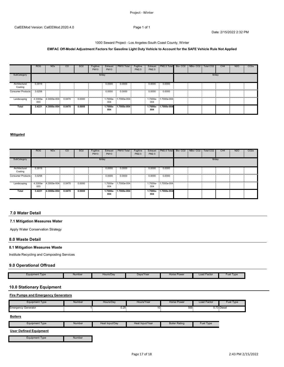#### 1000 Seward Project - Los Angeles-South Coast County, Winter

# **EMFAC Off-Model Adjustment Factors for Gasoline Light Duty Vehicle to Account for the SAFE Vehicle Rule Not Applied**

|                          | <b>ROG</b> | <b>NO<sub>x</sub></b> | <sub>CO</sub> | SO <sub>2</sub> | Fugitive<br><b>PM10</b> | Exhaust<br><b>PM10</b> | PM <sub>10</sub> Total | Fugitive<br>PM2.5 | PM2.5           | Exhaust   PM2.5 Total   Bio- CO2   NBio- CO2 |  | Total CO2 | CH <sub>4</sub> | <b>N2O</b> | CO <sub>2</sub> e |
|--------------------------|------------|-----------------------|---------------|-----------------|-------------------------|------------------------|------------------------|-------------------|-----------------|----------------------------------------------|--|-----------|-----------------|------------|-------------------|
| SubCategory              |            |                       |               |                 | lb/day                  |                        |                        |                   |                 |                                              |  | lb/day    |                 |            |                   |
| Architectural<br>Coating | 0.3919     |                       |               |                 |                         | 0.0000                 | 0.0000                 |                   | 0.0000          | 0.0000                                       |  |           |                 |            |                   |
| Consumer Products        | 3.0258     |                       |               |                 |                         | 0.0000                 | 0.0000                 |                   | 0.0000          | 0.0000                                       |  |           |                 |            |                   |
|                          | 003        |                       |               |                 |                         | 004                    |                        |                   | 004             |                                              |  |           |                 |            |                   |
| Total                    | 3.4221     | 4.3000e-004           | 0.0470        | 0.0000          |                         | 1.7000e-<br>004        | 1.7000e-004            |                   | 1.7000e-<br>004 | 1.7000e-004                                  |  |           |                 |            |                   |

#### **Mitigated**

|                   | <b>ROG</b> | <b>NO<sub>x</sub></b>                | <sub>co</sub> | SO <sub>2</sub> | Fugitive<br><b>PM10</b> | Exhaust<br><b>PM10</b> | PM <sub>10</sub> Total | Fugitive<br>PM2.5 | Exhaust<br>PM2.5     | PM2.5 Total | Bio-CO2 | NBio-CO <sub>2</sub> | Total CO2 | CH <sub>4</sub> | N <sub>2</sub> O | CO <sub>2e</sub> |
|-------------------|------------|--------------------------------------|---------------|-----------------|-------------------------|------------------------|------------------------|-------------------|----------------------|-------------|---------|----------------------|-----------|-----------------|------------------|------------------|
| SubCategory       |            |                                      |               |                 | lb/day                  |                        |                        |                   |                      |             |         |                      | lb/day    |                 |                  |                  |
| Architectural     | 0.3919     |                                      |               |                 |                         | 0.0000                 | 0.0000                 |                   | 0.0000<br>$\sim 100$ | 0.0000      |         |                      |           |                 |                  |                  |
| Coating           |            |                                      |               |                 |                         |                        |                        |                   |                      |             |         |                      |           |                 |                  |                  |
| Consumer Products | 3.0258     |                                      |               |                 |                         | 0.0000                 | 0.0000                 |                   | 0.0000               | 0.0000      |         |                      |           |                 |                  |                  |
| <br>Landscaping   | 003        | 4.3300e- 4.3000e-004  0.0470  0.0000 |               |                 |                         | 004                    | 1.7000e- 1.7000e-004   |                   | 004                  |             |         |                      |           |                 |                  |                  |
| Total             | 3.4221     | 4.3000e-004                          | 0.0470        | 0.0000          |                         | 004                    | 1.7000e- 1.7000e-004   |                   | 1.7000e-<br>004      | 1.7000e-004 |         |                      |           |                 |                  |                  |

# **7.0 Water Detail**

# **7.1 Mitigation Measures Water**

Apply Water Conservation Strategy

# **8.0 Waste Detail**

# **8.1 Mitigation Measures Waste**

Institute Recycling and Composting Services

#### **9.0 Operational Offroad**

| Equipment Type | Number | Hours/Dav | Davs/Year | Horse Power<br>----<br>$\cdots$ | Factor<br>Load<br>---<br>---- | Fuel<br>Type |
|----------------|--------|-----------|-----------|---------------------------------|-------------------------------|--------------|
|                |        |           |           |                                 |                               |              |

# **10.0 Stationary Equipment**

# **Fire Pumps and Emergency Generators**

| Equipment Type      | Number | Hours/Dav       | Hours/Year | Horse Power | Load Factor | Fuel<br><b>Type</b> |
|---------------------|--------|-----------------|------------|-------------|-------------|---------------------|
| Emergency Generator |        | $\sim$<br>U.Z5. | ٠.۱        | $500 -$     | ה כדו       | 0.73 Diese          |

# **Boilers**

|  | cauipment<br>Type | Number<br>. . <b>.</b> | √Input/Dav<br>⊣eau | Heat Input/Yea.<br>$\sim$ $\sim$ $\sim$ $\sim$ $\sim$<br>and the state of the state of the state of the state of the state of the state of the state of the state of th | ∵Ratind<br>⊃∽<br>вошег | Fue<br><b>Type</b> |
|--|-------------------|------------------------|--------------------|-------------------------------------------------------------------------------------------------------------------------------------------------------------------------|------------------------|--------------------|
|--|-------------------|------------------------|--------------------|-------------------------------------------------------------------------------------------------------------------------------------------------------------------------|------------------------|--------------------|

# **User Defined Equipment**

Equipment Type Number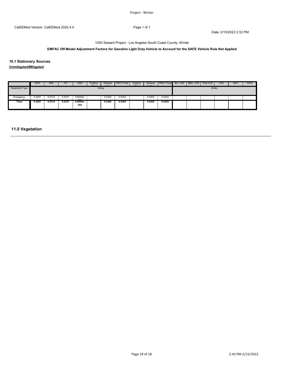1000 Seward Project - Los Angeles-South Coast County, Winter

# **EMFAC Off-Model Adjustment Factors for Gasoline Light Duty Vehicle to Account for the SAFE Vehicle Rule Not Applied**

**10.1 Stationary Sources Unmitigated/Mitigated**

|                | <b>ROG</b>           | <b>NO<sub>x</sub></b> | <b>CO</b> | S <sub>O</sub> 2  | Fugitive<br>B <sub>1</sub> | Exhaust<br>B1110 | PM10 Total | Fugitive<br>$D = 10F$ | Exhaust<br>$P^{\text{A}}$ | PM2.5 Total Bio-CO2 NBio-CO2 |  | Total CO <sub>2</sub> | CH <sub>4</sub> | <b>N2O</b> | CO <sub>2</sub> e |
|----------------|----------------------|-----------------------|-----------|-------------------|----------------------------|------------------|------------|-----------------------|---------------------------|------------------------------|--|-----------------------|-----------------|------------|-------------------|
| Equipment Type |                      |                       |           |                   |                            | lb/day           |            |                       |                           |                              |  | lb/day                |                 |            |                   |
|                |                      |                       |           |                   |                            |                  |            |                       |                           |                              |  |                       |                 |            |                   |
| Emergency      | 0.2051<br><b>COL</b> | 0.5733                | 0.5231    | 9.9000e-<br>0.01  |                            | 0.0302           | 0.0302     |                       | 0.0302                    | 0.0302                       |  |                       |                 |            |                   |
| <b>Total</b>   | 0.2051               | 0.5733                | 0.5231    | $9.9000e-$<br>004 |                            | 0.0302           | 0.0302     |                       | 0.0302                    | 0.0302                       |  |                       |                 |            |                   |

# **11.0 Vegetation**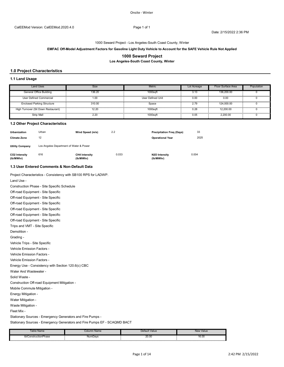#### 1000 Seward Project - Los Angeles-South Coast County, Winter

#### **EMFAC Off-Model Adjustment Factors for Gasoline Light Duty Vehicle to Account for the SAFE Vehicle Rule Not Applied**

#### **1000 Seward Project**

**Los Angeles-South Coast County, Winter**

#### **1.0 Project Characteristics**

#### **1.1 Land Usage**

| Land Uses                         | Size                                                                                                                                                                                                                             | <b>Metric</b>     | Lot Acreage | Floor Surface Area | Population |
|-----------------------------------|----------------------------------------------------------------------------------------------------------------------------------------------------------------------------------------------------------------------------------|-------------------|-------------|--------------------|------------|
| General Office Building           | 136.20                                                                                                                                                                                                                           | 1000saft          |             | 136.200.00         |            |
| User Defined Commercial           | 1.00                                                                                                                                                                                                                             | User Defined Unit | 0.00        | 0.00               |            |
| <b>Enclosed Parking Structure</b> | 310.00                                                                                                                                                                                                                           | Space             |             | 124.000.00         |            |
|                                   | простоянно в состоянно состоянно состоянно состоянно состоянно состоянно состоянно состоянно состоянно состоянно состоянно состоянно состоянно состоянно состоянно состоянно состоянно со<br>В состоянии состоянно состоянно сос |                   |             |                    |            |
| Strip Mall                        |                                                                                                                                                                                                                                  | 1000saft          | 0.05        | 2.200.00           |            |

#### **1.2 Other Project Characteristics**

| <b>Urbanization</b><br><b>Climate Zone</b> | Urban<br>12                             | Wind Speed (m/s)                  | 2.2   | <b>Precipitation Freg (Days)</b><br><b>Operational Year</b> | 33<br>2025 |
|--------------------------------------------|-----------------------------------------|-----------------------------------|-------|-------------------------------------------------------------|------------|
| <b>Utility Company</b>                     | Los Angeles Department of Water & Power |                                   |       |                                                             |            |
| CO2 Intensity<br>(lb/MWhr)                 | 616                                     | <b>CH4 Intensity</b><br>(lb/MWhr) | 0.033 | N2O Intensity<br>(lb/MWhr)                                  | 0.004      |

#### **1.3 User Entered Comments & Non-Default Data**

Project Characteristics - Consistency with SB100 RPS for LADWP. Land Use - Construction Phase - Site Specific Schedule

Waste Mitigation - Solid Waste - Construction Off-road Equipment Mitigation - Mobile Commute Mitigation - Energy Mitigation - Water Mitigation - Vehicle Emission Factors - Vehicle Emission Factors - Vehicle Emission Factors - Energy Use - Consistency with Section 120.6(c) CBC Water And Wastewater - Off-road Equipment - Site Specific Trips and VMT - Site Specific Demolition - Grading - Vehicle Trips - Site Specific Off-road Equipment - Site Specific Off-road Equipment - Site Specific Off-road Equipment - Site Specific Off-road Equipment - Site Specific Off-road Equipment - Site Specific

Fleet Mix -

Stationary Sources - Emergency Generators and Fire Pumps -

Stationary Sources - Emergency Generators and Fire Pumps EF - SCAQMD BACT

|  | $\sim$ |  |
|--|--------|--|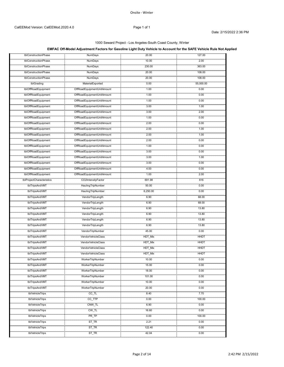# **EMFAC Off-Model Adjustment Factors for Gasoline Light Duty Vehicle to Account for the SAFE Vehicle Rule Not Applied**

| tblConstructionPhase                       | <b>NumDays</b><br>.                                             | 20.00        | 127.00         |
|--------------------------------------------|-----------------------------------------------------------------|--------------|----------------|
| tblConstructionPhase                       | NumDays                                                         | 10.00        | 2.00           |
| tblConstructionPhase                       | .<br>NumDays                                                    | 230.00       | 363.00         |
| tblConstructionPhase                       | NumDays                                                         | 20.00        | 108.00         |
| <br>tblConstructionPhase                   | .<br>NumDays                                                    | 20.00        | 108.00         |
| tblGrading                                 | MaterialExported                                                | 0.00         | 55,000.00      |
| tblOffRoadEquipment                        | .<br>OffRoadEquipmentUnitAmount                                 | 1.00         | 0.00           |
| tblOffRoadEquipment                        | OffRoadEquipmentUnitAmount                                      | 1.00         | 0.00           |
| tblOffRoadEquipment                        | <br>OffRoadEquipmentUnitAmount                                  | 1.00         | 0.00           |
| tblOffRoadEquipment                        | <br>OffRoadEquipmentUnitAmount                                  | <br>3.00     | <br>1.00       |
| tblOffRoadEquipment                        | OffRoadEquipmentUnitAmount                                      | <br>3.00     | .<br>2.00      |
| tblOffRoadEquipment                        | OffRoadEquipmentUnitAmount                                      | 1.00         | 0.00           |
| tblOffRoadEquipment                        |                                                                 | 2.00         | 0.00           |
| tblOffRoadEquipment                        |                                                                 | 2.00         | 1.00           |
| tblOffRoadEquipment                        |                                                                 | 2.00         | 1.00           |
|                                            |                                                                 |              |                |
| tblOffRoadEquipment<br>tblOffRoadEquipment | OffRoadEquipmentUnitAmount                                      | 2.00         | 0.00           |
|                                            |                                                                 | 1.00         | 0.00           |
| tblOffRoadEquipment                        | OffRoadEquipmentUnitAmount                                      | 3.00         | 0.00           |
| tblOffRoadEquipment                        | OffRoadEquipmentUnitAmount<br>,,,,,,,,,,,,,,,,,,,,,,,,,,,,,,,,, | 3.00         | 1.00           |
| tblOffRoadEquipment                        | OffRoadEquipmentUnitAmount                                      | 3.00         | 0.00           |
| tblOffRoadEquipment                        | OffRoadEquipmentUnitAmount<br>                                  | 4.00<br>     | 0.00<br>       |
| tblOffRoadEquipment                        | OffRoadEquipmentUnitAmount                                      | 1.00         | 2.00           |
| tblProjectCharacteristics                  | CO2IntensityFactor                                              | 691.98       | 616            |
| tblTripsAndVMT                             | HaulingTripNumber                                               | 50.00        | 0.00           |
| tblTripsAndVMT                             | HaulingTripNumber                                               | 6,250.00     | 0.00           |
| tblTripsAndVMT                             | .<br>VendorTripLength                                           | 6.90         | 68.00          |
| <br>tblTripsAndVMT                         | VendorTripLength                                                | 6.90         | 68.00          |
| tblTripsAndVMT                             | VendorTripLength                                                | 6.90         | 13.80          |
| tblTripsAndVMT                             | VendorTripLength                                                | 6.90         | 13.80          |
| tblTripsAndVMT                             | VendorTripLength                                                | 6.90         | 13.80          |
| tblTripsAndVMT                             | VendorTripLength                                                | 6.90         | 13.80          |
| tblTripsAndVMT                             | VendorTripNumber                                                | 45.00        | 0.00           |
| .<br>tblTripsAndVMT                        | <br>VendorVehicleClass                                          | HDT_Mix      | HHDT           |
| tblTripsAndVMT                             | VendorVehicleClass                                              | HDT_Mix      | HHDT           |
| tblTripsAndVMT                             | <br>VendorVehicleClass                                          | HDT_Mix      | HHDT           |
| tblTripsAndVMT                             | VendorVehicleClass                                              | HDT_Mix      | <b>HHDT</b>    |
| .<br>tbl i ripsAndVM i                     | .<br>Worker I ripNumber                                         | 10.00        | V.VV           |
| tblTripsAndVMT                             | WorkerTripNumber                                                | 15.00        | 0.00           |
| tblTripsAndVMT                             | WorkerTripNumber                                                | 18.00        | 0.00           |
| tblTripsAndVMT                             | WorkerTripNumber                                                | 101.00       | 0.00           |
|                                            | <br>WorkerTripNumber                                            | 10.00        | 0.00           |
| tblTripsAndVMT                             |                                                                 | 20.00        | 0.00           |
| tblTripsAndVMT                             | WorkerTripNumber                                                |              |                |
| tblVehicleTrips                            | CC_TL<br>CC TTP                                                 | 8.40<br>0.00 | 7.70<br>100.00 |
| tblVehicleTrips                            |                                                                 |              | 0.00           |
| tblVehicleTrips                            | CNW_TL                                                          | 6.90         |                |
| tblVehicleTrips                            | CW_TL                                                           | 16.60<br>    | 0.00           |
| tblVehicleTrips                            | PR_TP                                                           | 0.00         | 100.00         |
| tblVehicleTrips                            | $ST_TR$                                                         | 2.21         | 0.00           |
| tblVehicleTrips                            | ST_TR                                                           | 122.40       | 0.00           |
| tblVehicleTrips                            | ST_TR<br>.                                                      | 42.04<br>.   | 0.00           |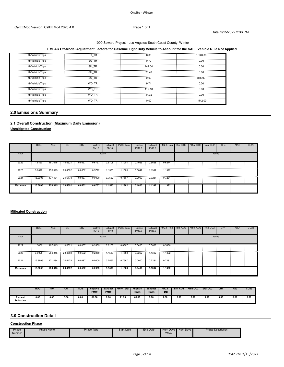# **EMFAC Off-Model Adjustment Factors for Gasoline Light Duty Vehicle to Account for the SAFE Vehicle Rule Not Applied**

| tblVehicleTrips | ∵TR<br>S. | 0.00      | 1.148.00 |
|-----------------|-----------|-----------|----------|
| tblVehicleTrips | SU TR     | 0.70      | 0.00     |
| tblVehicleTrips | SU TR     | 142.64    | 0.00     |
| tblVehicleTrips | SU TR     | <br>20.43 | <br>0.00 |
| tblVehicleTrips | SU TR     | 0.00      | 876.00   |
| tblVehicleTrips | WD TR     | 9.74      | 0.00     |
| tblVehicleTrips | WD TR     | 112.18    | 0.00     |
| tblVehicleTrips | WD TR     | 44.32     | 0.00     |
| tblVehicleTrips | WD TR     | 0.00      | .542.00  |

# **2.0 Emissions Summary**

# **2.1 Overall Construction (Maximum Daily Emission)**

**Unmitigated Construction**

|          | <b>ROG</b> | <b>NO<sub>x</sub></b> | <sub>CO</sub>             | SO <sub>2</sub> | Fugitive<br><b>PM10</b> | Exhaust<br><b>PM10</b> | PM10 Total | Fugitive<br>PM2.5 | PM2.5  | Exhaust PM2.5 Total Bio-CO2 NBio-CO2 I |  | Total CO2 | CH <sub>4</sub> | N <sub>2</sub> O | CO <sub>2e</sub> |
|----------|------------|-----------------------|---------------------------|-----------------|-------------------------|------------------------|------------|-------------------|--------|----------------------------------------|--|-----------|-----------------|------------------|------------------|
| Year     |            |                       |                           |                 |                         | lb/day                 |            |                   |        |                                        |  | lb/day    |                 |                  |                  |
| 2022     | .5460      | 16.7615               | 10.6521                   | 0.0337          | 0.6767                  | 0.6108                 | 1.1901     | 0.1025            | 0.5628 | 0.6274<br><b>COLLEGE</b>               |  |           |                 |                  |                  |
| <br>2023 | 3.0028     |                       | 25.0815 28.4592           | 0.0532          | 0.5792                  | .1583                  | 1.1583     | 0.0647            | 1.1392 | 1.1392                                 |  |           |                 |                  |                  |
| <br>2024 |            |                       | 15.3606  17.1434  24.6178 | 0.0387          | 0.0000                  | 0.7567                 | 0.7567     | 0.0000            | 0.7281 | 0.7281                                 |  |           |                 |                  |                  |
| Maximum  | 15,3606    | 25.0815               | 28.4592                   | 0.0532          | 0.6767                  | 1.1583                 | 1.1901     | 0.1025            | 1.1392 | 1.1392                                 |  |           |                 |                  |                  |

# **Mitigated Construction**

|                | <b>ROG</b> | NO <sub>x</sub> | CO.             | SO <sub>2</sub> | Fugitive<br><b>PM10</b> | Exhaust<br><b>PM10</b> | PM10 Total | Fugitive<br>PM2.5 | PM2.5  | Exhaust PM2.5 Total Bio-CO2 NBio-CO2 I |  | Total CO <sub>2</sub> | CH <sub>4</sub> | N <sub>2</sub> O | CO <sub>2e</sub> |
|----------------|------------|-----------------|-----------------|-----------------|-------------------------|------------------------|------------|-------------------|--------|----------------------------------------|--|-----------------------|-----------------|------------------|------------------|
| Year           |            |                 |                 |                 |                         | lb/day                 |            |                   |        |                                        |  |                       | lb/day          |                  |                  |
| 2022           | .5460      | 16.7615         | 10.6521         | 0.0337          | 0.2639                  | 0.6108                 | 0.8367     | 0.0400            | 0.5628 | 0.5880                                 |  |                       |                 |                  |                  |
| <br>2023       | 3.0028     |                 | 25.0815 28.4592 | 0.0532          | 0.2259                  | 1.1583                 | 1.1583     | 0.0252            | 1.1392 | 1.1392                                 |  |                       |                 |                  |                  |
| <br>2024       | 15.3606    |                 | 17.1434 24.6178 | 0.0387          | 0.0000                  | 0.7567                 | 0.7567     | 0.0000            | 0.7281 | 0.7281                                 |  |                       |                 |                  |                  |
| <b>Maximum</b> | 15,3606    | 25.0815         | 28.4592         | 0.0532          | 0.2639                  | 1.1583                 | 1.1583     | 0.0400            | 1.1392 | 1.1392                                 |  |                       |                 |                  |                  |

|                             | <b>ROG</b> | <b>NOx</b> | $_{\rm co}$ | <b>SO2</b> | Fuaitive<br><b>PM10</b> | <b>Exhaust</b><br><b>PM10</b> | <b>PM10 Tota</b> | Fugitive<br><b>PM2.5</b> | <b>Exhaust</b><br><b>PM2.5</b> | <b>PM2.5</b><br><b>Total</b> | <b>Bio-CO2</b> | NBio-CO <sub>2</sub> | Total CO <sub>2</sub> | CH <sub>4</sub> | <b>N20</b> | CO <sub>2</sub> e |
|-----------------------------|------------|------------|-------------|------------|-------------------------|-------------------------------|------------------|--------------------------|--------------------------------|------------------------------|----------------|----------------------|-----------------------|-----------------|------------|-------------------|
| Percent<br><b>Reduction</b> | 0.00       | 0.00<br>.  | 0.00<br>.   | 0.00       | 61.00                   | 0.00<br>.                     | 11.38            | 61.00                    | 0.00                           | .58                          | 0.00           | 0.00                 | 0.00                  | 0.00<br>.       | 0.00<br>.  | 0.00              |

# **3.0 Construction Detail**

**Construction Phase**

| Phase<br>Number | <b>Phase Name</b><br>- - - - - - - - <del>-</del> | Phase Type | <b>Start Date</b> | End Date | Num Davs<br>Week | ™ Num Davs | <b>Phase Description</b> |
|-----------------|---------------------------------------------------|------------|-------------------|----------|------------------|------------|--------------------------|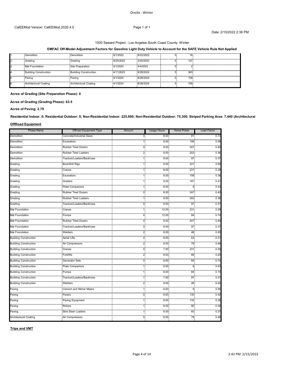#### **EMFAC Off-Model Adjustment Factors for Gasoline Light Duty Vehicle to Account for the SAFE Vehicle Rule Not Applied**

|   | Demolition                   | Demolition                   | 9/1/2022  | 9/22/2022 | าห.  |  |
|---|------------------------------|------------------------------|-----------|-----------|------|--|
|   | Grading                      | Grading                      | 9/23/2022 | 3/20/2023 | 127  |  |
| . | Mat Foundation               | Site Preparation             | .4/1/2023 | 4/4/2023  |      |  |
|   | <b>Building Construction</b> | <b>Building Construction</b> | 4/11/2023 | 8/29/2024 | 363  |  |
|   | Paving                       | Paving                       | 4/1/2024  | 8/28/2024 | 108  |  |
|   | Architectural Coating        | Architectural Coating        | 4/1/2024  | 8/28/2024 | 108. |  |

# **Acres of Grading (Site Preparation Phase): 0**

# **Acres of Grading (Grading Phase): 63.5**

#### **Acres of Paving: 2.79**

**Residential Indoor: 0; Residential Outdoor: 0; Non-Residential Indoor: 225,900; Non-Residential Outdoor: 75,300; Striped Parking Area: 7,440 (Architectural** 

# **OffRoad Equipment**

| <b>Phase Name</b>                | Offroad Equipment Type         | Amount | <b>Usage Hours</b> | <b>Horse Power</b> | Load Factor |
|----------------------------------|--------------------------------|--------|--------------------|--------------------|-------------|
| Demolition                       | Concrete/Industrial Saws       | 0.     | 8.00               | 81                 | 0.73        |
| .<br>Demolition                  | Excavators                     | 1,     | 8.00               | 158                | 0.38        |
| <br>Demolition                   | <b>Rubber Tired Dozers</b>     | 0.     | 8.00               | 247                | 0.40        |
| .<br>Demolition                  | <br>Rubber Tired Loaders       | $^{2}$ | 8.00               | 203                | 0.36        |
| <br>Demolition                   | Tractors/Loaders/Backhoes      | 1:     | 8.00               | 97                 | 0.37        |
| .<br>Grading                     | <br>Bore/Drill Rigs            |        | $8.00^{-}$         | 221                | 0.50        |
| Grading                          | Cranes                         |        | $8.00 -$           | 231                | 0.29        |
| .<br>Grading                     | <br>Excavators                 |        | 8.00               | 158                | 0.38        |
| <br>Grading                      | .<br>Graders                   |        | 8.00               | 187                | 0.41        |
| <br>Grading                      | <b>Plate Compactors</b>        | 15     | 8.00               | 8                  | 0.43        |
| .<br>Grading                     | <br><b>Rubber Tired Dozers</b> | 0.     | $8.00 -$           | .<br>247           | 0.40        |
| <br>Grading                      | Rubber Tired Loaders           |        | 8.00               | 203                | 0.36        |
| .<br>Grading                     | ractors/Loaders/Backhoes       | 0.     | $8.00 -$           | 97                 | 0.37        |
| <br>Mat Foundation               | Cranes                         |        | 12.00              | 231                | 0.29        |
| <br>Mat Foundation               | .<br>Pumps                     | 4:     | $12.00^{\circ}$    | $\cdots$<br>84     | 0.74        |
| <br>Mat Foundation               | <b>Rubber Tired Dozers</b>     | 0.     | 8.00               | 247                | 0.40        |
| Mat Foundation                   | Tractors/Loaders/Backhoes      | 0.     | 8.00               | 97                 | 0.37        |
| .<br>Mat Foundation              | Welders                        | 2.     | 8.00               | 46                 | 0.45        |
| <b>Building Construction</b>     | .<br>Aerial Lifts              | 2.     | 8.00               | 63                 | 0.31        |
| <br><b>Building Construction</b> | .<br>Air Compressors           | 2.     | 8.00 <sub>1</sub>  | .<br>78            | 0.48        |
| <b>Building Construction</b>     | Cranes                         | 0.     | 7.00 <sub>1</sub>  | 231                | 0.29        |
| <br><b>Building Construction</b> | Forklifts                      | 2.     | 1.1.1.0<br>8.00    | $\cdots$<br>89     | 0.20        |
| <br><b>Building Construction</b> | .<br>Generator Sets            | 0.     | $8.00 -$           | 84                 | 0.74        |
| <br><b>Building Construction</b> | Plate Compactors               | 1.     | 8.00               | 8.                 | 0.43        |
| <br><b>Building Construction</b> | <br>Pumps                      |        | 8.00 <sub>1</sub>  | 84                 | 0.74        |
| <b>Building Construction</b>     | Tractors/Loaders/Backhoes      |        | 7.00               | 97                 | 0.37        |
| <b>Building Construction</b>     | <br>Welders                    | 2:     | 8.00               | 46.                | 0.45        |
| Paving                           | Cement and Mortar Mixers       |        | $8.00 -$           | 9.                 | 0.56        |
| سيبيت<br>Paving                  | <br>Pavers                     | 0.     | $8.00 -$           | 130                | 0.42        |
| <br>Paving                       | .<br>Paving Equipment          |        | 8.00.              | 132                | 0.36        |
| .<br>Paving                      | Rollers                        |        | 8.00               | 80                 | 0.38        |
| .<br>Paving                      | <b>Skid Steer Loaders</b>      |        | $8.00 -$           | 65                 | 0.37        |
| Architectural Coating            | Air Compressors                | 0.     | 6.00               | 78.                | 0.48        |

**Trips and VMT**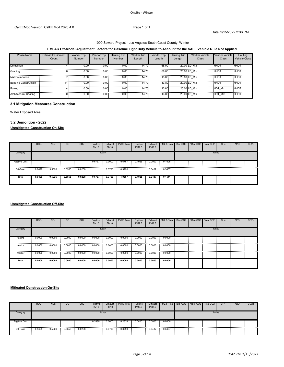# 1000 Seward Project - Los Angeles-South Coast County, Winter

# **EMFAC Off-Model Adjustment Factors for Gasoline Light Duty Vehicle to Account for the SAFE Vehicle Rule Not Applied**

| <b>Phase Name</b>            | Offroad Equipment | Worker Trip | Vendor Trip       | Trip<br>Hauling   | <b>Worker Trip</b> | Vendor Trip | Hauling Trip | Worker Vehicle | <b>Vendor Vehicle</b> | Hauling              |
|------------------------------|-------------------|-------------|-------------------|-------------------|--------------------|-------------|--------------|----------------|-----------------------|----------------------|
|                              | Count             | Number      | Number            | Number            | Length             | Length      | Length       | Class          | Class                 | <b>Vehicle Class</b> |
|                              |                   |             |                   |                   |                    |             |              |                |                       |                      |
| Demolition                   |                   | $0.00 -$    | 0.00 0            | 0.00              | 4.70               | 68.00       |              | 20.00 LD Mix   | HHD.                  | <b>HHD</b>           |
| Grading                      |                   | 0.00.       | 0.00.             | 0.00.             | 14.70              | 68.00       |              | 20.00 LD Mix   | <b>HHDT</b><br>.      | <b>HHDT</b>          |
| <b>Mat Foundation</b>        |                   | 0.00.       | 0.00 <sub>1</sub> | 0.00 <sub>1</sub> | 14.70.             | 13.80       |              | 20.00 LD Mix   | <b>HHDT</b>           | HHDT:                |
| <b>Building Construction</b> |                   | 0.00        | $0.00 \cdot$      | 0.00              | 14.70 -            | 13.80       |              | 20.00 LD Mix   | <b>HHDT</b>           | <b>HHDT</b>          |
| Paving                       |                   | 0.00.       | 0.00.             | 0.00.             | 14.70.             | 13.80.      |              | 20.00 LD Mix   | .HDT Mix              | HHDT                 |
| Architectural Coating        |                   | 0.00        | 0 U U             | 0.00              | 14.70.             | 13.80       |              | 20.00 LD Mix   | HDT Mix               | <b>HHDT</b>          |

## **3.1 Mitigation Measures Construction**

Water Exposed Area

# **3.2 Demolition - 2022**

# **Unmitigated Construction On-Site**

|                      | <b>ROG</b> | <b>NO<sub>x</sub></b> | CO     | SO <sub>2</sub> | Fugitive<br><b>PM10</b> | Exhaust<br><b>PM10</b> | PM10 Total | Fugitive<br>PM2.5 | Exhaust<br>PM2.5                            | PM2.5 Total Bio-CO2 NBio-CO2                |  | Total CO <sub>2</sub> | CH <sub>4</sub> | N <sub>2</sub> O | CO <sub>2</sub> e |
|----------------------|------------|-----------------------|--------|-----------------|-------------------------|------------------------|------------|-------------------|---------------------------------------------|---------------------------------------------|--|-----------------------|-----------------|------------------|-------------------|
| Category             |            |                       |        |                 |                         | lb/day                 |            |                   |                                             |                                             |  | lb/day                |                 |                  |                   |
| <b>Fugitive Dust</b> |            |                       |        |                 | 0.6767                  | 0.0000                 | 0.6767     | 0.1025            | 0.0000<br><b>Contract Contract Contract</b> | 0.1025<br><b>COLLEGE</b>                    |  |                       |                 |                  |                   |
| Off-Road             | 0.9499     | 9.5026                | 8.5555 | 0.0208          |                         | 0.3790                 | 0.3790     |                   | 0.3487                                      | 0.3487<br><b>Contract Contract Contract</b> |  |                       |                 |                  |                   |
| Total                | 0.9499     | 9.5026                | 8.5555 | 0.0208          | 0.6767                  | 0.3790                 | 1.0557     | 0.1025            | 0.3487                                      | 0.4511                                      |  |                       |                 |                  |                   |

# **Unmitigated Construction Off-Site**

|             | <b>ROG</b>  | <b>NO<sub>x</sub></b> | <sub>CO</sub> | SO <sub>2</sub> | Fugitive<br><b>PM10</b> | Exhaust<br><b>PM10</b> | PM10 Total | Fugitive<br>PM2.5 | PM2.5  | Exhaust PM2.5 Total Bio-CO2 NBio-CO2 I |  | Total CO <sub>2</sub> | CH <sub>4</sub> | N <sub>2</sub> O | CO <sub>2e</sub> |
|-------------|-------------|-----------------------|---------------|-----------------|-------------------------|------------------------|------------|-------------------|--------|----------------------------------------|--|-----------------------|-----------------|------------------|------------------|
| Category    |             |                       |               |                 |                         | lb/day                 |            |                   |        |                                        |  |                       | lb/day          |                  |                  |
| Hauling     | 0.0000      | 0.0000                | 0.0000        | 0.0000          | 0.0000                  | 0.0000                 | 0.0000     | 0.0000            | 0.0000 | 0.0000                                 |  |                       |                 |                  |                  |
| .<br>Vendor | 0.0000      | 0.0000                | 0.0000        | 0.0000          | 0.0000                  | 0.0000                 | 0.0000     | 0.0000            | 0.0000 | 0.0000                                 |  |                       |                 |                  |                  |
| <br>Worker  | .<br>0.0000 | 0.0000                | 0.0000        | 0.0000          | 0.0000                  | 0.0000                 | 0.0000     | 0.0000            | 0.0000 | 0.0000                                 |  |                       |                 |                  |                  |
| Total       | 0.0000      | 0.0000                | 0.0000        | 0.0000          | 0.0000                  | 0.0000                 | 0.0000     | 0.0000            | 0.0000 | 0.0000                                 |  |                       |                 |                  |                  |

#### **Mitigated Construction On-Site**

|               | <b>ROG</b> | <b>NO<sub>x</sub></b> | CO     | SO <sub>2</sub> | Fugitive<br><b>PM10</b> | Exhaust<br><b>PM10</b> | PM <sub>10</sub> Total | Fugitive<br>PM2.5 | Exhaust<br>PM2.5 | PM2.5 Total Bio- CO2 NBio- CO2 |  | Total CO <sub>2</sub> | CH <sub>4</sub> | <b>N2O</b> | CO <sub>2e</sub> |
|---------------|------------|-----------------------|--------|-----------------|-------------------------|------------------------|------------------------|-------------------|------------------|--------------------------------|--|-----------------------|-----------------|------------|------------------|
| Category      |            |                       |        |                 |                         | I <sub>b</sub> /day    |                        |                   |                  |                                |  | lb/day                |                 |            |                  |
| Fugitive Dust |            |                       |        |                 | 0.2639                  | 0.0000                 | 0.2639                 | 0.0400            | 0.0000           | 0.0400                         |  |                       |                 |            |                  |
| Off-Road      | 0.9499     | 9.5026                | 8.5555 | 0.0208          |                         | 0.3790                 | 0.3790                 |                   | 0.3487           | 0.3487                         |  |                       |                 |            |                  |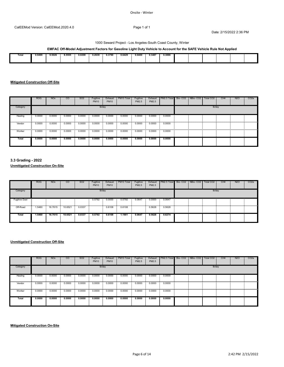#### 1000 Seward Project - Los Angeles-South Coast County, Winter

# **EMFAC Off-Model Adjustment Factors for Gasoline Light Duty Vehicle to Account for the SAFE Vehicle Rule Not Applied**

| Total | 0.9499 | 9.5026 | 8.5555 | 0.0208 | 0.2639 | 0.3790 | 0.6429 | 0.0400 | 0.3487 | 0.3886 |  |  |  |
|-------|--------|--------|--------|--------|--------|--------|--------|--------|--------|--------|--|--|--|
|       |        |        |        |        |        |        |        |        |        |        |  |  |  |
|       |        |        |        |        |        |        |        |        |        |        |  |  |  |
|       |        |        |        |        |        |        |        |        |        |        |  |  |  |

# **Mitigated Construction Off-Site**

|            | <b>ROG</b> | <b>NO<sub>x</sub></b> | $\overline{c}$ | SO <sub>2</sub> | Fugitive<br><b>PM10</b> | Exhaust<br><b>PM10</b> | PM10 Total | Fugitive<br>PM2.5 | PM2.5  | Exhaust   PM2.5 Total   Bio- CO2   NBio- CO2   Total CO2 |  |        | CH <sub>4</sub> | <b>N2O</b> | CO <sub>2e</sub> |
|------------|------------|-----------------------|----------------|-----------------|-------------------------|------------------------|------------|-------------------|--------|----------------------------------------------------------|--|--------|-----------------|------------|------------------|
| Category   |            |                       |                |                 | lb/day                  |                        |            |                   |        |                                                          |  | lb/day |                 |            |                  |
| Hauling    | 0.0000     | 0.0000                | 0.0000         | 0.0000          | 0.0000                  | 0.0000                 | 0.0000     | 0.0000            | 0.0000 | 0.0000                                                   |  |        |                 |            |                  |
| <br>Vendor | 0.0000     | 0.0000                | 0.0000         | 0.0000          | 0.0000                  | 0.0000                 | 0.0000     | 0.0000            | 0.0000 | 0.0000                                                   |  |        |                 |            |                  |
| <br>Worker | 0.0000     | 0.0000                | 0.0000         | 0.0000          | 0.0000                  | 0.0000                 | 0.0000     | 0.0000            | 0.0000 | 0.0000                                                   |  |        |                 |            |                  |
| Total      | 0.0000     | 0.0000                | 0.0000         | 0.0000          | 0.0000                  | 0.0000                 | 0.0000     | 0.0000            | 0.0000 | 0.0000                                                   |  |        |                 |            |                  |

# **3.3 Grading - 2022 Unmitigated Construction On-Site**

|                      | <b>ROG</b> | <b>NO<sub>x</sub></b> | $\overline{c}$ | SO <sub>2</sub> | Fugitive<br><b>PM10</b> | Exhaust<br><b>PM10</b> | PM10 Total | Fugitive<br>PM2.5 | Exhaust<br>PM2.5 | PM2.5 Total Bio-CO2 NBio-CO2 |  | Total CO <sub>2</sub> | CH <sub>4</sub> | <b>N2O</b> | CO <sub>2</sub> e |
|----------------------|------------|-----------------------|----------------|-----------------|-------------------------|------------------------|------------|-------------------|------------------|------------------------------|--|-----------------------|-----------------|------------|-------------------|
| Category             |            |                       |                |                 | lb/day                  |                        |            |                   |                  |                              |  | lb/day                |                 |            |                   |
| <b>Fugitive Dust</b> |            |                       |                |                 | 0.5792                  | 0.0000                 | 0.5792     | 0.0647            | 0.0000           | 0.0647                       |  |                       |                 |            |                   |
| Off-Road<br>≔        | 1.5460     |                       |                | 0.0337          |                         | 0.6108                 | 0.6108     |                   | 0.5628           | 0.5628                       |  |                       |                 |            |                   |
| Total                | 1.5460     | 16.7615               | 10.6521        | 0.0337          | 0.5792                  | 0.6108                 | 1.1901     | 0.0647            | 0.5628           | 0.6274                       |  |                       |                 |            |                   |

# **Unmitigated Construction Off-Site**

|            | <b>ROG</b> | <b>NO<sub>x</sub></b> | CO     | SO <sub>2</sub>                     | Fugitive<br><b>PM10</b> | Exhaust<br><b>PM10</b> | PM10 Total | Fugitive<br>PM2.5 | Exhaust<br>PM2.5 | PM2.5 Total Bio-CO2 NBio-CO2 |  | Total CO <sub>2</sub> | CH <sub>4</sub> | <b>N2O</b> | CO <sub>2</sub> e |
|------------|------------|-----------------------|--------|-------------------------------------|-------------------------|------------------------|------------|-------------------|------------------|------------------------------|--|-----------------------|-----------------|------------|-------------------|
| Category   |            |                       |        |                                     | lb/day                  |                        |            |                   |                  |                              |  | lb/day                |                 |            |                   |
| Hauling    | 0.0000     | 0.0000                | 0.0000 | 0.0000                              | 0.0000                  | 0.0000                 | 0.0000     | 0.0000            | 0.0000           | 0.0000<br>-11                |  |                       |                 |            |                   |
| <br>Vendor | 0.0000     | 0.0000                | 0.0000 | 0.0000                              | 0.0000                  | 0.0000                 | 0.0000     | 0.0000            | 0.0000           | 0.0000                       |  |                       |                 |            |                   |
| Worker     | 0.0000     | 0.0000                | 0.0000 | 0.0000<br><b><i><u>ALCO</u></i></b> | 0.0000                  | 0.0000                 | 0.0000     | 0.0000            | 0.0000           | 0.0000<br><b>COLLEGE</b>     |  |                       |                 |            |                   |
| Total      | 0.0000     | 0.0000                | 0.0000 | 0.0000                              | 0.0000                  | 0.0000                 | 0.0000     | 0.0000            | 0.0000           | 0.0000                       |  |                       |                 |            |                   |

**Mitigated Construction On-Site**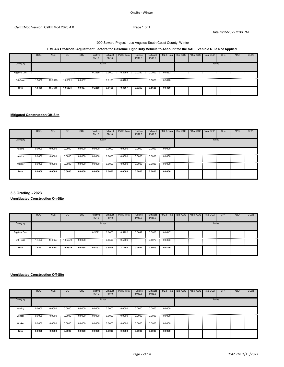#### Onsite ‐ Winter

Date: 2/15/2022 2:36 PM

# 1000 Seward Project - Los Angeles-South Coast County, Winter

# **EMFAC Off-Model Adjustment Factors for Gasoline Light Duty Vehicle to Account for the SAFE Vehicle Rule Not Applied**

|                          | <b>ROG</b> | <b>NO<sub>x</sub></b>  | CO      | SO <sub>2</sub> | Fugitive<br><b>PM10</b> | Exhaust<br><b>PM10</b> | PM10 Total | Fugitive<br>PM2.5 | PM2.5  | Exhaust   PM2.5 Total   Bio- CO2   NBio- CO2 |  | Total CO <sub>2</sub> | CH <sub>4</sub> | <b>N2O</b> | CO <sub>2e</sub> |
|--------------------------|------------|------------------------|---------|-----------------|-------------------------|------------------------|------------|-------------------|--------|----------------------------------------------|--|-----------------------|-----------------|------------|------------------|
| Category                 |            |                        |         |                 | lb/day                  |                        |            |                   |        |                                              |  | lb/day                |                 |            |                  |
| <b>Fugitive Dust</b><br> |            |                        |         |                 | 0.2259                  | 0.0000                 | 0.2259     | 0.0252            |        | $0.0000$ $0.0252$                            |  |                       |                 |            |                  |
| Off-Road                 | .5460      | 16.7615 10.6521 0.0337 |         |                 |                         | 0.6108                 | 0.6108     |                   |        | 0.5628 0.5628                                |  |                       |                 |            |                  |
| <b>Total</b>             | 1.5460     | 16.7615                | 10.6521 | 0.0337          | 0.2259                  | 0.6108                 | 0.8367     | 0.0252            | 0.5628 | 0.5880                                       |  |                       |                 |            |                  |

# **Mitigated Construction Off-Site**

|             | <b>ROG</b> | <b>NO<sub>x</sub></b> | $\overline{c}$ | SO <sub>2</sub> | Fugitive<br><b>PM10</b> | Exhaust<br><b>PM10</b> | PM10 Total | Fugitive<br>PM2.5 | PM2.5  | Exhaust   PM2.5 Total   Bio- CO2   NBio- CO2 |  | Total CO <sub>2</sub> | CH <sub>4</sub> | <b>N2O</b> | CO <sub>2e</sub> |
|-------------|------------|-----------------------|----------------|-----------------|-------------------------|------------------------|------------|-------------------|--------|----------------------------------------------|--|-----------------------|-----------------|------------|------------------|
| Category    |            |                       |                |                 | lb/day                  |                        |            |                   |        |                                              |  | lb/day                |                 |            |                  |
| Hauling     | 0.0000     | 0.0000                | 0.0000         | 0.0000          | 0.0000                  | 0.0000                 | 0.0000     | 0.0000            | 0.0000 | 0.0000<br><b>Contract Contract Contract</b>  |  |                       |                 |            |                  |
| Vendor      | 0.0000     | 0.0000                | 0.0000         | 0.0000          | 0.0000                  | 0.0000                 | 0.0000     | 0.0000            | 0.0000 | 0.0000                                       |  |                       |                 | .          |                  |
| .<br>Worker | 0.0000     | 0.0000                | 0.0000         | 0.0000          | 0.0000                  | 0.0000                 | 0.0000     | 0.0000            | 0.0000 | 0.0000                                       |  |                       |                 |            |                  |
| Total       | 0.0000     | 0.0000                | 0.0000         | 0.0000          | 0.0000                  | 0.0000                 | 0.0000     | 0.0000            | 0.0000 | 0.0000                                       |  |                       |                 |            |                  |

**3.3 Grading - 2023**

**Unmitigated Construction On-Site**

|                      | <b>ROG</b> | <b>NO<sub>x</sub></b> | CO              | SO <sub>2</sub> | Fugitive<br><b>PM10</b> | Exhaust<br><b>PM10</b> | PM10 Total | Fugitive<br>PM2.5 | Exhaust<br>PM2.5    | PM2.5 Total Bio-CO2 NBio-CO2 |  | Total CO <sub>2</sub> | CH <sub>4</sub> | <b>N2O</b> | CO <sub>2</sub> e |
|----------------------|------------|-----------------------|-----------------|-----------------|-------------------------|------------------------|------------|-------------------|---------------------|------------------------------|--|-----------------------|-----------------|------------|-------------------|
| Category             |            |                       |                 |                 | Ib/day                  |                        |            |                   |                     |                              |  | lb/day                |                 |            |                   |
| <b>Fugitive Dust</b> |            |                       |                 |                 | 0.5792                  | 0.0000                 | 0.5792     | 0.0647            | 0.0000<br>$\bullet$ | <b>COLLEGE</b><br>0.0647     |  |                       |                 |            |                   |
| Off-Road             | 1.4493     |                       | 14.9627 10.5379 | 0.0338          |                         | 0.5506                 | 0.5506     |                   | 0.5073              | 0.5073                       |  |                       |                 |            |                   |
| Total                | 1.4493     | 14.9627               | 10.5379         | 0.0338          | 0.5792                  | 0.5506                 | 1.1298     | 0.0647            | 0.5073              | 0.5720                       |  |                       |                 |            |                   |

|              | <b>ROG</b> | <b>NO<sub>x</sub></b> | CO     | SO <sub>2</sub> | Fugitive<br><b>PM10</b> | Exhaust<br><b>PM10</b> | PM10 Total | Fugitive<br>PM2.5 | PM2.5  | Exhaust PM2.5 Total Bio-CO2 NBio-CO2 |  | Total CO2 | CH <sub>4</sub> | <b>N2O</b> | CO <sub>2</sub> e |
|--------------|------------|-----------------------|--------|-----------------|-------------------------|------------------------|------------|-------------------|--------|--------------------------------------|--|-----------|-----------------|------------|-------------------|
| Category     |            |                       |        |                 | lb/day                  |                        |            |                   |        |                                      |  | lb/day    |                 |            |                   |
| Hauling      | 0.0000     | 0.0000                | 0.0000 | 0.0000          | 0.0000                  | 0.0000                 | 0.0000     | 0.0000            | 0.0000 | 0.0000<br><b>CONTRACTOR</b>          |  |           |                 |            |                   |
| Vendor       | 0.0000     | 0.0000                | 0.0000 | 0.0000          | 0.0000                  | 0.0000                 | 0.0000     | 0.0000            | 0.0000 | 0.0000<br><b>Contract Contract</b>   |  |           |                 |            |                   |
| Worker       | 0.0000     | 0.0000                | 0.0000 | 0.0000          | 0.0000                  | 0.0000                 | 0.0000     | 0.0000            | 0.0000 | 0.0000                               |  |           |                 |            |                   |
| <b>Total</b> | 0.0000     | 0.0000                | 0.0000 | 0.0000          | 0.0000                  | 0.0000                 | 0.0000     | 0.0000            | 0.0000 | 0.0000                               |  |           |                 |            |                   |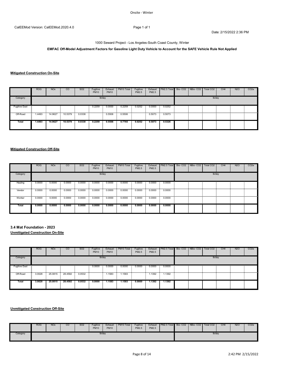1000 Seward Project - Los Angeles-South Coast County, Winter

**EMFAC Off-Model Adjustment Factors for Gasoline Light Duty Vehicle to Account for the SAFE Vehicle Rule Not Applied**

# **Mitigated Construction On-Site**

|                      | <b>ROG</b> | <b>NO<sub>x</sub></b> | <sub>co</sub> | SO <sub>2</sub> | Fugitive<br><b>PM10</b> | Exhaust<br><b>PM10</b> | PM10 Total | Fugitive<br>PM2.5 | PM2.5  | Exhaust PM2.5 Total Bio-CO2 NBio-CO2 |  | Total CO <sub>2</sub> | CH <sub>4</sub> | N <sub>2</sub> O | CO <sub>2e</sub> |
|----------------------|------------|-----------------------|---------------|-----------------|-------------------------|------------------------|------------|-------------------|--------|--------------------------------------|--|-----------------------|-----------------|------------------|------------------|
| Category             |            |                       |               |                 | lb/day                  |                        |            |                   |        |                                      |  | lb/day                |                 |                  |                  |
| <b>Fugitive Dust</b> |            |                       |               |                 | 0.2259                  | 0.0000                 | 0.2259     | 0.0252            | 0.0000 | 0.0252<br><b>Contract</b>            |  |                       |                 |                  |                  |
|                      |            |                       |               |                 |                         |                        |            |                   |        |                                      |  |                       |                 |                  |                  |
| Total                | 1.4493     | 14.9627               | 10.5379       | 0.0338          | 0.2259                  | 0.5506                 | 0.7765     | 0.0252            | 0.5073 | 0.5326                               |  |                       |                 |                  |                  |

#### **Mitigated Construction Off-Site**

|          | <b>ROG</b> | <b>NO<sub>x</sub></b>                       | $\overline{c}$    | SO <sub>2</sub> | Fugitive<br><b>PM10</b> | Exhaust<br><b>PM10</b> | PM <sub>10</sub> Total | Fugitive<br>PM2.5                   | Exhaust<br>PM2.5 | PM2.5 Total Bio-CO2 NBio-CO2 |  | Total CO <sub>2</sub> | CH <sub>4</sub> | <b>N2O</b> | CO <sub>2e</sub> |
|----------|------------|---------------------------------------------|-------------------|-----------------|-------------------------|------------------------|------------------------|-------------------------------------|------------------|------------------------------|--|-----------------------|-----------------|------------|------------------|
| Category |            |                                             |                   |                 |                         | lb/day                 |                        |                                     |                  |                              |  | lb/day                |                 |            |                  |
| Hauling  | 0.0000     | 0.0000<br><b>Contract</b>                   | $0.0000$ $0.0000$ |                 | 0.0000                  | 0.0000                 |                        | $0.0000$ $0.0000$ $0.0000$ $0.0000$ |                  |                              |  |                       |                 |            |                  |
| Vendor   | 0.0000     | 0.0000<br><b>Contract Contract Contract</b> | 0.0000            | 0.0000          | 0.0000                  | 0.0000                 | 0.0000                 | 0.0000                              | 0.0000           | 0.0000                       |  |                       |                 |            |                  |
| Worker   | 0.0000     | 0.0000                                      | 0.0000            | 0.0000          | 0.0000                  | 0.0000                 | 0.0000                 | 0.0000                              | 0.0000           | 0.0000                       |  |                       |                 |            |                  |
| Total    | 0.0000     | 0.0000                                      | 0.0000            | 0.0000          | 0.0000                  | 0.0000                 | 0.0000                 | 0.0000                              | 0.0000           | 0.0000                       |  |                       |                 |            |                  |

# **3.4 Mat Foundation - 2023**

**Unmitigated Construction On-Site**

|                      | <b>ROG</b> | <b>NO<sub>x</sub></b> | <sub>CO</sub> | SO <sub>2</sub> | Fugitive<br><b>PM10</b> | Exhaust<br><b>PM10</b> | PM10 Total | Fugitive<br>PM2.5 | PM2.5       | Exhaust   PM2.5 Total   Bio- CO2   NBio- CO2          |  | Total CO <sub>2</sub> | CH <sub>4</sub> | N <sub>2</sub> O | CO <sub>2e</sub> |
|----------------------|------------|-----------------------|---------------|-----------------|-------------------------|------------------------|------------|-------------------|-------------|-------------------------------------------------------|--|-----------------------|-----------------|------------------|------------------|
| Category             |            |                       |               |                 |                         | lb/day                 |            |                   |             |                                                       |  | lb/day                |                 |                  |                  |
| <b>Fugitive Dust</b> |            |                       |               |                 | 0.0000                  | 0.0000                 |            |                   |             | $0.0000$ $0.0000$ $0.0000$ $0.0000$ $0.0000$ $0.0000$ |  |                       |                 |                  |                  |
| Off-Road             | 3.0028     | 25.0815 28.4592       |               | 0.0532          |                         | 1.1583                 | 1.1583     |                   | $.1392 - 1$ | 1.1392                                                |  |                       |                 |                  |                  |
| Total                | 3.0028     | 25.0815               | 28.4592       | 0.0532          | 0.0000                  | 1.1583                 | 1.1583     | 0.0000            | 1.1392      | 1.1392                                                |  |                       |                 |                  |                  |

|          | <b>ROG</b> | <b>NO<sub>x</sub></b> | <sub>CO</sub> | SO <sub>2</sub> | Fugitive<br><b>PM10</b> | Exhaust<br><b>PM10</b> | PM10 Total | Fugitive<br>PM2.5 | Exhaust<br>PM2.5 | PM2.5 Total Bio-CO2 NBio-CO2 |  | Total CO <sub>2</sub> | CH <sub>4</sub> | <b>N2O</b> | CO <sub>2</sub> e |
|----------|------------|-----------------------|---------------|-----------------|-------------------------|------------------------|------------|-------------------|------------------|------------------------------|--|-----------------------|-----------------|------------|-------------------|
| Category |            |                       |               |                 |                         | lb/day                 |            |                   |                  |                              |  | lb/day                |                 |            |                   |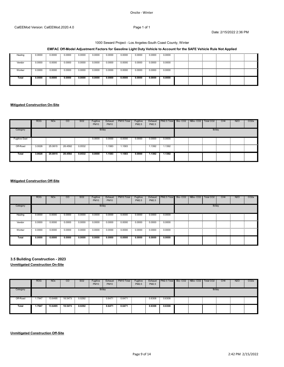#### Onsite ‐ Winter

#### CalEEMod Version: CalEEMod.2020.4.0 Page 1 of 1

Date: 2/15/2022 2:36 PM

# 1000 Seward Project - Los Angeles-South Coast County, Winter

# **EMFAC Off-Model Adjustment Factors for Gasoline Light Duty Vehicle to Account for the SAFE Vehicle Rule Not Applied**

| Hauling | 0.0000<br>$\sim$ | 0.0000 | 0.0000 | 0.0000 | 0.0000 | 0.0000 | 0.0000 | 0.0000 | 0.0000 | 0.0000 |  |  |  |
|---------|------------------|--------|--------|--------|--------|--------|--------|--------|--------|--------|--|--|--|
|         |                  |        |        |        |        |        |        |        |        |        |  |  |  |
|         |                  |        |        |        |        |        |        |        |        |        |  |  |  |
| Vendor  | 0.0000<br>$\sim$ | 0.0000 | 0.0000 | 0.0000 | 0.0000 | 0.0000 | 0.0000 | 0.0000 | 0.0000 | 0.0000 |  |  |  |
|         |                  |        |        |        |        |        |        |        |        |        |  |  |  |
|         |                  |        |        |        |        |        |        |        |        |        |  |  |  |
| Worker  | 0.0000<br>$\sim$ | 0.0000 | 0.0000 | 0.0000 | 0.0000 | 0.0000 | 0.0000 | 0.0000 | 0.0000 | 0.0000 |  |  |  |
|         |                  |        |        |        |        |        |        |        |        |        |  |  |  |
|         |                  |        |        |        |        |        |        |        |        |        |  |  |  |
| Total   | 0.0000           | 0.0000 | 0.0000 | 0.0000 | 0.0000 | 0.0000 | 0.0000 | 0.0000 | 0.0000 | 0.0000 |  |  |  |
|         |                  |        |        |        |        |        |        |        |        |        |  |  |  |
|         |                  |        |        |        |        |        |        |        |        |        |  |  |  |
|         |                  |        |        |        |        |        |        |        |        |        |  |  |  |

# **Mitigated Construction On-Site**

|                      | <b>ROG</b> | <b>NO<sub>x</sub></b>  | CO      | SO <sub>2</sub> | Fugitive<br><b>PM10</b> | Exhaust<br><b>PM10</b> | PM10 Total | Fugitive<br>PM2.5 | PM2.5  | Exhaust   PM2.5 Total   Bio- CO2   NBio- CO2   Total CO2 |  |        | CH <sub>4</sub> | <b>N2O</b> | CO <sub>2e</sub> |
|----------------------|------------|------------------------|---------|-----------------|-------------------------|------------------------|------------|-------------------|--------|----------------------------------------------------------|--|--------|-----------------|------------|------------------|
| Category             |            |                        |         |                 | lb/day                  |                        |            |                   |        |                                                          |  | lb/day |                 |            |                  |
| <b>Fugitive Dust</b> |            |                        |         |                 | 0.0000                  | 0.0000                 | 0.0000     | 0.0000<br>- 20    |        | $0.0000$ $0.0000$                                        |  |        |                 |            |                  |
| Off-Road             | 3.0028     | 25.0815 28.4592 0.0532 |         |                 |                         | 1.1583                 | .1583      |                   | 1.1392 | 1.1392                                                   |  |        |                 |            |                  |
| <b>Total</b>         | 3.0028     | 25.0815                | 28.4592 | 0.0532          | 0.0000                  | 1.1583                 | 1.1583     | 0.0000            | 1.1392 | 1.1392                                                   |  |        |                 |            |                  |

# **Mitigated Construction Off-Site**

|          | <b>ROG</b> | <b>NO<sub>x</sub></b> | <sub>CO</sub> | SO <sub>2</sub> | Fugitive<br><b>PM10</b> | Exhaust<br><b>PM10</b> | PM10 Total | Fugitive<br>PM2.5 | Exhaust<br>PM2.5 | PM2.5 Total      | Bio- CO2 NBio- CO2 | Total CO <sub>2</sub> | CH <sub>4</sub> | <b>N2O</b> | CO <sub>2</sub> e |
|----------|------------|-----------------------|---------------|-----------------|-------------------------|------------------------|------------|-------------------|------------------|------------------|--------------------|-----------------------|-----------------|------------|-------------------|
| Category |            |                       |               |                 | lb/day                  |                        |            |                   |                  |                  |                    | lb/day                |                 |            |                   |
| Hauling  | 0.0000     | 0.0000                | 0.0000        | 0.0000          | 0.0000                  | 0.0000                 | 0.0000     | 0.0000            | 0.0000           | 0.0000<br>$\sim$ |                    |                       |                 |            |                   |
| Vendor   | 0.0000     | 0.0000                | 0.0000        | 0.0000          | 0.0000                  | 0.0000                 | 0.0000     | 0.0000            | 0.0000           | 0.0000           |                    |                       |                 |            |                   |
| Worker   | 0.0000     | 0.0000<br>$\sim$      | 0.0000        | 0.0000          | 0.0000                  | 0.0000                 | 0.0000     | 0.0000            | 0.0000           | 0.0000           |                    |                       |                 |            |                   |
| Total    | 0.0000     | 0.0000                | 0.0000        | 0.0000          | 0.0000                  | 0.0000                 | 0.0000     | 0.0000            | 0.0000           | 0.0000           |                    |                       |                 |            |                   |

# **3.5 Building Construction - 2023 Unmitigated Construction On-Site**

|          | <b>ROG</b> | <b>NO<sub>x</sub></b> | CO              | SO <sub>2</sub> | Fugitive<br><b>PM10</b> | Exhaust<br><b>PM10</b> | PM10 Total | Fugitive<br>PM2.5 | PM2.5  | Exhaust PM2.5 Total Bio- CO2 NBio- CO2 |  | Total CO <sub>2</sub> | CH <sub>4</sub> | N <sub>2</sub> O | CO <sub>2</sub> e |
|----------|------------|-----------------------|-----------------|-----------------|-------------------------|------------------------|------------|-------------------|--------|----------------------------------------|--|-----------------------|-----------------|------------------|-------------------|
| Category |            |                       |                 |                 | lb/day                  |                        |            |                   |        |                                        |  | lb/day                |                 |                  |                   |
| Off-Road | 1.7947     |                       | 13.6495 18.5473 | 0.0292          |                         | 0.6471                 | 0.6471     |                   | 0.6308 | 0.6308                                 |  |                       |                 |                  |                   |
| Total    | 1.7947     | 13.6495               | 18.5473         | 0.0292          |                         | 0.6471                 | 0.6471     |                   | 0.6308 | 0.6308                                 |  |                       |                 |                  |                   |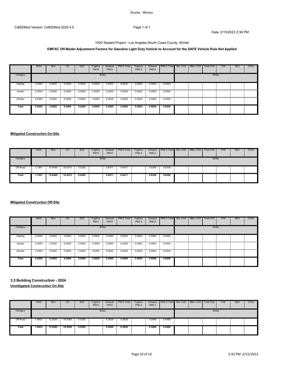#### Onsite ‐ Winter

Date: 2/15/2022 2:36 PM

# 1000 Seward Project - Los Angeles-South Coast County, Winter

# **EMFAC Off-Model Adjustment Factors for Gasoline Light Duty Vehicle to Account for the SAFE Vehicle Rule Not Applied**

|          | <b>ROG</b> | <b>NO<sub>x</sub></b> | <sub>CO</sub> | SO <sub>2</sub> | Fugitive<br><b>PM10</b> | Exhaust<br><b>PM10</b> | PM <sub>10</sub> Total | Fugitive<br>PM2.5 | PM2.5  | Exhaust PM2.5 Total Bio-CO2 NBio-CO2 |  | Total CO <sub>2</sub> | CH <sub>4</sub> | <b>N2O</b> | CO <sub>2</sub> e |
|----------|------------|-----------------------|---------------|-----------------|-------------------------|------------------------|------------------------|-------------------|--------|--------------------------------------|--|-----------------------|-----------------|------------|-------------------|
| Category |            |                       |               |                 | lb/day                  |                        |                        |                   |        |                                      |  | lb/day                |                 |            |                   |
| Hauling  | 0.0000     | 0.0000                | 0.0000        | 0.0000          | 0.0000                  | 0.0000                 | 0.0000                 | 0.0000            | 0.0000 | 0.0000<br>$\sim$                     |  |                       |                 |            |                   |
| Vendor   | 0.0000     | 0.0000                | 0.0000        | 0.0000          | 0.0000                  | 0.0000                 | 0.0000                 | 0.0000            | 0.0000 | 0.0000<br><b>CONTRACTOR</b>          |  |                       |                 |            |                   |
| Worker   | 0.0000     | 0.0000                | 0.0000        | 0.0000          | 0.0000                  | 0.0000                 | 0.0000                 | 0.0000            | 0.0000 | 0.0000<br><b>Contract Contract</b>   |  |                       |                 |            |                   |
| Total    | 0.0000     | 0.0000                | 0.0000        | 0.0000          | 0.0000                  | 0.0000                 | 0.0000                 | 0.0000            | 0.0000 | 0.0000                               |  |                       |                 |            |                   |

# **Mitigated Construction On-Site**

|          | <b>ROG</b> | <b>NO<sub>x</sub></b> | CO              | SO <sub>2</sub> | Fugitive<br><b>PM10</b> | Exhaust<br><b>PM10</b> | PM10 Total | Fugitive<br>PM2.5 | PM2.5  | Exhaust   PM2.5 Total   Bio- CO2   NBio- CO2   Total CO2 |  |        | CH <sub>4</sub> | <b>N2O</b> | CO <sub>2</sub> e |
|----------|------------|-----------------------|-----------------|-----------------|-------------------------|------------------------|------------|-------------------|--------|----------------------------------------------------------|--|--------|-----------------|------------|-------------------|
| Category |            |                       |                 |                 |                         | lb/day                 |            |                   |        |                                                          |  | lb/day |                 |            |                   |
| Off-Road | .7947      |                       | 13.6495 18.5473 | 0.0292          |                         | 0.6471                 | 0.6471     |                   | 0.6308 | 0.6308<br><b>Contract Contract</b>                       |  |        |                 |            |                   |
| Total    | 1.7947     | 13.6495               | 18.5473         | 0.0292          |                         | 0.6471                 | 0.6471     |                   | 0.6308 | 0.6308                                                   |  |        |                 |            |                   |

# **Mitigated Construction Off-Site**

|              | <b>ROG</b> | <b>NO<sub>x</sub></b> | <sub>CO</sub> | SO <sub>2</sub> | Fugitive<br><b>PM10</b>  | Exhaust<br><b>PM10</b> | PM10 Total | Fugitive<br>PM2.5 | PM2.5  | Exhaust PM2.5 Total Bio-CO2 NBio-CO2 |  | Total CO <sub>2</sub> | CH <sub>4</sub> | <b>N2O</b> | CO <sub>2</sub> e |
|--------------|------------|-----------------------|---------------|-----------------|--------------------------|------------------------|------------|-------------------|--------|--------------------------------------|--|-----------------------|-----------------|------------|-------------------|
| Category     |            |                       |               |                 |                          | lb/day                 |            |                   |        |                                      |  | lb/day                |                 |            |                   |
| Hauling<br>. | 0.0000     | 0.0000                | 0.0000        | 0.0000          | 0.0000<br>$\sim$         | 0.0000                 | 0.0000     | 0.0000            | 0.0000 | 0.0000<br><b>Contract Contract</b>   |  |                       |                 |            |                   |
| Vendor       | 0.0000     | 0.0000                | 0.0000        | 0.0000          | 0.0000<br><b>College</b> | 0.0000                 | 0.0000     | 0.0000            | 0.0000 | 0.0000                               |  |                       |                 |            |                   |
| Worker       | 0.0000     | 0.0000                | 0.0000        | 0.0000          | 0.0000                   | 0.0000                 | 0.0000     | 0.0000            | 0.0000 | 0.0000                               |  |                       |                 |            |                   |
| <b>Total</b> | 0.0000     | 0.0000                | 0.0000        | 0.0000          | 0.0000                   | 0.0000                 | 0.0000     | 0.0000            | 0.0000 | 0.0000                               |  |                       |                 |            |                   |

# **3.5 Building Construction - 2024 Unmitigated Construction On-Site**

|          | <b>ROG</b> | <b>NO<sub>x</sub></b> | <sub>co</sub>    | SO <sub>2</sub> | Fugitive<br><b>PM10</b> | Exhaust<br><b>PM10</b> | PM10 Total | Fugitive<br>PM2.5 | PM2.5  | Exhaust   PM2.5 Total   Bio- CO2   NBio- CO2   Total CO2 |  |        | CH <sub>4</sub> | N <sub>2</sub> O | CO <sub>2</sub> e |
|----------|------------|-----------------------|------------------|-----------------|-------------------------|------------------------|------------|-------------------|--------|----------------------------------------------------------|--|--------|-----------------|------------------|-------------------|
| Category |            |                       |                  |                 | lb/day                  |                        |            |                   |        |                                                          |  | lb/day |                 |                  |                   |
| Off-Road | 1.6833     |                       | 12.9283  18.5050 | 0.0292          |                         | 0.5629                 | 0.5629     |                   | 0.5486 | 0.5486                                                   |  |        |                 |                  |                   |
| Total    | 1.6833     | 12.9283               | 18.5050          | 0.0292          |                         | 0.5629                 | 0.5629     |                   | 0.5486 | 0.5486                                                   |  |        |                 |                  |                   |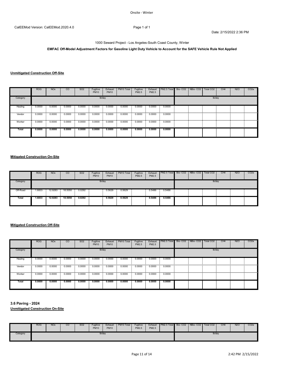# 1000 Seward Project - Los Angeles-South Coast County, Winter

# **EMFAC Off-Model Adjustment Factors for Gasoline Light Duty Vehicle to Account for the SAFE Vehicle Rule Not Applied**

# **Unmitigated Construction Off-Site**

|              | <b>ROG</b> | <b>NO<sub>x</sub></b> | <sub>CO</sub> | SO <sub>2</sub> | Fugitive<br><b>PM10</b> | Exhaust<br><b>PM10</b> | PM <sub>10</sub> Total | Fugitive<br>PM2.5 | Exhaust<br>PM2.5 | PM2.5 Total                        | Bio-CO <sub>2</sub> | NBio-CO <sub>2</sub> | Total CO2 | CH <sub>4</sub> | N <sub>2</sub> O | CO2e |
|--------------|------------|-----------------------|---------------|-----------------|-------------------------|------------------------|------------------------|-------------------|------------------|------------------------------------|---------------------|----------------------|-----------|-----------------|------------------|------|
| Category     |            |                       |               |                 |                         | lb/day                 |                        |                   |                  |                                    |                     |                      | lb/day    |                 |                  |      |
| Hauling      | 0.0000     | 0.0000                | 0.0000        | 0.0000          | 0.0000                  | 0.0000                 | 0.0000                 | 0.0000            | 0.0000           | 0.0000<br><b>Contract Contract</b> |                     |                      |           |                 |                  |      |
| Vendor       | 0.0000     | 0.0000                | 0.0000        | 0.0000          | 0.0000                  | 0.0000                 | 0.0000                 | 0.0000            | 0.0000           | 0.0000                             |                     |                      |           |                 |                  |      |
| Worker       | 0.0000     | 0.0000                | 0.0000        | 0.0000          | 0.0000                  | 0.0000                 | 0.0000                 | 0.0000            |                  | $0.0000$ $0.0000$                  |                     |                      |           |                 |                  |      |
| <b>Total</b> | 0.0000     | 0.0000                | 0.0000        | 0.0000          | 0.0000                  | 0.0000                 | 0.0000                 | 0.0000            | 0.0000           | 0.0000                             |                     |                      |           |                 |                  |      |

# **Mitigated Construction On-Site**

|              | <b>ROG</b> | <b>NO<sub>x</sub></b> | CO                        | SO <sub>2</sub> | Fugitive<br><b>PM10</b> | Exhaust<br><b>PM10</b> | PM10 Total | Fugitive<br>PM2.5 | PM2.5  | Exhaust   PM2.5 Total   Bio- CO2   NBio- CO2   Total CO2 |  |        | CH <sub>4</sub> | <b>N2O</b> | CO <sub>2</sub> e |
|--------------|------------|-----------------------|---------------------------|-----------------|-------------------------|------------------------|------------|-------------------|--------|----------------------------------------------------------|--|--------|-----------------|------------|-------------------|
| Category     |            |                       |                           |                 | lb/day                  |                        |            |                   |        |                                                          |  | lb/day |                 |            |                   |
| Off-Road     | 1.6833     | 12.9283               | 18.5050<br>- 11<br>$\sim$ | 0.0292          |                         | 0.5629                 | 0.5629     |                   | 0.5486 | 0.5486<br>- 90                                           |  |        |                 |            |                   |
| <b>Total</b> | 1.6833     | 12.9283               | 18.5050                   | 0.0292          |                         | 0.5629                 | 0.5629     |                   | 0.5486 | 0.5486                                                   |  |        |                 |            |                   |

#### **Mitigated Construction Off-Site**

|          | <b>ROG</b> | <b>NO<sub>x</sub></b> | $\overline{c}$ | SO <sub>2</sub> | Fugitive<br><b>PM10</b>  | Exhaust<br><b>PM10</b> | PM <sub>10</sub> Total | Fugitive<br>PM2.5 | PM2.5  | Exhaust   PM2.5 Total   Bio- CO2   NBio- CO2   Total CO2 |  |        | CH <sub>4</sub> | <b>N2O</b> | CO <sub>2e</sub> |
|----------|------------|-----------------------|----------------|-----------------|--------------------------|------------------------|------------------------|-------------------|--------|----------------------------------------------------------|--|--------|-----------------|------------|------------------|
| Category |            |                       |                |                 | lb/day                   |                        |                        |                   |        |                                                          |  | lb/day |                 |            |                  |
| Hauling  | 0.0000     | 0.0000                | 0.0000         | 0.0000          | 0.0000                   | 0.0000                 | 0.0000                 | 0.0000            | 0.0000 | 0.0000<br><b>Contract Contract</b>                       |  |        |                 |            |                  |
| Vendor   | 0.0000     | 0.0000                | 0.0000         | 0.0000          | 0.0000                   | 0.0000                 | 0.0000                 | 0.0000            | 0.0000 | 0.0000                                                   |  |        |                 |            |                  |
| Worker   | 0.0000     | 0.0000                | $0.0000 -$     | 0.0000          | 0.0000<br><b>College</b> | 0.0000                 | 0.0000                 | 0.0000            | 0.0000 | 0.0000<br><b>Contract Contract</b>                       |  |        |                 |            |                  |
| Total    | 0.0000     | 0.0000                | 0.0000         | 0.0000          | 0.0000                   | 0.0000                 | 0.0000                 | 0.0000            | 0.0000 | 0.0000                                                   |  |        |                 |            |                  |

**3.6 Paving - 2024**

|          | <b>ROG</b> | <b>NO<sub>x</sub></b> | CO | SO <sub>2</sub> | Fugitive<br><b>PM10</b> | Exhaust<br><b>PM10</b> | PM10 Total | Fugitive<br>PM2.5 | Exhaust<br>PM2.5 | PM2.5 Total | Bio-CO <sub>2</sub> | NBio-CO <sub>2</sub> | Total CO <sub>2</sub> | CH <sub>4</sub> | <b>N2O</b> | CO <sub>2</sub> |
|----------|------------|-----------------------|----|-----------------|-------------------------|------------------------|------------|-------------------|------------------|-------------|---------------------|----------------------|-----------------------|-----------------|------------|-----------------|
| Category |            |                       |    |                 | lb/day                  |                        |            |                   |                  |             |                     |                      | lb/day                |                 |            |                 |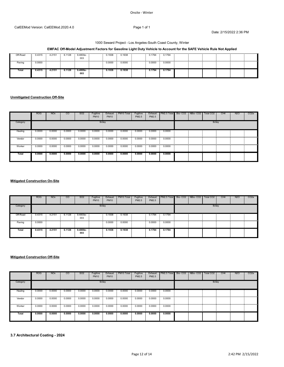#### Onsite ‐ Winter

## CalEEMod Version: CalEEMod.2020.4.0 Page 1 of 1

Date: 2/15/2022 2:36 PM

# 1000 Seward Project - Los Angeles-South Coast County, Winter

# **EMFAC Off-Model Adjustment Factors for Gasoline Light Duty Vehicle to Account for the SAFE Vehicle Rule Not Applied**

| Off-Road | 0.4315 | 4.2151 | 6.1128<br>$\overline{\phantom{a}}$ | 9.4800e-<br>003   | 0.1938 | 0.1938 | 0.1794 | 0.1794 |  |  |  |
|----------|--------|--------|------------------------------------|-------------------|--------|--------|--------|--------|--|--|--|
| Paving   | 0.0000 |        |                                    |                   | 0.0000 | 0.0000 | 0.0000 | 0.0000 |  |  |  |
| Total    | 0.4315 | 4.2151 | 6.1128                             | $9.4800e-$<br>003 | 0.1938 | 0.1938 | 0.1794 | 0.1794 |  |  |  |

# **Unmitigated Construction Off-Site**

|              | <b>ROG</b> | <b>NO<sub>x</sub></b> | <sub>CO</sub> | SO <sub>2</sub> | Fugitive<br><b>PM10</b> | Exhaust<br><b>PM10</b> | PM10 Total | Fugitive<br>PM2.5 | PM2.5  | Exhaust   PM2.5 Total   Bio- CO2   NBio- CO2 |  | Total CO <sub>2</sub> | CH <sub>4</sub> | N <sub>2</sub> O | CO <sub>2</sub> e |
|--------------|------------|-----------------------|---------------|-----------------|-------------------------|------------------------|------------|-------------------|--------|----------------------------------------------|--|-----------------------|-----------------|------------------|-------------------|
| Category     |            |                       |               |                 | lb/day                  |                        |            |                   |        |                                              |  | lb/day                |                 |                  |                   |
| Hauling      | 0.0000     | 0.0000                | 0.0000        | 0.0000          | 0.0000                  | 0.0000                 | 0.0000     | 0.0000            | 0.0000 | 0.0000<br><b>Contract</b>                    |  |                       |                 |                  |                   |
| Vendor       | 0.0000     | 0.0000                | 0.0000        | 0.0000          | 0.0000                  | 0.0000                 | 0.0000     | 0.0000            | 0.0000 | 0.0000<br>and the second                     |  |                       |                 |                  |                   |
| Worker       | 0.0000     | 0.0000                | 0.0000        | 0.0000          | 0.0000                  | 0.0000                 | 0.0000     | 0.0000            |        | $0.0000$ $0.0000$                            |  |                       |                 |                  |                   |
| <b>Total</b> | 0.0000     | 0.0000                | 0.0000        | 0.0000          | 0.0000                  | 0.0000                 | 0.0000     | 0.0000            | 0.0000 | 0.0000                                       |  |                       |                 |                  |                   |

# **Mitigated Construction On-Site**

|                 | <b>ROG</b> | <b>NO<sub>x</sub></b> | $\overline{c}$  | SO <sub>2</sub>   | Fugitive<br><b>PM10</b> | Exhaust<br><b>PM10</b> | PM10 Total  | Fugitive<br>PM2.5 | PM2.5  | Exhaust   PM2.5 Total   Bio- CO2   NBio- CO2   Total CO2 |  |        | CH <sub>4</sub> | <b>N2O</b> | CO <sub>2</sub> e |
|-----------------|------------|-----------------------|-----------------|-------------------|-------------------------|------------------------|-------------|-------------------|--------|----------------------------------------------------------|--|--------|-----------------|------------|-------------------|
| Category        |            |                       |                 |                   | lb/day                  |                        |             |                   |        |                                                          |  | lb/day |                 |            |                   |
| Off-Road        | 0.4315     | 4.2151<br>$\sim$      | 6.1128 9.4800e- | 003               |                         | 0.1938                 | 0.1938      |                   | 0.1794 | 0.1794                                                   |  |        |                 |            |                   |
| <br>Paving<br>- | 0.0000     |                       |                 |                   |                         | 0.0000                 | .<br>0.0000 |                   |        | $0.0000$ 0.0000                                          |  |        |                 |            |                   |
| Total           | 0.4315     | 4.2151                | 6.1128          | $9.4800e-$<br>003 |                         | 0.1938                 | 0.1938      |                   | 0.1794 | 0.1794                                                   |  |        |                 |            |                   |

## **Mitigated Construction Off-Site**

|          | <b>ROG</b> | <b>NO<sub>x</sub></b> | $\overline{c}$                              | SO <sub>2</sub> | Fugitive<br><b>PM10</b> | Exhaust<br><b>PM10</b> | PM10 Total | Fugitive<br>PM2.5 | PM2.5  | Exhaust PM2.5 Total Bio-CO2 NBio-CO2        |  | Total CO <sub>2</sub> | CH <sub>4</sub> | <b>N2O</b> | CO <sub>2</sub> e |
|----------|------------|-----------------------|---------------------------------------------|-----------------|-------------------------|------------------------|------------|-------------------|--------|---------------------------------------------|--|-----------------------|-----------------|------------|-------------------|
| Category |            |                       |                                             |                 |                         | lb/day                 |            |                   |        |                                             |  | lb/day                |                 |            |                   |
| Hauling  | 0.0000     | 0.0000                | 0.0000<br><b>Contract Contract Contract</b> | 0.0000          | 0.0000<br>$\sim$        | 0.0000                 | 0.0000     | 0.0000            | 0.0000 | 0.0000<br><b>Contract Contract Contract</b> |  |                       |                 |            |                   |
| Vendor   | 0.0000     | 0.0000                | 0.0000                                      | 0.0000          | 0.0000                  | 0.0000                 | 0.0000     | 0.0000            | 0.0000 | 0.0000                                      |  |                       |                 |            |                   |
| Worker   | 0.0000     | 0.0000                | 0.0000                                      | 0.0000          | 0.0000                  | 0.0000                 | 0.0000     | 0.0000            | 0.0000 | 0.0000                                      |  |                       |                 |            |                   |
| Total    | 0.0000     | 0.0000                | 0.0000                                      | 0.0000          | 0.0000                  | 0.0000                 | 0.0000     | 0.0000            | 0.0000 | 0.0000                                      |  |                       |                 |            |                   |

**3.7 Architectural Coating - 2024**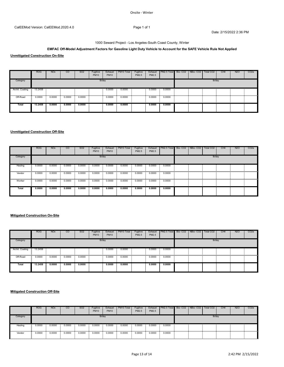# 1000 Seward Project - Los Angeles-South Coast County, Winter

# **EMFAC Off-Model Adjustment Factors for Gasoline Light Duty Vehicle to Account for the SAFE Vehicle Rule Not Applied**

**Unmitigated Construction On-Site**

|                 | <b>ROG</b> | <b>NO<sub>x</sub></b> | $\overline{c}$ | SO <sub>2</sub> | Fugitive<br><b>PM10</b> | Exhaust<br><b>PM10</b> | PM10 Total | Fugitive<br>PM2.5 | PM2.5  | Exhaust   PM2.5 Total   Bio- CO2   NBio- CO2 |  | Total CO <sub>2</sub> | CH4 | <b>N2O</b> | CO <sub>2</sub> e |
|-----------------|------------|-----------------------|----------------|-----------------|-------------------------|------------------------|------------|-------------------|--------|----------------------------------------------|--|-----------------------|-----|------------|-------------------|
| Category        |            |                       |                |                 | lb/day                  |                        |            |                   |        |                                              |  | lb/day                |     |            |                   |
| Archit. Coating | 13.2458    |                       |                |                 |                         | 0.0000                 | $0.0000$ : |                   |        | $0.0000$ 0.0000                              |  |                       |     |            |                   |
| Off-Road        | 0.0000     | 0.0000                | 0.0000         | 0.0000          |                         | 0.0000                 | 0.0000     |                   | 0.0000 | 0.0000                                       |  |                       |     |            |                   |
| <b>Total</b>    | 13.2458    | 0.0000                | 0.0000         | 0.0000          |                         | 0.0000                 | 0.0000     |                   | 0.0000 | 0.0000                                       |  |                       |     |            |                   |

#### **Unmitigated Construction Off-Site**

|            | <b>ROG</b> | <b>NO<sub>x</sub></b> | CO     | SO <sub>2</sub> | Fugitive<br><b>PM10</b> | Exhaust<br><b>PM10</b> | PM10 Total | Fugitive<br>PM2.5 | PM2.5  | Exhaust PM2.5 Total Bio-CO2 NBio-CO2 |  | Total CO <sub>2</sub> | CH <sub>4</sub> | <b>N2O</b> | CO <sub>2e</sub> |
|------------|------------|-----------------------|--------|-----------------|-------------------------|------------------------|------------|-------------------|--------|--------------------------------------|--|-----------------------|-----------------|------------|------------------|
| Category   |            |                       |        |                 |                         | lb/day                 |            |                   |        |                                      |  | lb/day                |                 |            |                  |
| Hauling    | 0.0000     | 0.0000                | 0.0000 | 0.0000          | 0.0000                  | 0.0000                 | 0.0000     | 0.0000            | 0.0000 | 0.0000                               |  |                       |                 |            |                  |
| Vendor     | 0.0000     | 0.0000                | 0.0000 | 0.0000          | 0.0000                  | 0.0000                 | 0.0000     | 0.0000            | 0.0000 | 0.0000                               |  |                       |                 |            |                  |
| <br>Worker | 0.0000     | 0.0000                | 0.0000 | 0.0000          | 0.0000                  | 0.0000                 | 0.0000     | 0.0000            | 0.0000 | 0.0000                               |  |                       |                 |            |                  |
| Total      | 0.0000     | 0.0000                | 0.0000 | 0.0000          | 0.0000                  | 0.0000                 | 0.0000     | 0.0000            | 0.0000 | 0.0000                               |  |                       |                 |            |                  |

## **Mitigated Construction On-Site**

|                 | <b>ROG</b> | <b>NO<sub>x</sub></b> | $\overline{c}$ | SO <sub>2</sub> | Fugitive<br><b>PM10</b> | Exhaust<br><b>PM10</b> | PM10 Total | Fugitive<br>PM2.5 | PM2.5  | Exhaust   PM2.5 Total   Bio- CO2   NBio- CO2   Total CO2 |  |        | CH <sub>4</sub> | <b>N2O</b> | CO <sub>2</sub> e |
|-----------------|------------|-----------------------|----------------|-----------------|-------------------------|------------------------|------------|-------------------|--------|----------------------------------------------------------|--|--------|-----------------|------------|-------------------|
| Category        |            |                       |                |                 |                         | Ib/day                 |            |                   |        |                                                          |  | lb/day |                 |            |                   |
| Archit. Coating | 13.2458    |                       |                |                 |                         | 0.0000                 | 0.0000     |                   | 0.0000 | 0.0000<br><b>Contract</b>                                |  |        |                 |            |                   |
| Off-Road        | 0.0000     | 0.0000                | 0.0000         | 0.0000          |                         | 0.0000                 | 0.0000     |                   | 0.0000 | 0.0000                                                   |  |        |                 |            |                   |
| Total           | 13.2458    | 0.0000                | 0.0000         | 0.0000          |                         | 0.0000                 | 0.0000     |                   | 0.0000 | 0.0000                                                   |  |        |                 |            |                   |

|          | <b>ROG</b> | <b>NO<sub>x</sub></b> | <sub>co</sub> | SO <sub>2</sub> | Fugitive<br><b>PM10</b> | Exhaust<br><b>PM10</b> | PM <sub>10</sub> Total | Fugitive<br>PM2.5 | Exhaust<br>PM2.5 | PM2.5 Total | Bio-CO2 NBio-CO2 | Total CO <sub>2</sub> | CH <sub>4</sub> | N <sub>2</sub> O | CO2e |
|----------|------------|-----------------------|---------------|-----------------|-------------------------|------------------------|------------------------|-------------------|------------------|-------------|------------------|-----------------------|-----------------|------------------|------|
| Category |            |                       |               |                 |                         | lb/day                 |                        |                   |                  |             |                  | lb/dav                |                 |                  |      |
| Hauling  | 0.0000     | 0.0000                | 0.0000        | 0.0000          | 0.0000                  | 0.0000                 | 0.0000                 | 0.0000            | 0.0000           | 0.0000      |                  |                       |                 |                  |      |
| Vendor   | 0.0000     | 0.0000                | 0.0000        | 0.0000          | 0.0000                  | 0.0000                 | 0.0000                 | 0.0000            | 0.0000           | 0.0000      |                  |                       |                 |                  |      |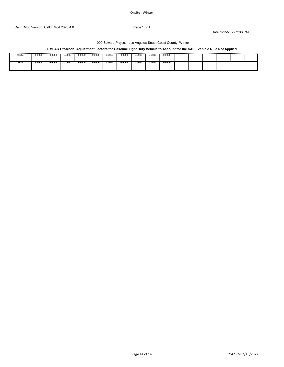#### Onsite ‐ Winter

#### Date: 2/15/2022 2:36 PM

# 1000 Seward Project - Los Angeles-South Coast County, Winter

# **EMFAC Off-Model Adjustment Factors for Gasoline Light Duty Vehicle to Account for the SAFE Vehicle Rule Not Applied**

| Worker | 0000.ر | 0.0000 | 0000. ل | 0.0000 | 0.0000 | 0.0000 | 0.0000 | 0.0000 | 0.0000 | 0.0000 |  |  |  |
|--------|--------|--------|---------|--------|--------|--------|--------|--------|--------|--------|--|--|--|
| Total  | 0.0000 | 0.0000 | 0.0000  | 0.0000 | 0.0000 | 0.0000 | 0.0000 | 0.0000 | 0.0000 | 0.0000 |  |  |  |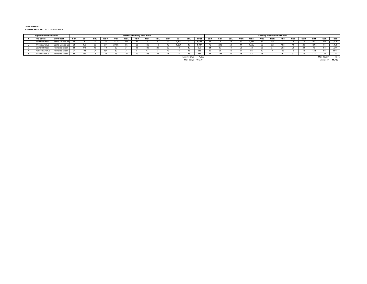#### **1000 SEWARDFUTURE WITH PROJECT CONDITIONS**

| <b>Signalized Intersections</b><br>Weekday Morning Peak Hour |                       |                |            |           |            |                 |            |  |            | Weekday Afternoon Peak Hour |            |       |             |        |            |                 |           |            |                 |            |            |            |            |     |            |             |        |
|--------------------------------------------------------------|-----------------------|----------------|------------|-----------|------------|-----------------|------------|--|------------|-----------------------------|------------|-------|-------------|--------|------------|-----------------|-----------|------------|-----------------|------------|------------|------------|------------|-----|------------|-------------|--------|
| <b>N/S Street</b>                                            | <b>E/W Street</b>     | <b>SBR</b>     | <b>SBT</b> | <b>SB</b> | <b>WBR</b> | WB <sup>-</sup> | <b>VBL</b> |  | <b>NBT</b> | <b>NBL</b>                  | <b>EBR</b> | FR1   | EBL         | Total  | <b>SBF</b> | SB <sub>1</sub> | <b>SB</b> | <b>WBR</b> | WB <sup>-</sup> | <b>VBL</b> | <b>NBF</b> | <b>NBT</b> | <b>NBL</b> | EBR | <b>EBT</b> | EBL         | Total  |
| Seward Street                                                | Santa Monica Bo       | 60             |            |           | 25         | 2,128           |            |  |            |                             |            | 1,202 | $\epsilon$  | 3,696  |            |                 |           | J,         | 1,551           |            |            |            |            |     | 1,843      |             | 3,720  |
| <b>Wilcox Avenue</b>                                         | Santa Monica Bo       | 95             | 173        |           |            | 2,185           |            |  |            |                             |            | 1.204 |             | 4,007  |            | 203             |           |            | 1,502           |            |            |            |            |     | 1,905      |             | 1,175  |
| <b>Seward Street</b>                                         | Romaine Street        | 59             | 118        |           |            |                 |            |  | 145        |                             |            |       |             | 608    |            | 63              |           |            |                 |            |            | 283        |            |     |            |             | 729    |
| Hudson Avenue                                                | Romaine Street        | 2 <sub>A</sub> |            |           |            |                 |            |  |            |                             |            |       |             | 585    | 62         |                 |           |            |                 |            |            |            |            |     | 122        |             | ספס    |
| Wilcox Avenue                                                | <b>Romaine Street</b> | 56             | 144        |           |            |                 |            |  | 133        |                             |            |       |             | 587    |            | 196             |           |            |                 |            |            |            |            |     |            |             | $-1$   |
|                                                              |                       |                |            |           |            |                 |            |  |            |                             |            |       | Max Hourly: | 4,007  |            |                 |           |            |                 |            |            |            |            |     |            | Max Hourly: | 4,175  |
|                                                              |                       |                |            |           |            |                 |            |  |            |                             |            |       | Max Daily:  | 40,070 |            |                 |           |            |                 |            |            |            |            |     |            | Max Daily   | 41.750 |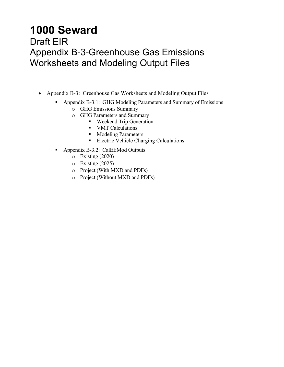# **1000 Seward**

# Draft EIR Appendix B-3-Greenhouse Gas Emissions Worksheets and Modeling Output Files

- Appendix B-3: Greenhouse Gas Worksheets and Modeling Output Files
	- Appendix B-3.1: GHG Modeling Parameters and Summary of Emissions
		- o GHG Emissions Summary
		- o GHG Parameters and Summary
			- Weekend Trip Generation
			- **VMT** Calculations
			- **Modeling Parameters**
			- **Electric Vehicle Charging Calculations**
	- Appendix B-3.2: CalEEMod Outputs
		- o Existing (2020)
		- o Existing (2025)
		- o Project (With MXD and PDFs)
		- o Project (Without MXD and PDFs)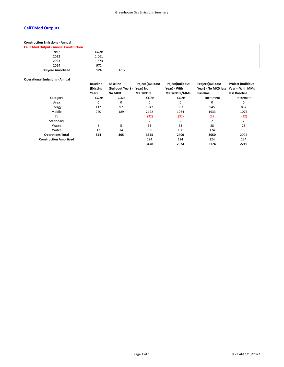# **CalEEMod Outputs**

# **Construction Emissions ‐ Annual**

**CalEEMod Output ‐ Annual Construction**

#### **Operational Emissions ‐ Annual**

|                               | <b>Baseline</b><br>(Existing | <b>Baseline</b><br>(Buildout Year) - | <b>Project (Buildout</b><br>Year) No | Project(Buildout<br>Year) - With | <b>Project(Buildout</b><br>Year) - No MXD less Year) - With MMs | <b>Project (Buildout</b> |
|-------------------------------|------------------------------|--------------------------------------|--------------------------------------|----------------------------------|-----------------------------------------------------------------|--------------------------|
|                               | Year)                        | <b>No MXD</b>                        | <b>MXD/PDFs</b>                      | MXD/PDFs/MMs                     | <b>Baseline</b>                                                 | less Baseline            |
| Category                      | CO <sub>2</sub> e            | CO <sub>2</sub> e                    | CO <sub>2</sub> e                    | CO <sub>2</sub> e                | Increment                                                       | Increment                |
| Area                          | 0                            | 0                                    | 0                                    | 0                                | 0                                                               | 0                        |
| Energy                        | 112                          | 97                                   | 1042                                 | 983                              | 945                                                             | 887                      |
| Mobile                        | 220                          | 189                                  | 2122                                 | 1264                             | 1933                                                            | 1075                     |
| EV                            |                              |                                      | (32)                                 | (32)                             | (32)                                                            | (32)                     |
| Stationary                    |                              |                                      |                                      | 2                                |                                                                 |                          |
| Waste                         | 5                            | 5                                    | 33                                   | 33                               | 28                                                              | 28                       |
| Water                         | 17                           | 14                                   | 188                                  | 150                              | 174                                                             | 136                      |
| <b>Operations Total</b>       | 354                          | 305                                  | 3355                                 | 2400                             | 3050                                                            | 2095                     |
| <b>Construction Amortized</b> |                              |                                      | 124                                  | 124                              | 124                                                             | 124                      |
|                               |                              |                                      | 3478                                 | 2524                             | 3174                                                            | 2219                     |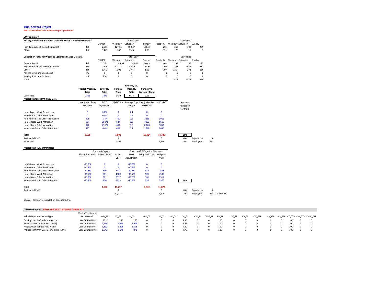#### **1000 Seward Project**

#### **VMT Calculations for CalEEMod Inputs (Buildout)**

| <b>VMT Summary</b>                                                      |     |          |          |              |        |          |                  |             |          |
|-------------------------------------------------------------------------|-----|----------|----------|--------------|--------|----------|------------------|-------------|----------|
| <b>Existing Generation Rates for Weekend Scalar (CalEEMod Defaults)</b> |     |          |          | Rate (Daily) |        |          |                  | Daily Trips |          |
|                                                                         |     | DU/TSF   | Weekdav  | Saturdav     | Sundav | Passby % | Weekday Saturday |             | Sundav   |
| High-Turnover Sit-Down Restaurant                                       | ksf | 2.551    | 127.15   | 158.37       | 131.84 | 20%      | 259              | 323         | 269      |
| Office                                                                  | ksf | 8.442    | 11.03    | 2.46         | 1.05   | 19%      | 75               | 17          |          |
| <b>Generation Rates for Weekend Scalar (CalEEMod Defaults)</b>          |     |          |          | Rate (Daily) |        |          |                  | Daily Trips |          |
|                                                                         |     | DU/TSF   | Weekdav  | Saturdav     | Sundav | Passby % | Weekday Saturday |             | Sundav   |
| General Retail                                                          | ksf | 2.2      | 44.32    | 42.04        | 20.43  | 40%      | 59               | 55          | 27       |
| High-Turnover Sit-Down Restaurant                                       | ksf | 12.2     | 127.15   | 158.37       | 131.84 | 20%      | 1241             | 1546        | 1287     |
| Office                                                                  | ksf | 136.2    | 11.03    | 2.46         | 1.05   | 19%      | 1217             | 271         | 116      |
| Parking Structure Unenclosed                                            | PS  | $\Omega$ | $\Omega$ | 0            | 0      | 0        | $\Omega$         | $\Omega$    | $\Omega$ |
| Parking Structure Enclosed                                              | PS  | 310      | 0        | 0            | 0      | 0        | $\Omega$         | $\Omega$    |          |
| Total                                                                   |     |          |          |              |        |          | 2516             | 1873        | 1430     |

l 1973 - 1973 - 1974 a 1975 - 1976 a 1977 - 1978 a 1979 a 1979 - 1979 a 1979 - 1979 - 1979 - 1979 - 1979 - 197

|                                 |                        |            |              | Saturday Vs. |                                       |                |                         |
|---------------------------------|------------------------|------------|--------------|--------------|---------------------------------------|----------------|-------------------------|
|                                 | <b>Project Weekday</b> | Saturdav   | Sunday       | Weekday      | Sunday Vs.                            |                |                         |
|                                 | <b>Trips</b>           | Trips      | Trips        | Ratio        | <b>Weekday Ratio</b>                  |                |                         |
| Daily Trips                     | 2516                   | 1873       | 1430         | 0.74         | 0.57                                  |                |                         |
| Project without TDM (MXD Data)  |                        |            |              |              |                                       |                |                         |
|                                 | Unadjusted Trips       | <b>MXD</b> |              |              | MXD Trips Average Trip Unadjusted Pre | <b>MXD VMT</b> | Percent                 |
|                                 | Pre MXD                | Adjustment |              | Length       | <b>MXD VMT</b>                        |                | Reduction               |
|                                 |                        |            |              |              |                                       |                | for MXD                 |
| Home Based Work Production      | $\mathbf 0$            | 0.0%       | $\mathbf{0}$ | 7.1          | $\mathbf{0}$                          | $\mathbf 0$    |                         |
| Home Based Other Production     | $\Omega$               | 0.0%       | $\Omega$     | 4.7          | $\Omega$                              | 0              |                         |
| Non-Home Based Other Production | 425                    | $-5.4%$    | 402          | 7.5          | 3188                                  | 3015           |                         |
| Home-Based Work Attraction      | 867                    | $-28.0%$   | 624          | 9.0          | 7803                                  | 5616           |                         |
| Home-Based Other Attraction     | 922                    | $-49.7%$   | 464          | 6.6          | 6,085                                 | 3062           |                         |
| Non-Home Based Other Attraction | 425                    | $-5.4%$    | 402          | 6.7          | 2848                                  | 2693           |                         |
| Total                           | 2,639                  |            | 1,892        |              | 19,924                                | 14,386         | 28%                     |
| <b>Residential VMT</b>          |                        |            | 0            |              |                                       | 0              | 0.0<br>Population<br>0  |
| Work VMT                        |                        |            | 1,892        |              |                                       | 5,616          | 9.4<br>598<br>Employees |

| Project with TDM (MXD Data)     |                |                         |            |            |                                         |            |     |            |             |           |
|---------------------------------|----------------|-------------------------|------------|------------|-----------------------------------------|------------|-----|------------|-------------|-----------|
|                                 |                | <b>Proposed Project</b> |            |            | <b>Project with Mitigation Measures</b> |            |     |            |             |           |
|                                 | TDM Adjustment | <b>Project Trips</b>    | Project    | <b>TDM</b> | <b>Mitigated Trips</b>                  | Mitigated  |     |            |             |           |
|                                 |                |                         | <b>VMT</b> | Adjustment |                                         | <b>VMT</b> |     |            |             |           |
| Home Based Work Production      | $-17.8%$       | 0                       | $\Omega$   | $-17.8%$   | $\mathbf{0}$                            | 0          |     |            |             |           |
| Home Based Other Production     | $-17.8%$       | 0                       | $\Omega$   | $-17.8%$   | 0                                       | 0          |     |            |             |           |
| Non-Home Based Other Production | $-17.8%$       | 330                     | 2478       | $-17.8%$   | 330                                     | 2478       |     |            |             |           |
| Home-Based Work Attraction      | $-19.7%$       | 501                     | 4509       | $-19.7%$   | 501                                     | 4509       |     |            |             |           |
| Home-Based Other Attraction     | $-17.8%$       | 381                     | 2517       | $-17.8%$   | 381                                     | 2517       |     |            |             |           |
| Non-Home Based Other Attraction | $-17.8%$       | 330                     | 2213       | $-17.8%$   | 330                                     | 2375       | 40% |            |             |           |
| Total                           |                | 1,542                   | 11,717     |            | 1,542                                   | 11,879     |     |            |             |           |
| <b>Residential VMT</b>          |                |                         | 0          |            |                                         | $\Omega$   | 0.0 | Population | $\mathbf 0$ |           |
|                                 |                |                         | 11,717     |            |                                         | 4,509      | 7.5 | Employees  | 598         | 19.864548 |

Source: Gibson Trasnportation Consulting, Inc.

| CalEEMod Inputs - PASTE THIS INTO CALEEMOD INPUT FILE |                          |       |       |       |       |       |       |      |       |        |       |       |       |        |        |     |                              |
|-------------------------------------------------------|--------------------------|-------|-------|-------|-------|-------|-------|------|-------|--------|-------|-------|-------|--------|--------|-----|------------------------------|
|                                                       | VehicleTripsLandU        |       |       |       |       |       |       |      |       |        |       |       |       |        |        |     |                              |
| VehicleTripsLandUseSubType                            | seSizeMetric             | WD TR |       | SU TR | HW TL | HS TL | HO_TL |      | CW TL | CNW TL | PR_TP | DV_TP | PB TP | HW TTP | HS TTP |     | HO TTP CC TTP CW TTP CNW TTP |
| <b>Existing User Defined Commercial</b>               | <b>User Defined Unit</b> | 223   | 227   | 183   |       |       |       | 1.35 |       |        | 100   |       |       |        |        | 100 |                              |
| No MXD User Defined Res. (VMT)                        | User Defined Unit        | 2.639 |       | 1,499 |       |       |       | 1.55 |       |        | 100   |       |       |        |        | 100 |                              |
| Project User Defined Res. (VMT)                       | <b>User Defined Unit</b> | L.89. | 1.40' | 1.075 |       |       |       | 7.60 |       |        | 100   |       |       |        |        | 100 |                              |
| Project TDM/MM User Defined Res. (VMT)                | <b>User Defined Unit</b> | 1.542 |       |       |       |       |       | 7.70 |       |        | 100   |       |       |        |        | 100 |                              |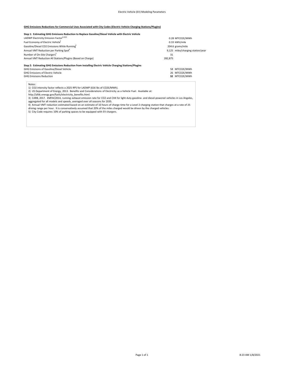#### **GHG Emissions Reductions for Commercial Uses Associated with City Codes (Electric Vehicle Charging Stations/Plugins)**

#### **Step 1: Estimating GHG Emisisons Reduction to Replace Gasoline/Diesel Vehicle with Electric Vehicle**

| LADWP Electricity Emission Factor <sup>1+A32</sup>                                                    | 0.28 MTCO2E/MWh |                                   |  |  |  |  |
|-------------------------------------------------------------------------------------------------------|-----------------|-----------------------------------|--|--|--|--|
| Fuel Economy of Electric Vehicle <sup>2</sup>                                                         |                 | 0.33 kWh/mile                     |  |  |  |  |
| Gasoline/Diesel CO2 Emissions While Running3                                                          |                 | 204.6 grams/mile                  |  |  |  |  |
| Annual VMT Reduction per Parking Spot <sup>4</sup>                                                    |                 | 9,125 miles/charging station/year |  |  |  |  |
| Number of On-Site Chargers <sup>5</sup>                                                               | 31              |                                   |  |  |  |  |
| Annual VMT Reduction All Stations/Plugins (Based on Charge)                                           | 282.875         |                                   |  |  |  |  |
| Step 2: Estimating GHG Emissions Reduction from Installing Electric Vehicle Charging Stations/Plugins |                 |                                   |  |  |  |  |
| CUC Emisisons of Cosolina (Diosal Vohiale)                                                            |                 | <b>CO MATCORE/MAIN/L</b>          |  |  |  |  |

# GHG Emisisons of Gasoline/Diesel Vehicle 58 MTCO2E/MWh GHG Emissions of Electric Vehicle 26 MTCO2E/MWh

GHG Emisisons Reduction  **32** MTCO2E/MWh

Notes:

1) CO2 intensity factor reflects a 2025 RPS for LADWP (616 lbs of CO2E/MWh).<br>2) US Department of Energy, 2013. Benefits and Considerations of Electricity as a Vehicle Fuel. Available at:<br>http://afdc.energy.gov/fuels/elect

aggregated for all models and speeds, averaged over all seasons for 2035.<br>4) Annual VMT reduction estimated based on an estimate of 10 hours of charge time for a Level 2 charging station that charges at a rate of 25<br>drivin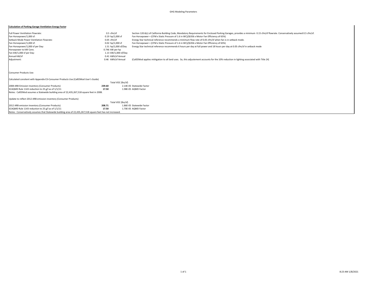#### GHG Modeling Parameters

#### **Calculation of Parking Garage Ventilation Energy Factor**

| Full Power Ventilation Flowrate:                                                                            | $0.5 \text{ cfm/sf}$ | Section 120.6(c) of California Building Code, Mandatory Requirements for Enclosed Parking Garages, provides a minimum 0.15 cfm/sf flowrate. Conservatively assumed 0.5 cfm/sf. |
|-------------------------------------------------------------------------------------------------------------|----------------------|--------------------------------------------------------------------------------------------------------------------------------------------------------------------------------|
| Fan Horsepower/1,000 sf:                                                                                    | 0.19 hp/1,000 sf     | Fan Horsepower = (CFM x Static Pressure of 1.6 in WC)/(6356 x Motor Fan Efficiency of 65%)                                                                                     |
| Setback Mode Power Ventilation Flowrate:                                                                    | $0.05$ cfm/sf        | Energy Star technical reference recommends a minimum flow rate of 0.05 cfm/sf when fan is in setback mode.                                                                     |
| Fan Horsepower/1,000 sf:                                                                                    | $0.02$ hp/1,000 sf   | Fan Horsepower = (CFM x Static Pressure of 1.6 in WC)/(6356 x Motor Fan Efficiency of 65%)                                                                                     |
| Fan Horsepower/1,000 sf per Day:                                                                            | 1.51 hp/1,000 sf/Day | Energy Star technical reference recommends 6 hours per day at full power and 18 hours per day at 0.05 cfm/sf in setback mode                                                   |
| Horsepower to kW Conv.                                                                                      | 0.746 kW per hp      |                                                                                                                                                                                |
| Fan kW/1,000 sf per Day:                                                                                    | 1.13 kW/1,000 sf/Day |                                                                                                                                                                                |
| Annual kW/sf                                                                                                | 0.41 kWh/sf Annual   |                                                                                                                                                                                |
| Adjustment:                                                                                                 | 0.46 kWh/sf Annual   | (CalEEMod applies mititgation to all land uses. So, this adjustement accounts for the 10% reduction in lighting associated with Title 24)                                      |
|                                                                                                             |                      |                                                                                                                                                                                |
| <b>Consumer Products Use:</b>                                                                               |                      |                                                                                                                                                                                |
| Calculated consitent with Appendix E3-Consumer Products Use (CalEEMod User's Guide)                         |                      |                                                                                                                                                                                |
|                                                                                                             | Total VOC (lbs/sf)   |                                                                                                                                                                                |
| 2008 ARB Emission Inventory (Consumer Products)                                                             | 239.60               | 2.14F-05 Statewide Factor                                                                                                                                                      |
| SCAQMD Rule 1143 reduction to 25 g/l as of 1/1/11                                                           | 17.50                | 1.98E-05 AQMD Factor                                                                                                                                                           |
| Notes: CalEEMod assumes a Statewide building area of 22,435,267,518 square feet in 2008.                    |                      |                                                                                                                                                                                |
| Update to reflect 2012 ARB emission inventory (Consumer Products)                                           |                      |                                                                                                                                                                                |
|                                                                                                             | Total VOC (lbs/sf)   |                                                                                                                                                                                |
| 2012 ARB emission Inventory (Consumer Products)                                                             | 208.71               | 1.86E-05 Statewide Factor                                                                                                                                                      |
| SCAQMD Rule 1143 reduction to 25 g/l as of 1/1/11                                                           | 17.50                | 1.70E-05 AQMD Factor                                                                                                                                                           |
| Notes: Conservatively assumes that Statewide building area of 22,435,267,518 square feet has not increased. |                      |                                                                                                                                                                                |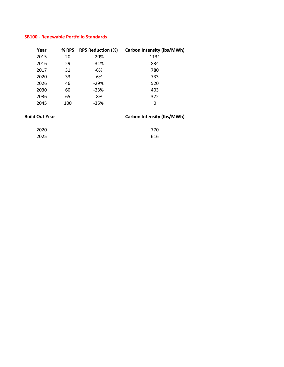# **SB100 ‐ Renewable Portfolio Standards**

| Year | % RPS | <b>RPS Reduction (%)</b> | <b>Carbon Intensity (lbs/MWh)</b> |
|------|-------|--------------------------|-----------------------------------|
| 2015 | 20    | $-20%$                   | 1131                              |
| 2016 | 29    | $-31%$                   | 834                               |
| 2017 | 31    | -6%                      | 780                               |
| 2020 | 33    | -6%                      | 733                               |
| 2026 | 46    | $-29%$                   | 520                               |
| 2030 | 60    | $-23%$                   | 403                               |
| 2036 | 65    | -8%                      | 372                               |
| 2045 | 100   | $-35%$                   | 0                                 |

# **Build** Out Year **Carbon Intensity** (Ibs/MWh)

| 2020 | 770 |
|------|-----|
| 2025 | 616 |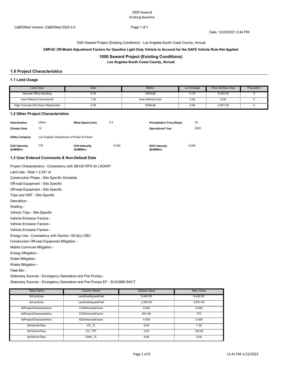Date: 12/22/2021 2:44 PM

1000 Seward Project (Existing Conditions) - Los Angeles-South Coast County, Annual

#### **EMFAC Off-Model Adjustment Factors for Gasoline Light Duty Vehicle to Account for the SAFE Vehicle Rule Not Applied**

# **1000 Seward Project (Existing Conditions)**

**Los Angeles-South Coast County, Annual**

# **1.0 Project Characteristics**

#### **1.1 Land Usage**

| <b>Land Uses</b>                    | Size | Metric            | Lot Acreage | Floor Surface Area | Population |
|-------------------------------------|------|-------------------|-------------|--------------------|------------|
| General Office Building             | კ.44 | $1000$ saft       | 0.19        | 8.442.00           |            |
| User Defined Commercial             | .00  | User Defined Unit | 0.00        | .<br>0.00          |            |
| High Turnover (Sit Down Restaurant) | 2.55 | 1000saft          | 0.06        | 2.551.00           |            |

#### **1.2 Other Project Characteristics**

| Urbanization<br><b>Climate Zone</b> | Urban<br>12                                  | Wind Speed (m/s)                  | 2.2   | <b>Precipitation Freg (Days)</b><br><b>Operational Year</b> | 33<br>2020 |  |  |  |  |
|-------------------------------------|----------------------------------------------|-----------------------------------|-------|-------------------------------------------------------------|------------|--|--|--|--|
| <b>Utility Company</b>              | Los Angeles Department of Water & Power      |                                   |       |                                                             |            |  |  |  |  |
| CO2 Intensity<br>(lb/MWhr)          | 770                                          | <b>CH4 Intensity</b><br>(lb/MWhr) | 0.029 | N2O Intensity<br>(lb/MWhr)                                  | 0.006      |  |  |  |  |
|                                     | 1.3 Hear Entered Comments & Non-Default Data |                                   |       |                                                             |            |  |  |  |  |

#### **1.3 User Entered Comments & Non-Default Data**

Project Characteristics - Consistency with SB100 RPS for LADWP.

Land Use - Rest = 2,551 sf

Construction Phase - Site Specific Schedule

Off-road Equipment - Site Specific

Off-road Equipment - Site Specific

Trips and VMT - Site Specific

Demolition -

Grading -

Vehicle Trips - Site Specific

Vehicle Emission Factors -

Vehicle Emission Factors -

Vehicle Emission Factors -

Energy Use - Consistency with Section 120.6(c) CBC

Construction Off-road Equipment Mitigation -

Mobile Commute Mitigation -

Energy Mitigation -

Water Mitigation -

Waste Mitigation -

Fleet Mix -

Stationary Sources - Emergency Generators and Fire Pumps -

Stationary Sources - Emergency Generators and Fire Pumps EF - SCAQMD BACT

| Table Name                | <b>Column Name</b> | Default Value | <b>New Value</b> |
|---------------------------|--------------------|---------------|------------------|
| tblLandUse                | LandUseSquareFeet  | 8.440.00      | 8.442.00         |
| tblLandUse                | LandUseSquareFeet  | 2.550.00      | 2.551.00         |
| tblProjectCharacteristics | CH4IntensityFactor | 0.033         | 0.029            |
| tblProjectCharacteristics | CO2IntensityFactor | 691.98        | 770              |
| tblProjectCharacteristics | N2OIntensityFactor | 0.004         | 0.006            |
| tblVehicleTrips           | CC TL              | 8.40          | 7.35             |
| tblVehicleTrips           | CC TTP             | 0.00          | 100.00           |
| tblVehicleTrips           | CNW TL             | 6.90          | 0.00             |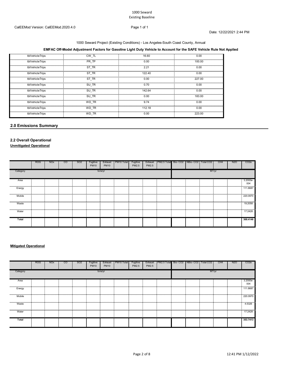# 1000 Seward Project (Existing Conditions) - Los Angeles-South Coast County, Annual

# **EMFAC Off-Model Adjustment Factors for Gasoline Light Duty Vehicle to Account for the SAFE Vehicle Rule Not Applied**

| tblVehicleTrips | CW TL | 16.60  | 0.00   |
|-----------------|-------|--------|--------|
| tblVehicleTrips | PR TP | 0.00   | 100.00 |
| tblVehicleTrips | ST TR | 2.21   | 0.00   |
| tblVehicleTrips | ST TR | 122.40 | 0.00   |
| tblVehicleTrips | ST TR | 0.00   | 227.00 |
| tblVehicleTrips | SU TR | 0.70   | 0.00   |
| tblVehicleTrips | SU TR | 142.64 | 0.00   |
| tblVehicleTrips | SU TR | 0.00   | 183.00 |
| tblVehicleTrips | WD TR | 9.74   | 0.00   |
| tblVehicleTrips | WD TR | 112.18 | 0.00   |
| tblVehicleTrips | WD TR | 0.00   | 223.00 |

# **2.0 Emissions Summary**

# **2.2 Overall Operational**

**Unmitigated Operational**

|                     | <b>ROG</b> | <b>NO<sub>x</sub></b> | <sub>CO</sub> | SO <sub>2</sub> | Fugitive<br><b>PM10</b> | Exhaust<br><b>PM10</b> | PM10 Total | Fugitive<br>PM2.5 | Exhaust<br>PM2.5 | PM2.5 Total Bio-CO2 NBio-CO2 Total CO2 |       |  | CH <sub>4</sub> | <b>N2O</b> | CO <sub>2</sub> e |
|---------------------|------------|-----------------------|---------------|-----------------|-------------------------|------------------------|------------|-------------------|------------------|----------------------------------------|-------|--|-----------------|------------|-------------------|
| tons/yr<br>Category |            |                       |               |                 |                         |                        |            |                   |                  |                                        | MT/yr |  |                 |            |                   |
| Area                |            |                       |               |                 |                         |                        |            |                   |                  |                                        |       |  |                 |            | 3.2000e-<br>004   |
| Energy              |            |                       |               |                 |                         |                        |            |                   |                  |                                        |       |  |                 |            | .<br>111.8687     |
| Mobile              |            |                       |               |                 |                         |                        |            |                   |                  |                                        |       |  |                 |            | 220.0970          |
| Waste               |            |                       |               |                 |                         |                        |            |                   |                  |                                        |       |  |                 |            | .<br>19.2058      |
| Water               |            |                       |               |                 |                         |                        |            |                   |                  |                                        |       |  |                 |            | 17.2428           |
| Total               |            |                       |               |                 |                         |                        |            |                   |                  |                                        |       |  |                 |            | 368.4146          |

# **Mitigated Operational**

|                                                                                                                 | <b>ROG</b> | <b>NO<sub>x</sub></b> | $\overline{c}$ | SO <sub>2</sub> | Fugitive<br><b>PM10</b> | Exhaust<br><b>PM10</b> | PM10 Total | Fugitive<br>PM2.5 | Exhaust<br>PM2.5 | PM2.5 Total Bio-CO2 NBio-CO2 Total CO2 |       |  | CH <sub>4</sub> | N <sub>2</sub> O | CO <sub>2</sub> e                |
|-----------------------------------------------------------------------------------------------------------------|------------|-----------------------|----------------|-----------------|-------------------------|------------------------|------------|-------------------|------------------|----------------------------------------|-------|--|-----------------|------------------|----------------------------------|
| Category                                                                                                        | tons/yr    |                       |                |                 |                         |                        |            |                   |                  |                                        | MT/yr |  |                 |                  |                                  |
| Area                                                                                                            |            |                       |                |                 |                         |                        |            |                   |                  |                                        |       |  |                 |                  | 3.2000e-<br>004<br>              |
| Energy                                                                                                          |            |                       |                |                 |                         |                        |            |                   |                  |                                        |       |  |                 |                  | 111.8687                         |
| Mobile                                                                                                          |            |                       |                |                 |                         |                        |            |                   |                  |                                        |       |  |                 |                  | 220.0970                         |
| Waste                                                                                                           |            |                       |                |                 |                         |                        |            |                   |                  |                                        |       |  |                 |                  | 4.5326<br><b>TELESCOPESITION</b> |
| www.adjack.com/growing/www.adjacka.com/growing/www.adjacka.com/growing/www.adjacka.com/growing/www.adjacka.com/ |            |                       |                |                 |                         |                        |            |                   |                  |                                        |       |  |                 |                  | 17.2428                          |
| Total                                                                                                           |            |                       |                |                 |                         |                        |            |                   |                  |                                        |       |  |                 |                  | 353.7413                         |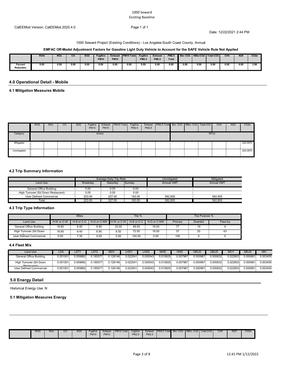Date: 12/22/2021 2:44 PM

#### 1000 Seward Project (Existing Conditions) - Los Angeles-South Coast County, Annual

### **EMFAC Off-Model Adjustment Factors for Gasoline Light Duty Vehicle to Account for the SAFE Vehicle Rule Not Applied**

|                             | <b>ROG</b> | <b>NOx</b> | $_{\rm co}$ | <b>SO2</b> | <b>Fugitive</b><br><b>PM10</b> | <b>Exhaust</b><br><b>PM10</b> | <b>PM10 Total</b> | <b>Fugitive</b><br><b>PM2.5</b> | <b>Exhaust</b><br><b>PM2.5</b> | PM2.5<br>Total |      | Bio-CO2 NBio-CO2   Total CO2 |      | CH <sub>4</sub> | N <sub>20</sub> | CO <sub>2e</sub> |
|-----------------------------|------------|------------|-------------|------------|--------------------------------|-------------------------------|-------------------|---------------------------------|--------------------------------|----------------|------|------------------------------|------|-----------------|-----------------|------------------|
| Percent<br><b>Reduction</b> | 0.00       | 0.00       | 0.00        | 0.00       | 0.00                           | 0.00                          | 0.00              | 0.00                            | 0.00                           | 0.00           | 0.00 | 0.00                         | 0.00 | 0.00            | 0.00            | 3.98             |

### **4.0 Operational Detail - Mobile**

**4.1 Mitigation Measures Mobile**

|             | <b>ROG</b> | <b>NO<sub>x</sub></b> | .co | S <sub>O</sub> 2 | Fugitive<br><b>PM10</b> | Exhaust<br><b>PM10</b> | PM10 Total | Fugitive<br><b>PM2.5</b> | Exhaust<br>PM2.5 | PM2.5 Total Bio- CO2 NBio- CO2   Total CO2 |  |       | CH <sub>4</sub> | <b>N2O</b> | CO <sub>2e</sub> |
|-------------|------------|-----------------------|-----|------------------|-------------------------|------------------------|------------|--------------------------|------------------|--------------------------------------------|--|-------|-----------------|------------|------------------|
| Category    |            |                       |     |                  |                         | tons/yr                |            |                          |                  |                                            |  | MT/yr |                 |            |                  |
| Mitigated   |            |                       |     |                  |                         |                        |            |                          |                  |                                            |  |       |                 |            | 220.0970         |
| Unmitigated |            |                       |     |                  |                         |                        |            |                          |                  |                                            |  |       |                 |            | 220.0970         |

### **4.2 Trip Summary Information**

|                                        |           | Average Daily Trip Rate |        | Unmitigated       | Mitigated         |
|----------------------------------------|-----------|-------------------------|--------|-------------------|-------------------|
| Land Use                               | Weekdav   | Saturdav                | Sundav | <b>Annual VMT</b> | <b>Annual VMT</b> |
| General Office Building                | 2.00<br>. | 0.00<br>.               | 0.00   |                   |                   |
| Hiah<br>Turnover (Sit Down Restaurant) | 0.00      | 0.00<br>                | 0.00   |                   |                   |
| User Defined Commercial                | 223.00    | 227.00                  | 183.00 | 582.855           | 582.855           |
| Total                                  | 223.00    | 227.00                  | 183.00 | 582.855           | 582.855           |

#### **4.3 Trip Type Information**

|                         |            | <b>Miles</b>   |                          |       | Trip %     |             | Trip Purpose % |                 |         |  |  |  |
|-------------------------|------------|----------------|--------------------------|-------|------------|-------------|----------------|-----------------|---------|--|--|--|
| Land Use                | H-W or C-W | $H-S$ or $C-C$ | H-O or C-NW H-W or C-W I |       | H-S or C-C | H-O or C-NW | Primary        | <b>Diverted</b> | Pass-bv |  |  |  |
| General Office Building | 16.60      | 8.40           | 6.90                     | 33.00 | 48.00      | 19.00       |                |                 |         |  |  |  |
| High Turnover (Sit Down | 16.60      | 8.40           | 6.90                     | 8.50  | 72.50      | 19.00       |                |                 |         |  |  |  |
| User Defined Commercial | 0.00       | 7.35           | 0.00                     | 0.00  | 100.00     | 0.00        | 100            |                 |         |  |  |  |

#### **4.4 Fleet Mix**

| Land Use                               | LDA       | LDT <sup>4</sup> | LDT2     | <b>MDV</b> | LHD1     | LHD <sub>2</sub> | <b>MHD</b> | HHD      | <b>OBUS</b> | UBUS     | МСነ      | <b>SBUS</b> | <b>MH</b> |
|----------------------------------------|-----------|------------------|----------|------------|----------|------------------|------------|----------|-------------|----------|----------|-------------|-----------|
| General Office Building                | 0.551001  | 0.059862         | 185577   | 0.128146   | 0.022541 | 0.005543         | 0.010825   | 0.007967 | 0.000967    | 0.000632 | 0.022803 | 0.000681    | 0.003455  |
| High Turnover (Sit Down<br>Poetourant) | 0.551001  | 0.059862         | ).185577 | 0.128146   | 0.022541 | 0.005543         | 0.010825   | 0.007967 | 0.000967    | 0.000632 | 0.022803 | 0.000681    | 0.003455  |
| User Defined Commercial                | .) 551001 | ገ በ59862         | 185577   | 128146     | 0.022541 | 0.005543         | 0.010825   | 0.007967 | 0.000967    | 0.000632 | 0.022803 | 0.000681    | 0.003455  |

### **5.0 Energy Detail**

Historical Energy Use: N

### **5.1 Mitigation Measures Energy**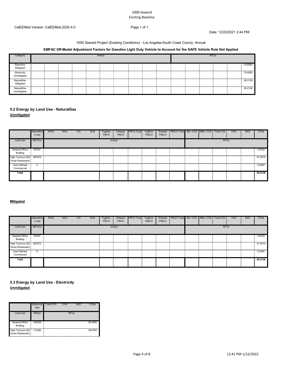Date: 12/22/2021 2:44 PM

#### 1000 Seward Project (Existing Conditions) - Los Angeles-South Coast County, Annual

### **EMFAC Off-Model Adjustment Factors for Gasoline Light Duty Vehicle to Account for the SAFE Vehicle Rule Not Applied**

| Category                   | tons/vr |  |  |  |  |  |  |  |  |  | MT/vr |  |  |  |         |  |
|----------------------------|---------|--|--|--|--|--|--|--|--|--|-------|--|--|--|---------|--|
| Electricity<br>Mitigated   |         |  |  |  |  |  |  |  |  |  |       |  |  |  | 75.6550 |  |
| Electricity<br>Unmitigated |         |  |  |  |  |  |  |  |  |  |       |  |  |  | 75.6550 |  |
| NaturalGas<br>Mitigated    |         |  |  |  |  |  |  |  |  |  |       |  |  |  | 36.2136 |  |
| NaturalGas<br>Unmitigated  |         |  |  |  |  |  |  |  |  |  |       |  |  |  | 36.2136 |  |

### **5.2 Energy by Land Use - NaturalGas Unmitigated**

|                                               | NaturalGa<br>s Use | <b>ROG</b> | <b>NO<sub>x</sub></b> | $\rm{CO}$ | SO <sub>2</sub> | Fugitive<br><b>PM10</b> | Exhaust<br><b>PM10</b> | PM <sub>10</sub> Total | Fugitive<br>PM2.5 | Exhaust<br>PM2.5 | PM2.5 Total Bio-CO2   NBio-CO2 |  | Total CO <sub>2</sub> | CH <sub>4</sub> | N <sub>20</sub> | CO <sub>2e</sub> |
|-----------------------------------------------|--------------------|------------|-----------------------|-----------|-----------------|-------------------------|------------------------|------------------------|-------------------|------------------|--------------------------------|--|-----------------------|-----------------|-----------------|------------------|
| Land Use                                      | kBTU/yr            |            |                       |           |                 |                         | tons/yr                |                        |                   |                  |                                |  | MT/yr                 |                 |                 |                  |
| General Office<br>Building                    | 87037              |            |                       |           |                 |                         |                        |                        |                   |                  |                                |  |                       |                 |                 | 4.6722           |
| High Turnover (Sit 587572<br>Down Restaurant) |                    |            |                       |           |                 |                         |                        |                        |                   |                  |                                |  |                       |                 |                 | 31.5414          |
| User Defined<br>Commercial                    |                    |            |                       |           |                 |                         |                        |                        |                   |                  |                                |  |                       |                 |                 | 0.0000           |
| Total                                         |                    |            |                       |           |                 |                         |                        |                        |                   |                  |                                |  |                       |                 |                 | 36.2136          |

### **Mitigated**

|                                               | NaturalGa<br>s Use | <b>ROG</b> | <b>NO<sub>x</sub></b> | CO | SO <sub>2</sub> | Fugitive<br><b>PM10</b> | Exhaust<br><b>PM10</b> | PM10 Total | Fugitive<br>PM2.5 | Exhaust<br>PM2.5 | PM2.5 Total Bio- CO2   NBio- CO2   Total CO2 |  |       | CH <sub>4</sub> | N <sub>20</sub> | CO <sub>2</sub> e |
|-----------------------------------------------|--------------------|------------|-----------------------|----|-----------------|-------------------------|------------------------|------------|-------------------|------------------|----------------------------------------------|--|-------|-----------------|-----------------|-------------------|
| Land Use                                      | kBTU/yr            |            |                       |    |                 |                         | tons/yr                |            |                   |                  |                                              |  | MT/yr |                 |                 |                   |
| <b>General Office</b><br><b>Building</b>      | 87037              |            |                       |    |                 |                         |                        |            |                   |                  |                                              |  |       |                 |                 | 4.6722            |
| High Turnover (Sit 587572<br>Down Restaurant) |                    |            |                       |    |                 |                         |                        |            |                   |                  |                                              |  |       |                 |                 | 31.5414           |
| User Defined<br>Commercial                    | 0                  |            |                       |    |                 |                         |                        |            |                   |                  |                                              |  |       |                 |                 | 0.0000            |
| Total                                         |                    |            |                       |    |                 |                         |                        |            |                   |                  |                                              |  |       |                 |                 | 36.2136           |

### **Unmitigated 5.3 Energy by Land Use - Electricity**

|                                               | Electricity<br>Use | Total CO <sub>2</sub> | CH <sub>4</sub> | <b>N2O</b> | CO2e    |
|-----------------------------------------------|--------------------|-----------------------|-----------------|------------|---------|
| <b>Land Use</b>                               | kWh/yr             |                       |                 | MT/yr      |         |
| <b>General Office</b><br><b>Building</b>      | 105525             |                       |                 |            | 36.9766 |
| High Turnover (Sit 110382<br>Down Restaurant) |                    |                       |                 |            | 38.6784 |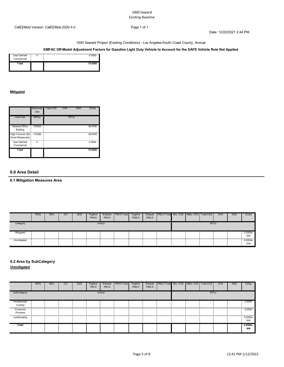Date: 12/22/2021 2:44 PM

1000 Seward Project (Existing Conditions) - Los Angeles-South Coast County, Annual

### **EMFAC Off-Model Adjustment Factors for Gasoline Light Duty Vehicle to Account for the SAFE Vehicle Rule Not Applied**

| .<br>User Defined<br>Commercial | n nnnn  |
|---------------------------------|---------|
| Total                           | 75.6550 |

#### **Mitigated**

|                                        | Electricity<br>Use | Total CO <sub>2</sub> | CH <sub>4</sub> | <b>N2O</b> | CO <sub>2e</sub> |
|----------------------------------------|--------------------|-----------------------|-----------------|------------|------------------|
| Land Use                               | kWh/yr             |                       |                 | MT/yr      |                  |
| General Office<br><b>Building</b>      | 105525             |                       |                 |            | 36.9766          |
| High Turnover (Sit<br>Down Restaurant) | 110382             |                       |                 |            | 38.6784          |
| <b>User Defined</b><br>Commercial      | 0                  |                       |                 |            | 0.0000           |
| Total                                  |                    |                       |                 |            | 75.6550          |

### **6.0 Area Detail**

### **6.1 Mitigation Measures Area**

|             | <b>ROG</b> | <b>NO<sub>x</sub></b> | CO | SO <sub>2</sub> | Fugitive<br><b>PM10</b> | Exhaust<br><b>PM10</b> | PM <sub>10</sub> Total | Fugitive<br>PM2.5 | Exhaust<br><b>PM2.5</b> | PM2.5 Total Bio-CO2 NBio-CO2 Total CO2 |  |       | CH <sub>4</sub> | <b>N2O</b> | CO <sub>2</sub> e |
|-------------|------------|-----------------------|----|-----------------|-------------------------|------------------------|------------------------|-------------------|-------------------------|----------------------------------------|--|-------|-----------------|------------|-------------------|
| Category    |            |                       |    |                 |                         | tons/yr                |                        |                   |                         |                                        |  | MT/yr |                 |            |                   |
| Mitigated   |            |                       |    |                 |                         |                        |                        |                   |                         |                                        |  |       |                 |            | 3.2000e-<br>004   |
| Unmitigated |            |                       |    |                 |                         |                        |                        |                   |                         |                                        |  |       |                 |            | 3.2000e-<br>004   |

### **6.2 Area by SubCategory**

**Unmitigated**

|                          | <b>ROG</b> | <b>NO<sub>x</sub></b> | CO | SO <sub>2</sub> | Fugitive<br><b>PM10</b> | Exhaust<br><b>PM10</b> | PM10 Total | Fugitive<br>PM2.5 | Exhaust<br>PM2.5 | PM2.5 Total Bio-CO2 NBio-CO2 Total CO2 |  |       | CH <sub>4</sub> | <b>N2O</b> | CO <sub>2e</sub> |
|--------------------------|------------|-----------------------|----|-----------------|-------------------------|------------------------|------------|-------------------|------------------|----------------------------------------|--|-------|-----------------|------------|------------------|
| SubCategory              |            |                       |    |                 |                         | tons/yr                |            |                   |                  |                                        |  | MT/yr |                 |            |                  |
| Architectural<br>Coating |            |                       |    |                 |                         |                        |            |                   |                  |                                        |  |       |                 |            | 0.0000           |
| Consumer<br>Products     |            |                       |    |                 |                         |                        |            |                   |                  |                                        |  |       |                 |            | 0.0000           |
| Landscaping              |            |                       |    |                 |                         |                        |            |                   |                  |                                        |  |       |                 |            | 3.2000e-<br>004  |
| Total                    |            |                       |    |                 |                         |                        |            |                   |                  |                                        |  |       |                 |            | 3.2000e-<br>004  |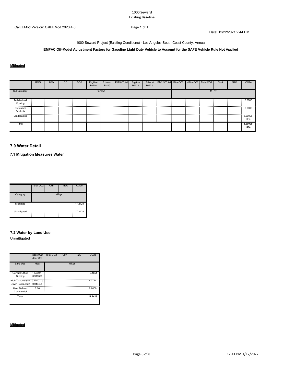Date: 12/22/2021 2:44 PM

1000 Seward Project (Existing Conditions) - Los Angeles-South Coast County, Annual

### **EMFAC Off-Model Adjustment Factors for Gasoline Light Duty Vehicle to Account for the SAFE Vehicle Rule Not Applied**

### **Mitigated**

|               | <b>ROG</b> | <b>NO<sub>x</sub></b> | CO | <b>SO2</b> | Fugitive<br><b>PM10</b> | Exhaust<br><b>PM10</b> | PM10 Total | Fugitive<br>PM2.5 | Exhaust<br>PM2.5 | PM2.5 Total Bio-CO2 NBio-CO2 Total CO2 |  |       | CH <sub>4</sub> | <b>N2O</b> | CO <sub>2e</sub> |
|---------------|------------|-----------------------|----|------------|-------------------------|------------------------|------------|-------------------|------------------|----------------------------------------|--|-------|-----------------|------------|------------------|
| SubCategory   |            |                       |    |            |                         | tons/yr                |            |                   |                  |                                        |  | MT/yr |                 |            |                  |
| Architectural |            |                       |    |            |                         |                        |            |                   |                  |                                        |  |       |                 |            | 0.0000           |
| Coating       |            |                       |    |            |                         |                        |            |                   |                  |                                        |  |       |                 |            |                  |
| Consumer      |            |                       |    |            |                         |                        |            |                   |                  |                                        |  |       |                 |            | .<br>0.0000      |
| Products      |            |                       |    |            |                         |                        |            |                   |                  |                                        |  |       |                 |            |                  |
| Landscaping   |            |                       |    |            |                         |                        |            |                   |                  |                                        |  |       |                 |            | 3.2000e-         |
|               |            |                       |    |            |                         |                        |            |                   |                  |                                        |  |       |                 |            | 004              |
| Total         |            |                       |    |            |                         |                        |            |                   |                  |                                        |  |       |                 |            | 3.2000e-<br>004  |
|               |            |                       |    |            |                         |                        |            |                   |                  |                                        |  |       |                 |            |                  |

#### **7.0 Water Detail**

**7.1 Mitigation Measures Water**

|             | Total CO <sub>2</sub> | CH <sub>4</sub> | <b>N2O</b> | CO <sub>2</sub> e |
|-------------|-----------------------|-----------------|------------|-------------------|
| Category    |                       |                 | MT/yr      |                   |
| Mitigated   |                       |                 |            | 17.2428           |
| Unmitigated |                       |                 |            | 17.2428           |

### **7.2 Water by Land Use Unmitigated**

|                                                            | Indoor/Out<br>door Use | Total CO <sub>2</sub> | CH <sub>4</sub> | <b>N2O</b> | CO <sub>2</sub> e |
|------------------------------------------------------------|------------------------|-----------------------|-----------------|------------|-------------------|
| Land Use                                                   | Mgal                   |                       | MT/vr           |            |                   |
| General Office<br>Building                                 | 1.50007/<br>0.919399   |                       |                 |            | 12.4654           |
| High Turnover (Sit 0.774011 /<br>Down Restaurant) 0.049405 |                        |                       |                 |            | 4.7774            |
| User Defined<br>Commercial                                 | 0/0                    |                       |                 |            | 0.0000            |
| Total                                                      |                        |                       |                 |            | 17.2428           |

### **Mitigated**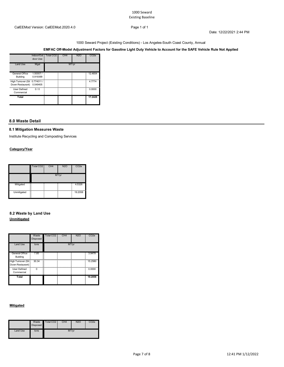Date: 12/22/2021 2:44 PM

1000 Seward Project (Existing Conditions) - Los Angeles-South Coast County, Annual

### **EMFAC Off-Model Adjustment Factors for Gasoline Light Duty Vehicle to Account for the SAFE Vehicle Rule Not Applied**

|                                                   | Indoor/Out<br>door Use | Total CO <sub>2</sub> | CH <sub>4</sub> | <b>N2O</b> | CO <sub>2</sub> e |
|---------------------------------------------------|------------------------|-----------------------|-----------------|------------|-------------------|
| Land Use                                          | Mgal                   |                       |                 | MT/yr      |                   |
| General Office<br>Building                        | 1.50007/<br>0.919399   |                       |                 |            | 12.4654           |
| High Turnover (Sit 0.774011 /<br>Down Restaurant) | 0.049405               |                       |                 |            | 4.7774            |
| <b>User Defined</b><br>Commercial                 | 0/0                    |                       |                 |            | 0.0000            |
| Total                                             |                        |                       |                 |            | 17.2428           |

### **8.0 Waste Detail**

#### **8.1 Mitigation Measures Waste**

Institute Recycling and Composting Services

### **Category/Year**

|             | Total CO <sub>2</sub> | CH <sub>4</sub> | <b>N2O</b> | CO <sub>2</sub> e |
|-------------|-----------------------|-----------------|------------|-------------------|
|             |                       |                 | MT/yr      |                   |
| Mitigated   | --                    |                 |            | 4.5326            |
| Unmitigated | н.<br>--              |                 |            | 19.2058           |

# **8.2 Waste by Land Use**

### **Unmitigated**

|                                        | Waste<br><b>Disposed</b> | Total CO <sub>2</sub> | CH <sub>4</sub> | <b>N2O</b> | CO <sub>2</sub> e |
|----------------------------------------|--------------------------|-----------------------|-----------------|------------|-------------------|
| Land Use                               | tons                     |                       |                 | MT/yr      |                   |
| General Office<br>Building             | 7.85                     |                       |                 |            | 3.9478            |
| High Turnover (Sit<br>Down Restaurant) | 30.34                    |                       |                 |            | 15.2580           |
| <b>User Defined</b><br>Commercial      | ŋ                        |                       |                 |            | 0.0000            |
| Total                                  |                          |                       |                 |            | 19.2058           |

#### **Mitigated**

|          | Waste<br>Disposed | Total CO <sub>2</sub> | CH <sub>4</sub> | N <sub>2</sub> O | CO2e |
|----------|-------------------|-----------------------|-----------------|------------------|------|
| Land Use | tons              |                       | MT/yr           |                  |      |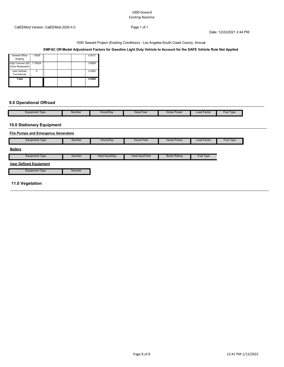Date: 12/22/2021 2:44 PM

1000 Seward Project (Existing Conditions) - Los Angeles-South Coast County, Annual

### **EMFAC Off-Model Adjustment Factors for Gasoline Light Duty Vehicle to Account for the SAFE Vehicle Rule Not Applied**

| General Office<br>Building                       | 1.8526<br>Ξ |  | 0.9317 |
|--------------------------------------------------|-------------|--|--------|
| High Turnover (Sit 7.16024<br>Down Restaurant) - | ÷           |  | 3.6009 |
| <b>User Defined</b><br>Commercial                | n           |  | 0.0000 |
| Total                                            |             |  | 4.5326 |

### **9.0 Operational Offroad**

| Number<br>Days/Year<br>Hours/Dav<br>Load Facto<br>Equipment Type<br><b>Fuel Type</b><br>Horse Power |  |  |  |  |
|-----------------------------------------------------------------------------------------------------|--|--|--|--|
|                                                                                                     |  |  |  |  |

### **10.0 Stationary Equipment**

|                               | <b>Fire Pumps and Emergency Generators</b> |                |                 |                      |                    |           |  |  |  |  |  |
|-------------------------------|--------------------------------------------|----------------|-----------------|----------------------|--------------------|-----------|--|--|--|--|--|
| <b>Equipment Type</b>         | <b>Number</b>                              | Hours/Day      | Hours/Year      | <b>Horse Power</b>   | <b>Load Factor</b> | Fuel Type |  |  |  |  |  |
| <b>Boilers</b>                |                                            |                |                 |                      |                    |           |  |  |  |  |  |
| <b>Equipment Type</b>         | Number                                     | Heat Input/Day | Heat Input/Year | <b>Boiler Rating</b> | Fuel Type          |           |  |  |  |  |  |
| <b>User Defined Equipment</b> |                                            |                |                 |                      |                    |           |  |  |  |  |  |
| <b>Equipment Type</b>         | Number                                     |                |                 |                      |                    |           |  |  |  |  |  |
| 11.0 Vegetation               |                                            |                |                 |                      |                    |           |  |  |  |  |  |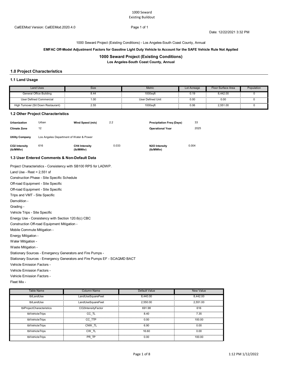1000 Seward Project (Existing Conditions) - Los Angeles-South Coast County, Annual

#### **EMFAC Off-Model Adjustment Factors for Gasoline Light Duty Vehicle to Account for the SAFE Vehicle Rule Not Applied**

#### **1000 Seward Project (Existing Conditions)**

**Los Angeles-South Coast County, Annual**

### **1.0 Project Characteristics**

#### **1.1 Land Usage**

| <b>Land Uses</b>                    | Size | Metric            | Lot Acreage | Floor Surface Area | Population |
|-------------------------------------|------|-------------------|-------------|--------------------|------------|
| General Office Building             | გ.44 | 1000saft          | 0.19        | 8.442.00           |            |
| User Defined Commercial             | 1.00 | User Defined Unit | 0.00        | 0.00               |            |
| High Turnover (Sit Down Restaurant) | 2.55 | 1000sqft          | 0.06        | 2.551.00           |            |

#### **1.2 Other Project Characteristics**

| <b>Urbanization</b><br>Climate Zone | Urban<br>12                                  | Wind Speed (m/s)                  | 2.2   | <b>Precipitation Freg (Days)</b><br><b>Operational Year</b> | 33<br>2025 |
|-------------------------------------|----------------------------------------------|-----------------------------------|-------|-------------------------------------------------------------|------------|
| <b>Utility Company</b>              | Los Angeles Department of Water & Power      |                                   |       |                                                             |            |
| CO2 Intensity<br>(lb/MWhr)          | 616                                          | <b>CH4 Intensity</b><br>(lb/MWhr) | 0.033 | N <sub>2</sub> O Intensity<br>(lb/MWhr)                     | 0.004      |
|                                     | 1.3 User Entered Comments & Non-Default Data |                                   |       |                                                             |            |

Project Characteristics - Consistency with SB100 RPS for LADWP.

Vehicle Trips - Site Specific Off-road Equipment - Site Specific Off-road Equipment - Site Specific Trips and VMT - Site Specific Demolition - Grading - Land Use - Rest = 2,551 sf Construction Phase - Site Specific Schedule

Energy Use - Consistency with Section 120.6(c) CBC Construction Off-road Equipment Mitigation -

Mobile Commute Mitigation -

Energy Mitigation -

Water Mitigation -

Waste Mitigation -

Stationary Sources - Emergency Generators and Fire Pumps -

Stationary Sources - Emergency Generators and Fire Pumps EF - SCAQMD BACT

Vehicle Emission Factors -

Vehicle Emission Factors -

Vehicle Emission Factors -

Fleet Mix -

| Table Name                | <b>Column Name</b> | Default Value | New Value |
|---------------------------|--------------------|---------------|-----------|
| tblLandUse                | LandUseSquareFeet  | 8.440.00      | 8.442.00  |
| tblLandUse                | LandUseSquareFeet  | 2.550.00      | 2.551.00  |
| tblProjectCharacteristics | CO2IntensityFactor | 691.98        | 616       |
| tblVehicleTrips           | CC TL              | 8.40          | 7.35      |
| tblVehicleTrips           | CC TTP             | 0.00          | 100.00    |
| tblVehicleTrips           | CNW TL             | 6.90          | 0.00      |
| tblVehicleTrips           | CW TL              | 16.60         | 0.00      |
| tblVehicleTrips           | PR TP              | 0.00          | 100.00    |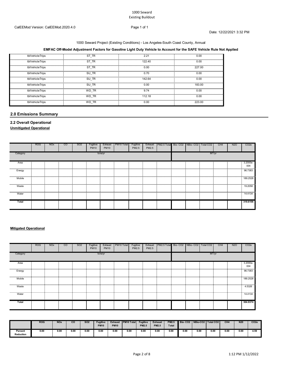#### 1000 Seward Project (Existing Conditions) - Los Angeles-South Coast County, Annual

### **EMFAC Off-Model Adjustment Factors for Gasoline Light Duty Vehicle to Account for the SAFE Vehicle Rule Not Applied**

| tblVehicleTrips           | ST TR    | $2.2^{\circ}$ | 0.00   |
|---------------------------|----------|---------------|--------|
| tblVehicleTrips           | ST TR    | 122.40        | 0.00   |
| .<br>tblVehicleTrips<br>. | ST TR    | 0.00          | 227.00 |
| tblVehicleTrips           | SU TR    | 0.70          | 0.00   |
| tblVehicleTrips           | SU TR    | 142.64        | 0.00   |
| tblVehicleTrips           | SU TR    | 0.00          | 183.00 |
| tblVehicleTrips           | WD TR    | 9.74          | 0.00   |
| tblVehicleTrips           | WD TR    | 112.18        | n nn   |
| tblVehicleTrips           | TR<br>WD | 0.00          | 223.00 |

### **2.0 Emissions Summary**

### **2.2 Overall Operational**

**Unmitigated Operational**

|            | <b>ROG</b> | <b>NO<sub>x</sub></b> | CO | SO <sub>2</sub> | Fugitive<br><b>PM10</b> | Exhaust<br><b>PM10</b> | PM <sub>10</sub> Total | Fugitive<br>PM2.5 | Exhaust<br>PM2.5 | PM2.5 Total Bio-CO2 NBio-CO2 Total CO2 |  |       | CH <sub>4</sub> | <b>N2O</b> | CO <sub>2e</sub>                                                                |
|------------|------------|-----------------------|----|-----------------|-------------------------|------------------------|------------------------|-------------------|------------------|----------------------------------------|--|-------|-----------------|------------|---------------------------------------------------------------------------------|
| Category   |            |                       |    |                 |                         | tons/yr                |                        |                   |                  |                                        |  | MT/yr |                 |            |                                                                                 |
| Area<br>   | .          |                       |    |                 |                         |                        |                        |                   |                  |                                        |  | .     |                 |            | 3.2000e-<br>004<br>.                                                            |
| Energy     |            |                       |    |                 |                         |                        |                        |                   |                  |                                        |  |       |                 |            | 96.7383                                                                         |
| <br>Mobile | .          |                       |    |                 |                         |                        |                        |                   |                  |                                        |  |       |                 |            | 189.2528                                                                        |
| Waste      |            |                       |    |                 |                         |                        |                        |                   |                  |                                        |  |       |                 |            | 19.2058                                                                         |
| Water      |            |                       |    |                 |                         |                        |                        |                   |                  |                                        |  |       |                 |            | <b><i><u>ISLESS CONTINUES IN THE STATE OF REAL PROPERTY.</u></i></b><br>14.4134 |
| Total      |            |                       |    |                 |                         |                        |                        |                   |                  |                                        |  |       |                 |            | 319,6106                                                                        |

#### **Mitigated Operational**

|           | <b>ROG</b> | <b>NO<sub>x</sub></b> | CO | SO <sub>2</sub> | Fugitive<br><b>PM10</b> | Exhaust<br><b>PM10</b> | PM <sub>10</sub> Total | Fugitive<br>PM2.5 | Exhaust<br>PM2.5 | PM2.5 Total Bio-CO2   NBio-CO2 |  | Total CO <sub>2</sub> | CH <sub>4</sub> | <b>N2O</b> | CO <sub>2e</sub>     |
|-----------|------------|-----------------------|----|-----------------|-------------------------|------------------------|------------------------|-------------------|------------------|--------------------------------|--|-----------------------|-----------------|------------|----------------------|
| Category  |            |                       |    |                 |                         | tons/yr                |                        |                   |                  |                                |  | MT/yr                 |                 |            |                      |
| Area<br>  |            |                       |    |                 |                         |                        |                        |                   |                  |                                |  |                       |                 |            | 3.2000e-<br>004<br>. |
| Energy    |            |                       |    |                 |                         |                        |                        |                   |                  |                                |  |                       |                 |            | 96.7383<br>.         |
| Mobile    |            |                       |    |                 |                         |                        |                        |                   |                  |                                |  |                       |                 |            | 189.2528<br>.        |
| Waste<br> |            |                       |    |                 |                         |                        |                        |                   |                  |                                |  |                       |                 |            | .5326                |
| Water     |            |                       |    |                 |                         |                        |                        |                   |                  |                                |  |                       |                 |            | .<br>14.4134         |
| Total     |            |                       |    |                 |                         |                        |                        |                   |                  |                                |  |                       |                 |            | 304.9374             |

|                      | <b>ROG</b> | <b>NOx</b> | CO   | <b>SO2</b> | <b>Fugitive</b><br><b>PM10</b> | <b>Exhaust</b><br><b>PM10</b> | <b>PM10 Total</b> | <b>Fugitive</b><br><b>PM2.5</b> | <b>Exhaust</b><br><b>PM2.5</b> | <b>PM2.5</b><br><b>Total</b> | Bio-CO <sub>2</sub> | NBio-CO2   Total CO2 |      | CH <sub>4</sub> | N <sub>20</sub> | CO <sub>2</sub> |
|----------------------|------------|------------|------|------------|--------------------------------|-------------------------------|-------------------|---------------------------------|--------------------------------|------------------------------|---------------------|----------------------|------|-----------------|-----------------|-----------------|
| Percent<br>Reduction | 0.00       | 0.00       | 0.00 | 0.00       | 0.00                           | 0.00                          | 0.00              | 0.00                            | 0.00                           | 0.00                         | 0.00                | 0.00                 | 0.00 | 0.00            | 0.00            | 4.59            |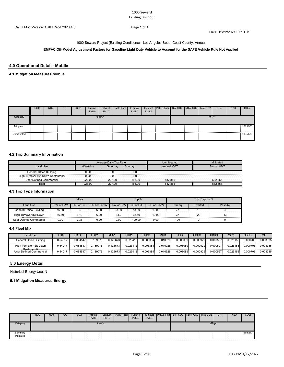Date: 12/22/2021 3:32 PM

1000 Seward Project (Existing Conditions) - Los Angeles-South Coast County, Annual

**EMFAC Off-Model Adjustment Factors for Gasoline Light Duty Vehicle to Account for the SAFE Vehicle Rule Not Applied**

### **4.0 Operational Detail - Mobile**

### **4.1 Mitigation Measures Mobile**

|             | <b>ROG</b> | <b>NO<sub>x</sub></b> | CO | SO <sub>2</sub> | Fugitive<br><b>PM10</b> | Exhaust<br><b>PM10</b> | PM <sub>10</sub> Total | Fugitive<br><b>PM2.5</b> | PM2.5 | Exhaust   PM2.5 Total   Bio- CO2   NBio- CO2   Total CO2 |  |       | CH <sub>4</sub> | <b>N2O</b> | CO <sub>2</sub> e |
|-------------|------------|-----------------------|----|-----------------|-------------------------|------------------------|------------------------|--------------------------|-------|----------------------------------------------------------|--|-------|-----------------|------------|-------------------|
| Category    |            |                       |    |                 |                         | tons/yr                |                        |                          |       |                                                          |  | MT/vr |                 |            |                   |
| Mitigated   |            |                       |    |                 |                         |                        |                        |                          |       |                                                          |  |       |                 |            | 189.2528          |
| Unmitigated |            |                       |    |                 |                         |                        |                        |                          |       |                                                          |  |       |                 |            | 189.2528          |

### **4.2 Trip Summary Information**

|                                     |         | Average Daily Trip Rate |        | Unmitigated       | Mitigated         |
|-------------------------------------|---------|-------------------------|--------|-------------------|-------------------|
| Land Use                            | Weekdav | Saturdav                | Sundav | <b>Annual VMT</b> | <b>Annual VM1</b> |
| General Office Building             | 0.00    | 0.OC                    | 0.00   |                   |                   |
| High Turnover (Sit Down Restaurant) | 0.00    | 0.00                    | 0.00   |                   |                   |
| User Defined Commercial             | 223.00  | 227.00                  | 183.00 | 582.855           | 582.855           |
| Total                               | 223.00  | 227.00                  | 183.00 | 582.855           | 582.855           |

### **4.3 Trip Type Information**

|                         |            | Miles          |                        |       | Trip %     |             |         | Trip Purpose %  |         |  |  |
|-------------------------|------------|----------------|------------------------|-------|------------|-------------|---------|-----------------|---------|--|--|
| Land Use                | H-W or C-W | $H-S$ or $C-C$ | H-O or C-NW H-W or C-W |       | H-S or C-C | H-O or C-NW | Primary | <b>Diverted</b> | Pass-by |  |  |
| General Office Building | 16.60      | 8.40           | 6.90                   | 33.00 | 48.00      | 19.00       |         |                 |         |  |  |
| High Turnover (Sit Down | 16.60      | 8.40           | 6.90                   | 8.50  | 72.50      | 19.00       |         |                 |         |  |  |
| User Defined Commercial | 0.00       | '.35           | 0.00                   | 0.00  | 100.00     | 0.00        | 100     |                 |         |  |  |

#### **4.4 Fleet Mix**

| Land Use                                 | LDA      | LDT'      | LDT2     | MD\      | _HD1     |          | <b>MHD</b> | <b>HHD</b>   | DBUS       | UBUS     | MC <sup>:</sup> | <b>SBUS</b> | MH       |
|------------------------------------------|----------|-----------|----------|----------|----------|----------|------------|--------------|------------|----------|-----------------|-------------|----------|
| General Office Building                  | 0.540171 | 0.064547  | 0.189075 | 0.126673 | 0.023412 | 0.006384 | 0.010926   | 0.008089     | 0.000929   | 0.000597 | 0.025155        | 0.000706    | 0.003335 |
| High Turnover (Sit Down<br>. Postaurant) | 0.540171 | 0.064547  | 0.189075 | 0.126673 | 0.023412 | 0.006384 | 0.010926   | 0.008089     | 0.000929   | 0.000597 | 0.025155        | 0.000706    | 0.003335 |
| Jser Defined Commercial                  | 0.540171 | 0.064547. | .189075. | 126673.  | 0.023412 | 0.006384 | 0.010926.  | $0.008089 -$ | 0.000929 . | 0.000597 | 0.025155.       | 0.000706    | 0.003335 |

### **5.0 Energy Detail**

Historical Energy Use: N

### **5.1 Mitigation Measures Energy**

|                          | <b>ROG</b> | <b>NO<sub>x</sub></b> | CO. | SO <sub>2</sub> | Fugitive<br><b>PM10</b> | Exhaust<br><b>PM10</b> | PM <sub>10</sub> Total | Fugitive<br><b>PM2.5</b> | Exhaust<br><b>PM2.5</b> | PM2.5 Total Bio- CO2   NBio- CO2   Total CO2 |  |       | CH <sub>4</sub> | <b>N2O</b> | CO <sub>2e</sub> |
|--------------------------|------------|-----------------------|-----|-----------------|-------------------------|------------------------|------------------------|--------------------------|-------------------------|----------------------------------------------|--|-------|-----------------|------------|------------------|
| Category                 |            |                       |     |                 |                         | tons/yr                |                        |                          |                         |                                              |  | MT/yr |                 |            |                  |
| Electricity<br>Mitigated |            |                       |     |                 |                         |                        |                        |                          |                         |                                              |  |       |                 |            | 60.5247          |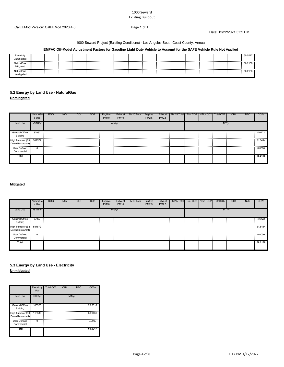Date: 12/22/2021 3:32 PM

#### 1000 Seward Project (Existing Conditions) - Los Angeles-South Coast County, Annual

### **EMFAC Off-Model Adjustment Factors for Gasoline Light Duty Vehicle to Account for the SAFE Vehicle Rule Not Applied**

| Electricity<br>Unmitigated<br>,,,,,,,,,,,,,,,,,,,,,,,,,,, |  |  |  |  |  |  |  | 60.5247     |
|-----------------------------------------------------------|--|--|--|--|--|--|--|-------------|
| <b>NaturalGas</b><br>Mitigated<br>.                       |  |  |  |  |  |  |  | 36.2136<br> |
| NaturalGas<br>Unmitigated                                 |  |  |  |  |  |  |  | 36.2136     |

# **5.2 Energy by Land Use - NaturalGas**

**Unmitigated**

|                                                                                                                                                          | NaturalGa<br>s Use | <b>ROG</b> | <b>NO<sub>x</sub></b> | $\rm{CO}$ | SO <sub>2</sub> | Fugitive<br><b>PM10</b> | Exhaust<br><b>PM10</b> | PM10 Total | Fugitive<br>PM2.5 | Exhaust<br>PM2.5 | PM2.5 Total Bio-CO2   NBio-CO2   Total CO2 |  |       | CH <sub>4</sub> | N <sub>20</sub> | CO <sub>2</sub> e |
|----------------------------------------------------------------------------------------------------------------------------------------------------------|--------------------|------------|-----------------------|-----------|-----------------|-------------------------|------------------------|------------|-------------------|------------------|--------------------------------------------|--|-------|-----------------|-----------------|-------------------|
| Land Use                                                                                                                                                 | kBTU/yr            |            |                       |           |                 |                         | tons/yr                |            |                   |                  |                                            |  | MT/yr |                 |                 |                   |
| <b>General Office</b><br>Building                                                                                                                        | 87037              |            |                       |           |                 |                         |                        |            |                   |                  |                                            |  |       |                 |                 | 4.6722            |
| High Turnover (Sit 587572<br>Down Restaurant)                                                                                                            |                    |            |                       |           |                 |                         |                        |            |                   |                  |                                            |  |       |                 |                 | 31.5414           |
| www.communiter.com/www.com/www.com/www.com/www.com/www.com/www.com/www.com/www.com/www.com/www.com/www.com/www.com/<br><b>User Defined</b><br>Commercial |                    |            |                       |           |                 |                         |                        |            |                   |                  |                                            |  |       |                 |                 | 0.0000            |
| Total                                                                                                                                                    |                    |            |                       |           |                 |                         |                        |            |                   |                  |                                            |  |       |                 |                 | 36.2136           |

#### **Mitigated**

|                                               | NaturalGa<br>s Use | <b>ROG</b> | <b>NO<sub>x</sub></b> | $\overline{c}$ | SO <sub>2</sub> | Fugitive<br><b>PM10</b> | Exhaust<br><b>PM10</b> | PM10 Total | Fugitive<br>PM2.5 | Exhaust<br>PM2.5 | PM2.5 Total Bio-CO2 NBio-CO2 Total CO2 |  |       | CH <sub>4</sub> | N <sub>20</sub> | CO <sub>2</sub> e |
|-----------------------------------------------|--------------------|------------|-----------------------|----------------|-----------------|-------------------------|------------------------|------------|-------------------|------------------|----------------------------------------|--|-------|-----------------|-----------------|-------------------|
| Land Use                                      | kBTU/yr            |            |                       |                |                 |                         | tons/yr                |            |                   |                  |                                        |  | MT/yr |                 |                 |                   |
| <b>General Office</b><br><b>Building</b>      | 87037              |            |                       |                |                 |                         |                        |            |                   |                  |                                        |  |       |                 |                 | 4.6722            |
| High Turnover (Sit 587572<br>Down Restaurant) |                    |            |                       |                |                 |                         |                        |            |                   |                  |                                        |  |       |                 |                 | .<br>31.5414      |
| User Defined<br>Commercial                    | 0                  |            |                       |                |                 |                         |                        |            |                   |                  |                                        |  |       |                 |                 | 0.0000            |
| Total                                         |                    |            |                       |                |                 |                         |                        |            |                   |                  |                                        |  |       |                 |                 | 36.2136           |

### **Unmitigated 5.3 Energy by Land Use - Electricity**

|                                          | Electricity<br>Use | Total CO <sub>2</sub> | CH <sub>4</sub> | <b>N2O</b> | CO <sub>2</sub> e |
|------------------------------------------|--------------------|-----------------------|-----------------|------------|-------------------|
| Land Use                                 | kWh/yr             |                       |                 | MT/yr      |                   |
| <b>General Office</b><br><b>Building</b> | 105525             |                       |                 |            | 29.5816           |
| High Turnover (Sit<br>Down Restaurant)   | 110382             |                       |                 |            | 30.9431           |
| <b>User Defined</b><br>Commercial        | n                  |                       |                 |            | 0.0000            |
| Total                                    |                    |                       |                 |            | 60.5247           |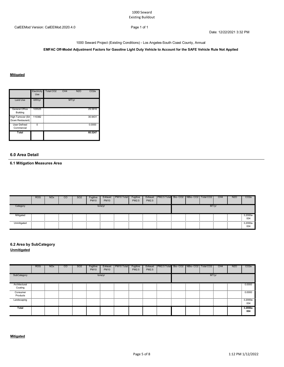Date: 12/22/2021 3:32 PM

1000 Seward Project (Existing Conditions) - Los Angeles-South Coast County, Annual

**EMFAC Off-Model Adjustment Factors for Gasoline Light Duty Vehicle to Account for the SAFE Vehicle Rule Not Applied**

### **Mitigated**

|                                        | Electricity<br>Use | Total CO <sub>2</sub> | CH <sub>4</sub> | <b>N2O</b> | CO <sub>2e</sub> |
|----------------------------------------|--------------------|-----------------------|-----------------|------------|------------------|
| Land Use                               | kWh/yr             |                       |                 | MT/yr      |                  |
| General Office<br>Building             | 105525             |                       |                 |            | 29.5816          |
| High Turnover (Sit<br>Down Restaurant) | 110382             |                       |                 |            | 30.9431          |
| <b>User Defined</b><br>Commercial      | ŋ                  |                       |                 |            | 0.0000           |
| Total                                  |                    |                       |                 |            | 60.5247          |

### **6.0 Area Detail**

**6.1 Mitigation Measures Area**

|             | <b>ROG</b> | <b>NO<sub>x</sub></b> | $\rm{CO}$ | SO <sub>2</sub> | Fugitive<br><b>PM10</b> | Exhaust<br><b>PM10</b> | PM <sub>10</sub> Total | Fugitive<br>PM2.5 | Exhaust<br><b>PM2.5</b> | PM2.5 Total Bio-CO2 NBio-CO2   Total CO2 |  |       | CH <sub>4</sub> | <b>N2O</b> | CO <sub>2</sub> e |
|-------------|------------|-----------------------|-----------|-----------------|-------------------------|------------------------|------------------------|-------------------|-------------------------|------------------------------------------|--|-------|-----------------|------------|-------------------|
| Category    |            |                       |           |                 |                         | tons/yr                |                        |                   |                         |                                          |  | MT/vr |                 |            |                   |
| Mitigated   |            |                       |           |                 |                         |                        |                        |                   |                         |                                          |  |       |                 |            | 3.2000e-<br>004   |
| Unmitigated |            |                       |           |                 |                         |                        |                        |                   |                         |                                          |  |       |                 |            | 3.2000e-<br>004   |

## **6.2 Area by SubCategory**

**Unmitigated**

|                 | <b>ROG</b> | <b>NO<sub>x</sub></b> | <b>CO</b> | SO <sub>2</sub> | Fugitive<br><b>PM10</b> | Exhaust<br><b>PM10</b> | PM10 Total | Fugitive<br>PM2.5 | Exhaust<br>PM2.5 | PM2.5 Total Bio-CO2 NBio-CO2 Total CO2 |  |       | CH <sub>4</sub> | <b>N2O</b> | CO <sub>2e</sub> |
|-----------------|------------|-----------------------|-----------|-----------------|-------------------------|------------------------|------------|-------------------|------------------|----------------------------------------|--|-------|-----------------|------------|------------------|
| SubCategory     |            |                       |           |                 |                         | tons/yr                |            |                   |                  |                                        |  | MT/yr |                 |            |                  |
| Architectural   |            |                       |           |                 |                         |                        |            |                   |                  |                                        |  |       |                 |            | 0.0000           |
| Coating         |            |                       |           |                 |                         |                        |            |                   |                  |                                        |  |       |                 |            |                  |
| Consumer        |            |                       |           |                 |                         |                        |            |                   |                  |                                        |  |       |                 |            | 0.0000           |
| Products        |            |                       |           |                 |                         |                        |            |                   |                  |                                        |  |       |                 |            |                  |
| <br>Landscaping |            |                       |           |                 |                         |                        |            |                   |                  |                                        |  |       |                 |            | .<br>3.2000e-    |
|                 |            |                       |           |                 |                         |                        |            |                   |                  |                                        |  |       |                 |            | 004              |
| Total           |            |                       |           |                 |                         |                        |            |                   |                  |                                        |  |       |                 |            | 3.2000e-<br>004  |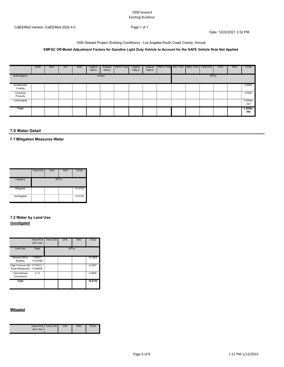#### 1000 Seward Existing Buildout

Date: 12/22/2021 3:32 PM

#### 1000 Seward Project (Existing Conditions) - Los Angeles-South Coast County, Annual

### **EMFAC Off-Model Adjustment Factors for Gasoline Light Duty Vehicle to Account for the SAFE Vehicle Rule Not Applied**

|                          | <b>ROG</b> | <b>NO<sub>x</sub></b> | <sub>co</sub> | SO <sub>2</sub> | Fugitive<br><b>PM10</b> | Exhaust<br><b>PM10</b> | PM <sub>10</sub> Total | Fugitive<br>PM2.5 | Exhaust<br>PM2.5 | PM2.5 Total  Bio- CO2   NBio- CO2   Total CO2 |  |       | CH <sub>4</sub> | N <sub>2</sub> O | CO <sub>2e</sub> |
|--------------------------|------------|-----------------------|---------------|-----------------|-------------------------|------------------------|------------------------|-------------------|------------------|-----------------------------------------------|--|-------|-----------------|------------------|------------------|
| SubCategory              |            |                       |               |                 |                         | tons/yr                |                        |                   |                  |                                               |  | MT/yr |                 |                  |                  |
| Architectural<br>Coating |            |                       |               |                 |                         |                        |                        |                   |                  |                                               |  |       |                 |                  | 0.0000           |
| Consumer<br>Products     |            |                       |               |                 |                         |                        |                        |                   |                  |                                               |  |       |                 |                  | 0.0000           |
| Landscaping              |            |                       |               |                 |                         |                        |                        |                   |                  |                                               |  |       |                 |                  | 3.2000e-<br>004  |
| Total                    |            |                       |               |                 |                         |                        |                        |                   |                  |                                               |  |       |                 |                  | 3.2000e-<br>004  |

### **7.0 Water Detail**

**7.1 Mitigation Measures Water**

|             | Total CO <sub>2</sub> | CH <sub>4</sub> | N2C   | CO <sub>2</sub> e |
|-------------|-----------------------|-----------------|-------|-------------------|
| Category    |                       |                 | MT/yr |                   |
| Mitigated   |                       |                 |       | 14.4134           |
| Unmitigated |                       |                 |       | 14.4134           |

### **7.2 Water by Land Use Unmitigated**

|                                                   | Indoor/Out<br>door Use | Total CO <sub>2</sub> | CH <sub>4</sub> | <b>N2O</b> | CO <sub>2</sub> e |
|---------------------------------------------------|------------------------|-----------------------|-----------------|------------|-------------------|
| Land Use                                          | Mgal                   |                       | MT/yr           |            |                   |
| General Office<br>Building                        | 1.50007/<br>0.919399   |                       |                 |            | 10.3808           |
| High Turnover (Sit 0.774011 /<br>Down Restaurant) | 0.049405               |                       |                 |            | 4.0327            |
| <b>User Defined</b><br>Commercial                 | 0/0                    |                       |                 |            | 0.0000            |
| Total                                             |                        |                       |                 |            | 14.4134           |

### **Mitigated**

| door Use | Indoor/Out   Total CO2 | CH <sub>4</sub> | <b>N2O</b> | CO2e |
|----------|------------------------|-----------------|------------|------|
|----------|------------------------|-----------------|------------|------|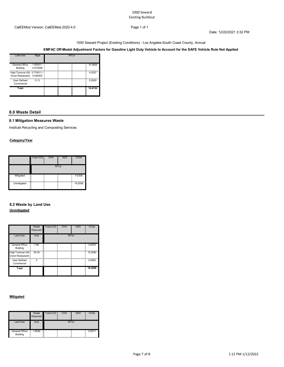#### 1000 Seward Existing Buildout

Date: 12/22/2021 3:32 PM

#### 1000 Seward Project (Existing Conditions) - Los Angeles-South Coast County, Annual

### **EMFAC Off-Model Adjustment Factors for Gasoline Light Duty Vehicle to Account for the SAFE Vehicle Rule Not Applied**

| Land Use                                          | Mgal                 | MT/vr |         |
|---------------------------------------------------|----------------------|-------|---------|
| General Office<br>Building                        | 1.50007/<br>0.919399 |       | 10.3808 |
| High Turnover (Sit 0.774011 /<br>Down Restaurant) | 0.049405             |       | 4.0327  |
| <b>User Defined</b><br>Commercial                 | 0/0                  |       | 0.0000  |
| Total                                             |                      |       | 14.4134 |

### **8.0 Waste Detail**

### **8.1 Mitigation Measures Waste**

Institute Recycling and Composting Services

### **Category/Year**

|             | Total CO <sub>2</sub> | CH <sub>4</sub> | <b>N2O</b> | CO <sub>2e</sub> |  |  |  |  |
|-------------|-----------------------|-----------------|------------|------------------|--|--|--|--|
|             | MT/yr                 |                 |            |                  |  |  |  |  |
| Mitigated   |                       |                 |            | 4.5326           |  |  |  |  |
| Unmitigated | $\mathbf{r}$          |                 |            | 19.2058          |  |  |  |  |

### **8.2 Waste by Land Use Unmitigated**

|                                        | Waste<br><b>Disposed</b> | Total CO <sub>2</sub> | CH <sub>4</sub> | <b>N2O</b> | CO <sub>2e</sub> |
|----------------------------------------|--------------------------|-----------------------|-----------------|------------|------------------|
| <b>Land Use</b>                        | tons                     |                       |                 | MT/yr      |                  |
| General Office<br>Building             | 7.85                     | Ξ                     |                 |            | 3.9478           |
| High Turnover (Sit<br>Down Restaurant) | 30.34<br>--              |                       |                 |            | 15.2580          |
| <b>User Defined</b><br>Commercial      | $\Omega$                 |                       |                 |            | 0.0000           |
| Total                                  |                          |                       |                 |            | 19.2058          |

#### **Mitigated**

|                                   | Waste<br>Disposed  | Total CO <sub>2</sub> | CH <sub>4</sub> | <b>N2O</b> | CO <sub>2e</sub> |
|-----------------------------------|--------------------|-----------------------|-----------------|------------|------------------|
| Land Use                          | tons               |                       |                 | MT/yr      |                  |
| <b>General Office</b><br>Building | 1.8526<br>--<br>-- | . .                   |                 |            | 0.9317           |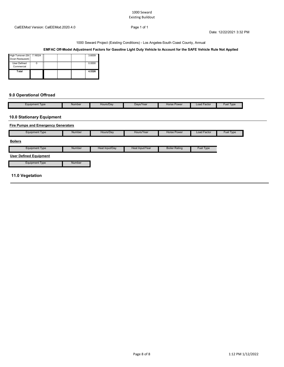#### 1000 Seward Existing Buildout

Date: 12/22/2021 3:32 PM

1000 Seward Project (Existing Conditions) - Los Angeles-South Coast County, Annual

### **EMFAC Off-Model Adjustment Factors for Gasoline Light Duty Vehicle to Account for the SAFE Vehicle Rule Not Applied**

| High Turnover (Sit 7.16024<br>Down Restaurant) |  |  | 3.6009 |
|------------------------------------------------|--|--|--------|
| <b>User Defined</b><br>Commercial              |  |  | 0.0000 |
| `otal                                          |  |  | 4.5326 |

### **9.0 Operational Offroad**

| Equipment Type | Number | Hours/Day | Davs/Year | Horse Power | Load Factor | Fuel Type |
|----------------|--------|-----------|-----------|-------------|-------------|-----------|

### **10.0 Stationary Equipment**

### **Fire Pumps and Emergency Generators**

| <b>Equipment Type</b>         | Number | Hours/Day      | Hours/Year      | <b>Horse Power</b>   | Load Factor | Fuel Type |
|-------------------------------|--------|----------------|-----------------|----------------------|-------------|-----------|
| <b>Boilers</b>                |        |                |                 |                      |             |           |
| <b>Equipment Type</b>         | Number | Heat Input/Day | Heat Input/Year | <b>Boiler Rating</b> | Fuel Type   |           |
| <b>User Defined Equipment</b> |        |                |                 |                      |             |           |
| <b>Equipment Type</b>         | Number |                |                 |                      |             |           |
| 11.0 Vegetation               |        |                |                 |                      |             |           |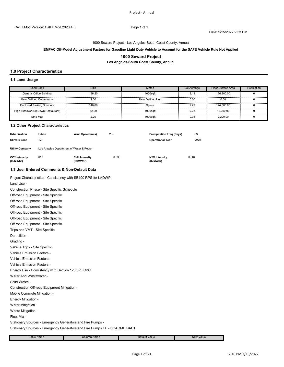#### 1000 Seward Project - Los Angeles-South Coast County, Annual

#### **EMFAC Off-Model Adjustment Factors for Gasoline Light Duty Vehicle to Account for the SAFE Vehicle Rule Not Applied**

### **1000 Seward Project**

**Los Angeles-South Coast County, Annual**

### **1.0 Project Characteristics**

#### **1.1 Land Usage**

| and Uses                            | <b>Size</b> | Metric                   | Lot Acreage | Floor Surface Area | Population |
|-------------------------------------|-------------|--------------------------|-------------|--------------------|------------|
| General Office Building             | 136.20      | 1000saft                 | 3.13        | 136,200.00         |            |
| User Defined Commercial             | 1.00        | <b>User Defined Unit</b> | 0.00        | 0.00               |            |
| <b>Enclosed Parking Structure</b>   | 310.00      | Space                    | 279         | 124.000.00         |            |
| High Turnover (Sit Down Restaurant) |             | 1000saf                  | 0.28        | 2.200.00           |            |
| <b>Strip Mall</b>                   | 2.20        | 1000saft                 | 0.05        | 2.200.00           |            |

#### **1.2 Other Project Characteristics**

| <b>Urbanization</b><br><b>Climate Zone</b> | Urban<br>12                             | Wind Speed (m/s)                  | 2.2   | <b>Precipitation Freg (Days)</b><br><b>Operational Year</b> | 33<br>2025 |
|--------------------------------------------|-----------------------------------------|-----------------------------------|-------|-------------------------------------------------------------|------------|
| <b>Utility Company</b>                     | Los Angeles Department of Water & Power |                                   |       |                                                             |            |
| CO2 Intensity<br>(lb/MWhr)                 | 616                                     | <b>CH4 Intensity</b><br>(lb/MWhr) | 0.033 | N2O Intensity<br>(lb/MWhr)                                  | 0.004      |

#### **1.3 User Entered Comments & Non-Default Data**

Project Characteristics - Consistency with SB100 RPS for LADWP.

Waste Mitigation - Solid Waste - Construction Off-road Equipment Mitigation - Mobile Commute Mitigation - Energy Mitigation - Water Mitigation - Vehicle Emission Factors - Vehicle Emission Factors - Vehicle Emission Factors - Energy Use - Consistency with Section 120.6(c) CBC Water And Wastewater - Off-road Equipment - Site Specific Trips and VMT - Site Specific Demolition - Grading - Vehicle Trips - Site Specific Off-road Equipment - Site Specific Off-road Equipment - Site Specific Off-road Equipment - Site Specific Off-road Equipment - Site Specific Off-road Equipment - Site Specific Land Use - Construction Phase - Site Specific Schedule

Fleet Mix -

Stationary Sources - Emergency Generators and Fire Pumps -

Stationary Sources - Emergency Generators and Fire Pumps EF - SCAQMD BACT

| ⊹Name<br>nh <sub>l</sub><br>auc | Column Name | Default Value<br>. | Value<br>New<br>_____ |
|---------------------------------|-------------|--------------------|-----------------------|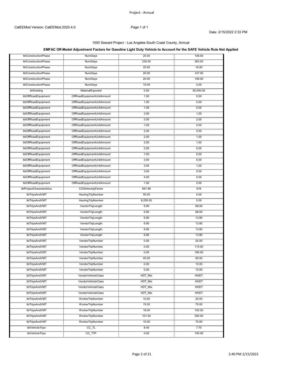### **EMFAC Off-Model Adjustment Factors for Gasoline Light Duty Vehicle to Account for the SAFE Vehicle Rule Not Applied**

|                                         | .                                                                 |               |            |
|-----------------------------------------|-------------------------------------------------------------------|---------------|------------|
| tblConstructionPhase                    | <b>NumDays</b><br>ومحدوده ومجو                                    | 20.00         | 108.00     |
| tblConstructionPhase                    | <b>NumDays</b><br>.                                               | 230.00        | 363.00     |
| tblConstructionPhase                    | NumDays<br>.<br>NumDays                                           | 20.00<br>.    | 16.00      |
| tblConstructionPhase                    | ,,,,,,,,,,,                                                       | 20.00         | 127.00     |
| tblConstructionPhase<br>                | NumDays<br>.                                                      | 20.00         | 108.00     |
| tblConstructionPhase<br>                | NumDays<br>.                                                      | 10.00         | 2.00       |
| tblGrading                              | MaterialExported<br><u></u>                                       | 0.00          | 55,000.00  |
| tblOffRoadEquipment                     | OffRoadEquipmentUnitAmount<br>                                    | 1.00          | 0.00       |
| tblOffRoadEquipment                     | OffRoadEquipmentUnitAmount                                        | 1.00<br>.     | 0.00<br>   |
| tblOffRoadEquipment<br><u>ummu</u> mman | OffRoadEquipmentUnitAmount<br>                                    | 1.00          | 0.00       |
| tblOffRoadEquipment<br>                 | OffRoadEquipmentUnitAmount                                        | 3.00          | 1.00       |
| tblOffRoadEquipment                     | OffRoadEquipmentUnitAmount                                        | 3.00          | 2.00       |
| tblOffRoadEquipment                     |                                                                   | 1.00          | 0.00       |
| tblOffRoadEquipment                     | OffRoadEquipmentUnitAmount<br>                                    | 2.00<br>.     | 0.00<br>.  |
| tblOffRoadEquipment                     | OffRoadEquipmentUnitAmount                                        | 2.00          | 1.00       |
| tblOffRoadEquipment                     | OffRoadEquipmentUnitAmount<br>,,,,,,,,,,,,,,,,,,,,,,,,,,,,,,,,,,  | 2.00          | 1.00       |
| tblOffRoadEquipment<br>                 | OffRoadEquipmentUnitAmount<br>,,,,,,,,,,,,,,,,,,,,,,,,,,,,,,,,,,, | 2.00          | 0.00       |
| tblOffRoadEquipment                     | OffRoadEquipmentUnitAmount<br>                                    | 1.00          | 0.00       |
| tblOffRoadEquipment                     | OffRoadEquipmentUnitAmount                                        | 3.00          | 0.00       |
| tblOffRoadEquipment                     | OffRoadEquipmentUnitAmount                                        | 3.00          | 1.00       |
| tblOffRoadEquipment                     | <br>OffRoadEquipmentUnitAmount                                    | 3.00          | 0.00       |
| tblOffRoadEquipment                     | OffRoadEquipmentUnitAmount                                        | 4.00<br>.     | .<br>0.00  |
| tblOffRoadEquipment                     | <u></u><br>OffRoadEquipmentUnitAmount                             | 1.00          | 2.00       |
| tblProjectCharacteristics               | CO2IntensityFactor                                                | 691.98        | 616        |
| tblTripsAndVMT                          | <br>HaulingTripNumber                                             | .<br>50.00    | 0.00       |
| tblTripsAndVMT                          | HaulingTripNumber                                                 | .<br>6,250.00 | .<br>0.00  |
| tblTripsAndVMT                          | VendorTripLength                                                  | 6.90          | 68.00      |
| .<br>tblTripsAndVMT                     | VendorTripLength                                                  | 6.90          | .<br>68.00 |
| tblTripsAndVMT                          | VendorTripLength                                                  | <br>6.90      | 13.80      |
| tblTripsAndVMT                          | VendorTripLength                                                  | 6.90          | 13.80      |
| tblTripsAndVMT                          | VendorTripLength                                                  | 6.90          | 13.80      |
| tblTripsAndVMT                          | VendorTripLength                                                  | 6.90          | 13.80      |
| 200000000<br>tblTripsAndVMT             | VendorTripNumber                                                  | 0.00          | 25.00      |
| tblTripsAndVMT                          | VendorTripNumber                                                  | 0.00          | 115.00     |
| tblTripsAndVMT                          | <br>VendorTripNumber                                              | 0.00          | 180.00     |
| <u>mungngung</u><br>tblTripsAndVMT      | VendorTripNumber                                                  | <br>45.00     | <br>95.00  |
| .<br>tblTripsAndVMT                     | VendorTripNumber                                                  | 0.00          | 15.00      |
| tblTripsAndVMT                          | <br>VendorTripNumber                                              | 0.00          | 15.00      |
| ,,,,,,,,,,,,,,,,,<br>tblTripsAndVMT     | <br>VendorVehicleClass                                            | HDT_Mix       | HHDT       |
| .<br>tblTripsAndVMT                     | VendorVehicleClass                                                | <br>HDT_Mix   | HHDT       |
| tblTripsAndVMT                          | VendorVehicleClass                                                | .<br>HDT_Mix  | HHDT       |
| .<br>tblTripsAndVMT                     | ,,,,,,,,,,,,,,,,,,<br>√endorVehicleClass                          | HDT_Mix       | HHD1       |
| .<br>tblTripsAndVMT                     | <br>WorkerTripNumber                                              | 10.00         | 25.00      |
| tblTripsAndVMT                          | <br>WorkerTripNumber                                              | 15.00         | 75.00      |
| tblTripsAndVMT                          | WorkerTripNumber                                                  | 18.00         | 100.00     |
| .<br>tblTripsAndVMT                     | <br>WorkerTripNumber                                              | 101.00        | 350.00     |
| .<br>tblTripsAndVMT                     | .<br>WorkerTripNumber                                             | 10.00         | 75.00      |
| .<br>tblVehicleTrips                    | .<br>$CC$ _TL                                                     | 8.40          | 7.70       |
| .<br>tblVehicleTrips                    | $cc$ _TTP                                                         | 0.00          | 100.00     |
|                                         |                                                                   | .             |            |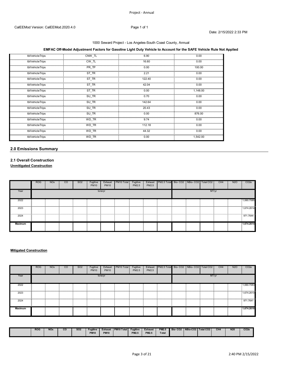### **EMFAC Off-Model Adjustment Factors for Gasoline Light Duty Vehicle to Account for the SAFE Vehicle Rule Not Applied**

| tblVehicleTrips | CNW TL | 6.90   | 0.00     |
|-----------------|--------|--------|----------|
| tblVehicleTrips | CW TL  | 16.60  | 0.00     |
| tblVehicleTrips | PR_TP  | 0.00   | 100.00   |
| tblVehicleTrips | ST TR  | 2.21   | 0.00     |
| tblVehicleTrips | ST_TR  | 122.40 | 0.00     |
| tblVehicleTrips | ST TR  | 42.04  | 0.00     |
| tblVehicleTrips | ST_TR  | 0.00   | 1,148.00 |
| tblVehicleTrips | SU TR  | 0.70   | 0.00     |
| tblVehicleTrips | SU_TR  | 142.64 | 0.00     |
| tblVehicleTrips | SU TR  | 20.43  | 0.00     |
| tblVehicleTrips | SU_TR  | 0.00   | 876.00   |
| tblVehicleTrips | WD TR  | 9.74   | 0.00     |
| tblVehicleTrips | WD TR  | 112.18 | 0.00     |
| tblVehicleTrips | WD TR  | 44.32  | 0.00     |
| tblVehicleTrips | WD_TR  | 0.00   | 1.542.00 |

### **2.0 Emissions Summary**

## **2.1 Overall Construction**

**Unmitigated Construction**

|                | <b>ROG</b> | <b>NO<sub>x</sub></b> | CO. | SO <sub>2</sub> | Fugitive<br><b>PM10</b> | Exhaust<br><b>PM10</b> | PM <sub>10</sub> Total | Fugitive<br>PM2.5 | Exhaust<br>PM2.5 | PM2.5 Total Bio-CO2 NBio-CO2 Total CO2 |  |       | CH <sub>4</sub> | N <sub>2</sub> O | CO <sub>2</sub> e |
|----------------|------------|-----------------------|-----|-----------------|-------------------------|------------------------|------------------------|-------------------|------------------|----------------------------------------|--|-------|-----------------|------------------|-------------------|
| Year           |            |                       |     |                 |                         | tons/yr                |                        |                   |                  |                                        |  | MT/yr |                 |                  |                   |
| 2022           |            |                       |     |                 |                         |                        |                        |                   |                  |                                        |  |       |                 |                  | 1,060.7085        |
| 2023           |            |                       |     |                 |                         |                        |                        |                   |                  |                                        |  |       |                 |                  | 1,674.2614        |
| <br>2024       |            |                       |     |                 |                         |                        |                        |                   |                  |                                        |  |       |                 |                  |                   |
| <b>Maximum</b> |            |                       |     |                 |                         |                        |                        |                   |                  |                                        |  |       |                 |                  | 1,674.2614        |

### **Mitigated Construction**

|                | <b>ROG</b> | <b>NO<sub>x</sub></b> | <sub>CO</sub> | SO <sub>2</sub> | Fugitive<br><b>PM10</b> | Exhaust<br><b>PM10</b> | PM10 Total | Fugitive<br>PM2.5 | Exhaust<br>PM2.5 | PM2.5 Total Bio-CO2 NBio-CO2 Total CO2 |  |       | CH <sub>4</sub> | <b>N2O</b> | CO <sub>2</sub> e |
|----------------|------------|-----------------------|---------------|-----------------|-------------------------|------------------------|------------|-------------------|------------------|----------------------------------------|--|-------|-----------------|------------|-------------------|
| Year           |            |                       |               |                 |                         | tons/yr                |            |                   |                  |                                        |  | MT/yr |                 |            |                   |
| 2022           |            |                       |               |                 |                         |                        |            |                   |                  |                                        |  |       |                 |            | 1,060.7083        |
| 2023           |            |                       |               |                 |                         |                        |            |                   |                  |                                        |  |       |                 |            | 1,674.2610        |
| 2024           |            |                       |               |                 |                         |                        |            |                   |                  |                                        |  |       |                 |            | 971.7641          |
| <b>Maximum</b> |            |                       |               |                 |                         |                        |            |                   |                  |                                        |  |       |                 |            | 1.674.2610        |

| <b>ROG</b> | <b>NO<sub>x</sub></b> | $_{\rm co}$ | SO <sub>2</sub> | <b>Fugitive</b>     | <b>Exhaust</b>   | PM <sub>10</sub> Total | <b>Fugitive</b> | <b>Exhaust</b> | <b>PM2.5</b> | Bio-CO <sub>2</sub> | NBio-CO2   Total CO2 | CH <sub>4</sub><br>---- | N20 | CO <sub>2e</sub> |
|------------|-----------------------|-------------|-----------------|---------------------|------------------|------------------------|-----------------|----------------|--------------|---------------------|----------------------|-------------------------|-----|------------------|
|            |                       |             |                 | <b>DM40</b><br>- MH | <b>PM10</b><br>. |                        | <b>PM2.5</b>    | <b>PM2.5</b>   | <b>Total</b> |                     |                      |                         |     |                  |
|            |                       |             |                 |                     |                  |                        |                 |                |              |                     |                      |                         |     |                  |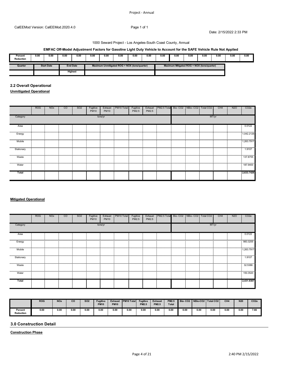### **EMFAC Off-Model Adjustment Factors for Gasoline Light Duty Vehicle to Account for the SAFE Vehicle Rule Not Applied**

| Percent<br>Reduction | 0.00 | 0.00              | 0.00 | 0.00            | 0.00 | 0.00 | 0.00                                         | 0.00 | 0.00 | 0.00 | 0.00                                       | 0.00 | 0.00 | 0.00 | 0.00 | 0.00 |
|----------------------|------|-------------------|------|-----------------|------|------|----------------------------------------------|------|------|------|--------------------------------------------|------|------|------|------|------|
| Quarter              |      | <b>Start Date</b> |      | <b>End Date</b> |      |      | Maximum Unmitigated ROG + NOX (tons/quarter) |      |      |      | Maximum Mitigated ROG + NOX (tons/quarter) |      |      |      |      |      |
|                      |      |                   |      | <b>Highest</b>  |      |      |                                              |      |      |      |                                            |      |      |      |      |      |

### **2.2 Overall Operational**

**Unmitigated Operational**

|                                                                                                                                                                                                                                | <b>ROG</b> | <b>NO<sub>x</sub></b> | CO. | SO <sub>2</sub> | Fugitive<br><b>PM10</b> | Exhaust<br><b>PM10</b> | PM10 Total | Fugitive<br>PM2.5 | Exhaust<br>PM2.5 | PM2.5 Total Bio-CO2 NBio-CO2 Total CO2 |  |       | CH4 | N <sub>2</sub> O | CO <sub>2e</sub> |
|--------------------------------------------------------------------------------------------------------------------------------------------------------------------------------------------------------------------------------|------------|-----------------------|-----|-----------------|-------------------------|------------------------|------------|-------------------|------------------|----------------------------------------|--|-------|-----|------------------|------------------|
| Category                                                                                                                                                                                                                       |            |                       |     |                 |                         | tons/yr                |            |                   |                  |                                        |  | MT/yr |     |                  |                  |
| Area                                                                                                                                                                                                                           |            |                       |     |                 |                         |                        |            |                   |                  |                                        |  |       |     |                  | 0.0122           |
| Energy                                                                                                                                                                                                                         |            |                       |     |                 |                         |                        |            |                   |                  |                                        |  |       |     |                  | 1,042.2126       |
| Mobile                                                                                                                                                                                                                         |            |                       |     |                 |                         |                        |            |                   |                  |                                        |  |       |     |                  | 1,263.7917       |
| Stationary                                                                                                                                                                                                                     |            |                       |     |                 |                         |                        |            |                   |                  |                                        |  |       |     |                  | 1.9107           |
| www.water.com/ground/ground/ground/ground/ground/ground/ground/ground/ground/ground/ground/ground/ground/ground/ground/ground/ground/ground/ground/ground/ground/ground/ground/ground/ground/ground/ground/ground/ground/groun |            |                       |     |                 |                         |                        |            |                   |                  |                                        |  |       |     |                  |                  |
| Water                                                                                                                                                                                                                          |            |                       |     |                 |                         |                        |            |                   |                  |                                        |  |       |     |                  | 187.9400         |
| Total                                                                                                                                                                                                                          |            |                       |     |                 |                         |                        |            |                   |                  |                                        |  |       |     |                  | 2,633.7426       |
|                                                                                                                                                                                                                                |            |                       |     |                 |                         |                        |            |                   |                  |                                        |  |       |     |                  |                  |

#### **Mitigated Operational**

|            | <b>ROG</b> | <b>NO<sub>x</sub></b> | $\overline{c}$ | SO <sub>2</sub> | Fugitive<br><b>PM10</b> | Exhaust<br><b>PM10</b> | PM <sub>10</sub> Total | Fugitive<br>PM2.5 | Exhaust<br>PM2.5 | PM2.5 Total Bio- CO2 NBio- CO2   Total CO2 |  |       | CH <sub>4</sub> | N <sub>2</sub> O | CO <sub>2e</sub> |
|------------|------------|-----------------------|----------------|-----------------|-------------------------|------------------------|------------------------|-------------------|------------------|--------------------------------------------|--|-------|-----------------|------------------|------------------|
| Category   |            |                       |                |                 |                         | tons/yr                |                        |                   |                  |                                            |  | MT/yr |                 |                  |                  |
| Area<br>   |            |                       |                |                 |                         |                        |                        |                   |                  |                                            |  |       |                 |                  | 0.0122           |
| Energy     |            |                       |                |                 |                         |                        |                        |                   |                  |                                            |  |       |                 |                  | 983.3255         |
| Mobile     |            |                       |                |                 |                         |                        |                        |                   |                  |                                            |  |       |                 |                  | 1.263.7917       |
| Stationary |            |                       |                |                 |                         |                        |                        |                   |                  |                                            |  |       |                 |                  | 1.9107           |
| Waste<br>  |            |                       | .              |                 |                         |                        |                        |                   |                  | .                                          |  |       |                 |                  | 32.5386          |
| Water      |            |                       |                |                 |                         |                        |                        |                   |                  |                                            |  |       |                 |                  | .<br>150.3520    |
| Total      |            |                       |                |                 |                         |                        |                        |                   |                  |                                            |  |       |                 |                  | 2,431.9307       |

|                             | <b>ROG</b> | <b>NO<sub>x</sub></b> | co   | <b>SO2</b> | <b>Fugitive</b><br><b>PM10</b> | <b>Exhaust</b><br><b>PM10</b> | <b>PM10 Total</b> | Fugitive<br><b>PM2.5</b> | <b>Exhaust</b><br>PM2.5 | <b>PM2.5</b><br><b>Total</b> | Bio-CO <sub>2</sub> | NBio-CO2   Total CO2 |      | CH <sub>4</sub> | N <sub>20</sub> | CO <sub>2e</sub> |
|-----------------------------|------------|-----------------------|------|------------|--------------------------------|-------------------------------|-------------------|--------------------------|-------------------------|------------------------------|---------------------|----------------------|------|-----------------|-----------------|------------------|
| Percent<br><b>Reduction</b> | 0.00       | 0.00                  | 0.00 | 0.00       | 0.00                           | 0.00                          | 0.00              | 0.00                     | 0.00                    | 0.00                         | 0.00                | 0.00                 | 0.00 | 0.00            | 0.00            | 7.66             |

### **3.0 Construction Detail**

**Construction Phase**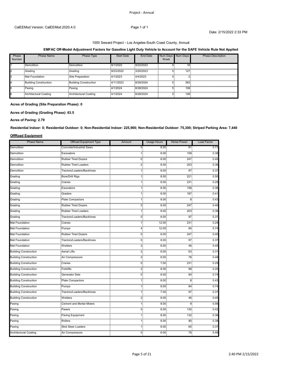#### **EMFAC Off-Model Adjustment Factors for Gasoline Light Duty Vehicle to Account for the SAFE Vehicle Rule Not Applied**

| Phase<br>Number | <b>Phase Name</b>            | Phase Type                   | <b>Start Date</b> | End Date  | Num<br>Week | Num Davs | <b>Phase Description</b> |
|-----------------|------------------------------|------------------------------|-------------------|-----------|-------------|----------|--------------------------|
|                 | Demolition                   | Demolition                   | 9/1/2022          | 9/22/2022 |             | 16.      |                          |
|                 | Gradino                      | Grading                      | 9/23/2022         | 3/20/2023 |             | 127      |                          |
|                 | Mat Foundation               | Site Preparation             | 4/1/2023          | 4/4/2023  |             |          |                          |
|                 | <b>Building Construction</b> | <b>Building Construction</b> | 4/11/2023         | 8/29/2024 | .           | 363      |                          |
| .               | Paving                       | Paving                       | 4/1/2024          | 8/28/2024 | <u></u>     | 108.     |                          |
|                 | Architectural Coating        | <b>Architectural Coating</b> | 4/1/2024          | 8/28/2024 |             | 108.     |                          |

### **Acres of Grading (Site Preparation Phase): 0**

**Acres of Grading (Grading Phase): 63.5**

**Acres of Paving: 2.79**

**Residential Indoor: 0; Residential Outdoor: 0; Non-Residential Indoor: 225,900; Non-Residential Outdoor: 75,300; Striped Parking Area: 7,440** 

#### **OffRoad Equipment**

| <b>Phase Name</b>                 | <b>Offroad Equipment Type</b>   | Amount         | <b>Usage Hours</b> | <b>Horse Power</b> | <b>Load Factor</b> |
|-----------------------------------|---------------------------------|----------------|--------------------|--------------------|--------------------|
| Demolition                        | Concrete/Industrial Saws        | $\overline{0}$ | 8.00.              | 81                 | 0.73               |
| Demolition                        | Excavators                      |                | 8.00 <sub>1</sub>  | 158                | <br>0.38           |
| .<br>Demolition                   | <br><b>Rubber Tired Dozers</b>  | 0.             | 8.00               | 247                | 0.40               |
| <br>Demolition                    | <br><b>Rubber Tired Loaders</b> | 2.             | 8.00               | 203                | <br>0.36           |
| .<br>Demolition                   | Tractors/Loaders/Backhoes       |                | .<br>8.00          | .<br>97            | .<br>0.37          |
| an an an an a<br>Grading          | Bore/Drill Rigs                 |                | 8.00 <sub>1</sub>  | 221                | 0.50               |
| .<br>Grading                      | .<br>Cranes                     |                | 8.00               | .<br>231           | .<br>0.29          |
| Grading                           | Excavators                      | 1.             | 8.00               | 158                | 0.38               |
| .<br>Grading                      | Graders                         |                | .<br>$8.00 -$      | 11111<br>187       | 0.41               |
| .<br>Grading                      | Plate Compactors                |                | .<br>8.00.         | .<br>8             | .<br>0.43          |
| .<br>Grading                      | <b>Rubber Tired Dozers</b>      | 0              | 8.00               | 247                | 0.40               |
| .<br>Grading                      | <b>Rubber Tired Loaders</b>     | 15             | 8.00 <sub>1</sub>  | 203                | 0.36               |
| Grading                           | Tractors/Loaders/Backhoes       | 0              | 8.00               | 97                 | 0.37               |
| .<br>Mat Foundation<br>.          | Cranes<br>.                     |                | .<br>$12.00 -$     | .<br>231           | .<br>0.29          |
| Mat Foundation                    | Pumps                           | 4:             | 12.00              | 84                 | 0.74               |
| Mat Foundation                    | <b>Rubber Tired Dozers</b>      | 0.             | 8.00 <sub>1</sub>  | 247                | .<br>0.40          |
| .<br><b>Mat Foundation</b>        | Tractors/Loaders/Backhoes       | 0.             | 8.00               | .<br>97            | min.<br>0.37       |
| <b>Mat Foundation</b>             | Welders                         | 2.             | 8.00               | 46                 | 0.45               |
| <b>Building Construction</b>      | .<br><b>Aerial Lifts</b>        |                | 8.00.              | 63                 | 0.31               |
| <br><b>Building Construction</b>  | .<br>Air Compressors            | 2.             | 8.00               | 78                 | 0.48               |
| <b>Building Construction</b>      | Cranes                          | 0.             | 7.00               | 231                | .<br>0.29          |
| <b>Building Construction</b>      | Forklifts                       | 2:             | 8.00               | 89                 | 0.20               |
| <b>Building Construction</b>      | <b>Generator Sets</b>           | 0              | 8.00               | 84                 | 0.74               |
| <b>Building Construction</b>      | <br>Plate Compactors            |                | an an<br>8.00      | 11111<br>8         | .<br>0.43          |
| <b>Building Construction</b>      | Pumps                           |                | 8.00               | 84                 | 0.74               |
| <b>Building Construction</b>      | Tractors/Loaders/Backhoes       | 1:             | 7.00               | 97                 | 0.37               |
| .<br><b>Building Construction</b> | Welders                         | $\mathbf{2}$   | 8.00               | .<br>46            | 0.45               |
| <br>Paving                        | <b>Cement and Mortar Mixers</b> |                | .<br>8.00          | 9                  | 111111<br>0.56     |
| .<br>Paving                       | .<br>Pavers                     | 0.             | .<br>8.00          | 11111<br>130       | .<br>0.42          |
| <br>Paving                        | Paving Equipment                | 1:             | 8.00               | 132                | 0.36               |
| .<br>Paving                       | .<br>Rollers                    |                | 8.00               | 80                 | 0.38               |
| Paving                            | <b>Skid Steer Loaders</b>       |                | 8.00               | 65                 | 0.37               |
| Architectural Coating             | .<br>Air Compressors            | 0.             | 6.00               | 78.                | 0.48               |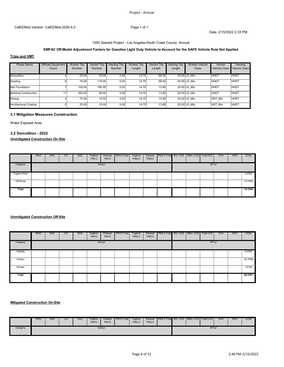#### 1000 Seward Project - Los Angeles-South Coast County, Annual

### **EMFAC Off-Model Adjustment Factors for Gasoline Light Duty Vehicle to Account for the SAFE Vehicle Rule Not Applied**

#### **Trips and VMT**

| Phase Name                   | <b>Offroad Equipment</b><br>Count | <b>Worker Trip</b><br>Number | <b>Vendor Trip</b><br>Number | Hauling Trip<br>Number | Worker Trip<br>Length | Vendor Trip<br>Length | <b>Hauling Trip</b><br>Length | <b>Worker Vehicle</b><br>Class | Vendor<br>Vehicle Class | Hauling<br><b>Vehicle Class</b> |
|------------------------------|-----------------------------------|------------------------------|------------------------------|------------------------|-----------------------|-----------------------|-------------------------------|--------------------------------|-------------------------|---------------------------------|
| Demolition                   |                                   | 25.00                        | 25.00                        | 0.00                   | 14.70                 | 68.00                 |                               | 20.00 LD Mix                   | <b>HHD</b>              | <b>HHD1</b>                     |
| Grading                      |                                   | $75.00 -$                    | $115.00 -$                   | $0.00 -$               | $14.70 -$             | 68.00                 |                               | 20.00 LD Mix                   | <b>HHDT</b>             | <b>HHDT</b>                     |
| Mat Foundation               |                                   | 100.00                       | 180.00                       | $0.00 -$               | 14.70                 | 13.80                 |                               | 20.00 LD Mix                   | <b>HHDT</b>             | <b>HHDT</b>                     |
| <b>Building Construction</b> | 11:                               | 350.00                       | 95.00                        | $0.00 -$               | 14.70                 | 13.80                 |                               | 20.00 LD Mix                   | <b>HHDT</b>             | <b>HHDT</b>                     |
| Paving                       |                                   | 75.00                        | 15.00                        | $0.00 -$               | 14.70                 | 13.80                 |                               | 20.00 LD Mix                   | HDT Mix                 | <b>HHDT</b>                     |
| Architectural Coating        |                                   | 20.00                        | 15.00                        | $0.00 -$               | 14.70                 | 13.80                 |                               | 20.00 LD Mix                   | HDT Mix                 | <b>HHDT</b>                     |

### **3.1 Mitigation Measures Construction**

Water Exposed Area

#### **3.2 Demolition - 2022**

### **Unmitigated Construction On-Site**

|                      | <b>ROG</b> | <b>NO<sub>x</sub></b> | $\overline{c}$ | SO <sub>2</sub> | Fugitive<br><b>PM10</b> | Exhaust<br><b>PM10</b> | PM10 Total | Fugitive<br>PM2.5 | Exhaust<br>PM2.5 | PM2.5 Total Bio-CO2 NBio-CO2   Total CO2 |  |       | CH <sub>4</sub> | <b>N2O</b> | CO <sub>2</sub> e |
|----------------------|------------|-----------------------|----------------|-----------------|-------------------------|------------------------|------------|-------------------|------------------|------------------------------------------|--|-------|-----------------|------------|-------------------|
| Category             |            |                       |                |                 |                         | tons/yr                |            |                   |                  |                                          |  | MT/yr |                 |            |                   |
| <b>Fugitive Dust</b> |            |                       |                |                 |                         |                        |            |                   |                  |                                          |  |       |                 |            | 0.0000            |
| Off-Road             |            |                       |                |                 |                         |                        |            |                   |                  |                                          |  |       |                 |            | 14.7244           |
| Total                |            |                       |                |                 |                         |                        |            |                   |                  |                                          |  |       |                 |            | 14.7244           |

### **Unmitigated Construction Off-Site**

|          | <b>ROG</b> | <b>NO<sub>x</sub></b> | <sub>co</sub> | SO <sub>2</sub> | Fugitive<br><b>PM10</b> | Exhaust<br><b>PM10</b> | PM <sub>10</sub> Total | Fugitive<br>PM2.5 | Exhaust<br>PM2.5 | PM2.5 Total Bio- CO2   NBio- CO2   Total CO2 |  |       | CH <sub>4</sub> | <b>N2O</b> | CO <sub>2</sub> e |
|----------|------------|-----------------------|---------------|-----------------|-------------------------|------------------------|------------------------|-------------------|------------------|----------------------------------------------|--|-------|-----------------|------------|-------------------|
| Category |            |                       |               |                 |                         | tons/yr                |                        |                   |                  |                                              |  | MT/yr |                 |            |                   |
| Hauling  |            |                       |               |                 |                         |                        |                        |                   |                  |                                              |  |       |                 |            | 0.0000            |
| Vendor   |            |                       |               |                 |                         |                        |                        |                   |                  |                                              |  |       |                 |            | .<br>42.7006      |
| Worker   |            |                       |               |                 |                         |                        |                        |                   |                  |                                              |  |       |                 |            | 1.8185            |
| Total    |            |                       |               |                 |                         |                        |                        |                   |                  |                                              |  |       |                 |            | 44.5191           |

#### **Mitigated Construction On-Site**

|          | <b>ROG</b> | <b>NO<sub>x</sub></b> | <sub>CO</sub> | SO <sub>2</sub> | Fugitive<br><b>PM10</b> | Exhaust<br><b>PM10</b> | PM10 Total | Fugitive<br><b>PM2.5</b> | Exhaust<br><b>PM2.5</b> | PM2.5 Total Bio-CO2   NBio-CO2   Total CO2 |  |       | CH <sub>4</sub> | N <sub>20</sub> | CO <sub>2</sub> e |
|----------|------------|-----------------------|---------------|-----------------|-------------------------|------------------------|------------|--------------------------|-------------------------|--------------------------------------------|--|-------|-----------------|-----------------|-------------------|
| Category |            |                       |               |                 |                         | tons/yr                |            |                          |                         |                                            |  | MT/yr |                 |                 |                   |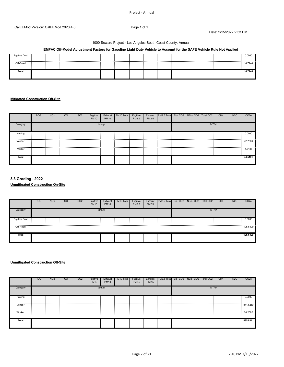#### 1000 Seward Project - Los Angeles-South Coast County, Annual

### **EMFAC Off-Model Adjustment Factors for Gasoline Light Duty Vehicle to Account for the SAFE Vehicle Rule Not Applied**

| <b>Fugitive Dust</b> |  |  |  |  |  |  |  | 0.0000 |
|----------------------|--|--|--|--|--|--|--|--------|
|                      |  |  |  |  |  |  |  |        |
|                      |  |  |  |  |  |  |  |        |
| Off-Road             |  |  |  |  |  |  |  | '7244  |
|                      |  |  |  |  |  |  |  |        |
|                      |  |  |  |  |  |  |  |        |
| Total                |  |  |  |  |  |  |  | 14724  |
|                      |  |  |  |  |  |  |  |        |
|                      |  |  |  |  |  |  |  |        |
|                      |  |  |  |  |  |  |  |        |
|                      |  |  |  |  |  |  |  |        |

### **Mitigated Construction Off-Site**

|          | <b>ROG</b> | <b>NO<sub>x</sub></b> | $\overline{c}$ | SO <sub>2</sub> | Fugitive<br><b>PM10</b> | Exhaust<br><b>PM10</b> | PM <sub>10</sub> Total | Fugitive<br>PM2.5 | Exhaust<br>PM2.5 | PM2.5 Total Bio-CO2   NBio-CO2   Total CO2 |  |       | CH <sub>4</sub> | N <sub>2</sub> O | CO <sub>2e</sub> |
|----------|------------|-----------------------|----------------|-----------------|-------------------------|------------------------|------------------------|-------------------|------------------|--------------------------------------------|--|-------|-----------------|------------------|------------------|
| Category |            |                       |                |                 |                         | tons/yr                |                        |                   |                  |                                            |  | MT/yr |                 |                  |                  |
| Hauling  |            |                       |                |                 |                         |                        |                        |                   |                  |                                            |  |       |                 |                  | 0.0000           |
| Vendor   |            |                       |                |                 |                         |                        |                        |                   |                  |                                            |  |       |                 |                  | 42.7006          |
| Worker   |            |                       |                |                 |                         |                        |                        |                   |                  |                                            |  |       |                 |                  | 1.8185           |
| Total    |            |                       |                |                 |                         |                        |                        |                   |                  |                                            |  |       |                 |                  | 44.5191          |

### **3.3 Grading - 2022 Unmitigated Construction On-Site**

|                      | <b>ROG</b> | NO <sub>x</sub> | <sub>co</sub> | SO <sub>2</sub> | Fugitive<br><b>PM10</b> | Exhaust<br><b>PM10</b> | PM <sub>10</sub> Total | Fugitive<br>PM2.5 | Exhaust<br>PM2.5 | PM2.5 Total Bio-CO2 NBio-CO2 |  | Total CO <sub>2</sub> | CH <sub>4</sub> | <b>N2O</b> | CO <sub>2</sub> e |
|----------------------|------------|-----------------|---------------|-----------------|-------------------------|------------------------|------------------------|-------------------|------------------|------------------------------|--|-----------------------|-----------------|------------|-------------------|
| Category             |            |                 |               |                 |                         | tons/yr                |                        |                   |                  |                              |  | MT/yr                 |                 |            |                   |
| <b>Fugitive Dust</b> |            |                 |               |                 |                         |                        |                        |                   |                  |                              |  |                       |                 |            | 0.0000            |
| Off-Road             |            |                 |               |                 |                         |                        |                        |                   |                  |                              |  |                       |                 |            | 105.6309          |
| Total                |            |                 |               |                 |                         |                        |                        |                   |                  |                              |  |                       |                 |            | 105.6309          |

#### **Unmitigated Construction Off-Site**

|                                                                                                                                                                                                                                | <b>ROG</b> | <b>NO<sub>x</sub></b> | $\overline{c}$ | SO <sub>2</sub> | Fugitive<br><b>PM10</b> | Exhaust<br><b>PM10</b> | PM10 Total | Fugitive<br>PM2.5 | Exhaust<br>PM2.5 | PM2.5 Total  Bio- CO2   NBio- CO2   Total CO2 |  |       | CH <sub>4</sub> | <b>N2O</b> | CO <sub>2e</sub> |
|--------------------------------------------------------------------------------------------------------------------------------------------------------------------------------------------------------------------------------|------------|-----------------------|----------------|-----------------|-------------------------|------------------------|------------|-------------------|------------------|-----------------------------------------------|--|-------|-----------------|------------|------------------|
| Category                                                                                                                                                                                                                       |            |                       |                |                 |                         | tons/yr                |            |                   |                  |                                               |  | MT/yr |                 |            |                  |
| Hauling                                                                                                                                                                                                                        |            |                       |                |                 |                         |                        |            |                   |                  |                                               |  |       |                 |            | 0.0000           |
| www.community.com/www.com/www.com/www.com/www.com/www.com/www.com/www.com/www.com/www.com/www.com/www.com/www.com/www.com/www.com/www.com/www.com/www.com/www.com/www.com/www.com/www.com/www.com/www.com/www.com/www.com/www. |            |                       |                |                 |                         |                        |            |                   |                  |                                               |  |       |                 |            |                  |
| Worker                                                                                                                                                                                                                         |            |                       |                |                 |                         |                        |            |                   |                  |                                               |  |       |                 |            | 24.2082          |
| Total                                                                                                                                                                                                                          |            |                       |                |                 |                         |                        |            |                   |                  |                                               |  |       |                 |            | 895.8341         |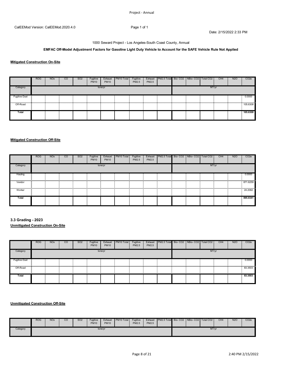### **EMFAC Off-Model Adjustment Factors for Gasoline Light Duty Vehicle to Account for the SAFE Vehicle Rule Not Applied**

#### **Mitigated Construction On-Site**

|                      | <b>ROG</b> | <b>NO<sub>x</sub></b> | CO | SO <sub>2</sub> | Fugitive<br><b>PM10</b> | Exhaust<br><b>PM10</b> | PM10 Total | Fugitive<br>PM2.5 | Exhaust<br>PM2.5 | PM2.5 Total Bio-CO2 NBio-CO2 Total CO2 |  |       | CH <sub>4</sub> | <b>N2O</b> | CO <sub>2e</sub> |
|----------------------|------------|-----------------------|----|-----------------|-------------------------|------------------------|------------|-------------------|------------------|----------------------------------------|--|-------|-----------------|------------|------------------|
| Category             |            |                       |    |                 |                         | tons/yr                |            |                   |                  |                                        |  | MT/yr |                 |            |                  |
| <b>Fugitive Dust</b> |            |                       |    |                 |                         |                        |            |                   |                  |                                        |  |       |                 |            | 0.0000           |
| Off-Road             |            |                       |    |                 |                         |                        |            |                   |                  |                                        |  |       |                 |            | 105.6308         |
| Total                |            |                       |    |                 |                         |                        |            |                   |                  |                                        |  |       |                 |            | 105.6308         |

#### **Mitigated Construction Off-Site**

|          | <b>ROG</b> | <b>NO<sub>x</sub></b> | <sub>CO</sub> | SO <sub>2</sub> | Fugitive<br><b>PM10</b> | Exhaust<br><b>PM10</b> | PM10 Total | Fugitive<br>PM2.5 | PM2.5 | Exhaust PM2.5 Total Bio-CO2 NBio-CO2 Total CO2 |  |       | CH <sub>4</sub> | <b>N2O</b> | CO <sub>2</sub> e |
|----------|------------|-----------------------|---------------|-----------------|-------------------------|------------------------|------------|-------------------|-------|------------------------------------------------|--|-------|-----------------|------------|-------------------|
| Category |            |                       |               |                 |                         | tons/yr                |            |                   |       |                                                |  | MT/yr |                 |            |                   |
| Hauling  |            |                       |               |                 |                         |                        |            |                   |       |                                                |  |       |                 |            | 0.0000            |
| Vendor   |            |                       |               |                 |                         |                        |            |                   |       |                                                |  |       |                 |            | 871.6259          |
| Worker   |            |                       |               |                 |                         |                        |            |                   |       |                                                |  |       |                 |            | 24.2082           |
| Total    |            |                       |               |                 |                         |                        |            |                   |       |                                                |  |       |                 |            | 895.8341          |

**3.3 Grading - 2023 Unmitigated Construction On-Site**

|                      | <b>ROG</b> | <b>NO<sub>x</sub></b> | <sub>CO</sub> | SO <sub>2</sub> | Fugitive<br><b>PM10</b> | Exhaust<br><b>PM10</b> | PM10 Total | Fugitive<br>PM2.5 | Exhaust<br>PM2.5 | PM2.5 Total Bio-CO2   NBio-CO2 |  | Total CO <sub>2</sub> | CH <sub>4</sub> | <b>N2O</b> | CO <sub>2</sub> e |
|----------------------|------------|-----------------------|---------------|-----------------|-------------------------|------------------------|------------|-------------------|------------------|--------------------------------|--|-----------------------|-----------------|------------|-------------------|
| Category             |            |                       |               |                 |                         | tons/yr                |            |                   |                  |                                |  | MT/yr                 |                 |            |                   |
| <b>Fugitive Dust</b> |            |                       |               |                 |                         |                        |            |                   |                  |                                |  |                       |                 |            | 0.0000            |
| Off-Road             |            |                       |               |                 |                         |                        |            |                   |                  |                                |  |                       |                 |            | 83.3503           |
| Total                |            |                       |               |                 |                         |                        |            |                   |                  |                                |  |                       |                 |            | 83.3503           |

#### **Unmitigated Construction Off-Site**

|          | <b>ROG</b> | <b>NO<sub>x</sub></b> | <sub>CO</sub> | <b>SO2</b> | Fugitive<br><b>PM10</b> | Exhaust<br><b>PM10</b> | PM10 Total | Fugitive<br>PM2.5 | Exhaust<br><b>PM2.5</b> | PM2.5 Total Bio-CO2 NBio-CO2   Total CO2 |  |       | CH <sub>4</sub> | N <sub>20</sub> | CO <sub>2</sub> e |
|----------|------------|-----------------------|---------------|------------|-------------------------|------------------------|------------|-------------------|-------------------------|------------------------------------------|--|-------|-----------------|-----------------|-------------------|
| Category |            |                       |               |            |                         | tons/yr                |            |                   |                         |                                          |  | MT/yr |                 |                 |                   |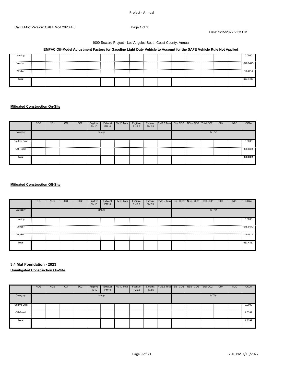#### 1000 Seward Project - Los Angeles-South Coast County, Annual

### **EMFAC Off-Model Adjustment Factors for Gasoline Light Duty Vehicle to Account for the SAFE Vehicle Rule Not Applied**

| <br>Hauling |  |  |  |  |  |   |  | 0.0000   |
|-------------|--|--|--|--|--|---|--|----------|
| <br>Vendor  |  |  |  |  |  |   |  | 648 9443 |
| <br>Worker  |  |  |  |  |  | . |  | $.8.47*$ |
| Total       |  |  |  |  |  |   |  | 667.4157 |

#### **Mitigated Construction On-Site**

|                      | <b>ROG</b> | <b>NO<sub>x</sub></b> | $\overline{c}$ | SO <sub>2</sub> | Fugitive<br><b>PM10</b> | Exhaust<br><b>PM10</b> | PM10 Total | Fugitive<br>PM2.5 | Exhaust<br>PM2.5 | PM2.5 Total Bio- CO2   NBio- CO2   Total CO2 |  |       | CH <sub>4</sub> | N <sub>2</sub> O | CO <sub>2</sub> e |
|----------------------|------------|-----------------------|----------------|-----------------|-------------------------|------------------------|------------|-------------------|------------------|----------------------------------------------|--|-------|-----------------|------------------|-------------------|
| Category             |            |                       |                |                 |                         | tons/yr                |            |                   |                  |                                              |  | MT/yr |                 |                  |                   |
| <b>Fugitive Dust</b> |            |                       |                |                 |                         |                        |            |                   |                  |                                              |  |       |                 |                  | 0.0000            |
|                      |            |                       |                |                 |                         |                        |            |                   |                  |                                              |  |       |                 |                  |                   |
| Total                |            |                       |                |                 |                         |                        |            |                   |                  |                                              |  |       |                 |                  | 83.3502           |

### **Mitigated Construction Off-Site**

|             | <b>ROG</b> | <b>NO<sub>x</sub></b> | $\overline{c}$ | SO <sub>2</sub> | Fugitive<br><b>PM10</b> | Exhaust<br><b>PM10</b> | PM <sub>10</sub> Total | Fugitive<br>PM2.5 | PM2.5 | Exhaust   PM2.5 Total Bio- CO2   NBio- CO2   Total CO2 |  |       | CH <sub>4</sub> | N <sub>20</sub> | CO <sub>2</sub> e |
|-------------|------------|-----------------------|----------------|-----------------|-------------------------|------------------------|------------------------|-------------------|-------|--------------------------------------------------------|--|-------|-----------------|-----------------|-------------------|
| Category    |            |                       |                |                 |                         | tons/yr                |                        |                   |       |                                                        |  | MT/yr |                 |                 |                   |
| Hauling     |            |                       |                |                 |                         |                        |                        |                   |       |                                                        |  |       |                 |                 | 0.0000<br>        |
| Vendor      |            |                       |                |                 |                         |                        |                        |                   | .     |                                                        |  |       |                 |                 | 648.9443          |
| .<br>Worker |            |                       |                |                 |                         |                        |                        |                   |       | .                                                      |  |       |                 |                 | <br>18.4714       |
| Total       |            |                       |                |                 |                         |                        |                        |                   |       |                                                        |  |       |                 |                 | 667.4157          |

**3.4 Mat Foundation - 2023 Unmitigated Construction On-Site**

|                      | <b>ROG</b> | NO <sub>x</sub> | <sub>CO</sub> | SO <sub>2</sub> | Fugitive<br><b>PM10</b> | Exhaust<br><b>PM10</b> | PM10 Total | Fugitive<br>PM2.5 | Exhaust<br>PM2.5 | PM2.5 Total Bio-CO2 NBio-CO2 |  | Total CO <sub>2</sub> | CH <sub>4</sub> | <b>N2O</b> | CO <sub>2</sub> e |
|----------------------|------------|-----------------|---------------|-----------------|-------------------------|------------------------|------------|-------------------|------------------|------------------------------|--|-----------------------|-----------------|------------|-------------------|
| Category             |            |                 |               |                 |                         | tons/yr                |            |                   |                  |                              |  | MT/yr                 |                 |            |                   |
| <b>Fugitive Dust</b> |            |                 |               |                 |                         |                        |            |                   |                  |                              |  |                       |                 |            | 0.0000            |
| Off-Road             |            |                 |               |                 |                         |                        |            |                   |                  |                              |  |                       |                 |            | 4.5392            |
| Total                |            |                 |               |                 |                         |                        |            |                   |                  |                              |  |                       |                 |            | 4.5392            |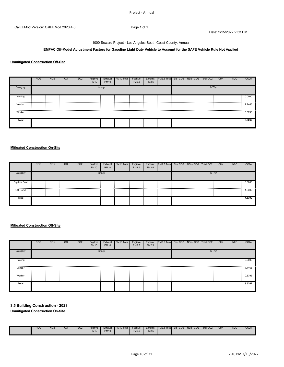### **EMFAC Off-Model Adjustment Factors for Gasoline Light Duty Vehicle to Account for the SAFE Vehicle Rule Not Applied**

### **Unmitigated Construction Off-Site**

|          | <b>ROG</b> | <b>NO<sub>x</sub></b> | CO. | SO <sub>2</sub> | Fugitive<br><b>PM10</b> | Exhaust<br><b>PM10</b> | PM <sub>10</sub> Total | Fugitive<br>PM2.5 | PM2.5 | Exhaust PM2.5 Total Bio-CO2 NBio-CO2 Total CO2 |  |       | CH <sub>4</sub> | <b>N2O</b> | CO <sub>2</sub> e |
|----------|------------|-----------------------|-----|-----------------|-------------------------|------------------------|------------------------|-------------------|-------|------------------------------------------------|--|-------|-----------------|------------|-------------------|
| Category |            |                       |     |                 |                         | tons/yr                |                        |                   |       |                                                |  | MT/yr |                 |            |                   |
| Hauling  |            |                       |     |                 |                         |                        |                        |                   |       |                                                |  |       |                 |            | 0.0000            |
| Vendor   |            |                       |     |                 |                         |                        |                        |                   |       |                                                |  |       |                 |            | 7.7466            |
| Worker   |            |                       |     |                 |                         |                        |                        |                   |       |                                                |  |       |                 |            | 0.8796            |
| Total    |            |                       |     |                 |                         |                        |                        |                   |       |                                                |  |       |                 |            | 8.6262            |

#### **Mitigated Construction On-Site**

|                                                                                                                                              | <b>ROG</b> | <b>NO<sub>x</sub></b> | $\overline{c}$ | SO <sub>2</sub> | Fugitive<br><b>PM10</b> | Exhaust<br><b>PM10</b> | PM10 Total | Fugitive<br>PM2.5 | Exhaust<br>PM2.5 | PM2.5 Total Bio-CO2   NBio-CO2   Total CO2 |  |       | CH <sub>4</sub> | N <sub>2</sub> O | CO <sub>2</sub> e |
|----------------------------------------------------------------------------------------------------------------------------------------------|------------|-----------------------|----------------|-----------------|-------------------------|------------------------|------------|-------------------|------------------|--------------------------------------------|--|-------|-----------------|------------------|-------------------|
| Category                                                                                                                                     |            |                       |                |                 |                         | tons/yr                |            |                   |                  |                                            |  | MT/yr |                 |                  |                   |
| <b>Fugitive Dust</b><br>www.communication.com/www.communication.com/www.com/www.com/www.com/www.com/www.com/www.com/www.com/www.com/www.com/ |            |                       |                |                 |                         |                        |            |                   |                  |                                            |  |       |                 |                  | 0.0000            |
| Off-Road                                                                                                                                     |            |                       |                |                 |                         |                        |            |                   |                  |                                            |  |       |                 |                  | 4.5392            |
| Total                                                                                                                                        |            |                       |                |                 |                         |                        |            |                   |                  |                                            |  |       |                 |                  | 4.5392            |

#### **Mitigated Construction Off-Site**

|          | <b>ROG</b> | <b>NO<sub>x</sub></b> | $\overline{c}$ | SO <sub>2</sub> | Fugitive<br><b>PM10</b> | Exhaust<br><b>PM10</b> | PM <sub>10</sub> Total | Fugitive<br>PM2.5 | PM2.5 | Exhaust   PM2.5 Total Bio-CO2   NBio-CO2   Total CO2 |  |       | CH <sub>4</sub> | N <sub>2</sub> O | CO <sub>2</sub> e |
|----------|------------|-----------------------|----------------|-----------------|-------------------------|------------------------|------------------------|-------------------|-------|------------------------------------------------------|--|-------|-----------------|------------------|-------------------|
| Category |            |                       |                |                 |                         | tons/yr                |                        |                   |       |                                                      |  | MT/yr |                 |                  |                   |
| Hauling  |            |                       |                |                 |                         |                        |                        |                   |       |                                                      |  |       |                 |                  | 0.0000            |
| Vendor   |            |                       |                |                 |                         |                        |                        |                   |       |                                                      |  |       |                 |                  | <br>7466.         |
| Worker   |            |                       |                |                 |                         |                        |                        |                   |       |                                                      |  |       |                 |                  | 0.8796            |
| Total    |            |                       |                |                 |                         |                        |                        |                   |       |                                                      |  |       |                 |                  | 8.6262            |

### **3.5 Building Construction - 2023**

**Unmitigated Construction On-Site**

|  | R <sub>OG</sub> | <b>NOx</b> | CО | S <sub>O</sub> 2 | Fuaitive<br><b>PM10</b> | Exhaust<br><b>PM10</b> | PM <sub>10</sub> Total | Fuaitive<br><b>PM2.5</b> | <b>Exhaust</b><br>PM2.5 | PM2.5 Total | Bio-CO <sub>2</sub> | NBio-<br>)- CO2 I | Total CO <sub>2</sub> | CH <sub>4</sub> | N <sub>2</sub> C | CO <sub>2</sub> |
|--|-----------------|------------|----|------------------|-------------------------|------------------------|------------------------|--------------------------|-------------------------|-------------|---------------------|-------------------|-----------------------|-----------------|------------------|-----------------|
|--|-----------------|------------|----|------------------|-------------------------|------------------------|------------------------|--------------------------|-------------------------|-------------|---------------------|-------------------|-----------------------|-----------------|------------------|-----------------|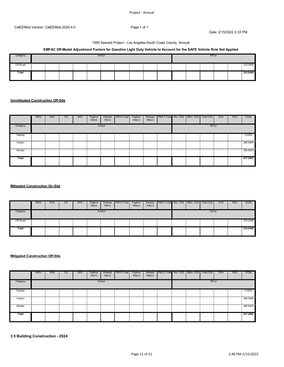#### 1000 Seward Project - Los Angeles-South Coast County, Annual

### **EMFAC Off-Model Adjustment Factors for Gasoline Light Duty Vehicle to Account for the SAFE Vehicle Rule Not Applied**

| Category |  |  | tons/yr |  |  |  | MT/yr |  |          |
|----------|--|--|---------|--|--|--|-------|--|----------|
| Off-Road |  |  |         |  |  |  |       |  | 233.0449 |
| Total    |  |  |         |  |  |  |       |  | 233.0449 |

#### **Unmitigated Construction Off-Site**

|          | <b>ROG</b> | <b>NO<sub>x</sub></b> | <sub>co</sub> | SO <sub>2</sub> | Fugitive<br><b>PM10</b> | Exhaust<br><b>PM10</b> | PM10 Total | Fugitive<br>PM2.5 | PM2.5 | Exhaust PM2.5 Total Bio-CO2 NBio-CO2 Total CO2 |  |       | CH <sub>4</sub> | N <sub>2</sub> O | CO <sub>2e</sub> |
|----------|------------|-----------------------|---------------|-----------------|-------------------------|------------------------|------------|-------------------|-------|------------------------------------------------|--|-------|-----------------|------------------|------------------|
| Category |            |                       |               |                 |                         | tons/yr                |            |                   |       |                                                |  | MT/yr |                 |                  |                  |
| Hauling  |            |                       |               |                 |                         |                        |            |                   |       |                                                |  |       |                 |                  | 0.0000           |
| Vendor   |            |                       |               |                 |                         |                        |            |                   |       |                                                |  |       |                 |                  | 386.3609         |
| Worker   |            |                       |               |                 |                         |                        |            |                   |       |                                                |  |       |                 |                  | 290.9243         |
| Total    |            |                       |               |                 |                         |                        |            |                   |       |                                                |  |       |                 |                  | 677.2852         |

### **Mitigated Construction On-Site**

|          | <b>ROG</b> | <b>NO<sub>x</sub></b> | CO | SO <sub>2</sub> | Fugitive<br><b>PM10</b> | Exhaust<br><b>PM10</b> | PM10 Total | Fugitive<br>PM2.5 | Exhaust<br>PM2.5 | PM2.5 Total Bio-CO2 NBio-CO2   Total CO2 |  |       | CH <sub>4</sub> | <b>N2O</b> | CO <sub>2e</sub> |
|----------|------------|-----------------------|----|-----------------|-------------------------|------------------------|------------|-------------------|------------------|------------------------------------------|--|-------|-----------------|------------|------------------|
| Category |            |                       |    |                 |                         | tons/yr                |            |                   |                  |                                          |  | MT/yr |                 |            |                  |
| Off-Road |            |                       |    |                 |                         |                        |            |                   |                  |                                          |  |       |                 |            | 233.0446         |
| Total    |            |                       |    |                 |                         |                        |            |                   |                  |                                          |  |       |                 |            | 233.0446         |

#### **Mitigated Construction Off-Site**

|          | <b>ROG</b> | <b>NO<sub>x</sub></b> | <sub>CO</sub> | SO <sub>2</sub> | Fugitive<br><b>PM10</b> | Exhaust<br><b>PM10</b> | PM10 Total | Fugitive<br>PM2.5 | Exhaust<br>PM2.5 | PM2.5 Total Bio-CO2 NBio-CO2 Total CO2 |  |       | CH <sub>4</sub> | <b>N2O</b> | CO <sub>2</sub> e |
|----------|------------|-----------------------|---------------|-----------------|-------------------------|------------------------|------------|-------------------|------------------|----------------------------------------|--|-------|-----------------|------------|-------------------|
| Category |            |                       |               |                 |                         | tons/yr                |            |                   |                  |                                        |  | MT/yr |                 |            |                   |
| Hauling  |            |                       |               |                 |                         |                        |            |                   |                  |                                        |  |       |                 |            | 0.0000            |
| Vendor   |            |                       |               |                 |                         |                        |            |                   |                  |                                        |  |       |                 |            | 386.3609          |
| Worker   |            |                       |               |                 |                         |                        |            |                   |                  |                                        |  |       |                 |            | 290.9243          |
| Total    |            |                       |               |                 |                         |                        |            |                   |                  |                                        |  |       |                 |            | 677.2852          |

**3.5 Building Construction - 2024**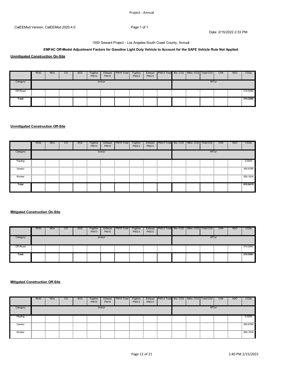#### 1000 Seward Project - Los Angeles-South Coast County, Annual

### **EMFAC Off-Model Adjustment Factors for Gasoline Light Duty Vehicle to Account for the SAFE Vehicle Rule Not Applied**

**Unmitigated Construction On-Site**

|          | <b>ROG</b> | <b>NO<sub>x</sub></b> | CO | SO <sub>2</sub> | Fugitive<br><b>PM10</b> | Exhaust<br><b>PM10</b> | PM10 Total | Fugitive<br>PM2.5 | Exhaust<br>PM2.5 | PM2.5 Total Bio- CO2   NBio- CO2   Total CO2 |  |       | CH <sub>4</sub> | <b>N2O</b> | CO <sub>2</sub> e |
|----------|------------|-----------------------|----|-----------------|-------------------------|------------------------|------------|-------------------|------------------|----------------------------------------------|--|-------|-----------------|------------|-------------------|
| Category |            |                       |    |                 |                         | tons/yr                |            |                   |                  |                                              |  | MT/yr |                 |            |                   |
| Off-Road |            |                       |    |                 |                         |                        |            |                   |                  |                                              |  |       |                 |            | 214.5494          |
| Total    |            |                       |    |                 |                         |                        |            |                   |                  |                                              |  |       |                 |            | 214.5494          |

#### **Unmitigated Construction Off-Site**

|            | <b>ROG</b> | <b>NO<sub>x</sub></b> | <sub>CO</sub> | SO <sub>2</sub> | Fugitive<br><b>PM10</b> | Exhaust<br><b>PM10</b> | PM <sub>10</sub> Total                                                                                                                 | Fugitive<br>PM2.5 | Exhaust<br>PM2.5 | PM2.5 Total Bio-CO2 NBio-CO2 Total CO2 |  |       | CH <sub>4</sub> | N <sub>2</sub> O | CO <sub>2e</sub> |
|------------|------------|-----------------------|---------------|-----------------|-------------------------|------------------------|----------------------------------------------------------------------------------------------------------------------------------------|-------------------|------------------|----------------------------------------|--|-------|-----------------|------------------|------------------|
| Category   |            |                       |               |                 |                         | tons/yr                |                                                                                                                                        |                   |                  |                                        |  | MT/yr |                 |                  |                  |
| Hauling    |            |                       |               |                 |                         |                        |                                                                                                                                        |                   |                  |                                        |  |       |                 |                  | 0.0000           |
| Vendor     |            |                       |               |                 |                         |                        |                                                                                                                                        |                   |                  |                                        |  |       |                 |                  | 350.6785         |
| <br>Worker |            |                       |               |                 |                         |                        | ក្ខិនិយាយបណ្តុំនាយនាយក្រោយស្ថិតនយោបានបណ្តុំនាយនាយក្រោយនាយនាយក្រោយនាយក្រោយនាយកត្តិយោយនាយក្តិនិយាយនាយក្តីនាយនាយក្តិសាយនាយក្តិសាយនាយក្ខណ៍ |                   |                  |                                        |  |       |                 |                  | 260.1634         |
| Total      |            |                       |               |                 |                         |                        |                                                                                                                                        |                   |                  |                                        |  |       |                 |                  | 610.8419         |

### **Mitigated Construction On-Site**

|          | <b>ROG</b> | <b>NO<sub>x</sub></b> | CO | SO <sub>2</sub> | Fugitive<br><b>PM10</b> | Exhaust<br><b>PM10</b> | PM10 Total | Fugitive<br>PM2.5 | PM2.5 | Exhaust PM2.5 Total Bio-CO2 NBio-CO2 |  | Total CO <sub>2</sub> | CH <sub>4</sub> | N <sub>2</sub> O | CO <sub>2</sub> e |
|----------|------------|-----------------------|----|-----------------|-------------------------|------------------------|------------|-------------------|-------|--------------------------------------|--|-----------------------|-----------------|------------------|-------------------|
| Category |            |                       |    |                 |                         | tons/yr                |            |                   |       |                                      |  | MT/yr                 |                 |                  |                   |
| Off-Road |            |                       |    |                 |                         |                        |            |                   |       |                                      |  |                       |                 |                  | 214.5491          |
| Total    |            |                       |    |                 |                         |                        |            |                   |       |                                      |  |                       |                 |                  | 214.5491          |

#### **Mitigated Construction Off-Site**

|          | <b>ROG</b> | <b>NO<sub>x</sub></b> | <sub>CO</sub> | SO <sub>2</sub> | Fugitive<br><b>PM10</b> | Exhaust<br><b>PM10</b> | PM10 Total | Fugitive<br>PM2.5 | Exhaust<br>PM2.5 | PM2.5 Total Bio-CO2 NBio-CO2 Total CO2 |  |       | CH <sub>4</sub> | <b>N2O</b> | CO <sub>2e</sub> |
|----------|------------|-----------------------|---------------|-----------------|-------------------------|------------------------|------------|-------------------|------------------|----------------------------------------|--|-------|-----------------|------------|------------------|
| Category |            |                       |               |                 |                         | tons/yr                |            |                   |                  |                                        |  | MT/vr |                 |            |                  |
| Hauling  |            |                       |               |                 |                         |                        |            |                   |                  |                                        |  |       |                 |            | 0.0000           |
| Vendor   |            |                       |               |                 |                         |                        |            |                   |                  |                                        |  |       |                 |            | 350.6785         |
| Worker   |            |                       |               |                 |                         |                        |            |                   |                  |                                        |  |       |                 |            | .<br>260.1634    |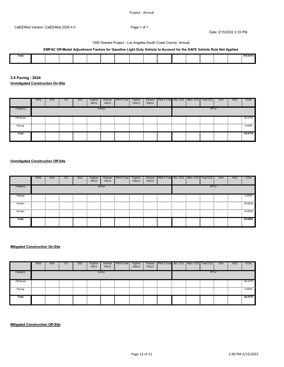#### 1000 Seward Project - Los Angeles-South Coast County, Annual

### **EMFAC Off-Model Adjustment Factors for Gasoline Light Duty Vehicle to Account for the SAFE Vehicle Rule Not Applied**

| Total |  |  |  |  |  |  |  | 0.180118 |
|-------|--|--|--|--|--|--|--|----------|
|       |  |  |  |  |  |  |  |          |
|       |  |  |  |  |  |  |  |          |
|       |  |  |  |  |  |  |  |          |
|       |  |  |  |  |  |  |  |          |
|       |  |  |  |  |  |  |  |          |
|       |  |  |  |  |  |  |  |          |

**3.6 Paving - 2024 Unmitigated Construction On-Site**

|          | <b>ROG</b> | <b>NO<sub>x</sub></b> | <sub>CO</sub> | SO <sub>2</sub> | Fugitive<br><b>PM10</b> | Exhaust<br><b>PM10</b> | PM <sub>10</sub> Total | Fugitive<br>PM2.5 | Exhaust<br>PM2.5 | PM2.5 Total Bio-CO2 NBio-CO2 Total CO2 |  |       | CH <sub>4</sub> | <b>N2O</b> | CO <sub>2</sub> e |
|----------|------------|-----------------------|---------------|-----------------|-------------------------|------------------------|------------------------|-------------------|------------------|----------------------------------------|--|-------|-----------------|------------|-------------------|
| Category |            |                       |               |                 |                         | tons/yr                |                        |                   |                  |                                        |  | MT/yr |                 |            |                   |
| Off-Road |            |                       |               |                 |                         |                        |                        |                   |                  |                                        |  |       |                 |            | 44.4170           |
| Paving   |            |                       |               |                 |                         |                        |                        |                   |                  |                                        |  |       |                 |            | 0.0000            |
| Total    |            |                       |               |                 |                         |                        |                        |                   |                  |                                        |  |       |                 |            | 44.4170           |

### **Unmitigated Construction Off-Site**

|          | <b>ROG</b> | <b>NO<sub>x</sub></b> | <sub>CO</sub> | SO <sub>2</sub> | Fugitive<br><b>PM10</b> | Exhaust<br><b>PM10</b> | PM10 Total | Fugitive<br>PM2.5 | Exhaust<br>PM2.5 | PM2.5 Total Bio-CO2 NBio-CO2 Total CO2 |  |       | CH4 | <b>N2O</b> | CO <sub>2</sub> e |
|----------|------------|-----------------------|---------------|-----------------|-------------------------|------------------------|------------|-------------------|------------------|----------------------------------------|--|-------|-----|------------|-------------------|
| Category |            |                       |               |                 |                         | tons/yr                |            |                   |                  |                                        |  | MT/yr |     |            |                   |
| Hauling  |            |                       |               |                 |                         |                        |            |                   |                  |                                        |  |       |     |            | 0.0000            |
| Vendor   |            |                       |               |                 |                         |                        |            |                   |                  |                                        |  |       |     |            | 29.0628           |
| Worker   |            |                       |               |                 |                         |                        |            |                   |                  |                                        |  |       |     |            | 34.6030           |
| Total    |            |                       |               |                 |                         |                        |            |                   |                  |                                        |  |       |     |            | 63.6658           |

#### **Mitigated Construction On-Site**

|          | <b>ROG</b> | <b>NO<sub>x</sub></b> | <b>CO</b> | SO <sub>2</sub> | Fugitive<br><b>PM10</b> | Exhaust<br><b>PM10</b> | PM10 Total | Fugitive<br>PM2.5 | Exhaust<br>PM2.5 | PM2.5 Total Bio- CO2 NBio- CO2   Total CO2 |  |       | CH <sub>4</sub> | N <sub>2</sub> O | CO <sub>2e</sub> |
|----------|------------|-----------------------|-----------|-----------------|-------------------------|------------------------|------------|-------------------|------------------|--------------------------------------------|--|-------|-----------------|------------------|------------------|
| Category |            |                       |           |                 |                         | tons/yr                |            |                   |                  |                                            |  | MT/yr |                 |                  |                  |
| Off-Road |            |                       |           |                 |                         |                        |            |                   |                  |                                            |  |       |                 |                  | 44.4170          |
| Paving   |            |                       |           |                 |                         |                        |            |                   |                  |                                            |  |       |                 |                  | 0.0000           |
| Total    |            |                       |           |                 |                         |                        |            |                   |                  |                                            |  |       |                 |                  | 44.4170          |

**Mitigated Construction Off-Site**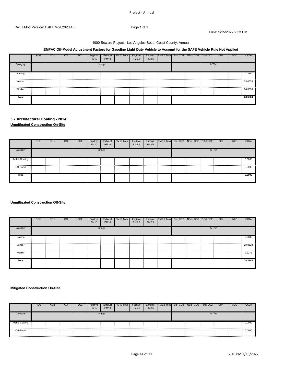### Project ‐ Annual

Date: 2/15/2022 2:33 PM

#### 1000 Seward Project - Los Angeles-South Coast County, Annual

### **EMFAC Off-Model Adjustment Factors for Gasoline Light Duty Vehicle to Account for the SAFE Vehicle Rule Not Applied**

|          | <b>ROG</b> | NO <sub>x</sub> | <sub>co</sub> | SO <sub>2</sub> | Fugitive<br><b>PM10</b> | Exhaust<br><b>PM10</b> | PM <sub>10</sub> Total | Fugitive<br>PM2.5 | Exhaust<br>PM2.5 | PM2.5 Total Bio-CO2   NBio-CO2 |  | Total CO <sub>2</sub> | CH <sub>4</sub> | <b>N2O</b> | CO <sub>2e</sub> |
|----------|------------|-----------------|---------------|-----------------|-------------------------|------------------------|------------------------|-------------------|------------------|--------------------------------|--|-----------------------|-----------------|------------|------------------|
| Category |            |                 |               |                 |                         | tons/yr                |                        |                   |                  |                                |  | MT/yr                 |                 |            |                  |
| Hauling  |            |                 |               |                 |                         |                        |                        |                   |                  |                                |  |                       |                 |            | 0.0000           |
| Vendor   |            |                 |               |                 |                         |                        |                        |                   |                  |                                |  |                       |                 |            | 29.0628          |
| Worker   |            |                 |               |                 |                         |                        |                        |                   |                  |                                |  |                       |                 |            | 34.6030          |
| Total    |            |                 |               |                 |                         |                        |                        |                   |                  |                                |  |                       |                 |            | 63.6658          |

# **3.7 Architectural Coating - 2024**

**Unmitigated Construction On-Site**

|                 | <b>ROG</b> | <b>NO<sub>x</sub></b> | $\overline{c}$ | SO <sub>2</sub> | Fugitive<br><b>PM10</b> | Exhaust<br><b>PM10</b> | PM10 Total | Fugitive<br>PM2.5 | PM2.5 | Exhaust   PM2.5 Total Bio-CO2   NBio-CO2   Total CO2 |  |       | CH <sub>4</sub> | N <sub>20</sub> | CO <sub>2</sub> e |
|-----------------|------------|-----------------------|----------------|-----------------|-------------------------|------------------------|------------|-------------------|-------|------------------------------------------------------|--|-------|-----------------|-----------------|-------------------|
| Category        |            |                       |                |                 |                         | tons/yr                |            |                   |       |                                                      |  | MT/yr |                 |                 |                   |
| Archit. Coating |            |                       |                |                 |                         |                        |            |                   |       |                                                      |  |       |                 |                 | 0.0000            |
| Off-Road        |            |                       |                |                 |                         |                        |            |                   |       |                                                      |  |       |                 |                 | 0.0000            |
| Total           |            |                       |                |                 |                         |                        |            |                   |       |                                                      |  |       |                 |                 | 0.0000            |

### **Unmitigated Construction Off-Site**

|          | <b>ROG</b> | <b>NO<sub>x</sub></b> | <sub>CO</sub> | SO <sub>2</sub> | Fugitive<br><b>PM10</b> | Exhaust<br><b>PM10</b> | PM <sub>10</sub> Total | Fugitive<br>PM2.5 | Exhaust<br>PM2.5 | PM2.5 Total Bio-CO2 NBio-CO2   Total CO2 |  |       | CH <sub>4</sub> | <b>N2O</b> | CO <sub>2</sub> e |
|----------|------------|-----------------------|---------------|-----------------|-------------------------|------------------------|------------------------|-------------------|------------------|------------------------------------------|--|-------|-----------------|------------|-------------------|
| Category |            |                       |               |                 |                         | tons/yr                |                        |                   |                  |                                          |  | MT/yr |                 |            |                   |
| Hauling  |            |                       |               |                 |                         |                        |                        |                   |                  |                                          |  |       |                 |            | 0.0000            |
| Vendor   |            |                       |               |                 |                         |                        | .                      |                   |                  |                                          |  |       |                 | .          | 29.0628           |
| Worker   |            |                       |               |                 |                         |                        |                        |                   |                  |                                          |  |       |                 |            | 9.2275            |
| Total    |            |                       |               |                 |                         |                        |                        |                   |                  |                                          |  |       |                 |            | 38.2903           |

### **Mitigated Construction On-Site**

|                                                                                                                                   | <b>ROG</b> | <b>NO<sub>x</sub></b> | <sub>CO</sub> | SO <sub>2</sub> | Fugitive<br><b>PM10</b> | Exhaust<br><b>PM10</b> | PM <sub>10</sub> Total | Fugitive<br><b>PM2.5</b> | Exhaust<br>PM2.5 | PM2.5 Total Bio-CO2 NBio-CO2 |  | Total CO <sub>2</sub> | CH <sub>4</sub> | <b>N2O</b> | CO <sub>2e</sub> |
|-----------------------------------------------------------------------------------------------------------------------------------|------------|-----------------------|---------------|-----------------|-------------------------|------------------------|------------------------|--------------------------|------------------|------------------------------|--|-----------------------|-----------------|------------|------------------|
| Category                                                                                                                          |            |                       |               |                 |                         | tons/yr                |                        |                          |                  |                              |  | MT/vr                 |                 |            |                  |
| . Coating<br>www.communitam.com/www.com/www.com/www.com/www.com/www.com/www.com/www.com/www.com/www.com/www.com/www.com/www.com/w |            |                       |               |                 |                         |                        |                        |                          |                  |                              |  |                       |                 |            |                  |
| Off-Road                                                                                                                          |            |                       |               |                 |                         |                        |                        |                          |                  |                              |  |                       |                 |            | 0.0000           |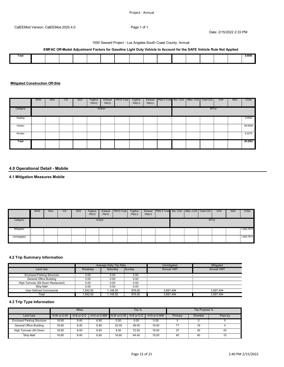#### 1000 Seward Project - Los Angeles-South Coast County, Annual

### **EMFAC Off-Model Adjustment Factors for Gasoline Light Duty Vehicle to Account for the SAFE Vehicle Rule Not Applied**

| $ -$<br>οιa |  |  |  |  |  |  |  | 0.0000 |
|-------------|--|--|--|--|--|--|--|--------|
|             |  |  |  |  |  |  |  |        |
|             |  |  |  |  |  |  |  |        |

### **Mitigated Construction Off-Site**

|          | <b>ROG</b> | <b>NO<sub>x</sub></b> | <sub>CO</sub> | SO <sub>2</sub> | Fugitive<br><b>PM10</b> | Exhaust<br><b>PM10</b> | PM10 Total | Fugitive<br>PM2.5 | Exhaust<br>PM2.5 | PM2.5 Total Bio-CO2 NBio-CO2 Total CO2 |  |       | CH4 | <b>N2O</b> | CO <sub>2e</sub> |
|----------|------------|-----------------------|---------------|-----------------|-------------------------|------------------------|------------|-------------------|------------------|----------------------------------------|--|-------|-----|------------|------------------|
| Category |            |                       |               |                 |                         | tons/yr                |            |                   |                  |                                        |  | MT/yr |     |            |                  |
| Hauling  |            |                       |               |                 |                         |                        |            |                   |                  |                                        |  |       |     |            | 0.0000           |
| Vendor   |            |                       |               |                 |                         |                        |            |                   |                  |                                        |  |       |     |            | 29.0628          |
| Worker   |            |                       |               |                 |                         |                        |            |                   |                  |                                        |  |       |     |            | 9.2275           |
| Total    |            |                       |               |                 |                         |                        |            |                   |                  |                                        |  |       |     |            | 38.2903          |

### **4.0 Operational Detail - Mobile**

### **4.1 Mitigation Measures Mobile**

|             | <b>ROG</b> | <b>NO<sub>x</sub></b> | CO | SO <sub>2</sub> | Fugitive<br><b>PM10</b> | Exhaust<br><b>PM10</b> | PM10 Total | Fugitive<br><b>PM2.5</b> | Exhaust<br>PM2.5 | PM2.5 Total Bio-CO2 NBio-CO2 Total CO2 |  |       | CH <sub>4</sub> | <b>N2O</b> | CO <sub>2</sub> e |
|-------------|------------|-----------------------|----|-----------------|-------------------------|------------------------|------------|--------------------------|------------------|----------------------------------------|--|-------|-----------------|------------|-------------------|
| Category    |            |                       |    |                 |                         | tons/vr                |            |                          |                  |                                        |  | MT/vr |                 |            |                   |
| Mitigated   |            |                       |    |                 |                         |                        |            |                          |                  |                                        |  |       |                 |            | 1,263.7917        |
| Unmitigated |            |                       |    |                 |                         |                        |            |                          |                  |                                        |  |       |                 |            | 1,263.7917        |

### **4.2 Trip Summary Information**

|                                         |         | Average Daily Trip Rate |        | Jnmitigated       | Mitigated  |
|-----------------------------------------|---------|-------------------------|--------|-------------------|------------|
| Land Use                                | Neekdav | Saturdav                | Sunday | <b>Annual VMT</b> | Annual VM1 |
| <b>Enclosed Parking Structure</b>       | 0.00    | 0.00                    | 0.00   |                   |            |
| General Office Building                 | 0.00    | 0.00                    | 0.00   |                   |            |
| High Turnover (Sit Down Restaurant)<br> | 0.00    | 0.00                    | 0.00   |                   |            |
| Strip Mall                              | 0.00    | 0.00                    | 0.00   |                   |            |
| User Defined Commercial                 | .542.00 | .148.00                 | 876.00 | 3.897.494         | 3.897.494  |
| Total                                   | .542.00 | .148.00                 | 876.00 | 3.897.494         | 8.897.494  |

### **4.3 Trip Type Information**

|                                   |            | <b>Miles</b> |                                   |       | Trip % |             |         | Trip Purpose %  |         |
|-----------------------------------|------------|--------------|-----------------------------------|-------|--------|-------------|---------|-----------------|---------|
| Land Use                          | H-W or C-W | H-S or C-C   | H-O or C-NW H-W or C-W H-S or C-C |       |        | H-O or C-NW | Primary | <b>Diverted</b> | Pass-by |
| <b>Enclosed Parking Structure</b> | 16.60      | 8.40         | 6.90                              | 0.00  | 0.00   | 0.00        |         |                 |         |
| General Office Building           | 16.60      | 8.40         | 6.90                              | 33.00 | 48.00  | 19.00       |         |                 |         |
| High Turnover (Sit Down           | 16.60      | 8.40         | 6.90                              | 8.50  | 72.50  | 19.00       |         |                 |         |
| Strip Mall                        | 16.60      | 8.40         | 6.90                              | 16.60 | 64.40  | 19.00       | 45      | 40              |         |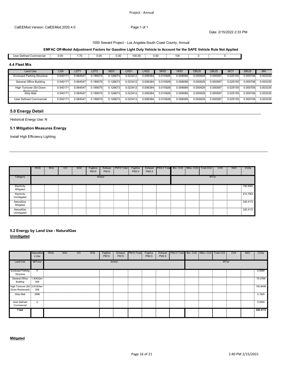#### 1000 Seward Project - Los Angeles-South Coast County, Annual

### **EMFAC Off-Model Adjustment Factors for Gasoline Light Duty Vehicle to Account for the SAFE Vehicle Rule Not Applied**

User Defined Commercial | 0.00 | 7.70 | 0.00 | 0.00 | 100.00 | 0.00 | 100.00 | 100 | 100 | 100 | 100 | 100 | 1

#### **4.4 Fleet Mix**

| Land Use                                  | LDA      | LDT1     | _DT2     | <b>MDV</b> | LHD1     | LHD <sub>2</sub> | MHD      | HHD      | OBUS     | <b>UBUS</b> |          | <b>SBUS</b> | <b>MH</b> |
|-------------------------------------------|----------|----------|----------|------------|----------|------------------|----------|----------|----------|-------------|----------|-------------|-----------|
| <b>Enclosed Parking Structure</b>         | 0.540171 | 0.064547 | 0.189075 | 0.126673   | 0.023412 | 0.006384         | 0.010926 | 0.008089 | 0.000929 | 0.000597    | 0.025155 | 0.000706    | 0.003335  |
| General Office Building                   | 0.540171 | 0.064547 | 0.189075 | 0.126673   | 0.023412 | 0.006384         | 0.010926 | 0.008089 | 0.000929 | 0.000597    | 0.025155 | 0.000706    | 0.003335  |
| High Turnover (Sit Down<br>$Portouront$ , | 0.540171 | 0.064547 | 0.189075 | 0.126673   | 0.023412 | 0.006384         | 0.010926 | 0.008089 | 0.000929 | 0.000597    | 0.025155 | 0.000706    | 0.003335  |
| <b>Strip Mall</b>                         | 0.540171 | 0.064547 | 0.189075 | 0.126673   | 0.023412 | 0.006384         | 0.010926 | 0.008089 | 0.000929 | 0.000597    | 0.025155 | 0.000706    | 0.003335  |
| User Defined Commercial                   | 0.540171 | 0.064547 | 0.189075 | 0.126673   | 0.023412 | 0.006384         | 0.010926 | 0.008089 | 0.000929 | 0.000597    | 0.025155 | 0.000706    | 0.003335  |

### **5.0 Energy Detail**

Historical Energy Use: N

#### **5.1 Mitigation Measures Energy**

Install High Efficiency Lighting

|                            | <b>ROG</b> | <b>NO<sub>x</sub></b> | <sub>co</sub> | SO <sub>2</sub> | Fugitive<br><b>PM10</b> | Exhaust<br><b>PM10</b> | PM <sub>10</sub> Total | Fugitive<br>PM2.5 | Exhaust<br>PM2.5 | PM2.5 Total Bio- CO2   NBio- CO2   Total CO2 |  |       | CH <sub>4</sub> | N <sub>20</sub> | CO <sub>2e</sub> |
|----------------------------|------------|-----------------------|---------------|-----------------|-------------------------|------------------------|------------------------|-------------------|------------------|----------------------------------------------|--|-------|-----------------|-----------------|------------------|
| Categorv                   |            |                       |               |                 |                         | tons/yr                |                        |                   |                  |                                              |  | MT/yr |                 |                 |                  |
| Electricity<br>Mitigated   |            |                       |               |                 |                         |                        |                        |                   |                  |                                              |  |       |                 |                 | 756.9083         |
| Electricity<br>Unmitigated |            |                       |               |                 |                         |                        |                        |                   |                  |                                              |  |       |                 |                 | 815,7954         |
| NaturalGas<br>Mitigated    |            |                       |               |                 |                         |                        |                        |                   |                  |                                              |  |       |                 |                 | 226.4172         |
| NaturalGas<br>Jnmitigate   |            |                       |               |                 |                         |                        |                        |                   |                  |                                              |  |       |                 |                 | 226.4172         |

### **5.2 Energy by Land Use - NaturalGas Unmitigated**

|                                                  | NaturalGa<br>s Use | <b>ROG</b> | <b>NO<sub>x</sub></b> | $\overline{c}$ | SO <sub>2</sub> | Fugitive<br><b>PM10</b> | Exhaust<br><b>PM10</b> | PM10 Total | Fugitive<br>PM2.5 | PM2.5 | Exhaust   PM2.5 Total   Bio- CO2   NBio- CO2   Total CO2 |   |       | CH <sub>4</sub> | N <sub>2</sub> O | CO <sub>2</sub> e |
|--------------------------------------------------|--------------------|------------|-----------------------|----------------|-----------------|-------------------------|------------------------|------------|-------------------|-------|----------------------------------------------------------|---|-------|-----------------|------------------|-------------------|
| Land Use                                         | kBTU/yr            |            |                       |                |                 |                         | tons/yr                |            |                   |       |                                                          |   | MT/yr |                 |                  |                   |
| <b>Enclosed Parking</b><br>Structure             | 0                  |            |                       |                |                 |                         |                        |            |                   |       |                                                          |   |       |                 |                  | 0.0000            |
| General Office<br>Building                       | 1.40422e+<br>006   |            |                       |                |                 |                         |                        |            |                   |       |                                                          |   |       |                 |                  | <br>75.3799       |
| High Turnover (Sit 2.81003e+<br>Down Restaurant) | 006                |            |                       |                |                 |                         |                        |            |                   |       |                                                          |   |       |                 |                  | 150.8448          |
| .<br><b>Strip Mall</b>                           | 3586               |            |                       |                |                 |                         |                        |            |                   |       |                                                          |   |       |                 |                  | .<br>0.1925       |
| User Defined<br>Commercial                       | .<br>0             |            |                       |                |                 | .                       |                        |            |                   |       | .                                                        | . |       |                 |                  | .<br>0.0000       |
| Total                                            |                    |            |                       |                |                 |                         |                        |            |                   |       |                                                          |   |       |                 |                  | 226.4172          |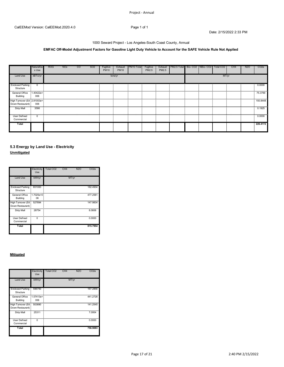#### 1000 Seward Project - Los Angeles-South Coast County, Annual

### **EMFAC Off-Model Adjustment Factors for Gasoline Light Duty Vehicle to Account for the SAFE Vehicle Rule Not Applied**

|                                                                                                                                | NaturalGa<br>s Use | <b>ROG</b> | <b>NO<sub>x</sub></b> | $\overline{c}$ | SO <sub>2</sub> | Fugitive<br><b>PM10</b> | Exhaust<br><b>PM10</b> | PM10 Total | Fugitive<br>PM2.5 | Exhaust<br>PM2.5 | PM2.5 Total Bio- CO2   NBio- CO2 |  | Total CO2 | CH <sub>4</sub> | N <sub>20</sub> | CO <sub>2e</sub> |
|--------------------------------------------------------------------------------------------------------------------------------|--------------------|------------|-----------------------|----------------|-----------------|-------------------------|------------------------|------------|-------------------|------------------|----------------------------------|--|-----------|-----------------|-----------------|------------------|
| Land Use                                                                                                                       | kBTU/yr            |            |                       |                |                 |                         | tons/yr                |            |                   |                  |                                  |  | MT/yr     |                 |                 |                  |
| <b>Enclosed Parking</b><br>Structure                                                                                           | $\Omega$           |            |                       |                |                 |                         |                        |            |                   |                  |                                  |  |           |                 |                 | 0.0000           |
| General Office<br>Building                                                                                                     | 1.40422e+<br>006   |            |                       |                |                 |                         |                        |            |                   |                  |                                  |  |           |                 |                 | .<br>75.3799     |
| High Turnover (Sit 2.81003e+<br>Down Restaurant)                                                                               | 006                |            |                       |                |                 |                         |                        |            |                   |                  |                                  |  |           |                 |                 | .<br>150.8448    |
| Strip Mall<br>www.communiter.com/www.communiter.com/www.com/www.com/www.com/www.com/www.com/www.com/www.com/www.com/www.com/ww | 3586               |            |                       |                |                 |                         |                        |            |                   |                  |                                  |  |           |                 |                 | 0.1925           |
| User Defined<br>Commercial                                                                                                     |                    |            |                       |                |                 |                         |                        |            |                   |                  |                                  |  |           |                 |                 | 0.0000           |
| Total                                                                                                                          |                    |            |                       |                |                 |                         |                        |            |                   |                  |                                  |  |           |                 |                 | 226.4172         |

### **5.3 Energy by Land Use - Electricity Unmitigated**

|                                        | Electricity<br>Use | Total CO <sub>2</sub> | CH <sub>4</sub> | <b>N2O</b> | CO <sub>2e</sub> |
|----------------------------------------|--------------------|-----------------------|-----------------|------------|------------------|
| <b>Land Use</b>                        | kWh/yr             |                       |                 | MT/yr      |                  |
| <b>Enclosed Parking</b><br>Structure   | 651000             |                       |                 |            | 182.4934         |
| General Office<br>Building             | $1.7025e+0$<br>06  |                       |                 |            | 477.2581         |
| High Turnover (Sit<br>Down Restaurant) | 527894             |                       |                 |            | 147.9834         |
| Strip Mall                             | 28754              |                       |                 |            | 8.0606           |
| <b>User Defined</b><br>Commercial      | n                  |                       |                 |            | 0.0000           |
| Total                                  |                    |                       |                 |            | 815.7954         |

#### **Mitigated**

|                                        | Electricity<br>Use | Total CO <sub>2</sub> | CH <sub>4</sub> | <b>N2O</b> | CO <sub>2e</sub> |
|----------------------------------------|--------------------|-----------------------|-----------------|------------|------------------|
| <b>Land Use</b>                        | kWh/yr             |                       |                 | MT/yr      |                  |
| <b>Enclosed Parking</b><br>Structure   | 596750             |                       |                 |            | 167.2856         |
| General Office<br>Building             | $1.57413e+$<br>006 |                       |                 |            | 441.2728         |
| High Turnover (Sit<br>Down Restaurant) | 503890             |                       |                 |            | 141.2545         |
| <b>Strip Mall</b>                      | 25311              |                       |                 |            | 7.0954           |
| <b>User Defined</b><br>Commercial      | $\Omega$           |                       |                 |            | 0.0000           |
| Total                                  |                    |                       |                 |            | 756.9083         |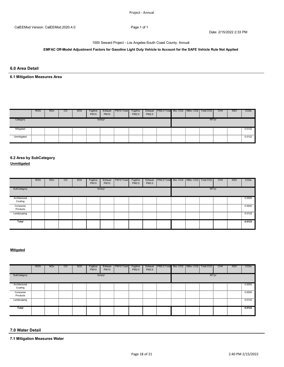#### 1000 Seward Project - Los Angeles-South Coast County, Annual

### **EMFAC Off-Model Adjustment Factors for Gasoline Light Duty Vehicle to Account for the SAFE Vehicle Rule Not Applied**

### **6.0 Area Detail**

## **6.1 Mitigation Measures Area**

|             | <b>ROG</b> | <b>NO<sub>x</sub></b> | <sub>CO</sub> | SO <sub>2</sub> | Fugitive<br><b>PM10</b> | Exhaust<br><b>PM10</b> | PM <sub>10</sub> Total | Fugitive<br><b>PM2.5</b> | Exhaust<br>PM2.5 | PM2.5 Total Bio-CO2 NBio-CO2   Total CO2 |  |       | CH <sub>4</sub> | N <sub>2</sub> O | CO <sub>2e</sub> |
|-------------|------------|-----------------------|---------------|-----------------|-------------------------|------------------------|------------------------|--------------------------|------------------|------------------------------------------|--|-------|-----------------|------------------|------------------|
| Category    |            |                       |               |                 |                         | tons/yr                |                        |                          |                  |                                          |  | MT/vr |                 |                  |                  |
| Mitigated   |            |                       |               |                 |                         |                        |                        |                          |                  |                                          |  |       |                 |                  | 0.0122           |
| Unmitigated |            |                       |               |                 |                         |                        |                        |                          |                  |                                          |  |       |                 |                  | 0.0122           |

# **6.2 Area by SubCategory**

**Unmitigated**

|                      | <b>ROG</b> | <b>NO<sub>x</sub></b> | <sub>CO</sub> | SO <sub>2</sub> | Fugitive<br><b>PM10</b> | Exhaust<br><b>PM10</b> | PM10 Total | Fugitive<br>PM2.5 | Exhaust<br>PM2.5 | PM2.5 Total  Bio- CO2   NBio- CO2   Total CO2 |  |       | CH <sub>4</sub> | <b>N2O</b> | CO <sub>2</sub> e |
|----------------------|------------|-----------------------|---------------|-----------------|-------------------------|------------------------|------------|-------------------|------------------|-----------------------------------------------|--|-------|-----------------|------------|-------------------|
| SubCategory          |            |                       |               |                 |                         | tons/yr                |            |                   |                  |                                               |  | MT/yr |                 |            |                   |
| Architectural        |            |                       |               |                 |                         |                        |            |                   |                  |                                               |  |       |                 |            | 0.0000            |
| Coating              |            |                       |               |                 |                         |                        |            |                   |                  |                                               |  |       |                 |            |                   |
| Consumer<br>Products |            |                       |               |                 |                         |                        |            |                   |                  |                                               |  |       |                 |            | 0.0000            |
|                      |            |                       |               |                 |                         |                        |            |                   |                  |                                               |  |       |                 |            |                   |
| Landscaping          |            |                       |               |                 |                         |                        |            |                   |                  |                                               |  |       |                 |            | 0.0122            |
| Total                |            |                       |               |                 |                         |                        |            |                   |                  |                                               |  |       |                 |            | 0.0122            |
|                      |            |                       |               |                 |                         |                        |            |                   |                  |                                               |  |       |                 |            |                   |

### **Mitigated**

|                 | <b>ROG</b> | <b>NO<sub>x</sub></b> | CO | SO <sub>2</sub> | Fugitive<br><b>PM10</b> | Exhaust<br><b>PM10</b> | PM10 Total | Fugitive<br>PM2.5 | Exhaust<br>PM2.5 | PM2.5 Total Bio- CO2 NBio- CO2   Total CO2 |  |       | CH4 | <b>N2O</b> | CO <sub>2e</sub> |
|-----------------|------------|-----------------------|----|-----------------|-------------------------|------------------------|------------|-------------------|------------------|--------------------------------------------|--|-------|-----|------------|------------------|
| SubCategory     |            |                       |    |                 |                         | tons/yr                |            |                   |                  |                                            |  | MT/yr |     |            |                  |
| Architectural   |            |                       |    |                 |                         |                        |            |                   |                  |                                            |  |       |     |            | 0.0000           |
| Coating         |            |                       |    |                 |                         |                        |            |                   |                  |                                            |  |       |     |            |                  |
| Consumer        |            |                       |    |                 |                         |                        |            |                   |                  |                                            |  |       |     |            | .<br>0.0000      |
| Products        |            |                       |    |                 |                         |                        |            |                   |                  |                                            |  |       |     |            |                  |
| <br>Landscaping |            |                       |    |                 |                         |                        |            |                   |                  |                                            |  |       |     |            | <br>0.0122       |
|                 |            |                       |    |                 |                         |                        |            |                   |                  |                                            |  |       |     |            |                  |
| Total           |            |                       |    |                 |                         |                        |            |                   |                  |                                            |  |       |     |            | 0.0122           |
|                 |            |                       |    |                 |                         |                        |            |                   |                  |                                            |  |       |     |            |                  |

#### **7.0 Water Detail**

**7.1 Mitigation Measures Water**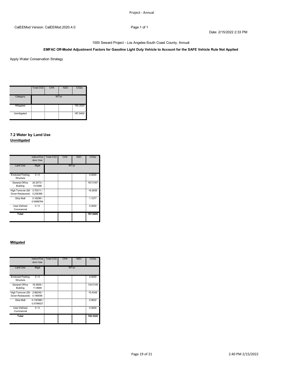### **EMFAC Off-Model Adjustment Factors for Gasoline Light Duty Vehicle to Account for the SAFE Vehicle Rule Not Applied**

Apply Water Conservation Strategy

|             | Total CO <sub>2</sub> | CH <sub>4</sub> | <b>N2O</b> | CO <sub>2e</sub> |
|-------------|-----------------------|-----------------|------------|------------------|
| Category    |                       |                 | MT/yr      |                  |
| Mitigated   |                       |                 |            | 150.3520         |
| Unmitigated |                       |                 |            | 187.9400         |

### **7.2 Water by Land Use Unmitigated**

|                                        | Indoor/Out<br>door Use | Total CO <sub>2</sub> | CH <sub>4</sub> | <b>N2O</b> | CO <sub>2</sub> e |
|----------------------------------------|------------------------|-----------------------|-----------------|------------|-------------------|
| Land Use                               | Mgal                   |                       |                 | MT/yr      |                   |
| <b>Enclosed Parking</b><br>Structure   | 0/0                    |                       |                 |            | 0.0000            |
| General Office<br>Building             | 24.2073/<br>14.8368    |                       |                 |            | 167.5187          |
| High Turnover (Sit<br>Down Restaurant) | 3.70311/<br>0.236369   |                       |                 |            | 19.2936           |
| Strip Mall                             | 0.16296/<br>0.0998784  |                       |                 |            | 1.1277            |
| <b>User Defined</b><br>Commercial      | 0/0                    |                       |                 |            | 0.0000            |
| Total                                  |                        |                       |                 |            | 187.9400          |

#### **Mitigated**

|                                        | Indoor/Out<br>door Use | Total CO <sub>2</sub> | CH <sub>4</sub> | <b>N2O</b> | CO <sub>2</sub> e |
|----------------------------------------|------------------------|-----------------------|-----------------|------------|-------------------|
| Land Use                               | Mgal                   |                       | MT/yr           |            |                   |
| <b>Enclosed Parking</b><br>Structure   | 0/0                    |                       |                 |            | 0.0000            |
| General Office<br>Building             | 19.3659/<br>11.8694    |                       |                 |            | 134.0149          |
| High Turnover (Sit<br>Down Restaurant) | 2.96249/<br>0.189095   |                       |                 |            | 15.4349           |
| Strip Mall                             | 0.130368/<br>0.0799027 |                       |                 |            | 0.9022            |
| User Defined<br>Commercial             | 0/0                    |                       |                 |            | 0.0000            |
| Total                                  |                        |                       |                 |            | 150.3520          |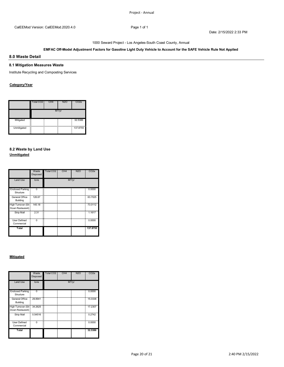#### 1000 Seward Project - Los Angeles-South Coast County, Annual

### **EMFAC Off-Model Adjustment Factors for Gasoline Light Duty Vehicle to Account for the SAFE Vehicle Rule Not Applied**

### **8.0 Waste Detail**

#### **8.1 Mitigation Measures Waste**

Institute Recycling and Composting Services

### **Category/Year**

|             | Total CO <sub>2</sub> | CH <sub>4</sub> | <b>N2O</b> | CO <sub>2e</sub> |
|-------------|-----------------------|-----------------|------------|------------------|
|             |                       |                 | MT/yr      |                  |
| Mitigated   | н.                    |                 |            | 32.5386          |
| Unmitigated | - 30<br>--<br>        |                 |            | 137.8755         |

### **8.2 Waste by Land Use Unmitigated**

|                                        | Waste<br>Disposed | Total CO <sub>2</sub> | CH <sub>4</sub> | <b>N2O</b> | CO <sub>2</sub> e |
|----------------------------------------|-------------------|-----------------------|-----------------|------------|-------------------|
| Land Use                               | tons              |                       |                 | MT/yr      |                   |
| <b>Enclosed Parking</b><br>Structure   | $\overline{0}$    |                       |                 |            | 0.0000            |
| General Office<br>Building             | 126.67            |                       |                 |            | 63.7025           |
| High Turnover (Sit<br>Down Restaurant) | 145.18            |                       |                 |            | 73.0112           |
| Strip Mall                             | 2.31              |                       |                 |            | 1.1617            |
| <b>User Defined</b><br>Commercial      | $\Omega$          |                       |                 |            | 0.0000            |
| Total                                  |                   |                       |                 |            | 137.8755          |

#### **Mitigated**

|                                                | Waste<br>Disposed | <b>Total CO2</b> | CH <sub>4</sub> | <b>N2O</b> | CO <sub>2</sub> e |
|------------------------------------------------|-------------------|------------------|-----------------|------------|-------------------|
| Land Use                                       | tons              |                  |                 | MT/yr      |                   |
| <b>Enclosed Parking</b><br>Structure           | ŋ                 |                  |                 |            | 0.0000            |
| General Office<br>Building                     | 29.8941           |                  |                 |            | 15.0338           |
| High Turnover (Sit 34.2625<br>Down Restaurant) |                   |                  |                 |            | 17.2307           |
| Strip Mall                                     | 0.54516           |                  |                 |            | 0.2742            |
| <b>User Defined</b><br>Commercial              | $\Omega$          |                  |                 |            | 0.0000            |
| Total                                          |                   |                  |                 |            | 32.5386           |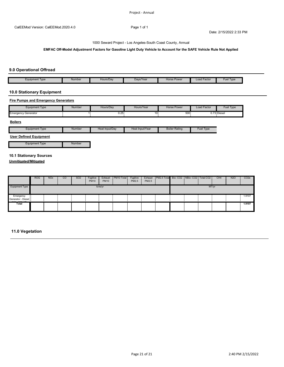**EMFAC Off-Model Adjustment Factors for Gasoline Light Duty Vehicle to Account for the SAFE Vehicle Rule Not Applied**

### **9.0 Operational Offroad**

| Equipment Type | Number | Hours/Dav<br>$- - - - - -$ | Davs/Year<br>___ | Horse Power | Load Factor<br>----------- | <b>Type</b><br>Fue |
|----------------|--------|----------------------------|------------------|-------------|----------------------------|--------------------|

### **10.0 Stationary Equipment**

#### **Fire Pumps and Emergency Generators**

| <b>Equipment Type</b>               | <b>Number</b><br>___ | Hours/Day    | Hours/Year                 | Horse Power | Load Factor | Fuel Type   |
|-------------------------------------|----------------------|--------------|----------------------------|-------------|-------------|-------------|
| Emeraencv<br><sup>,</sup> Generator |                      | ົາຂ<br>v.zv. | $\ddot{\phantom{1}}$<br>ιu | 500         |             | 0.73 Diesel |

#### **Boilers**

| Equipment Type                                   | Number | Heat Input/Dav | Heat Input/Year | <b>Boiler Rating</b> | Fuel Type |
|--------------------------------------------------|--------|----------------|-----------------|----------------------|-----------|
| $\sim$ $\sim$<br>$\overline{\phantom{0}}$<br>- - |        |                |                 |                      |           |

### **User Defined Equipment**

Equipment Type **Number** 

#### **10.1 Stationary Sources**

**Unmitigated/Mitigated**

|                                                 | <b>ROG</b> | <b>NO<sub>x</sub></b> | CO | <b>SO2</b> | Fugitive<br><b>PM10</b> | Exhaust<br><b>PM10</b> | PM10 Total | Fugitive<br>PM2.5 | Exhaust<br>PM2.5 | PM2.5 Total Bio- CO2   NBio- CO2   Total CO2 |  |  | CH <sub>4</sub> | <b>N2O</b> | CO <sub>2</sub> e |
|-------------------------------------------------|------------|-----------------------|----|------------|-------------------------|------------------------|------------|-------------------|------------------|----------------------------------------------|--|--|-----------------|------------|-------------------|
| <b>Equipment Type</b>                           | tons/yr    |                       |    |            |                         |                        |            | MT/yr             |                  |                                              |  |  |                 |            |                   |
| T.<br>Emergency<br>$\sim$<br>Generator - Diesel |            |                       |    |            |                         |                        |            |                   |                  |                                              |  |  |                 |            | 1.9107            |
| Total                                           |            |                       |    |            |                         |                        |            |                   |                  |                                              |  |  |                 |            | 1.9107            |

### **11.0 Vegetation**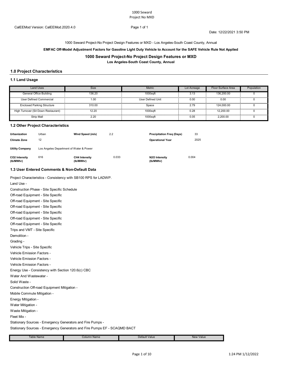1000 Seward Project-No Project Design Features or MXD - Los Angeles-South Coast County, Annual

#### **EMFAC Off-Model Adjustment Factors for Gasoline Light Duty Vehicle to Account for the SAFE Vehicle Rule Not Applied**

#### **1000 Seward Project-No Project Design Features or MXD**

**Los Angeles-South Coast County, Annual**

### **1.0 Project Characteristics**

#### **1.1 Land Usage**

| Land Uses                           | Size   | <b>Metric</b>            | Lot Acreage | Floor Surface Area | Population |
|-------------------------------------|--------|--------------------------|-------------|--------------------|------------|
| General Office Building             | 136.20 | 1000saft                 | 3.13        | 136,200.00         |            |
| <br>User Defined Commercial         | 00. ا  | <b>User Defined Unit</b> | 0.00        | 0.00               |            |
| <b>Enclosed Parking Structure</b>   | 310.00 | Space                    | 2.79        | 124.000.00         |            |
| High Turnover (Sit Down Restaurant) | 12.20  | 1000saft                 | 0.28        | 12.200.00          |            |
| Strip Mall                          | 2.20   | 1000safi                 | 0.05        | 2.200.00           |            |

#### **1.2 Other Project Characteristics**

| <b>Urbanization</b>        | Urban | Wind Speed (m/s)                        | 2.2   | <b>Precipitation Freg (Days)</b> | 33    |  |  |  |
|----------------------------|-------|-----------------------------------------|-------|----------------------------------|-------|--|--|--|
| <b>Climate Zone</b>        | 12    |                                         |       | <b>Operational Year</b>          | 2025  |  |  |  |
| <b>Utility Company</b>     |       | Los Angeles Department of Water & Power |       |                                  |       |  |  |  |
| CO2 Intensity<br>(lb/MWhr) | 616   | <b>CH4 Intensity</b><br>(lb/MWhr)       | 0.033 | N2O Intensity<br>(lb/MWhr)       | 0.004 |  |  |  |

#### **1.3 User Entered Comments & Non-Default Data**

Project Characteristics - Consistency with SB100 RPS for LADWP.

Solid Waste - Construction Off-road Equipment Mitigation - Mobile Commute Mitigation - Energy Mitigation - Water Mitigation - Vehicle Emission Factors - Vehicle Emission Factors - Vehicle Emission Factors - Energy Use - Consistency with Section 120.6(c) CBC Water And Wastewater - Off-road Equipment - Site Specific Trips and VMT - Site Specific Demolition - Grading - Vehicle Trips - Site Specific Off-road Equipment - Site Specific Off-road Equipment - Site Specific Off-road Equipment - Site Specific Off-road Equipment - Site Specific Off-road Equipment - Site Specific Land Use - Construction Phase - Site Specific Schedule

Waste Mitigation -

Fleet Mix -

Stationary Sources - Emergency Generators and Fire Pumps -

Stationary Sources - Emergency Generators and Fire Pumps EF - SCAQMD BACT

| able Name<br>.<br>---- | Column Name<br>-------- ------- | Default Value<br>_____ | Value<br><b>New</b><br>------ |
|------------------------|---------------------------------|------------------------|-------------------------------|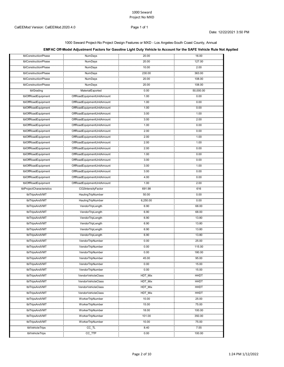#### 1000 Seward Project-No Project Design Features or MXD - Los Angeles-South Coast County, Annual

## **EMFAC Off-Model Adjustment Factors for Gasoline Light Duty Vehicle to Account for the SAFE Vehicle Rule Not Applied**

| tblConstructionPhase                     | <b>NumDays</b><br>.                                               | 20.00         | 16.00           |
|------------------------------------------|-------------------------------------------------------------------|---------------|-----------------|
| tblConstructionPhase                     | <b>NumDays</b><br>.                                               | 20.00         | 127.00          |
| tblConstructionPhase                     | <b>NumDays</b><br>.                                               | 10.00         | 2.00            |
| tblConstructionPhase                     | NumDays                                                           | 230.00        | 363.00          |
| tblConstructionPhase<br>                 | NumDays                                                           | 20.00         | 108.00          |
| tblConstructionPhase<br>.                | NumDays<br>.                                                      | 20.00         | 108.00          |
| tblGrading                               | MaterialExported                                                  | 0.00          | 50,000.00       |
| tblOffRoadEquipment                      | OffRoadEquipmentUnitAmount                                        | 1.00<br>.     | 0.00<br>        |
| umani masa ka<br>tblOffRoadEquipment<br> | OffRoadEquipmentUnitAmount                                        | 1.00          | 0.00            |
| tblOffRoadEquipment<br>                  |                                                                   | 1.00          | 0.00            |
| tblOffRoadEquipment<br>                  | OffRoadEquipmentUnitAmount                                        | 3.00<br>      | 1.00<br>an an a |
| tblOffRoadEquipment                      | OffRoadEquipmentUnitAmount                                        | 3.00          | 2.00            |
| tblOffRoadEquipment                      | www.marama.com<br>OffRoadEquipmentUnitAmount                      | 1.00          | 0.00            |
| <br>tblOffRoadEquipment                  | <br>OffRoadEquipmentUnitAmount                                    | 2.00          | 0.00            |
| tblOffRoadEquipment                      | ,,,,,,,,,,,,,,,,,,,,,,,,,,,,,,,,<br>OffRoadEquipmentUnitAmount    | 2.00          | 0000000<br>1.00 |
| tblOffRoadEquipment                      | ,,,,,,,,,,,,,,,,,,,,,,,,,,,,,,,,,,,<br>OffRoadEquipmentUnitAmount | 2.00          | 1.00            |
| <br>tblOffRoadEquipment                  | OffRoadEquipmentUnitAmount                                        | 2.00          | 0.00            |
| <br>tblOffRoadEquipment                  | <br>OffRoadEquipmentUnitAmount                                    | 1.00          | 0.00            |
| tblOffRoadEquipment                      | <br>OffRoadEquipmentUnitAmount                                    | 3.00          | 0.00            |
| tblOffRoadEquipment                      | OffRoadEquipmentUnitAmount                                        | 3.00          | 1.00            |
| tblOffRoadEquipment                      | <u>, mga mpunggugunan</u><br>OffRoadEquipmentUnitAmount           | 3.00          | <br>0.00        |
| tblOffRoadEquipment                      | OffRoadEquipmentUnitAmount                                        | 4.00          | 0.00            |
| tblOffRoadEquipment                      | <br>OffRoadEquipmentUnitAmount                                    | 1.00          | 2.00            |
| tblProjectCharacteristics                | CO2IntensityFactor                                                | 691.98        | 616             |
| ,,,,,,,,,,,,,,,,,,<br>tblTripsAndVMT     | HaulingTripNumber                                                 | .<br>50.00    | 1.1.1.1<br>0.00 |
| ,,,,,,,,,,,,,,,,,,<br>tblTripsAndVMT     | <br>HaulingTripNumber                                             | .<br>6,250.00 | 0.00            |
| tblTripsAndVMT                           | VendorTripLength                                                  | 6.90          | 68.00           |
| .<br>tblTripsAndVMT                      | .<br>VendorTripLength                                             | 6.90          | 68.00           |
| tblTripsAndVMT                           | <br>VendorTripLength                                              | 6.90          | 13.80           |
| <br>tblTripsAndVMT                       | <br>VendorTripLength                                              | 6.90          | 13.80           |
| tblTripsAndVMT                           | VendorTripLength                                                  | 6.90          | 13.80           |
| .<br>tblTripsAndVMT                      | <br>VendorTripLength                                              | 6.90          | 13.80           |
| <br>tblTripsAndVMT                       | <br>VendorTripNumber                                              | 0.00          | 25.00           |
| tblTripsAndVMT                           | VendorTripNumber                                                  | 0.00          | 115.00          |
| .<br>tblTripsAndVMT                      | VendorTripNumber                                                  | 0.00          | 180.00          |
| <br>tblTripsAndVMT                       | <br>VendorTripNumber                                              | 45.00         | .<br>95.00      |
| <br>tblTripsAndVMT                       | <br>VendorTripNumber                                              | 0.00          | 15.00           |
| .<br>tblTripsAndVMT                      | anon <u>an</u> gganga<br>VendorTripNumber                         | 0.00          | 15.00           |
| .<br>tblTripsAndVMT                      | VendorVehicleClass                                                | HDT_Mix       | HHDT            |
| .<br>tblTripsAndVMT                      | VendorVehicleClass                                                | <br>HDT_Mix   | HHDT            |
| .<br>tblTripsAndVMT                      | VendorVehicleClass                                                | .<br>HDT Mix  | HHD1            |
| tblTripsAndVMT                           | VendorVehicleClass                                                | HDT_Mix       | HHD1            |
| <br>tblTripsAndVMT                       | <br>WorkerTripNumber                                              | 10.00         | 25.00           |
| .<br>tblTripsAndVMT                      | WorkerTripNumber                                                  | 15.00         | 75.00           |
| tblTripsAndVMT                           | WorkerTripNumber                                                  | 18.00         | 100.00          |
| .<br>tblTripsAndVMT                      | <br>WorkerTripNumber                                              | 101.00        | 350.00          |
| .<br>tblTripsAndVMT                      | .<br>WorkerTripNumber                                             | 10.00         | 75.00           |
| .<br>tblVehicleTrips                     | CC_TL                                                             | 8.40          | 7.55            |
| tblVehicleTrips                          | $cc$ _TTP                                                         | 0.00          | 100.00          |
|                                          |                                                                   |               |                 |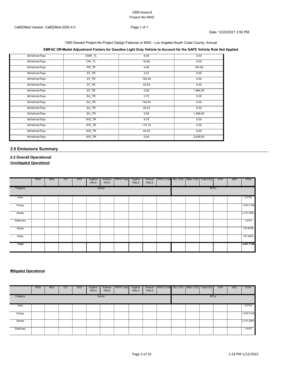#### 1000 Seward Project-No Project Design Features or MXD - Los Angeles-South Coast County, Annual

## **EMFAC Off-Model Adjustment Factors for Gasoline Light Duty Vehicle to Account for the SAFE Vehicle Rule Not Applied**

| tblVehicleTrips | CNW TL    | 6.90   | 0.00     |
|-----------------|-----------|--------|----------|
| tblVehicleTrips | CW TL     | 16.60  | 0.00     |
| tblVehicleTrips | PR TP     | 0.00   | 100.00   |
| tblVehicleTrips | ST TR     | 2.21   | 0.00     |
| tblVehicleTrips | ST_TR     | 122.40 | 0.00     |
| tblVehicleTrips | ST TR     | 42.04  | 0.00     |
| tblVehicleTrips | ST_TR     | 0.00   | 1,964.00 |
| tblVehicleTrips | SU TR     | 0.70   | 0.00     |
| tblVehicleTrips | SU_TR     | 142.64 | 0.00     |
| tblVehicleTrips | SU TR     | 20.43  | 0.00     |
| tblVehicleTrips | SU_TR     | 0.00   | 1,499.00 |
| tblVehicleTrips | WD TR<br> | 9.74   | 0.00     |
| tblVehicleTrips | WD_TR     | 112.18 | 0.00     |
| tblVehicleTrips | WD TR     | 44.32  | 0.00     |
| tblVehicleTrips | WD_TR     | 0.00   | 2,639.00 |

## **2.0 Emissions Summary**

## **2.2 Overall Operational Unmitigated Operational**

|            | <b>ROG</b> | <b>NO<sub>x</sub></b> | <sub>co</sub> | SO <sub>2</sub> | Fugitive<br><b>PM10</b> | Exhaust<br><b>PM10</b> | PM10 Total | Fugitive<br>PM2.5 | Exhaust<br>PM2.5 | PM2.5 Total Bio-CO2 NBio-CO2   Total CO2 |  |       | CH4 | N <sub>2</sub> O | CO <sub>2e</sub> |
|------------|------------|-----------------------|---------------|-----------------|-------------------------|------------------------|------------|-------------------|------------------|------------------------------------------|--|-------|-----|------------------|------------------|
| Category   |            |                       |               |                 |                         | tons/yr                |            |                   |                  |                                          |  | MT/yr |     |                  |                  |
| Area       |            |                       |               |                 |                         |                        |            |                   |                  |                                          |  |       |     |                  | 0.0122           |
| Energy     | .          |                       |               |                 |                         | .                      |            |                   |                  |                                          |  |       |     | .                | 1,042.2126       |
| Mobile     |            |                       |               |                 |                         |                        |            |                   |                  |                                          |  |       |     |                  | 2,121.8281<br>   |
| Stationary |            |                       |               |                 |                         |                        |            |                   |                  |                                          |  |       |     |                  | 1.9107<br>.      |
| Waste      |            |                       |               |                 |                         |                        |            |                   |                  |                                          |  |       |     |                  | 137.8755         |
| Water      |            |                       |               |                 |                         |                        |            |                   |                  |                                          |  |       |     |                  | 187.9400         |
| Total      |            |                       |               |                 |                         |                        |            |                   |                  |                                          |  |       |     |                  | 3,491.7790       |

## **Mitigated Operational**

|                                                                                                                                                                                                                                          | <b>ROG</b> | <b>NO<sub>x</sub></b> | CO | SO <sub>2</sub> | Fugitive<br><b>PM10</b> | Exhaust<br><b>PM10</b> | PM <sub>10</sub> Total | Fugitive<br>PM2.5 | Exhaust<br>PM2.5 | PM2.5 Total Bio-CO2 NBio-CO2 Total CO2 |  |       | CH <sub>4</sub> | <b>N2O</b> | CO <sub>2e</sub> |
|------------------------------------------------------------------------------------------------------------------------------------------------------------------------------------------------------------------------------------------|------------|-----------------------|----|-----------------|-------------------------|------------------------|------------------------|-------------------|------------------|----------------------------------------|--|-------|-----------------|------------|------------------|
| Category                                                                                                                                                                                                                                 |            |                       |    |                 |                         | tons/yr                |                        |                   |                  |                                        |  | MT/yr |                 |            |                  |
| Area                                                                                                                                                                                                                                     |            |                       |    |                 |                         |                        |                        |                   |                  |                                        |  |       |                 |            | 0.0122<br>.      |
| Energy<br>www.community.com/www.com/www.com/www.com/www.com/www.com/www.com/www.com/www.com/www.com/www.com/www.com/www.com/www.com/www.com/www.com/www.com/www.com/www.com/www.com/www.com/www.com/www.com/www.com/www.com/www.com/www. |            |                       |    |                 |                         |                        |                        |                   |                  |                                        |  |       |                 |            | 1.042.2126       |
| Mobile                                                                                                                                                                                                                                   |            |                       |    |                 |                         |                        |                        |                   |                  |                                        |  |       |                 |            | 2.121.8281       |
| Stationary                                                                                                                                                                                                                               |            |                       |    |                 |                         |                        |                        |                   |                  |                                        |  |       |                 |            | .9107            |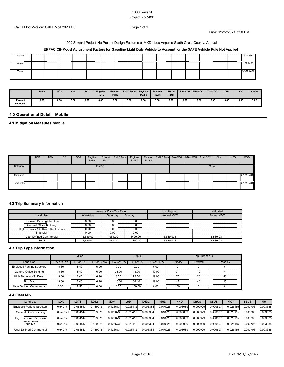#### CalEEMod Version: CalEEMod.2020.4.0 Page 1 of 1

Date: 12/22/2021 3:50 PM

#### 1000 Seward Project-No Project Design Features or MXD - Los Angeles-South Coast County, Annual

| Waste |  |  |  |  |  |  |  | 32.5386  |
|-------|--|--|--|--|--|--|--|----------|
| Water |  |  |  |  |  |  |  | 187,9400 |
| Total |  |  |  |  |  |  |  | 386.4421 |

|                             | <b>ROG</b> | <b>NOx</b> | $_{\rm co}$ | <b>SO2</b> | <b>Fugitive</b><br><b>PM10</b> | <b>Exhaust</b><br><b>PM10</b> | <b>PM10 Total</b> | <b>Fugitive</b><br><b>PM2.5</b> | <b>Exhaust</b><br><b>PM2.5</b> | <b>PM2.5</b><br><b>Total</b> | Bio-CO <sub>2</sub> | NBio-CO <sub>2</sub> | Total CO <sub>2</sub> | CH <sub>4</sub> | N <sub>20</sub> | CO <sub>2e</sub> |
|-----------------------------|------------|------------|-------------|------------|--------------------------------|-------------------------------|-------------------|---------------------------------|--------------------------------|------------------------------|---------------------|----------------------|-----------------------|-----------------|-----------------|------------------|
| Percent<br><b>Reduction</b> | 0.00       | 0.00       | 0.00        | 0.00       | 0.00                           | 0.00                          | 0.00              | 0.0f                            | 0.00                           | 0.00                         | 0.00                | 0.00                 | 0.00<br>.             | 0.00            | 0.00            | 3.02             |

# **4.0 Operational Detail - Mobile**

## **4.1 Mitigation Measures Mobile**

|                                     | <b>ROG</b> | <b>NO<sub>x</sub></b> | CO | SO <sub>2</sub> | Fugitive<br><b>PM10</b> | Exhaust<br><b>PM10</b> | PM <sub>10</sub> Total | Fugitive<br><b>PM2.5</b> | Exhaust<br>PM2.5 | PM2.5 Total  Bio- CO2   NBio- CO2   Total CO2 |  |       | CH <sub>4</sub> | <b>N2O</b> | CO <sub>2</sub> e |
|-------------------------------------|------------|-----------------------|----|-----------------|-------------------------|------------------------|------------------------|--------------------------|------------------|-----------------------------------------------|--|-------|-----------------|------------|-------------------|
| Category                            |            |                       |    |                 |                         | tons/yr                |                        |                          |                  |                                               |  | MT/yr |                 |            |                   |
| Mitigated<br>- 11<br>$\blacksquare$ |            |                       |    |                 |                         |                        |                        |                          |                  |                                               |  |       |                 |            | 2,121.8281        |
| Unmitigated                         |            |                       |    |                 |                         |                        |                        |                          |                  |                                               |  |       |                 |            | 2,121.8281        |

#### **4.2 Trip Summary Information**

|                                     |          | Average Daily Trip Rate |         | Jnmitigated       | Mitigated         |
|-------------------------------------|----------|-------------------------|---------|-------------------|-------------------|
| Land Use                            | Weekdav  | Saturdav                | Sundav  | <b>Annual VMT</b> | <b>Annual VMT</b> |
| <b>Enclosed Parking Structure</b>   | 2.00     | 0.00                    | 0.00    |                   |                   |
| General Office Building<br>.        | 0.00     | 0.00                    | 0.00    |                   |                   |
| High Turnover (Sit Down Restaurant) | 0.00     | 0.00                    | 0.00    |                   |                   |
| Strin Mall                          | 0.00     | 0.00                    | 0.00    |                   |                   |
| User Defined Commercial             | 2.639.00 | 964.00                  | 1499.00 | 6.539.931         | 6.539.931         |
| Tota                                | 2.639.00 | 1.964.00                | .499.00 | 6.539.931         | 6.539.931         |

#### **4.3 Trip Type Information**

|                                   |            | <b>Miles</b> |                        |       | Trip %       |             | Trip Purpose % |                 |  |  |  |
|-----------------------------------|------------|--------------|------------------------|-------|--------------|-------------|----------------|-----------------|--|--|--|
| Land Use                          | H-W or C-W | H-S or C-C   | H-O or C-NW H-W or C-W |       | H-S or C-C I | H-O or C-NW | Primary        | <b>Diverted</b> |  |  |  |
| <b>Enclosed Parking Structure</b> | 16.60      | 8.40         | 6.90                   | 0.00  | 0.OO         | 0.00        |                |                 |  |  |  |
| General Office Building           | 16.60      | 8.40         | 6.90                   | 33.00 | 48.00        | 19.00       |                |                 |  |  |  |
| High Turnover (Sit Down           | 16.60      | 8.40         | 6.90                   | 8.50  | 72.50        | 19.00       |                |                 |  |  |  |
| <b>Strip Mall</b>                 | 16.60      | 8.40         | 6.90                   | 16.60 | 64.40        | 19.00       |                |                 |  |  |  |
| User Defined Commercial           | 0.00       | 7.55         | 0.00                   | 0.00  | 100.00       | 0.00        | 100            |                 |  |  |  |

#### **4.4 Fleet Mix**

| Land Use                          | LDA      | LDT1     | LDT2     | <b>MDV</b> | LHD <sub>1</sub> | LHD <sub>2</sub> | <b>MHD</b> | HHC      | OBUS     | UBUS     | <b>MCY</b> | SBUS      | <b>MH</b> |
|-----------------------------------|----------|----------|----------|------------|------------------|------------------|------------|----------|----------|----------|------------|-----------|-----------|
| <b>Enclosed Parking Structure</b> | 0.540171 | 0.064547 | 0.189075 | 0.126673   | 0.023412         | 0.006384         | 0.010926   | 0.008089 | 0.000929 | 0.000597 | 0.025155   | 0.000706  | 0.003335  |
| General Office Building           | 0.540171 | 0.064547 | 0.189075 | 0.126673   | 0.023412         | 0.006384         | 0.010926   | 0.008089 | 0.000929 | 0.000597 | 0.025155   | 0.000706  | 0.003335  |
| า Turnover (Sit Down              | 0.540171 | 0.064547 | 0.189075 | 0.126673.  | $0.023412 -$     | 0.006384         | 0.010926   | 0.008089 | 0.000929 | 0.000597 | 0.025155   | 0.000706. | 0.003335  |
| <b>Strip Mall</b>                 | 0.540171 | 0.064547 | 0.189075 | 0.126673   | 0.023412         | 0.006384         | 0.010926   | 0.008089 | 0.000929 | 0.000597 | 0.025155   | 0.000706  | 0.003335  |
| User Defined Commercial           |          | 0.064547 | 0.189075 | 1.126673   | 0.023412         | 0.006384         | 0.010926   | 0.008089 | 0.000929 | 0.000597 | 0.025155   | 0.000706  | 0.003335  |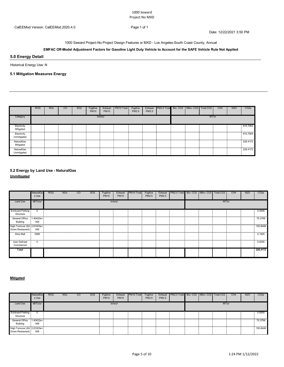Date: 12/22/2021 3:50 PM

1000 Seward Project-No Project Design Features or MXD - Los Angeles-South Coast County, Annual

## **EMFAC Off-Model Adjustment Factors for Gasoline Light Duty Vehicle to Account for the SAFE Vehicle Rule Not Applied**

## **5.0 Energy Detail**

Historical Energy Use: N

# **5.1 Mitigation Measures Energy**

|                                 | <b>ROG</b> | <b>NO<sub>x</sub></b> | <sub>co</sub> | SO <sub>2</sub> | Fugitive<br><b>PM10</b> | Exhaust<br><b>PM10</b> | PM <sub>10</sub> Total | Fugitive<br>PM2.5 | Exhaust<br>PM2.5 | PM2.5 Total Bio-CO2 NBio-CO2 Total CO2 |  |       | CH <sub>4</sub> | <b>N2O</b> | CO <sub>2e</sub> |
|---------------------------------|------------|-----------------------|---------------|-----------------|-------------------------|------------------------|------------------------|-------------------|------------------|----------------------------------------|--|-------|-----------------|------------|------------------|
| Category                        |            |                       |               |                 |                         | tons/yr                |                        |                   |                  |                                        |  | MT/yr |                 |            |                  |
| Electricity<br>Mitigated        |            |                       |               |                 |                         |                        |                        |                   |                  |                                        |  |       |                 |            | 815,7954         |
| .<br>Electricity<br>Unmitigated |            |                       |               |                 |                         |                        |                        |                   |                  |                                        |  |       |                 |            | 815.7954         |
| .<br>NaturalGas<br>Mitigated    |            |                       |               |                 |                         |                        |                        |                   |                  | .                                      |  |       |                 |            | 226,4172         |
| NaturalGas<br>Unmitigated       |            |                       |               |                 |                         |                        |                        |                   |                  |                                        |  |       |                 |            | .<br>226.4172    |

## **5.2 Energy by Land Use - NaturalGas Unmitigated**

|                                      | NaturalGa<br>s Use | <b>ROG</b> | <b>NO<sub>x</sub></b> | CO | SO <sub>2</sub> | Fugitive<br><b>PM10</b> | Exhaust<br><b>PM10</b> | PM10 Total | Fugitive<br>PM2.5 | Exhaust<br>PM2.5 | PM2.5 Total Bio-CO2 NBio-CO2 |  | Total CO <sub>2</sub> | CH <sub>4</sub> | N <sub>2</sub> O | CO <sub>2</sub> e |
|--------------------------------------|--------------------|------------|-----------------------|----|-----------------|-------------------------|------------------------|------------|-------------------|------------------|------------------------------|--|-----------------------|-----------------|------------------|-------------------|
| Land Use                             | kBTU/yr            |            |                       |    |                 |                         | tons/yr                |            |                   |                  |                              |  | MT/yr                 |                 |                  |                   |
| <b>Enclosed Parking</b><br>Structure | $\Omega$           |            |                       |    |                 |                         |                        |            |                   |                  |                              |  |                       |                 |                  | 0.0000            |
| General Office<br>Building           | $1.40422e+$<br>006 |            |                       |    |                 |                         |                        |            |                   |                  |                              |  |                       |                 |                  | 75.3799           |
| Down Restaurant)                     | 006                |            |                       |    |                 |                         |                        |            |                   |                  |                              |  |                       |                 |                  |                   |
| <b>Strip Mall</b>                    | 3586               |            |                       |    |                 |                         |                        |            |                   |                  |                              |  |                       |                 |                  | .<br>0.1925       |
| User Defined<br>Commercial           | $\Omega$           |            |                       |    |                 |                         |                        |            |                   |                  |                              |  |                       |                 |                  | .<br>0.0000       |
| Total                                |                    |            |                       |    |                 |                         |                        |            |                   |                  |                              |  |                       |                 |                  | 226.4172          |

#### **Mitigated**

|                                                  | NaturalGa<br>s Use | <b>ROG</b> | <b>NO<sub>x</sub></b> | CO | SO <sub>2</sub> | Fugitive<br><b>PM10</b> | Exhaust<br><b>PM10</b> | <b>PM10 Total</b> | Fugitive<br>PM2.5 | Exhaust<br><b>PM2.5</b> | PM2.5 Total Bio- CO2 INBio- CO2 I |  | Total CO2 | CH <sub>4</sub> | N <sub>2</sub> C | CO <sub>2e</sub> |
|--------------------------------------------------|--------------------|------------|-----------------------|----|-----------------|-------------------------|------------------------|-------------------|-------------------|-------------------------|-----------------------------------|--|-----------|-----------------|------------------|------------------|
| Land Use                                         | kBTU/vr            |            |                       |    |                 |                         | tons/yr                |                   |                   |                         |                                   |  | MT/vr     |                 |                  |                  |
| <b>Enclosed Parking</b><br>Structure             |                    |            |                       |    |                 |                         |                        |                   |                   |                         |                                   |  |           |                 |                  | 0.0000           |
| General Office 1.40422e+<br>Building             | 006                |            |                       |    |                 |                         |                        |                   |                   |                         |                                   |  |           |                 |                  | 75.3799          |
| High Turnover (Sit 2.81003e+<br>Down Restaurant) | 006                |            |                       |    |                 |                         |                        |                   |                   |                         |                                   |  |           |                 |                  | 150,8448         |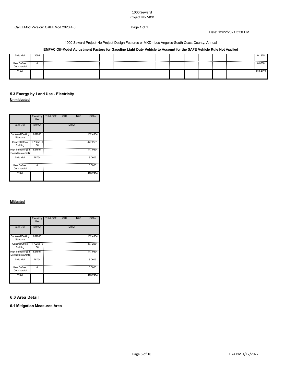Date: 12/22/2021 3:50 PM

1000 Seward Project-No Project Design Features or MXD - Los Angeles-South Coast County, Annual

## **EMFAC Off-Model Adjustment Factors for Gasoline Light Duty Vehicle to Account for the SAFE Vehicle Rule Not Applied**

| Strip Mall   | 3586 |  |  |  |  |  |  | 0.1925   |
|--------------|------|--|--|--|--|--|--|----------|
|              |      |  |  |  |  |  |  |          |
| User Defined |      |  |  |  |  |  |  | 0.0000   |
| Commercial   |      |  |  |  |  |  |  |          |
| Total        |      |  |  |  |  |  |  | 226 4172 |
|              |      |  |  |  |  |  |  |          |

## **5.3 Energy by Land Use - Electricity Unmitigated**

|                                        | Electricity<br>Use | Total CO <sub>2</sub> | CH4 | <b>N2O</b> | CO <sub>2e</sub> |
|----------------------------------------|--------------------|-----------------------|-----|------------|------------------|
| Land Use                               | kWh/yr             |                       |     | MT/yr      |                  |
| <b>Enclosed Parking</b><br>Structure   | 651000             |                       |     |            | 182.4934         |
| General Office<br>Building             | $1.7025e+0$<br>06  |                       |     |            | 477.2581         |
| High Turnover (Sit<br>Down Restaurant) | 527894             |                       |     |            | 147.9834         |
| Strip Mall                             | 28754              |                       |     |            | 8.0606           |
| User Defined<br>Commercial             | ŋ                  |                       |     |            | 0.0000           |
| Total                                  |                    |                       |     |            | 815.7954         |

#### **Mitigated**

|                                         | Electricity<br>Use | Total CO <sub>2</sub> | CH <sub>4</sub> | <b>N2O</b> | CO <sub>2e</sub> |
|-----------------------------------------|--------------------|-----------------------|-----------------|------------|------------------|
| Land Use                                | kWh/yr             |                       |                 | MT/yr      |                  |
| <b>Enclosed Parking</b><br>Structure    | 651000             |                       |                 |            | 182.4934         |
| General Office<br>Building              | $1.7025e+0$<br>06  |                       |                 |            | 477.2581         |
| High Turnover (Sit-<br>Down Restaurant) | 527894             |                       |                 |            | 147.9834         |
| Strip Mall                              | 28754              |                       |                 |            | 8.0606           |
| <b>User Defined</b><br>Commercial       | O                  |                       |                 |            | 0.0000           |
| Total                                   |                    |                       |                 |            | 815.7954         |

### **6.0 Area Detail**

**6.1 Mitigation Measures Area**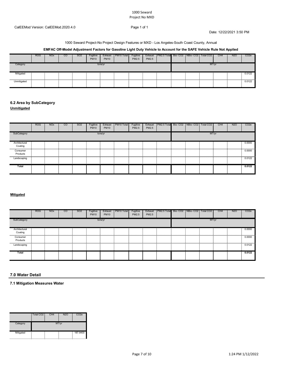Date: 12/22/2021 3:50 PM

#### 1000 Seward Project-No Project Design Features or MXD - Los Angeles-South Coast County, Annual

## **EMFAC Off-Model Adjustment Factors for Gasoline Light Duty Vehicle to Account for the SAFE Vehicle Rule Not Applied**

|             | <b>ROG</b> | <b>NO<sub>x</sub></b> | CO | SO <sub>2</sub> | Fugitive<br><b>PM10</b> | Exhaust<br><b>PM10</b> | PM <sub>10</sub> Total | Fugitive<br>PM2.5 | Exhaust<br>PM2.5 | PM2.5 Total Bio-CO2 NBio-CO2   Total CO2 |  |       | CH <sub>4</sub> | <b>N2O</b> | CO <sub>2e</sub> |
|-------------|------------|-----------------------|----|-----------------|-------------------------|------------------------|------------------------|-------------------|------------------|------------------------------------------|--|-------|-----------------|------------|------------------|
| Category    |            |                       |    |                 |                         | tons/yr                |                        |                   |                  |                                          |  | MT/vr |                 |            |                  |
| Mitigated   |            |                       |    |                 |                         |                        |                        |                   |                  |                                          |  |       |                 |            | 0.0122           |
| Unmitigated |            |                       |    |                 |                         |                        |                        |                   |                  |                                          |  |       |                 |            | 0.0122           |

# **6.2 Area by SubCategory**

**Unmitigated**

|                          | <b>ROG</b> | <b>NO<sub>x</sub></b> | $_{\rm CO}$ | SO <sub>2</sub> | Fugitive<br><b>PM10</b> | Exhaust<br><b>PM10</b> | PM10 Total | Fugitive<br>PM2.5 | Exhaust<br>PM2.5 | PM2.5 Total Bio-CO2 NBio-CO2   Total CO2 |  |       | CH <sub>4</sub> | <b>N2O</b> | CO <sub>2</sub> e |
|--------------------------|------------|-----------------------|-------------|-----------------|-------------------------|------------------------|------------|-------------------|------------------|------------------------------------------|--|-------|-----------------|------------|-------------------|
| SubCategory              |            |                       |             |                 |                         | tons/yr                |            |                   |                  |                                          |  | MT/yr |                 |            |                   |
| Architectural<br>Coating |            |                       |             |                 |                         |                        |            |                   |                  |                                          |  |       |                 |            | 0.0000            |
| Consumer<br>Products     |            |                       |             |                 |                         |                        |            |                   |                  |                                          |  |       |                 |            | 0.0000            |
| Landscaping              |            |                       |             |                 |                         |                        |            |                   |                  |                                          |  |       |                 |            | 0.0122            |
| Total                    |            |                       |             |                 |                         |                        |            |                   |                  |                                          |  |       |                 |            | 0.0122            |

#### **Mitigated**

|               | <b>ROG</b> | <b>NO<sub>x</sub></b> | CO | <b>SO2</b> | Fugitive<br><b>PM10</b> | Exhaust<br><b>PM10</b> | PM10 Total | Fugitive<br>PM2.5 | Exhaust<br>PM2.5 | PM2.5 Total  Bio- CO2   NBio- CO2   Total CO2 |  |       | CH <sub>4</sub> | N <sub>2</sub> O | CO <sub>2</sub> e |
|---------------|------------|-----------------------|----|------------|-------------------------|------------------------|------------|-------------------|------------------|-----------------------------------------------|--|-------|-----------------|------------------|-------------------|
| SubCategory   |            |                       |    |            |                         | tons/yr                |            |                   |                  |                                               |  | MT/yr |                 |                  |                   |
| Architectural |            |                       |    |            |                         |                        |            |                   |                  |                                               |  |       |                 |                  | 0.0000            |
| Coating       |            |                       |    |            |                         |                        |            |                   |                  |                                               |  |       |                 |                  |                   |
| Consumer      |            |                       |    |            |                         |                        |            |                   |                  |                                               |  |       |                 |                  | 0.0000            |
| Products      |            |                       |    |            |                         |                        |            |                   |                  |                                               |  |       |                 |                  |                   |
| Landscaping   |            |                       |    |            |                         |                        |            |                   |                  |                                               |  |       |                 |                  | 0.0122            |
|               |            |                       |    |            |                         |                        |            |                   |                  |                                               |  |       |                 |                  |                   |
| Total         |            |                       |    |            |                         |                        |            |                   |                  |                                               |  |       |                 |                  | 0.0122            |
|               |            |                       |    |            |                         |                        |            |                   |                  |                                               |  |       |                 |                  |                   |

#### **7.0 Water Detail**

**7.1 Mitigation Measures Water**

|           | Total CO <sub>2</sub> | CH <sub>4</sub> | N2C   | CO <sub>2e</sub> |
|-----------|-----------------------|-----------------|-------|------------------|
| Category  |                       |                 | MT/vr |                  |
| Mitigated |                       |                 |       | 187.9400<br>÷.   |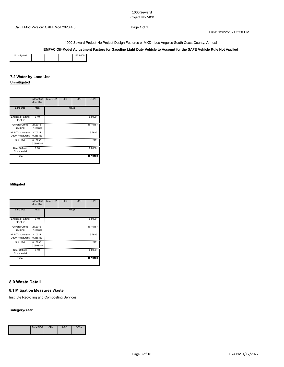Date: 12/22/2021 3:50 PM

1000 Seward Project-No Project Design Features or MXD - Los Angeles-South Coast County, Annual

## **EMFAC Off-Model Adjustment Factors for Gasoline Light Duty Vehicle to Account for the SAFE Vehicle Rule Not Applied**

# **7.2 Water by Land Use**

# **Unmitigated**

|                                        | Indoor/Out<br>door Use | Total CO <sub>2</sub> | CH <sub>4</sub> | <b>N2O</b> | CO <sub>2</sub> e |
|----------------------------------------|------------------------|-----------------------|-----------------|------------|-------------------|
| <b>Land Use</b>                        | Mgal                   |                       | MT/yr           |            |                   |
| <b>Enclosed Parking</b><br>Structure   | 0/0                    |                       |                 |            | 0.0000            |
| General Office<br><b>Building</b>      | 24.2073/<br>14.8368    |                       |                 |            | 167.5187          |
| High Turnover (Sit<br>Down Restaurant) | 3.70311/<br>0.236369   |                       |                 |            | 19.2936           |
| Strip Mall                             | 0.16296/<br>0.0998784  |                       |                 |            | 1.1277            |
| <b>User Defined</b><br>Commercial      | 0/0                    |                       |                 |            | 0.0000            |
| Total                                  |                        |                       |                 |            | 187.9400          |

#### **Mitigated**

|                                        | Indoor/Out<br>door Use | Total CO <sub>2</sub> | CH <sub>4</sub> | <b>N2O</b> | CO <sub>2</sub> e |
|----------------------------------------|------------------------|-----------------------|-----------------|------------|-------------------|
| <b>Land Use</b>                        | Mgal                   |                       | MT/yr           |            |                   |
| <b>Enclosed Parking</b><br>Structure   | 0/0                    |                       |                 |            | 0.0000            |
| General Office<br>Building             | 24.2073/<br>14.8368    |                       |                 |            | 167.5187          |
| High Turnover (Sit<br>Down Restaurant) | 3.70311/<br>0.236369   |                       |                 |            | 19.2936           |
| Strip Mall                             | 0.16296/<br>0.0998784  |                       |                 |            | 1.1277            |
| User Defined<br>Commercial             | 0/0                    |                       |                 |            | 0.0000            |
| Total                                  |                        |                       |                 |            | 187.9400          |

## **8.0 Waste Detail**

## **8.1 Mitigation Measures Waste**

Institute Recycling and Composting Services

#### **Category/Year**

|  |  | Total C |  |  |  |
|--|--|---------|--|--|--|
|--|--|---------|--|--|--|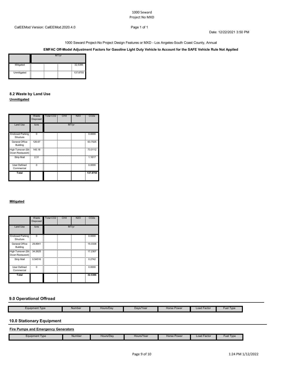Date: 12/22/2021 3:50 PM

1000 Seward Project-No Project Design Features or MXD - Los Angeles-South Coast County, Annual

**EMFAC Off-Model Adjustment Factors for Gasoline Light Duty Vehicle to Account for the SAFE Vehicle Rule Not Applied**

| Mitigated   | --<br><br>--                 |  |  | 32.5386  |  |  |  |  |
|-------------|------------------------------|--|--|----------|--|--|--|--|
| Unmitigated | - 55<br>--<br>--<br><br><br> |  |  | 137.8755 |  |  |  |  |

## **8.2 Waste by Land Use Unmitigated**

|                                        | Waste<br><b>Disposed</b> | Total CO <sub>2</sub> | CH <sub>4</sub> | <b>N2O</b> | CO <sub>2</sub> e |
|----------------------------------------|--------------------------|-----------------------|-----------------|------------|-------------------|
| <b>Land Use</b>                        | tons                     |                       |                 | MT/yr      |                   |
| <b>Enclosed Parking</b><br>Structure   | n                        |                       |                 |            | 0.0000            |
| General Office<br>Building             | 126.67                   |                       |                 |            | 63.7025           |
| High Turnover (Sit<br>Down Restaurant) | 145.18                   |                       |                 |            | 73.0112           |
| Strip Mall                             | 2.31                     |                       |                 |            | 1.1617            |
| <b>User Defined</b><br>Commercial      | n                        |                       |                 |            | 0.0000            |
| Total                                  |                          |                       |                 |            | 137.8755          |

## **Mitigated**

|                                                  | Waste<br><b>Disposed</b> | Total CO <sub>2</sub> | CH <sub>4</sub> | <b>N2O</b> | CO <sub>2e</sub> |
|--------------------------------------------------|--------------------------|-----------------------|-----------------|------------|------------------|
| <b>Land Use</b>                                  | tons                     |                       | MT/yr           |            |                  |
| <b>Enclosed Parking</b><br>Structure             | 0                        |                       |                 |            | 0.0000           |
| General Office<br>Building                       | 29.8941                  |                       |                 |            | 15.0338          |
| High Turnover (Sit - 34.2625<br>Down Restaurant) |                          |                       |                 |            | 17.2307          |
| Strip Mall                                       | 0.54516                  |                       |                 |            | 0.2742           |
| <b>User Defined</b><br>Commercial                | $\Omega$                 |                       |                 |            | 0.0000           |
| Total                                            |                          |                       |                 |            | 32.5386          |

## **9.0 Operational Offroad**

| Equipment Type | Number | Hours/Day | Days/Year | Horse Power | <b>Load Factor</b><br>------- | Type<br>Fuel |
|----------------|--------|-----------|-----------|-------------|-------------------------------|--------------|

# **10.0 Stationary Equipment**

## **Fire Pumps and Emergency Generators**

| Equipment Type | Number | Hours/Dav<br>. . <del>.</del> | Hours/Year<br>. . <b>. . . .</b> . | Horse Power<br>$\sim$ $\sim$ $\sim$<br>. . <b>.</b> . <b>.</b> . | Load Facto<br>-----<br>$-$ | 'Type<br>Fuel |
|----------------|--------|-------------------------------|------------------------------------|------------------------------------------------------------------|----------------------------|---------------|